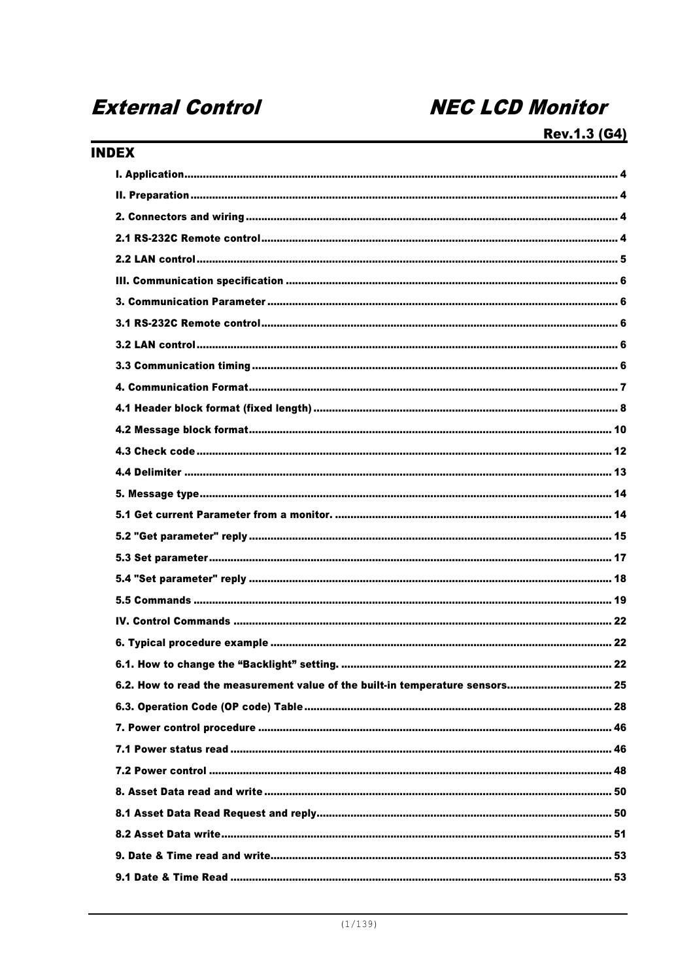# **External Control**

# **NEC LCD Monitor**

# **INDEX**

| 6.2. How to read the measurement value of the built-in temperature sensors 25 |
|-------------------------------------------------------------------------------|
|                                                                               |
|                                                                               |
|                                                                               |
|                                                                               |
|                                                                               |
|                                                                               |
|                                                                               |
|                                                                               |
|                                                                               |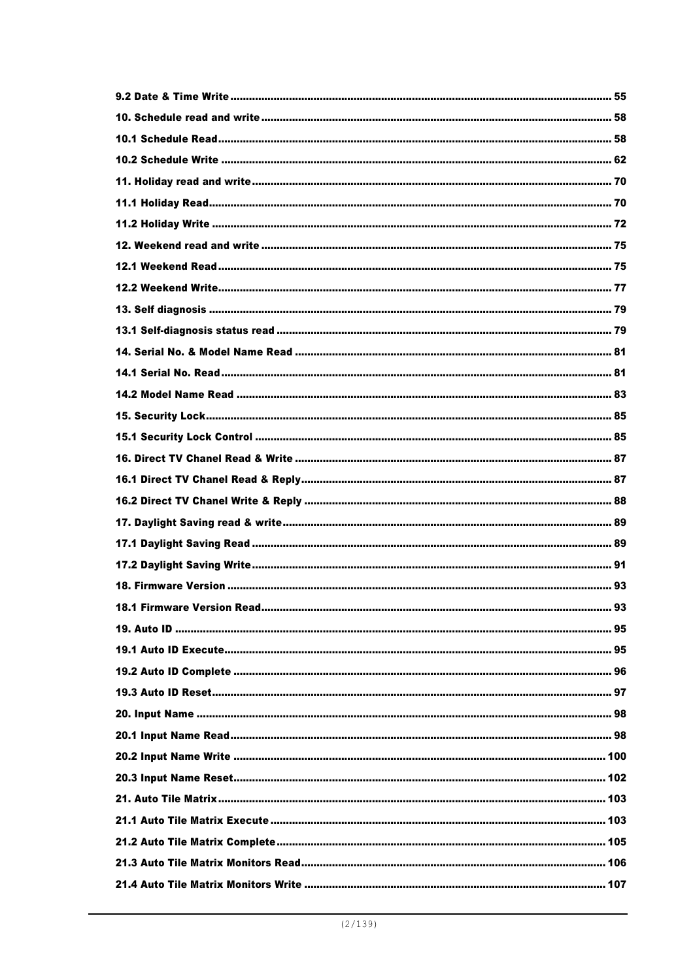| 18.1 Firmware Version Read | 93 |
|----------------------------|----|
|                            |    |
|                            |    |
|                            |    |
|                            |    |
|                            |    |
|                            |    |
|                            |    |
|                            |    |
|                            |    |
|                            |    |
|                            |    |
|                            |    |
|                            |    |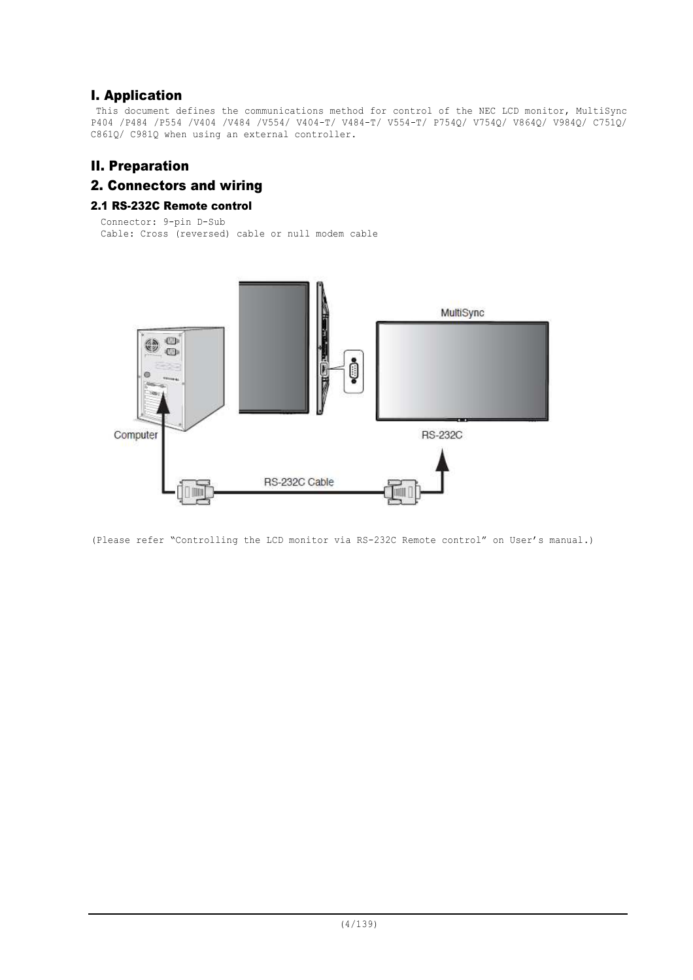# I. Application

This document defines the communications method for control of the NEC LCD monitor, MultiSync P404 /P484 /P554 /V404 /V484 /V554/ V404-T/ V484-T/ V554-T/ P754Q/ V754Q/ V864Q/ V984Q/ C751Q/ C861Q/ C981Q when using an external controller.

# II. Preparation

# 2. Connectors and wiring

## 2.1 RS-232C Remote control

```
Connector: 9-pin D-Sub
Cable: Cross (reversed) cable or null modem cable
```


(Please refer "Controlling the LCD monitor via RS-232C Remote control" on User's manual.)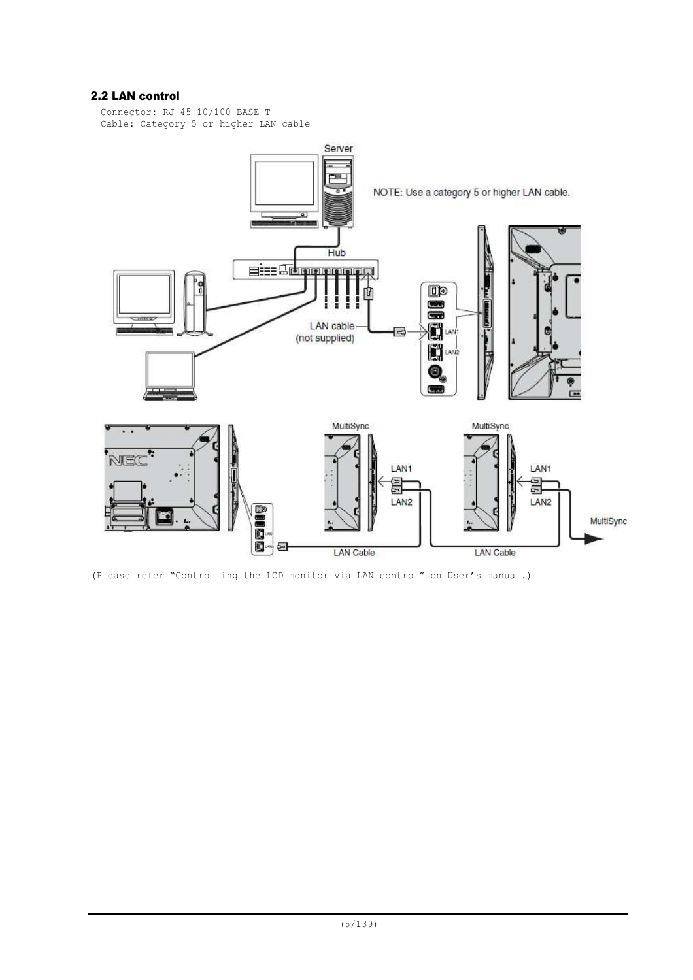## 2.2 LAN control

Connector: RJ-45 10/100 BASE-T Cable: Category 5 or higher LAN cable



(Please refer "Controlling the LCD monitor via LAN control" on User's manual.)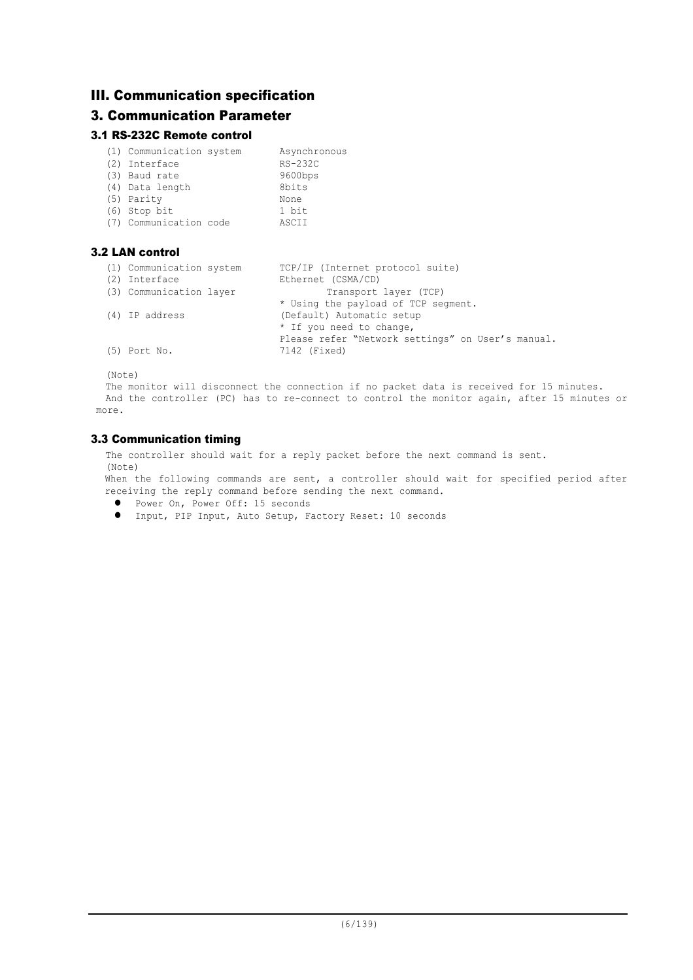# III. Communication specification

# 3. Communication Parameter

## 3.1 RS-232C Remote control

| (1) Communication system<br>(2) Interface<br>(3) Baud rate<br>(4) Data length<br>(5) Parity<br>$(6)$ Stop bit | Asynchronous<br>RS-232C<br>9600bps<br>8bits<br>None<br>1 bit |
|---------------------------------------------------------------------------------------------------------------|--------------------------------------------------------------|
|                                                                                                               |                                                              |
| (7) Communication code                                                                                        | ASCII                                                        |

## 3.2 LAN control

| (1) Communication system | TCP/IP (Internet protocol suite)                  |
|--------------------------|---------------------------------------------------|
| (2) Interface            | Ethernet (CSMA/CD)                                |
| (3) Communication layer  | Transport layer (TCP)                             |
|                          | * Using the payload of TCP segment.               |
| (4) IP address           | (Default) Automatic setup                         |
|                          | * If you need to change,                          |
|                          | Please refer "Network settings" on User's manual. |
| $(5)$ Port No.           | 7142 (Fixed)                                      |

(Note)

The monitor will disconnect the connection if no packet data is received for 15 minutes. And the controller (PC) has to re-connect to control the monitor again, after 15 minutes or more.

## 3.3 Communication timing

The controller should wait for a reply packet before the next command is sent. (Note)

When the following commands are sent, a controller should wait for specified period after receiving the reply command before sending the next command.

- Power On, Power Off: 15 seconds
- Input, PIP Input, Auto Setup, Factory Reset: 10 seconds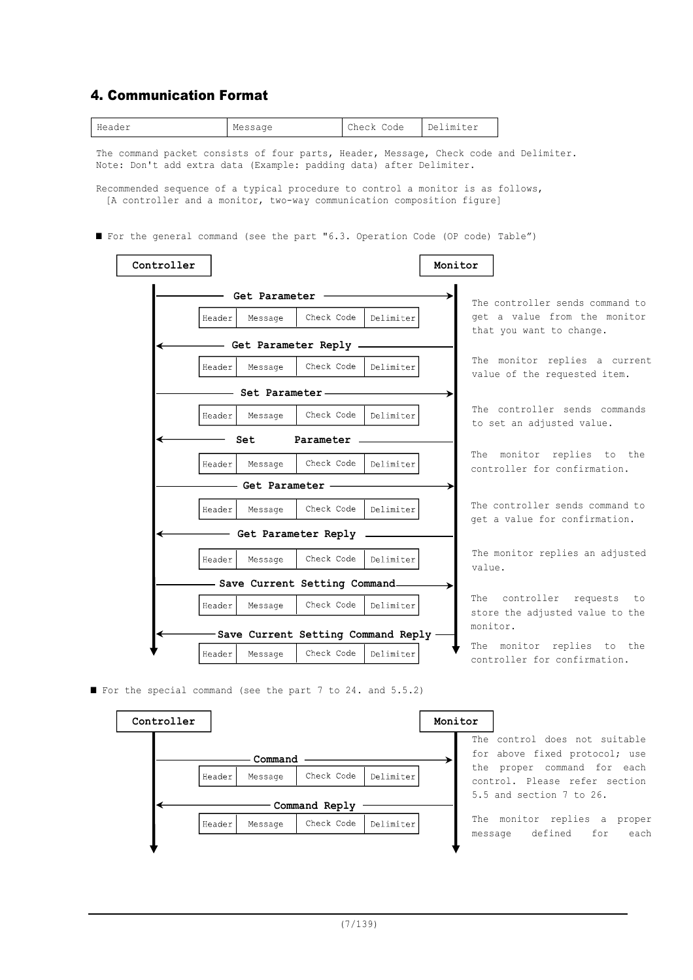## 4. Communication Format



■ For the special command (see the part 7 to 24. and 5.5.2)



The control does not suitable for above fixed protocol; use the proper command for each control. Please refer section 5.5 and section 7 to 26.

The monitor replies a proper message defined for each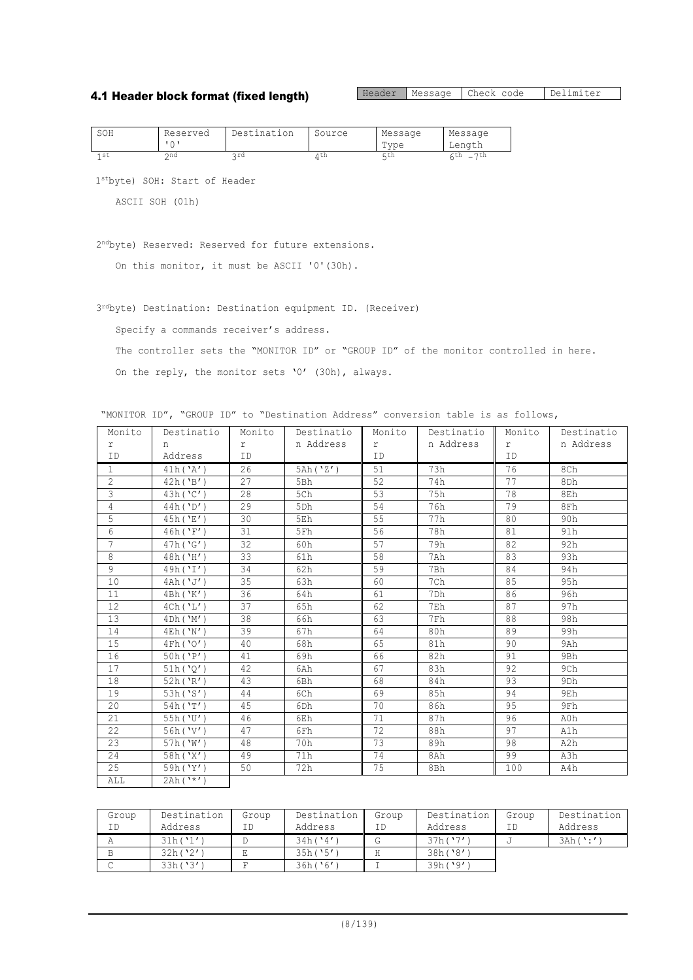## 4.1 Header block format (fixed length)

Header Message Check code Delimiter

| SOH             | Reserved | Destination | Source | Message | Message                         |
|-----------------|----------|-------------|--------|---------|---------------------------------|
|                 |          |             |        | Type    | Lenath                          |
| 1 <sub>st</sub> | ond      | ord         | Λth    | ς th    | 7th<br>$\overline{\phantom{0}}$ |

1stbyte) SOH: Start of Header

ASCII SOH (01h)

2ndbyte) Reserved: Reserved for future extensions.

On this monitor, it must be ASCII '0'(30h).

3rdbyte) Destination: Destination equipment ID. (Receiver)

Specify a commands receiver's address.

The controller sets the "MONITOR ID" or "GROUP ID" of the monitor controlled in here.

On the reply, the monitor sets '0' (30h), always.

"MONITOR ID", "GROUP ID" to "Destination Address" conversion table is as follows,

| Monito            | Destinatio | Monito    | Destinatio | Monito | Destinatio | Monito | Destinatio      |
|-------------------|------------|-----------|------------|--------|------------|--------|-----------------|
| r                 | n          | r         | n Address  | r.     | n Address  | r      | n Address       |
| ID.               | Address    | ID        |            | ID     |            | ID     |                 |
| $\mathbf{1}$      | 41h('A')   | 26        | 5Ah('Z')   | 51     | 73h        | 76     | 8Ch             |
| $\overline{2}$    | 42h('B')   | 27        | 5Bh        | 52     | 74h        | 77     | 8Dh             |
| $\mathbf{B}$      | 43h('C')   | 28        | 5Ch        | 53     | 75h        | 78     | 8Eh             |
| $\overline{4}$    | 44h('D')   | 29        | 5Dh        | 54     | 76h        | 79     | 8Fh             |
| 5                 | 45h('E')   | 30        | 5Eh        | 55     | 77h        | 80     | 90h             |
| 6                 | 46h('F')   | 31        | 5Fh        | 56     | 78h        | 81     | 91h             |
| $\overline{7}$    | 47h('G')   | 32        | 60h        | 57     | 79h        | 82     | 92h             |
| 8                 | 48h('H')   | 33        | 61h        | 58     | 7Ah        | 83     | 93h             |
| 9                 | 49h('I')   | 34        | 62h        | 59     | 7Bh        | 84     | 94h             |
| 10                | 4Ah('J')   | 35        | 63h        | 60     | 7Ch        | 85     | 95h             |
| 11                | 4Bh('K')   | 36        | 64h        | 61     | 7Dh        | 86     | 96h             |
| $12 \overline{ }$ | 4Ch('L')   | 37<br>65h |            | 62     | 7Eh        | 87     | 97h             |
| 13                | 4Dh('M')   | 38        | 66h        | 63     | 7Fh        | 88     | 98h             |
| 14                | 4Eh('N')   | 39        | 67h        | 64     | 80h        | 89     | 99h             |
| 15                | 4Fh('O')   | 40        | 68h        | 65     | 81h        | 90     | 9Ah             |
| 16                | 50h('P')   | 41        | 69h        | 66     | 82h        | 91     | 9Bh             |
| 17                | 51h('0')   | 42        | 6Ah        | 67     | 83h        | 92     | 9Ch             |
| 18                | 52h('R')   | 43        | 6Bh        | 68     | 84h        | 93     | 9 <sub>Dh</sub> |
| 19                | 53h('S')   | 44        | 6Ch        | 69     | 85h        | 94     | 9Eh             |
| 20                | 54h('T')   | 45        | 6Dh        | 70     | 86h        | 95     | 9Fh             |
| 21                | 55h('U')   | 46        | 6Eh        | 71     | 87h        | 96     | A0h             |
| 22                | 56h('V')   | 47        | 6Fh        | 72     | 88h        | 97     | A1h             |
| 23                | 57h('W')   | 48        | 70h        | 73     | 89h        | 98     | A2h             |
| 24                | 58h('X')   | 49        | 71h        | 74     | 8Ah        | 99     | A3h             |
| 25                | 59h('Y')   | 50        | 72h        | 75     | 8Bh        | 100    | A4h             |
| ALL               | $2Ah(^**)$ |           |            |        |            |        |                 |

| Group | Destination | Group | Destination | Group | Destination | Group | Destination |
|-------|-------------|-------|-------------|-------|-------------|-------|-------------|
| ΙD    | Address     |       | Address     | ΙD    | Address     |       | Address     |
|       | 31h('1')    |       | 34h(14')    |       | 37h(17')    |       | 3Ah ( ':'   |
|       | 32h('2')    |       | 35h(15')    |       | 38h('8')    |       |             |
|       | 33h('3')    |       | 36h('6')    |       | 39h('9')    |       |             |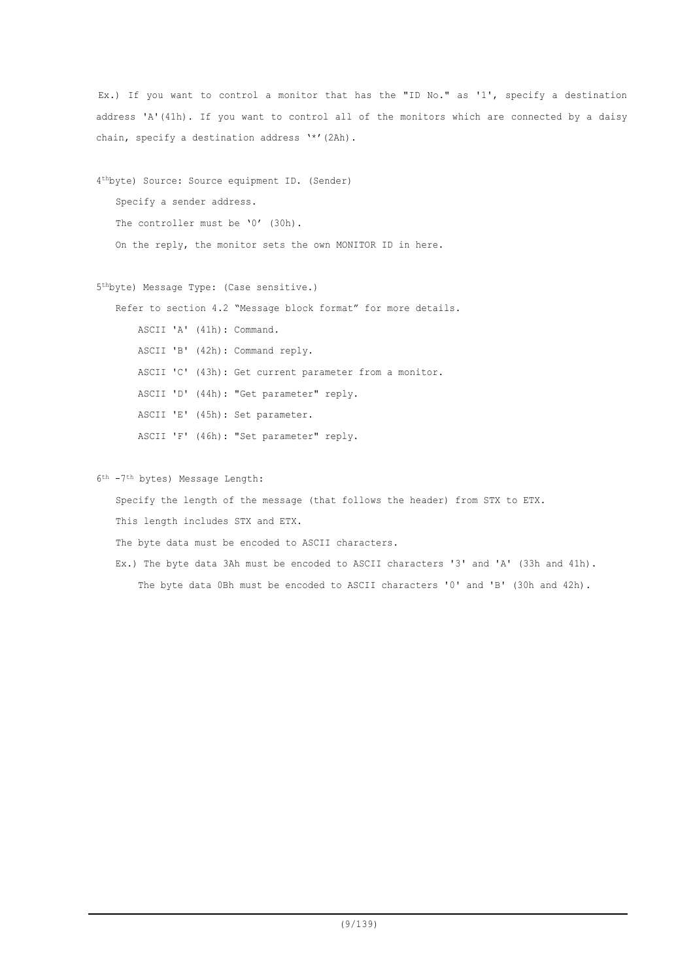Ex.) If you want to control a monitor that has the "ID No." as '1', specify a destination address 'A'(41h). If you want to control all of the monitors which are connected by a daisy chain, specify a destination address '\*'(2Ah).

4thbyte) Source: Source equipment ID. (Sender) Specify a sender address. The controller must be '0' (30h). On the reply, the monitor sets the own MONITOR ID in here.

5thbyte) Message Type: (Case sensitive.)

Refer to section 4.2 "Message block format" for more details.

ASCII 'A' (41h): Command.

ASCII 'B' (42h): Command reply.

ASCII 'C' (43h): Get current parameter from a monitor.

ASCII 'D' (44h): "Get parameter" reply.

ASCII 'E' (45h): Set parameter.

ASCII 'F' (46h): "Set parameter" reply.

6th -7th bytes) Message Length:

Specify the length of the message (that follows the header) from STX to ETX.

This length includes STX and ETX.

The byte data must be encoded to ASCII characters.

Ex.) The byte data 3Ah must be encoded to ASCII characters '3' and 'A' (33h and 41h). The byte data 0Bh must be encoded to ASCII characters '0' and 'B' (30h and 42h).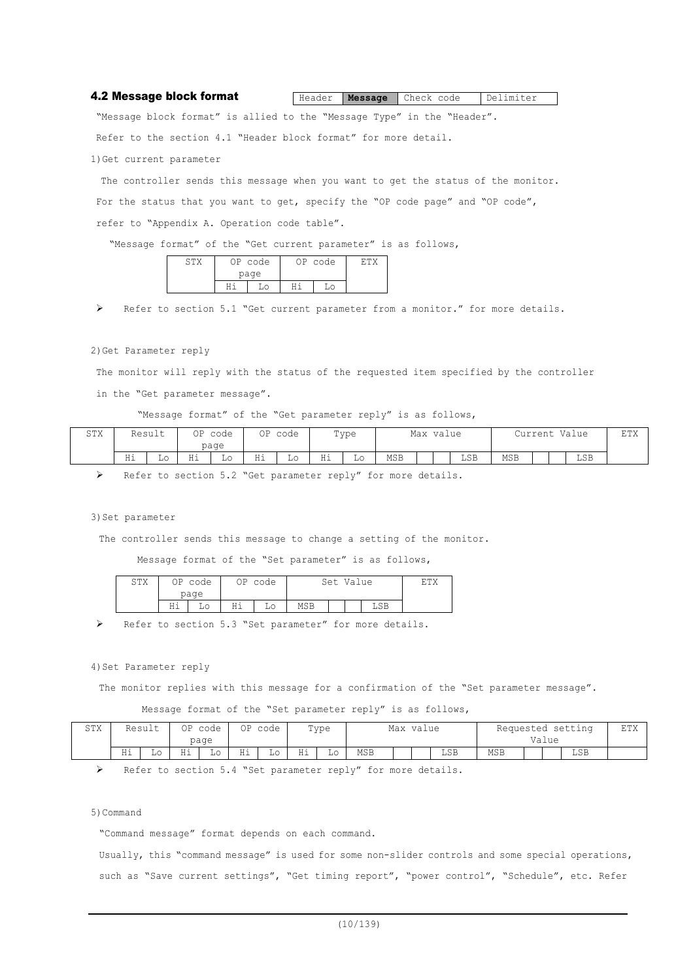#### 4.2 Message block format Header **Message** Check code Delimiter

"Message block format" is allied to the "Message Type" in the "Header".

Refer to the section 4.1 "Header block format" for more detail.

1)Get current parameter

The controller sends this message when you want to get the status of the monitor. For the status that you want to get, specify the "OP code page" and "OP code", refer to "Appendix A. Operation code table".

"Message format" of the "Get current parameter" is as follows,

| $\cap$ $\Box$ | OP code | OP code |  |  |  |  |
|---------------|---------|---------|--|--|--|--|
|               | page    |         |  |  |  |  |
|               |         |         |  |  |  |  |

Refer to section 5.1 "Get current parameter from a monitor." for more details.

#### 2)Get Parameter reply

The monitor will reply with the status of the requested item specified by the controller in the "Get parameter message".

#### "Message format" of the "Get parameter reply" is as follows,

| CHV<br>2 T V | Result<br>ΟP<br>code<br>page |    |                    | ΟP | Type<br>code |    |    | Max value |            |  | Value<br>Current |     |            | ETX |  |     |  |
|--------------|------------------------------|----|--------------------|----|--------------|----|----|-----------|------------|--|------------------|-----|------------|-----|--|-----|--|
|              | Hi                           | LΟ | .<br>- - -<br>11 T | Lο | Ηi           | Lο | Ηi | ⊥∪        | <b>MSB</b> |  |                  | LSB | <b>MSB</b> |     |  | LSB |  |

Refer to section 5.2 "Get parameter reply" for more details.

#### 3) Set parameter

The controller sends this message to change a setting of the monitor.

Message format of the "Set parameter" is as follows,

| STX | ΟP         | code °<br>page | ΟP               | code | Set Value | гmv |  |     |  |
|-----|------------|----------------|------------------|------|-----------|-----|--|-----|--|
|     | нi<br>11 T |                | ц÷<br>LΟ<br>11 L |      | MSB       |     |  | LSB |  |

Refer to section 5.3 "Set parameter" for more details.

#### 4) Set Parameter reply

The monitor replies with this message for a confirmation of the "Set parameter message".

Message format of the "Set parameter reply" is as follows,

| STX | Result |    | ΟP<br>code<br>page |              | ΟP    | Type<br>code<br>- - |    | Max value |            |  | Requested setting<br>Value |     |     |  | <b>ETX</b> |     |  |
|-----|--------|----|--------------------|--------------|-------|---------------------|----|-----------|------------|--|----------------------------|-----|-----|--|------------|-----|--|
|     | Ηi     | ⊥∪ | TT 2<br>11 T       | $\sim$<br>ച∪ | $- -$ | ШU                  | Ηi | TО        | <b>MSB</b> |  |                            | LSB | MSB |  |            | LSB |  |

Refer to section 5.4 "Set parameter reply" for more details.

#### 5)Command

"Command message" format depends on each command.

Usually, this "command message" is used for some non-slider controls and some special operations, such as "Save current settings", "Get timing report", "power control", "Schedule", etc. Refer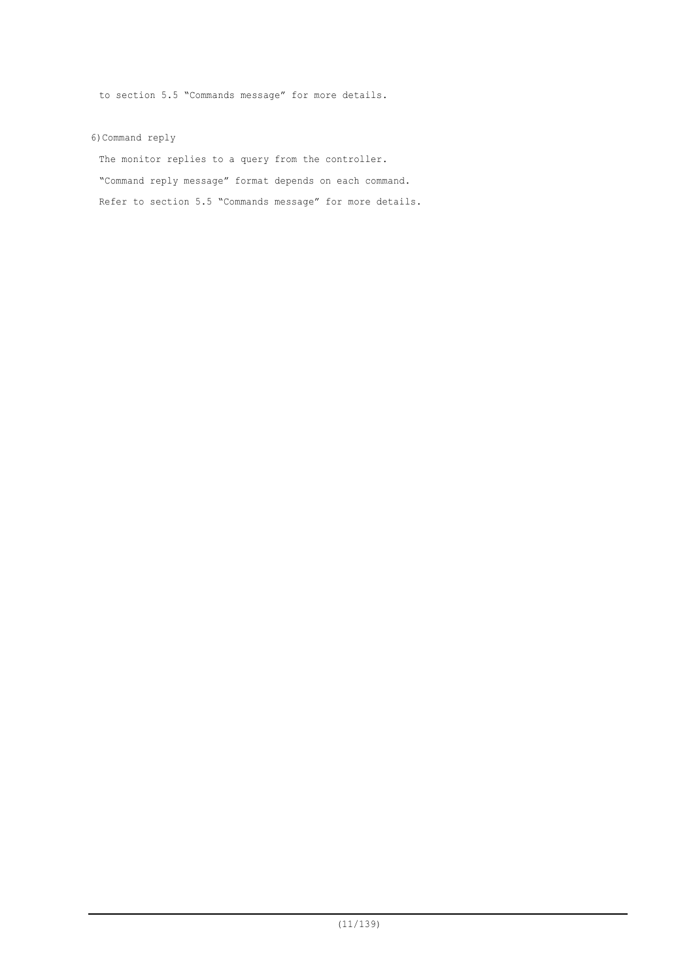to section 5.5 "Commands message" for more details.

6)Command reply

The monitor replies to a query from the controller. "Command reply message" format depends on each command. Refer to section 5.5 "Commands message" for more details.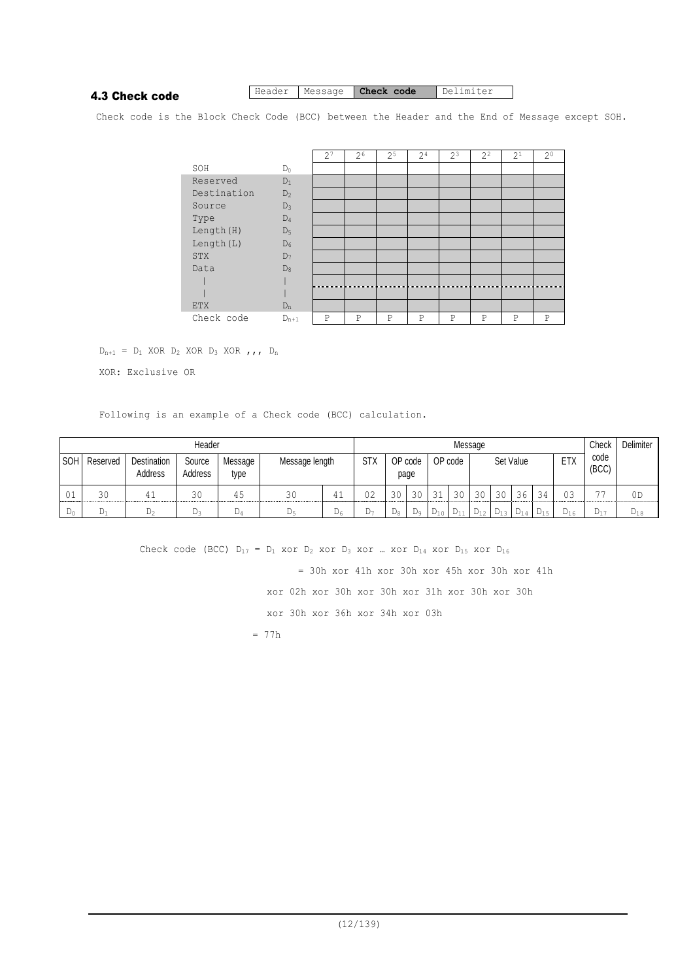## 4.3 Check code

## Header Message **Check code** Delimiter

Check code is the Block Check Code (BCC) between the Header and the End of Message except SOH.

|             |                | 2 <sup>7</sup> | $2^{6}$ | 2 <sup>5</sup> | 2 <sup>4</sup> | $2^{3}$     | $2^2$ | 2 <sup>1</sup> | $2^0$       |
|-------------|----------------|----------------|---------|----------------|----------------|-------------|-------|----------------|-------------|
| SOH         | $D_0$          |                |         |                |                |             |       |                |             |
| Reserved    | $D_1$          |                |         |                |                |             |       |                |             |
| Destination | $D_2$          |                |         |                |                |             |       |                |             |
| Source      | $D_3$          |                |         |                |                |             |       |                |             |
| Type        | $D_4$          |                |         |                |                |             |       |                |             |
| Length (H)  | D <sub>5</sub> |                |         |                |                |             |       |                |             |
| Length (L)  | $D_6$          |                |         |                |                |             |       |                |             |
| <b>STX</b>  | $D_7$          |                |         |                |                |             |       |                |             |
| Data        | $D_8$          |                |         |                |                |             |       |                |             |
|             |                |                |         |                |                |             |       |                |             |
|             |                |                |         |                |                |             |       |                |             |
| <b>ETX</b>  | $D_n$          |                |         |                |                |             |       |                |             |
| Check code  | $D_{n+1}$      | P              | P       | P              | P              | $\mathbb P$ | P     | P              | $\mathbf P$ |

 $D_{n+1}$  =  $D_1$  XOR  $D_2$  XOR  $D_3$  XOR  $, , , D_n$ 

XOR: Exclusive OR

Following is an example of a Check code (BCC) calculation.

|       | Header       |                               |                   |                 |                | Message |            |    |                            |          |           |                   |    |          | Check         | <b>Delimiter</b> |          |          |
|-------|--------------|-------------------------------|-------------------|-----------------|----------------|---------|------------|----|----------------------------|----------|-----------|-------------------|----|----------|---------------|------------------|----------|----------|
|       | SOH Reserved | <b>Destination</b><br>Address | Source<br>Address | Message<br>type | Message length |         | <b>STX</b> |    | OP code<br>OP code<br>page |          | Set Value |                   |    | ETX      | code<br>(BCC) |                  |          |          |
| 01    | 30           |                               | 30                | 45              | 30             | 41      | 02         | 30 | 30                         | 31       | 30        | 30                | 30 | 36       | 34            | 03               | --       | 0D       |
| $D_0$ | D1           | $D_2$                         | $D_3$             | D4              | $D_5$          | $D_6$   | D7.        | D8 | D <sub>9</sub>             | $D_{10}$ | $D_{11}$  | $D_{12}$ $D_{13}$ |    | $D_{14}$ | $D_{15}$      | $D_{16}$         | $D_{17}$ | $D_{18}$ |

Check code (BCC)  $D_{17} = D_1$  xor  $D_2$  xor  $D_3$  xor ... xor  $D_{14}$  xor  $D_{15}$  xor  $D_{16}$ 

 = 30h xor 41h xor 30h xor 45h xor 30h xor 41h xor 02h xor 30h xor 30h xor 31h xor 30h xor 30h xor 30h xor 36h xor 34h xor 03h  $= 77h$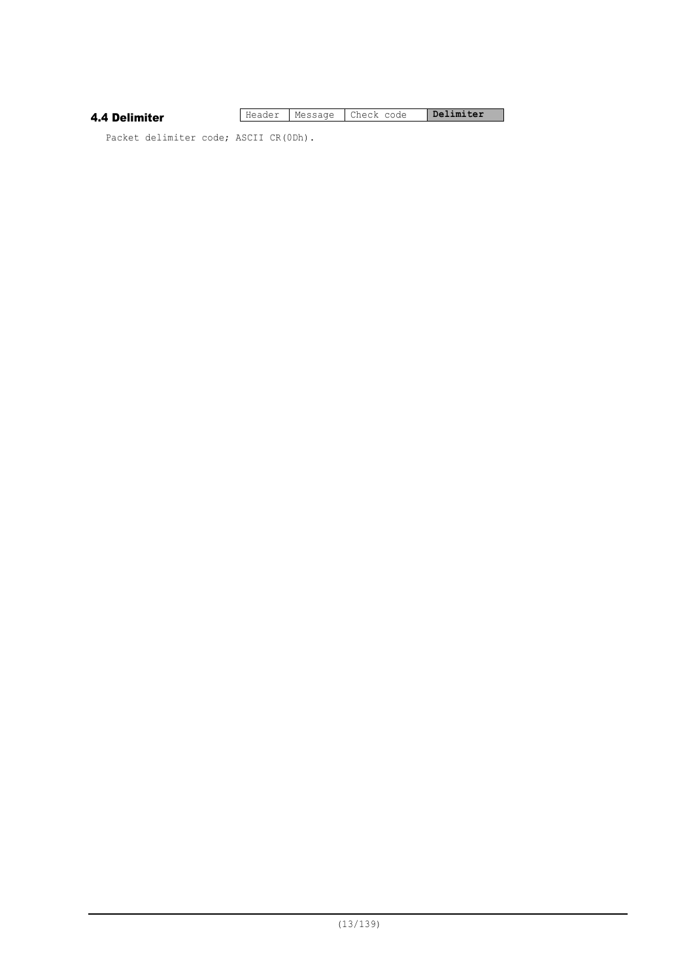#### 4.4 Delimiter

Header Message Check code **Delimiter** 

Packet delimiter code; ASCII CR(0Dh).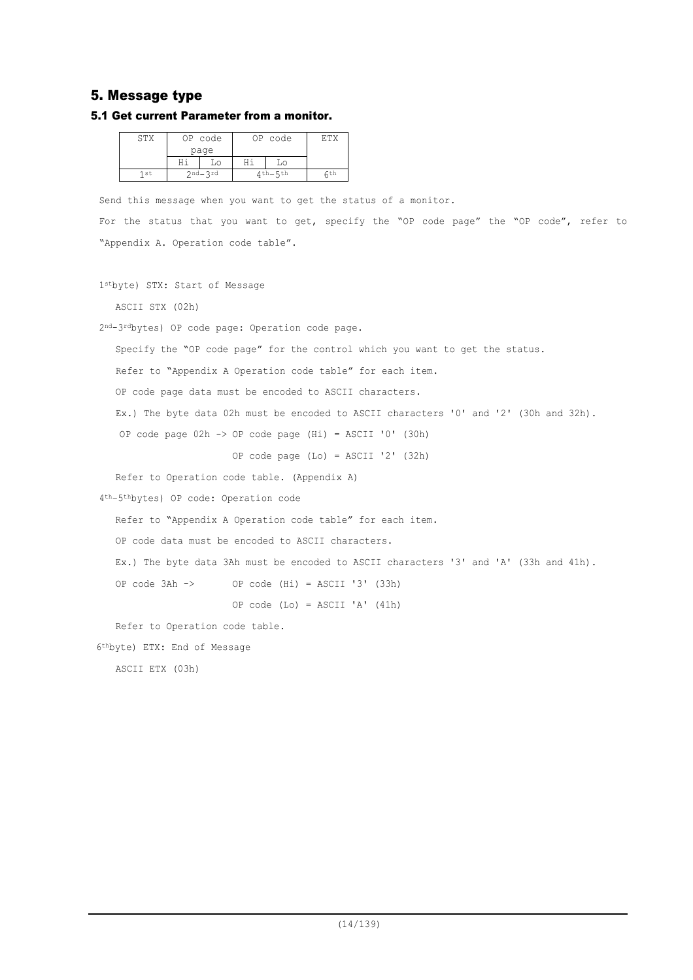## 5. Message type

#### 5.1 Get current Parameter from a monitor.

| STX  | OP code     |           | OP code |     |  |  |  |
|------|-------------|-----------|---------|-----|--|--|--|
|      | page        |           |         |     |  |  |  |
|      | LΟ          |           |         |     |  |  |  |
| 1 st | $2nd - 2rd$ | 1 th_5 th |         | ςth |  |  |  |

Send this message when you want to get the status of a monitor.

For the status that you want to get, specify the "OP code page" the "OP code", refer to "Appendix A. Operation code table".

1stbyte) STX: Start of Message

ASCII STX (02h)

2nd-3rdbytes) OP code page: Operation code page.

Specify the "OP code page" for the control which you want to get the status.

Refer to "Appendix A Operation code table" for each item.

OP code page data must be encoded to ASCII characters.

Ex.) The byte data 02h must be encoded to ASCII characters '0' and '2' (30h and 32h).

OP code page 02h -> OP code page (Hi) = ASCII '0' (30h)

OP code page (Lo) = ASCII '2' (32h)

Refer to Operation code table. (Appendix A)

4th–5thbytes) OP code: Operation code

Refer to "Appendix A Operation code table" for each item.

OP code data must be encoded to ASCII characters.

Ex.) The byte data 3Ah must be encoded to ASCII characters '3' and 'A' (33h and 41h).

OP code 3Ah -> OP code (Hi) = ASCII '3' (33h)

OP code (Lo) = ASCII 'A' (41h)

Refer to Operation code table.

6thbyte) ETX: End of Message

ASCII ETX (03h)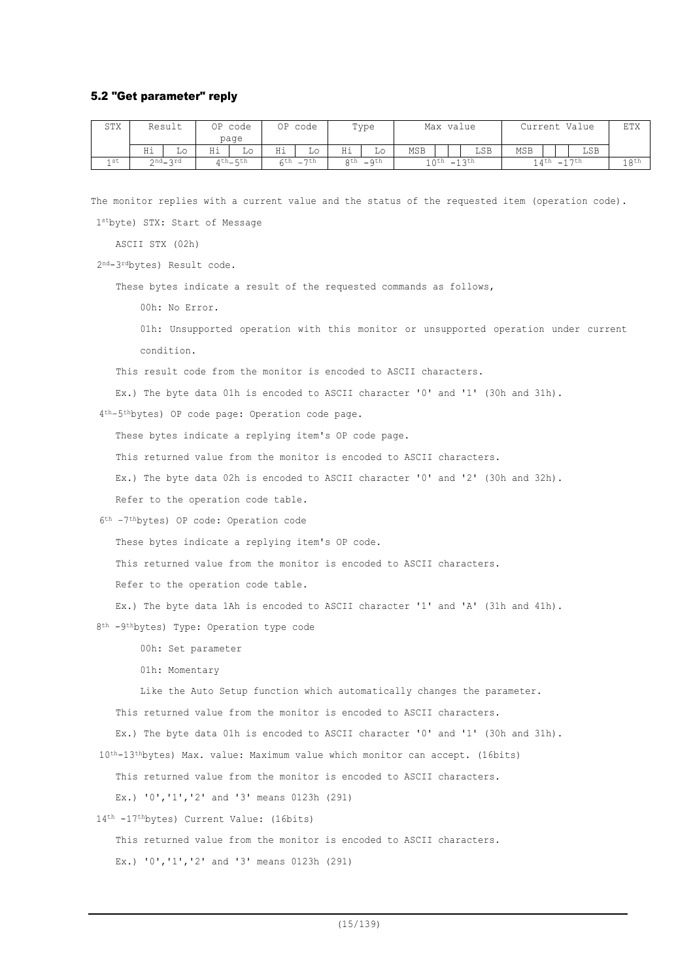#### 5.2 "Get parameter" reply

| <b>STX</b> |    | Result  |    | OP code<br>page |      | OP code |    | Type         | Max value           |  |                     | Current Value |  |       |  |
|------------|----|---------|----|-----------------|------|---------|----|--------------|---------------------|--|---------------------|---------------|--|-------|--|
|            | Ηi | Lo      | Ηi | Lο              | Ηi   | Lо      | Ηi | Lο           | MSB                 |  | LSB                 | <b>MSB</b>    |  | LSB   |  |
| 1 st       |    | 2nd_3rd |    | $4th$ $-$ 5th   | 6th. | $-7th$  |    | $gth$ $_gth$ | $10^{th} - 13^{th}$ |  | $14^{th} - 17^{th}$ |               |  | 1 gth |  |

The monitor replies with a current value and the status of the requested item (operation code).

1stbyte) STX: Start of Message

ASCII STX (02h)

2nd-3rdbytes) Result code.

These bytes indicate a result of the requested commands as follows,

00h: No Error.

01h: Unsupported operation with this monitor or unsupported operation under current condition.

This result code from the monitor is encoded to ASCII characters.

Ex.) The byte data 01h is encoded to ASCII character '0' and '1' (30h and 31h).

4th–5thbytes) OP code page: Operation code page.

These bytes indicate a replying item's OP code page.

This returned value from the monitor is encoded to ASCII characters.

Ex.) The byte data 02h is encoded to ASCII character '0' and '2' (30h and 32h).

Refer to the operation code table.

6th –7thbytes) OP code: Operation code

These bytes indicate a replying item's OP code.

This returned value from the monitor is encoded to ASCII characters.

Refer to the operation code table.

Ex.) The byte data 1Ah is encoded to ASCII character '1' and 'A' (31h and 41h).

8th -9thbytes) Type: Operation type code

00h: Set parameter

01h: Momentary

Like the Auto Setup function which automatically changes the parameter.

This returned value from the monitor is encoded to ASCII characters.

Ex.) The byte data 01h is encoded to ASCII character '0' and '1' (30h and 31h).

10th-13thbytes) Max. value: Maximum value which monitor can accept. (16bits)

This returned value from the monitor is encoded to ASCII characters.

Ex.) '0','1','2' and '3' means 0123h (291)

14th -17thbytes) Current Value: (16bits)

This returned value from the monitor is encoded to ASCII characters.

Ex.) '0','1','2' and '3' means 0123h (291)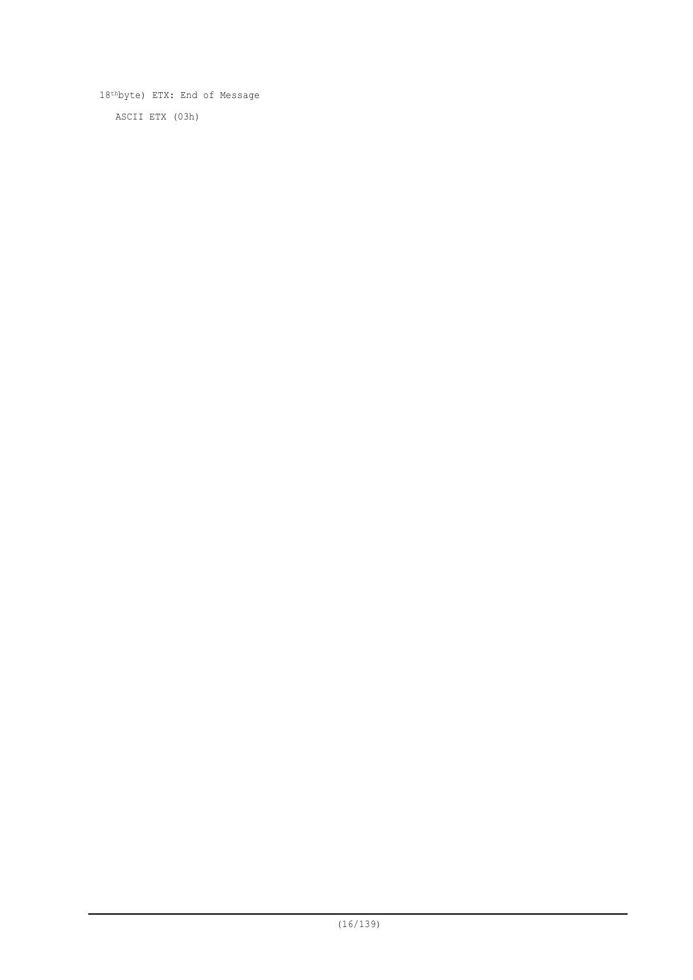18thbyte) ETX: End of Message ASCII ETX (03h)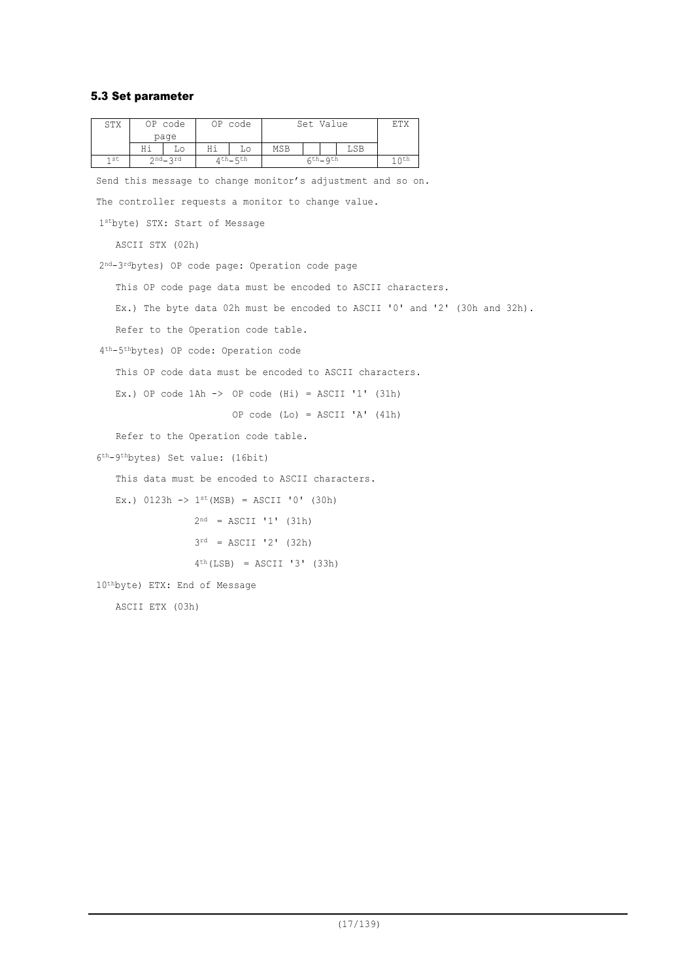## 5.3 Set parameter

| STX | OP code     | OP code      |                                                                                  |                                                                                                                                                    |                                                                                                                                                                                                | ETX                                                                                                                                                                                       |                                                                                                                                                           |                                                                                                                                                                                      |                                                                            |
|-----|-------------|--------------|----------------------------------------------------------------------------------|----------------------------------------------------------------------------------------------------------------------------------------------------|------------------------------------------------------------------------------------------------------------------------------------------------------------------------------------------------|-------------------------------------------------------------------------------------------------------------------------------------------------------------------------------------------|-----------------------------------------------------------------------------------------------------------------------------------------------------------|--------------------------------------------------------------------------------------------------------------------------------------------------------------------------------------|----------------------------------------------------------------------------|
|     | Ηi<br>Lo    | Hi<br>Lο     | MSB                                                                              |                                                                                                                                                    | LSB                                                                                                                                                                                            |                                                                                                                                                                                           |                                                                                                                                                           |                                                                                                                                                                                      |                                                                            |
| 1st | $2nd - 3rd$ | $4th$ $-5th$ |                                                                                  |                                                                                                                                                    |                                                                                                                                                                                                | 10 <sup>th</sup>                                                                                                                                                                          |                                                                                                                                                           |                                                                                                                                                                                      |                                                                            |
|     |             |              |                                                                                  |                                                                                                                                                    |                                                                                                                                                                                                |                                                                                                                                                                                           |                                                                                                                                                           |                                                                                                                                                                                      |                                                                            |
|     |             |              |                                                                                  |                                                                                                                                                    |                                                                                                                                                                                                |                                                                                                                                                                                           |                                                                                                                                                           |                                                                                                                                                                                      |                                                                            |
|     |             |              |                                                                                  |                                                                                                                                                    |                                                                                                                                                                                                |                                                                                                                                                                                           |                                                                                                                                                           |                                                                                                                                                                                      |                                                                            |
|     |             |              |                                                                                  |                                                                                                                                                    |                                                                                                                                                                                                |                                                                                                                                                                                           |                                                                                                                                                           |                                                                                                                                                                                      |                                                                            |
|     |             |              |                                                                                  |                                                                                                                                                    |                                                                                                                                                                                                |                                                                                                                                                                                           |                                                                                                                                                           |                                                                                                                                                                                      |                                                                            |
|     |             |              |                                                                                  |                                                                                                                                                    |                                                                                                                                                                                                |                                                                                                                                                                                           |                                                                                                                                                           |                                                                                                                                                                                      |                                                                            |
|     |             |              |                                                                                  |                                                                                                                                                    |                                                                                                                                                                                                |                                                                                                                                                                                           |                                                                                                                                                           |                                                                                                                                                                                      |                                                                            |
|     |             |              |                                                                                  |                                                                                                                                                    |                                                                                                                                                                                                |                                                                                                                                                                                           |                                                                                                                                                           |                                                                                                                                                                                      |                                                                            |
|     |             |              |                                                                                  |                                                                                                                                                    |                                                                                                                                                                                                |                                                                                                                                                                                           |                                                                                                                                                           |                                                                                                                                                                                      |                                                                            |
|     |             |              |                                                                                  |                                                                                                                                                    |                                                                                                                                                                                                |                                                                                                                                                                                           |                                                                                                                                                           |                                                                                                                                                                                      |                                                                            |
|     |             |              |                                                                                  |                                                                                                                                                    |                                                                                                                                                                                                |                                                                                                                                                                                           |                                                                                                                                                           |                                                                                                                                                                                      |                                                                            |
|     |             |              |                                                                                  |                                                                                                                                                    |                                                                                                                                                                                                |                                                                                                                                                                                           |                                                                                                                                                           |                                                                                                                                                                                      |                                                                            |
|     |             |              |                                                                                  |                                                                                                                                                    |                                                                                                                                                                                                |                                                                                                                                                                                           |                                                                                                                                                           |                                                                                                                                                                                      |                                                                            |
|     |             |              |                                                                                  |                                                                                                                                                    |                                                                                                                                                                                                |                                                                                                                                                                                           |                                                                                                                                                           |                                                                                                                                                                                      |                                                                            |
|     |             |              |                                                                                  |                                                                                                                                                    |                                                                                                                                                                                                |                                                                                                                                                                                           |                                                                                                                                                           |                                                                                                                                                                                      |                                                                            |
|     |             |              |                                                                                  |                                                                                                                                                    |                                                                                                                                                                                                |                                                                                                                                                                                           |                                                                                                                                                           |                                                                                                                                                                                      |                                                                            |
|     |             |              |                                                                                  |                                                                                                                                                    |                                                                                                                                                                                                |                                                                                                                                                                                           |                                                                                                                                                           |                                                                                                                                                                                      |                                                                            |
|     |             |              |                                                                                  |                                                                                                                                                    |                                                                                                                                                                                                |                                                                                                                                                                                           |                                                                                                                                                           |                                                                                                                                                                                      |                                                                            |
|     |             |              |                                                                                  |                                                                                                                                                    |                                                                                                                                                                                                |                                                                                                                                                                                           |                                                                                                                                                           |                                                                                                                                                                                      |                                                                            |
|     |             |              |                                                                                  |                                                                                                                                                    |                                                                                                                                                                                                |                                                                                                                                                                                           |                                                                                                                                                           |                                                                                                                                                                                      |                                                                            |
|     |             |              |                                                                                  |                                                                                                                                                    |                                                                                                                                                                                                |                                                                                                                                                                                           |                                                                                                                                                           |                                                                                                                                                                                      |                                                                            |
|     |             | page         | ASCII STX (02h)<br>10 <sup>th</sup> byte) ETX: End of Message<br>ASCII ETX (03h) | 1stbyte) STX: Start of Message<br>4 <sup>th-5th</sup> bytes) OP code: Operation code<br>6 <sup>th</sup> -9 <sup>th</sup> bytes) Set value: (16bit) | Refer to the Operation code table.<br>Refer to the Operation code table.<br>Ex.) $0123h \rightarrow 1^{st}(MSB) = ASCII '0' (30h)$<br>$2^{nd}$ = ASCII '1' (31h)<br>$3^{rd}$ = ASCII '2' (32h) | Set Value<br>$6th$ $-9th$<br>2 <sup>nd</sup> -3 <sup>rd</sup> bytes) OP code page: Operation code page<br>This data must be encoded to ASCII characters.<br>$4th$ (LSB) = ASCII '3' (33h) | The controller requests a monitor to change value.<br>Ex.) OP code $1Ah \rightarrow OP$ code $(Hi) = ASCII '1' (31h)$<br>OP code (Lo) = $ASCII 'A' (41h)$ | Send this message to change monitor's adjustment and so on.<br>This OP code page data must be encoded to ASCII characters.<br>This OP code data must be encoded to ASCII characters. | Ex.) The byte data 02h must be encoded to ASCII '0' and '2' (30h and 32h). |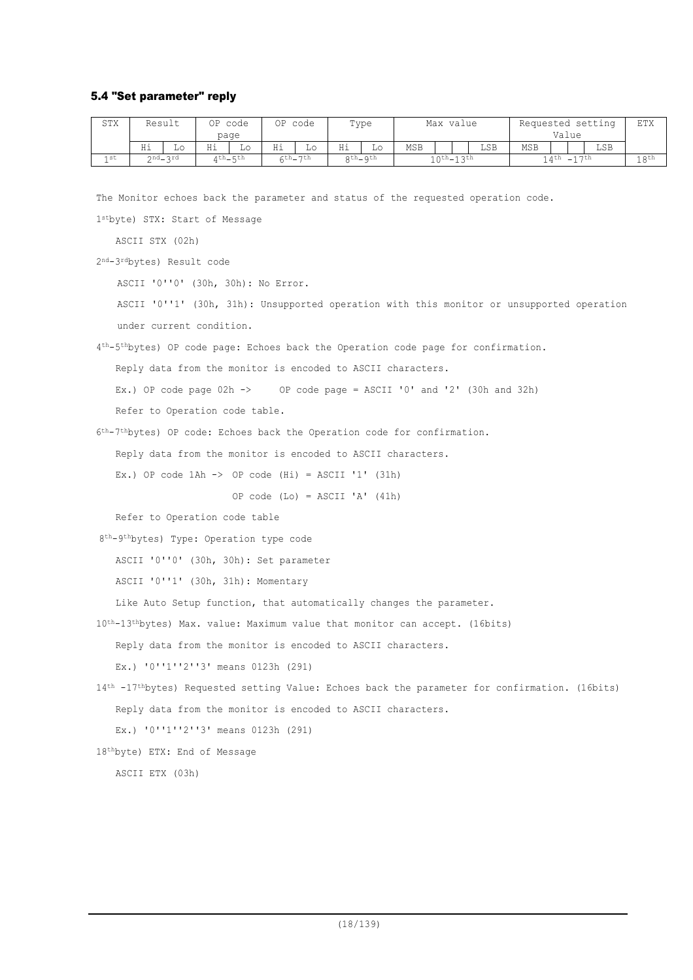#### 5.4 "Set parameter" reply

| STX             | Result |         | ОP | code          | ΟP | code                 |    | Type      | Max value              |  | Requested setting |       |            | ETX |                  |     |  |
|-----------------|--------|---------|----|---------------|----|----------------------|----|-----------|------------------------|--|-------------------|-------|------------|-----|------------------|-----|--|
|                 |        |         |    | page          |    |                      |    |           |                        |  |                   | Value |            |     |                  |     |  |
|                 | Ηi     | Lο      | Ηi | Lo            | Ηi | ШU                   | Ηi | Lо        | <b>MSB</b>             |  |                   | LSB   | <b>MSB</b> |     |                  | LSB |  |
| 1 <sub>st</sub> |        | ond_ard |    | $4th$ $-$ 5th |    | $\text{Cth}_{27}$ th |    | $Qth_Qth$ | $1$ $0$ th $-1$ $3$ th |  | $14$ th $-17$ th  |       |            |     | 18 <sup>th</sup> |     |  |

The Monitor echoes back the parameter and status of the requested operation code.

1stbyte) STX: Start of Message

ASCII STX (02h)

2nd-3rdbytes) Result code

ASCII '0''0' (30h, 30h): No Error.

ASCII '0''1' (30h, 31h): Unsupported operation with this monitor or unsupported operation under current condition.

4th-5thbytes) OP code page: Echoes back the Operation code page for confirmation.

Reply data from the monitor is encoded to ASCII characters.

Ex.) OP code page 02h  $\rightarrow$  OP code page = ASCII '0' and '2' (30h and 32h)

Refer to Operation code table.

6th-7thbytes) OP code: Echoes back the Operation code for confirmation.

Reply data from the monitor is encoded to ASCII characters.

Ex.) OP code  $1$ Ah  $\rightarrow$  OP code (Hi) = ASCII '1' (31h)

OP code (Lo) = ASCII 'A' (41h)

Refer to Operation code table

8th-9thbytes) Type: Operation type code

ASCII '0''0' (30h, 30h): Set parameter

ASCII '0''1' (30h, 31h): Momentary

Like Auto Setup function, that automatically changes the parameter.

10th-13thbytes) Max. value: Maximum value that monitor can accept. (16bits)

Reply data from the monitor is encoded to ASCII characters.

Ex.) '0''1''2''3' means 0123h (291)

```
14th -17thbytes) Requested setting Value: Echoes back the parameter for confirmation. (16bits)
   Reply data from the monitor is encoded to ASCII characters.
```
Ex.) '0''1''2''3' means 0123h (291)

18thbyte) ETX: End of Message

ASCII ETX (03h)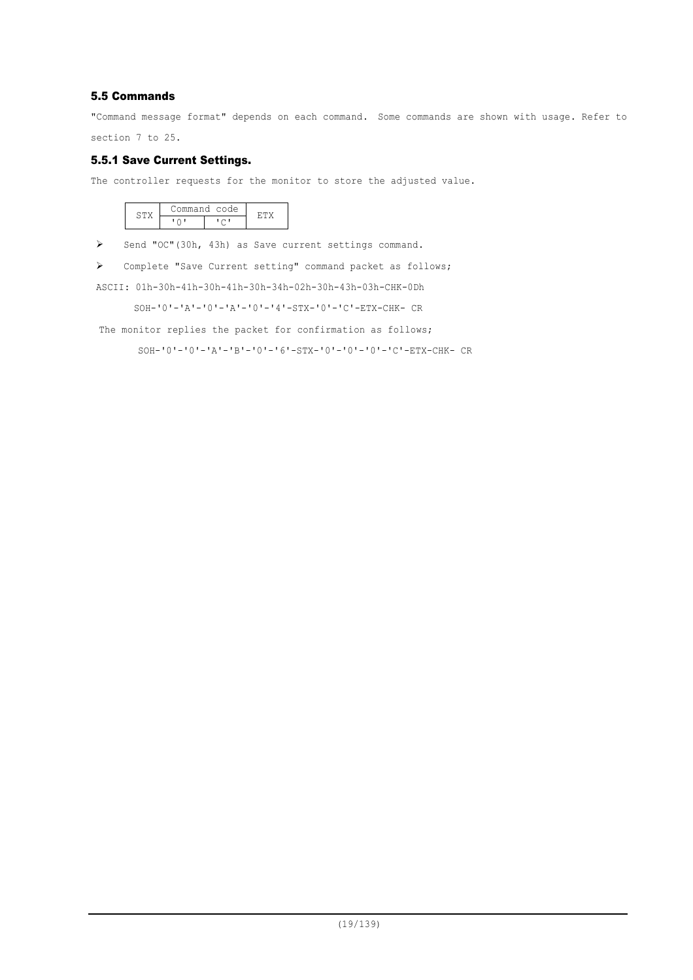## 5.5 Commands

"Command message format" depends on each command. Some commands are shown with usage. Refer to section 7 to 25.

5.5.1 Save Current Settings.

The controller requests for the monitor to store the adjusted value.

|  | ommand code |  |
|--|-------------|--|
|  |             |  |

> Send "OC"(30h, 43h) as Save current settings command.

Complete "Save Current setting" command packet as follows;

ASCII: 01h-30h-41h-30h-41h-30h-34h-02h-30h-43h-03h-CHK-0Dh

SOH-'0'-'A'-'0'-'A'-'0'-'4'-STX-'0'-'C'-ETX-CHK- CR

The monitor replies the packet for confirmation as follows;

SOH-'0'-'0'-'A'-'B'-'0'-'6'-STX-'0'-'0'-'0'-'C'-ETX-CHK- CR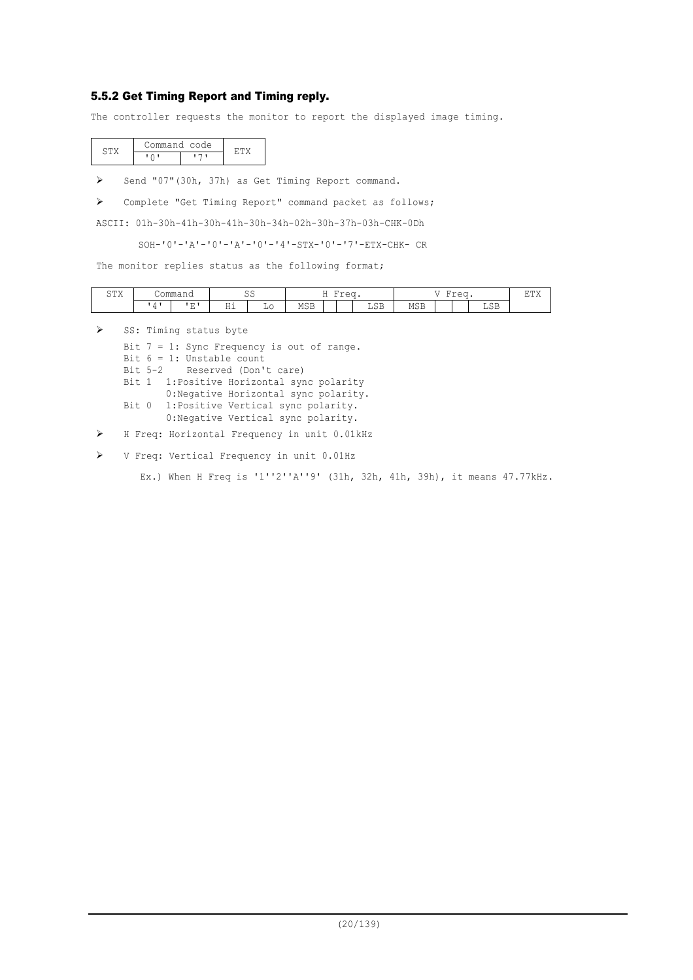#### 5.5.2 Get Timing Report and Timing reply.

The controller requests the monitor to report the displayed image timing.

| Command code |  |
|--------------|--|
|              |  |

> Send "07"(30h, 37h) as Get Timing Report command.

Complete "Get Timing Report" command packet as follows;

ASCII: 01h-30h-41h-30h-41h-30h-34h-02h-30h-37h-03h-CHK-0Dh

SOH-'0'-'A'-'0'-'A'-'0'-'4'-STX-'0'-'7'-ETX-CHK- CR

The monitor replies status as the following format;

| $C$ $mV$<br>, 777<br>ັ | $\cap$ mm $\cap$ | -<br>JOIIIIIIdHU                   |                        | $\sim$ $\sim$<br>ັບ |                      | $\overline{\phantom{a}}$<br>. | $\sim\sim\sim$<br>⋍<br>◡ |                      | - -<br>$\overline{\phantom{0}}$<br>$-2$<br>$-L-U$ |  |  | 豆田ソ                          |  |
|------------------------|------------------|------------------------------------|------------------------|---------------------|----------------------|-------------------------------|--------------------------|----------------------|---------------------------------------------------|--|--|------------------------------|--|
|                        |                  | $\overline{\phantom{a}}$<br>.<br>- | .<br>. .<br><b>111</b> | -<br>╜              | MOD<br>ں הדו<br>____ |                               |                          | $\sim$ $\sim$<br>ചാല | <b>MSB</b><br>____                                |  |  | $\cap$ $\Box$<br>ചാല<br>____ |  |

 $\triangleright$  SS: Timing status byte

Bit 7 = 1: Sync Frequency is out of range. Bit  $6 = 1$ : Unstable count Bit 5-2 Reserved (Don't care) Bit 1 1:Positive Horizontal sync polarity 0:Negative Horizontal sync polarity. Bit 0 1:Positive Vertical sync polarity. 0:Negative Vertical sync polarity.

H Freq: Horizontal Frequency in unit 0.01kHz

V Freq: Vertical Frequency in unit 0.01Hz

Ex.) When H Freq is '1''2''A''9' (31h, 32h, 41h, 39h), it means 47.77kHz.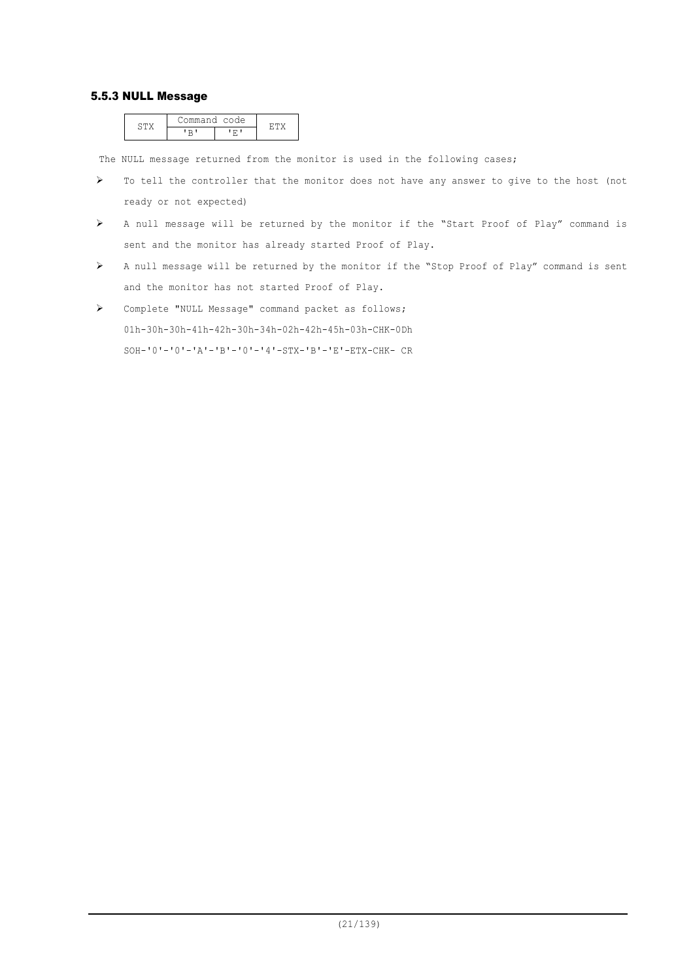#### 5.5.3 NULL Message

|  | ommand code |  |
|--|-------------|--|
|  |             |  |

The NULL message returned from the monitor is used in the following cases;

- $\triangleright$  To tell the controller that the monitor does not have any answer to give to the host (not ready or not expected)
- A null message will be returned by the monitor if the "Start Proof of Play" command is sent and the monitor has already started Proof of Play.
- A null message will be returned by the monitor if the "Stop Proof of Play" command is sent and the monitor has not started Proof of Play.
- Complete "NULL Message" command packet as follows; 01h-30h-30h-41h-42h-30h-34h-02h-42h-45h-03h-CHK-0Dh SOH-'0'-'0'-'A'-'B'-'0'-'4'-STX-'B'-'E'-ETX-CHK- CR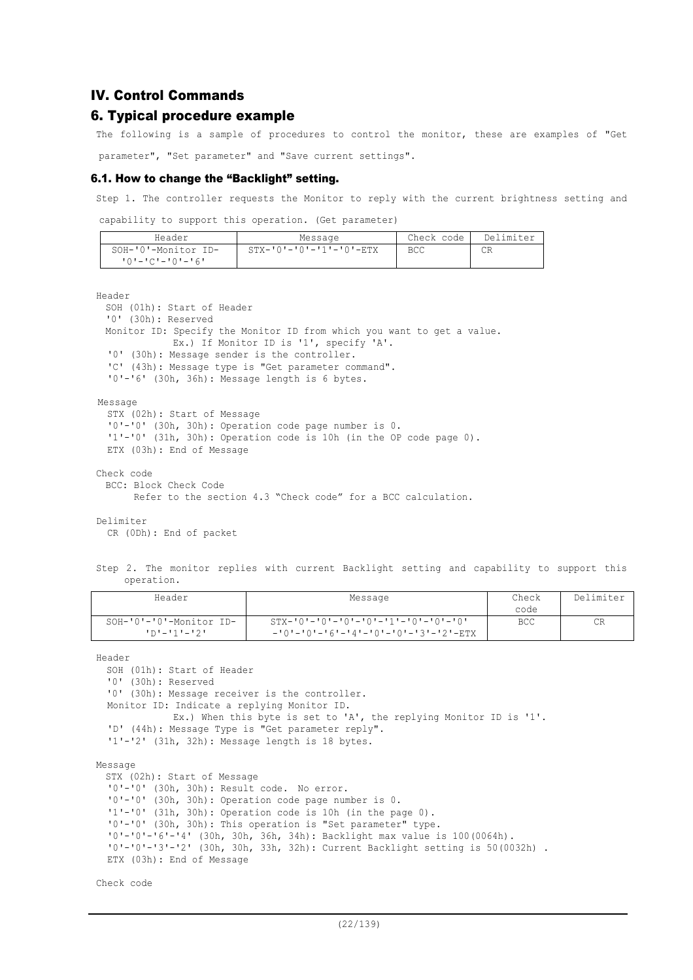#### IV. Control Commands

#### 6. Typical procedure example

The following is a sample of procedures to control the monitor, these are examples of "Get parameter", "Set parameter" and "Save current settings".

#### 6.1. How to change the "Backlight" setting.

Step 1. The controller requests the Monitor to reply with the current brightness setting and

capability to support this operation. (Get parameter)

| Header                  | Message                 | Check code | Delimiter |
|-------------------------|-------------------------|------------|-----------|
| SOH-'0'-Monitor ID-     | STX-'0'-'0'-'1'-'0'-ETX | <b>BCC</b> | СR        |
| $101 - 101 - 101 - 161$ |                         |            |           |

Header

```
SOH (01h): Start of Header
  '0' (30h): Reserved
 Monitor ID: Specify the Monitor ID from which you want to get a value.
             Ex.) If Monitor ID is '1', specify 'A'.
  '0' (30h): Message sender is the controller.
  'C' (43h): Message type is "Get parameter command".
  '0'-'6' (30h, 36h): Message length is 6 bytes.
Message
  STX (02h): Start of Message
  '0'-'0' (30h, 30h): Operation code page number is 0.
  '1'-'0' (31h, 30h): Operation code is 10h (in the OP code page 0).
 ETX (03h): End of Message
Check code
 BCC: Block Check Code
       Refer to the section 4.3 "Check code" for a BCC calculation.
```
Delimiter

CR (0Dh): End of packet

Step 2. The monitor replies with current Backlight setting and capability to support this operation.

| Header                  | Message                                                     | Check | Delimiter |
|-------------------------|-------------------------------------------------------------|-------|-----------|
|                         |                                                             | code  |           |
| SOH-'0'-'0'-Monitor ID- | $STX - '0' - '0' - '0' - '0' - '0' - '1' - '0' - '0' - '0'$ | BCC   | CR        |
| ילי=יוי=יחי             | $-101 - 101 - 161 - 141 - 101 - 101 - 131 - 121 - ETX$      |       |           |

Header

SOH (01h): Start of Header '0' (30h): Reserved '0' (30h): Message receiver is the controller. Monitor ID: Indicate a replying Monitor ID. Ex.) When this byte is set to 'A', the replying Monitor ID is '1'. 'D' (44h): Message Type is "Get parameter reply". '1'-'2' (31h, 32h): Message length is 18 bytes. Message STX (02h): Start of Message '0'-'0' (30h, 30h): Result code. No error. '0'-'0' (30h, 30h): Operation code page number is 0. '1'-'0' (31h, 30h): Operation code is 10h (in the page 0). '0'-'0' (30h, 30h): This operation is "Set parameter" type.

'0'-'0'-'6'-'4' (30h, 30h, 36h, 34h): Backlight max value is 100(0064h). '0'-'0'-'3'-'2' (30h, 30h, 33h, 32h): Current Backlight setting is 50(0032h) .

ETX (03h): End of Message

Check code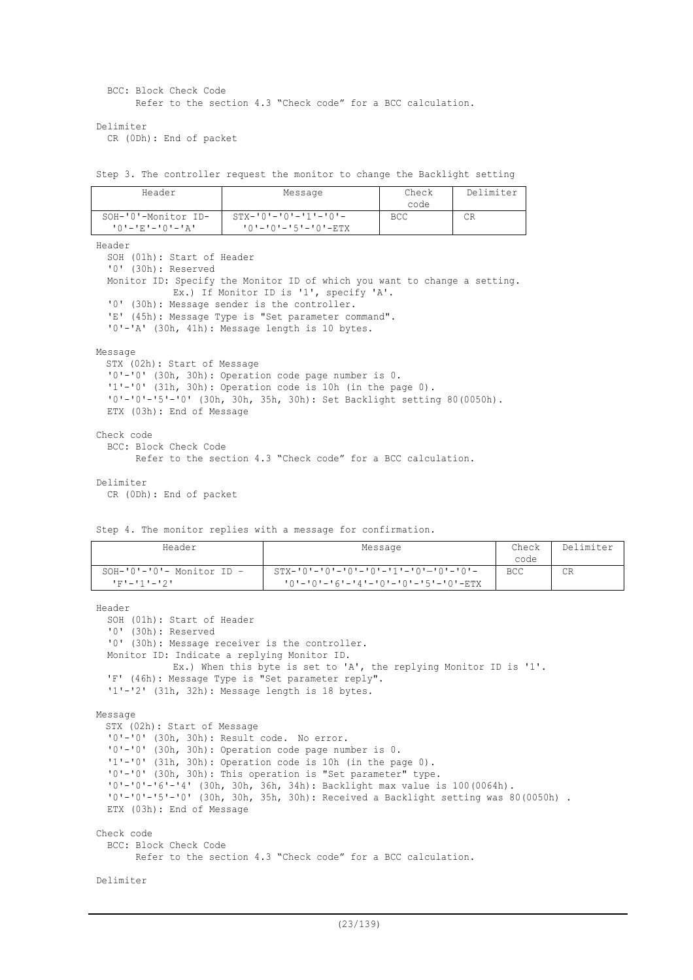BCC: Block Check Code Refer to the section 4.3 "Check code" for a BCC calculation.

Delimiter

CR (0Dh): End of packet

Step 3. The controller request the monitor to change the Backlight setting

| Header                                               | Message                                                | Check<br>code | Delimiter |
|------------------------------------------------------|--------------------------------------------------------|---------------|-----------|
| SOH-'0'-Monitor ID-<br>╹ ∩ ╹ ― ╹ ℝ ╹ ― ╹ ⋂ ╹ ― ╹ Д ╹ | $STX - 101 - 101 - 111 - 101 -$<br>'0'-'0'-'5'-'0'-ETX | <b>BCC</b>    | СR        |

Header

SOH (01h): Start of Header '0' (30h): Reserved Monitor ID: Specify the Monitor ID of which you want to change a setting. Ex.) If Monitor ID is '1', specify 'A'. '0' (30h): Message sender is the controller. 'E' (45h): Message Type is "Set parameter command". '0'-'A' (30h, 41h): Message length is 10 bytes.

#### Message

STX (02h): Start of Message '0'-'0' (30h, 30h): Operation code page number is 0. '1'-'0' (31h, 30h): Operation code is 10h (in the page 0). '0'-'0'-'5'-'0' (30h, 30h, 35h, 30h): Set Backlight setting 80(0050h). ETX (03h): End of Message Check code BCC: Block Check Code Refer to the section 4.3 "Check code" for a BCC calculation. Delimiter

```
CR (0Dh): End of packet
```
Step 4. The monitor replies with a message for confirmation.

| Header                                      | Message                                               | Check<br>code | Delimiter |
|---------------------------------------------|-------------------------------------------------------|---------------|-----------|
| $SOH-10$ '-'0'- Monitor ID -<br>エアナニエチナニエクエ | $101 - 101 - 161 - 141 - 101 - 101 - 151 - 101 - RTX$ | <b>BCC</b>    | CR        |

Header

```
SOH (01h): Start of Header
  '0' (30h): Reserved
  '0' (30h): Message receiver is the controller.
 Monitor ID: Indicate a replying Monitor ID.
             Ex.) When this byte is set to 'A', the replying Monitor ID is '1'.
  'F' (46h): Message Type is "Set parameter reply".
  '1'-'2' (31h, 32h): Message length is 18 bytes.
Message
 STX (02h): Start of Message
  '0'-'0' (30h, 30h): Result code. No error.
  '0'-'0' (30h, 30h): Operation code page number is 0.
  '1'-'0' (31h, 30h): Operation code is 10h (in the page 0).
  '0'-'0' (30h, 30h): This operation is "Set parameter" type.
  '0'-'0'-'6'-'4' (30h, 30h, 36h, 34h): Backlight max value is 100(0064h).
  '0'-'0'-'5'-'0' (30h, 30h, 35h, 30h): Received a Backlight setting was 80(0050h) .
  ETX (03h): End of Message
Check code
  BCC: Block Check Code
        Refer to the section 4.3 "Check code" for a BCC calculation.
```

```
Delimiter
```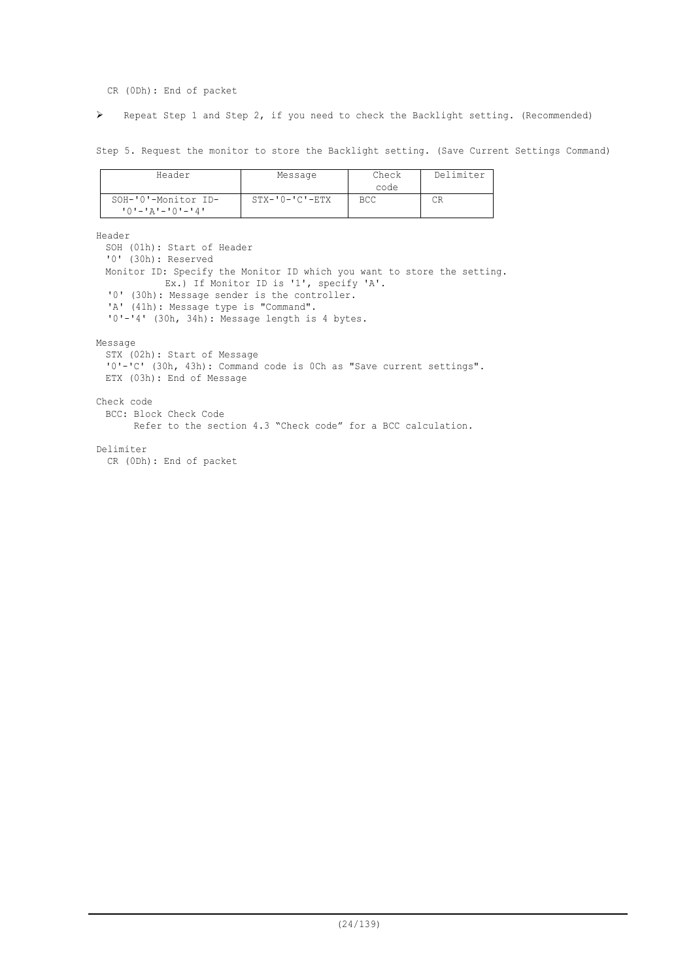CR (0Dh): End of packet

Repeat Step 1 and Step 2, if you need to check the Backlight setting. (Recommended)

Step 5. Request the monitor to store the Backlight setting. (Save Current Settings Command)

| Header                                         | Message                | Check<br>code | Delimiter |
|------------------------------------------------|------------------------|---------------|-----------|
| SOH-'0'-Monitor ID-<br>$101 - 121 - 101 - 141$ | $STX - '0 - 'C' - ETX$ | BCC.          | CR        |

Header

SOH (01h): Start of Header '0' (30h): Reserved Monitor ID: Specify the Monitor ID which you want to store the setting. Ex.) If Monitor ID is '1', specify 'A'. '0' (30h): Message sender is the controller. 'A' (41h): Message type is "Command". '0'-'4' (30h, 34h): Message length is 4 bytes. Message STX (02h): Start of Message '0'-'C' (30h, 43h): Command code is 0Ch as "Save current settings". ETX (03h): End of Message Check code BCC: Block Check Code Refer to the section 4.3 "Check code" for a BCC calculation. Delimiter

CR (0Dh): End of packet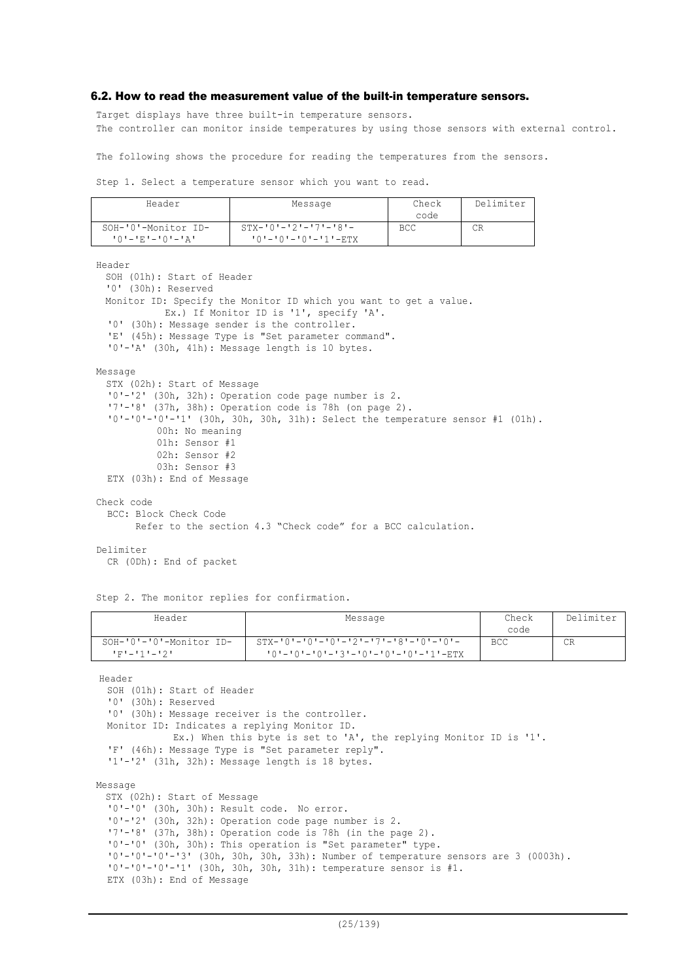#### 6.2. How to read the measurement value of the built-in temperature sensors.

Target displays have three built-in temperature sensors. The controller can monitor inside temperatures by using those sensors with external control.

The following shows the procedure for reading the temperatures from the sensors.

Step 1. Select a temperature sensor which you want to read.

| Header                                                 | Message                                       | Check<br>code | Delimiter |
|--------------------------------------------------------|-----------------------------------------------|---------------|-----------|
| SOH-'0'-Monitor ID-<br>「 () ' — ' E ' — ' () ' — ' A ' | $STX-101-121-171-181-$<br>'0'-'0'-'0'-'1'-ETX | <b>BCC</b>    | CR        |

SOH (01h): Start of Header '0' (30h): Reserved Monitor ID: Specify the Monitor ID which you want to get a value. Ex.) If Monitor ID is '1', specify 'A'. '0' (30h): Message sender is the controller. 'E' (45h): Message Type is "Set parameter command". '0'-'A' (30h, 41h): Message length is 10 bytes. Message STX (02h): Start of Message '0'-'2' (30h, 32h): Operation code page number is 2. '7'-'8' (37h, 38h): Operation code is 78h (on page 2). '0'-'0'-'0'-'1' (30h, 30h, 30h, 31h): Select the temperature sensor #1 (01h). 00h: No meaning 01h: Sensor #1 02h: Sensor #2 03h: Sensor #3 ETX (03h): End of Message Check code BCC: Block Check Code Refer to the section 4.3 "Check code" for a BCC calculation.

#### Delimiter

Header

CR (0Dh): End of packet

Step 2. The monitor replies for confirmation.

| Header                                 | Message                                                                                        | Check<br>code | Delimiter |
|----------------------------------------|------------------------------------------------------------------------------------------------|---------------|-----------|
| SOH-'0'-'0'-Monitor ID-<br>エアナニエチナニエクエ | $STX - 101 - 101 - 101 - 121 - 171 - 181 - 101 - 101 -$<br>'0'-'0'-'0'-'3'-'0'-'0'-'0'-'1'-ETX | <b>BCC</b>    | CR        |

Header

SOH (01h): Start of Header '0' (30h): Reserved '0' (30h): Message receiver is the controller. Monitor ID: Indicates a replying Monitor ID. Ex.) When this byte is set to 'A', the replying Monitor ID is '1'. 'F' (46h): Message Type is "Set parameter reply". '1'-'2' (31h, 32h): Message length is 18 bytes. Message STX (02h): Start of Message '0'-'0' (30h, 30h): Result code. No error. '0'-'2' (30h, 32h): Operation code page number is 2. '7'-'8' (37h, 38h): Operation code is 78h (in the page 2). '0'-'0' (30h, 30h): This operation is "Set parameter" type. '0'-'0'-'0'-'3' (30h, 30h, 30h, 33h): Number of temperature sensors are 3 (0003h). '0'-'0'-'0'-'1' (30h, 30h, 30h, 31h): temperature sensor is #1. ETX (03h): End of Message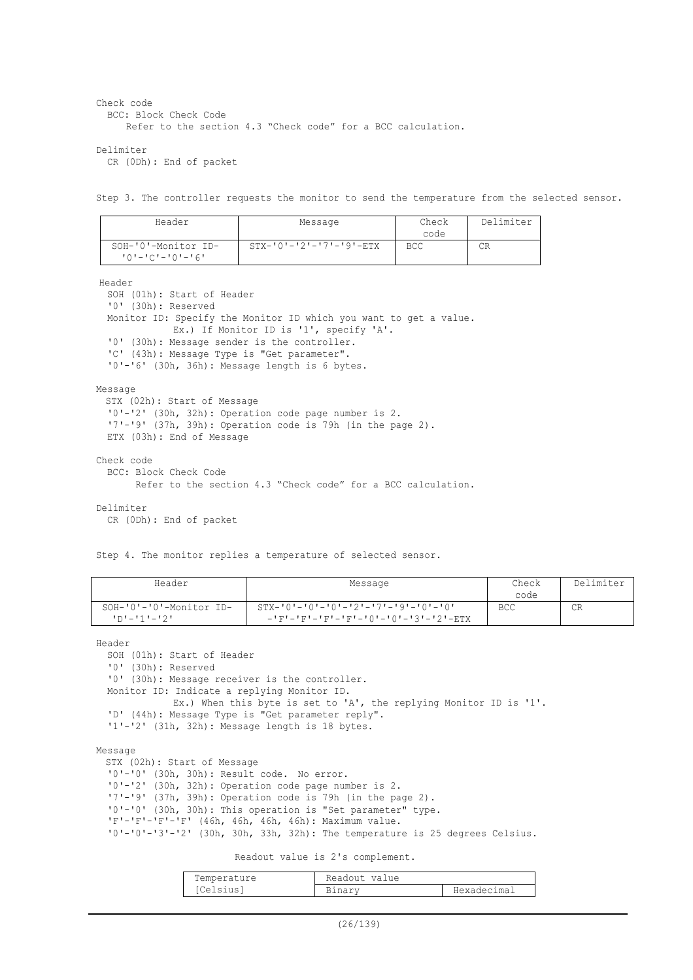```
Check code
  BCC: Block Check Code
      Refer to the section 4.3 "Check code" for a BCC calculation.
Delimiter
  CR (0Dh): End of packet
```

```
Step 3. The controller requests the monitor to send the temperature from the selected sensor.
```

| Header                                         | Message                             | Check<br>code | Delimiter |
|------------------------------------------------|-------------------------------------|---------------|-----------|
| SOH-'0'-Monitor ID-<br>$101 - 101 - 101 - 161$ | $STX - 101 - 121 - 171 - 191 - ETX$ | BCC           | СR        |

Header

```
SOH (01h): Start of Header
  '0' (30h): Reserved
  Monitor ID: Specify the Monitor ID which you want to get a value.
             Ex.) If Monitor ID is '1', specify 'A'.
  '0' (30h): Message sender is the controller.
  'C' (43h): Message Type is "Get parameter".
  '0'-'6' (30h, 36h): Message length is 6 bytes.
Message
 STX (02h): Start of Message
  '0'-'2' (30h, 32h): Operation code page number is 2.
  '7'-'9' (37h, 39h): Operation code is 79h (in the page 2).
  ETX (03h): End of Message
Check code
  BCC: Block Check Code
        Refer to the section 4.3 "Check code" for a BCC calculation.
Delimiter
  CR (0Dh): End of packet
```
Step 4. The monitor replies a temperature of selected sensor.

| Header                                 | Message                                                                                           | Check<br>code | Delimiter |
|----------------------------------------|---------------------------------------------------------------------------------------------------|---------------|-----------|
| SOH-'0'-'0'-Monitor ID-<br>י?י–יוי–יםי | $STX - 101 - 101 - 101 - 121 - 171 - 191 - 101 - 101$<br>-'F'-'F'-'F'-'F'-'F'-'0'-'0'-'3'-'2'-ETX | <b>BCC</b>    | CR        |

Header

SOH (01h): Start of Header '0' (30h): Reserved '0' (30h): Message receiver is the controller. Monitor ID: Indicate a replying Monitor ID. Ex.) When this byte is set to 'A', the replying Monitor ID is '1'. 'D' (44h): Message Type is "Get parameter reply". '1'-'2' (31h, 32h): Message length is 18 bytes.

Message

STX (02h): Start of Message '0'-'0' (30h, 30h): Result code. No error. '0'-'2' (30h, 32h): Operation code page number is 2. '7'-'9' (37h, 39h): Operation code is 79h (in the page 2). '0'-'0' (30h, 30h): This operation is "Set parameter" type. 'F'-'F'-'F'-'F' (46h, 46h, 46h, 46h): Maximum value. '0'-'0'-'3'-'2' (30h, 30h, 33h, 32h): The temperature is 25 degrees Celsius.

Readout value is 2's complement.

| Temperature | Readout value |             |
|-------------|---------------|-------------|
| [Celsius]   | Binarv        | Hexadecimal |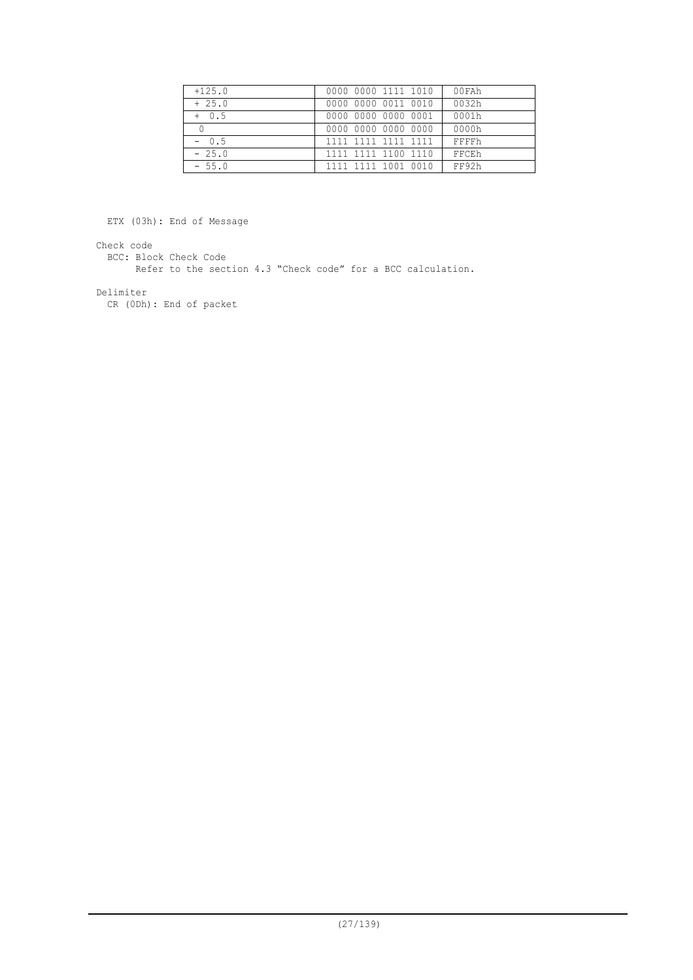| $+125.0$ | 0000 0000 1111 1010 | 00FAh |
|----------|---------------------|-------|
| $+25.0$  | 0000 0000 0011 0010 | 0032h |
| $+ 0.5$  | 0000 0000 0000 0001 | 0001h |
|          | 0000 0000 0000 0000 | 0000h |
| $-0.5$   | 1111 1111 1111 1111 | FFFFh |
| $-25.0$  | 1111 1111 1100 1110 | FFCEh |
| $-55.0$  | 1111 1111 1001 0010 | FF92h |

ETX (03h): End of Message

Check code

BCC: Block Check Code

Refer to the section 4.3 "Check code" for a BCC calculation.

Delimiter

CR (0Dh): End of packet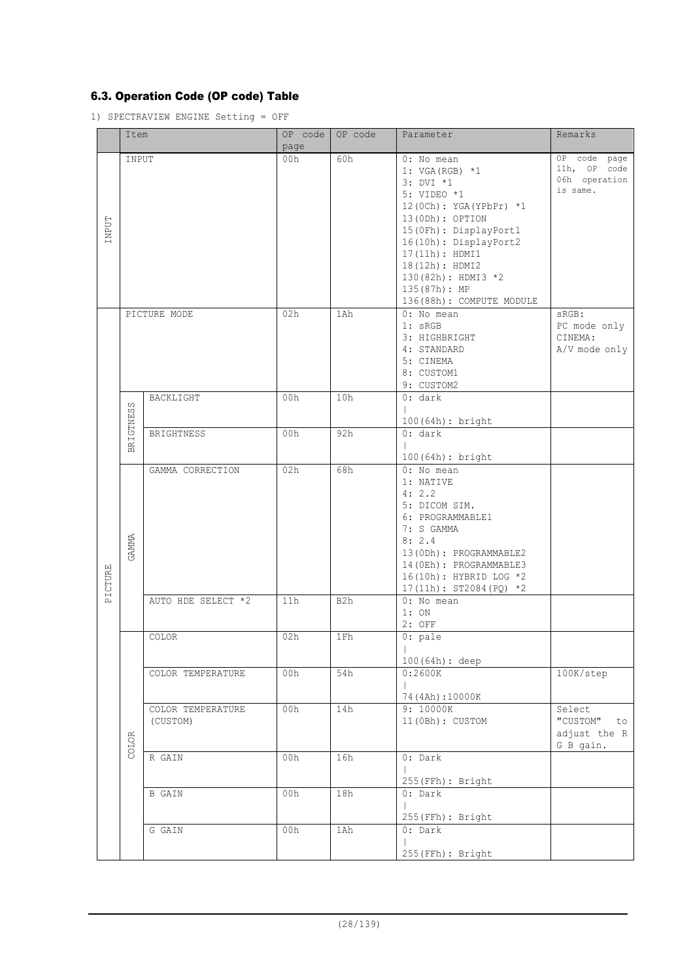## 6.3. Operation Code (OP code) Table

1) SPECTRAVIEW ENGINE Setting = OFF

|         | Item       |                               | OP code<br>page | OP code          | Parameter                                                                                                                                                                                                                                                           | Remarks                                                   |
|---------|------------|-------------------------------|-----------------|------------------|---------------------------------------------------------------------------------------------------------------------------------------------------------------------------------------------------------------------------------------------------------------------|-----------------------------------------------------------|
| TNPUT   | INPUT      |                               | 00h             | 60h              | 0: No mean<br>1: $VGA(RGB)$ *1<br>3: DVI *1<br>5: VIDEO *1<br>12 (0Ch): YGA (YPbPr) *1<br>13(0Dh): OPTION<br>15 (OFh) : DisplayPort1<br>16(10h): DisplayPort2<br>17(11h): HDMI1<br>18(12h): HDMI2<br>130(82h): HDMI3 *2<br>135(87h): MP<br>136(88h): COMPUTE MODULE | OP code page<br>11h, OP code<br>06h operation<br>is same. |
|         |            | PICTURE MODE                  | 02h             | 1Ah              | 0: No mean<br>1: sRGB<br>3: HIGHBRIGHT<br>4: STANDARD<br>5: CINEMA<br>8: CUSTOM1<br>9: CUSTOM2                                                                                                                                                                      | sRGB:<br>PC mode only<br>CINEMA:<br>A/V mode only         |
|         | GTNESS     | BACKLIGHT                     | 00h             | 10h              | 0: dark<br>100(64h): bright                                                                                                                                                                                                                                         |                                                           |
|         | <b>BRI</b> | BRIGHTNESS                    | 00h             | 92h              | 0: dark<br>100(64h): bright                                                                                                                                                                                                                                         |                                                           |
| PICTURE | GAMMA      | GAMMA CORRECTION              | 02h             | 68h              | 0: No mean<br>1: NATIVE<br>4:2.2<br>5: DICOM SIM.<br>6: PROGRAMMABLE1<br>7: S GAMMA<br>8:2.4<br>13 (ODh) : PROGRAMMABLE2<br>14 (OEh) : PROGRAMMABLE3<br>16(10h): HYBRID LOG *2<br>$17(11h): ST2084(PQ) *2$                                                          |                                                           |
|         |            | AUTO HDE SELECT *2            | 11h             | B <sub>2</sub> h | 0: No mean<br>1:ON<br>2: OFF                                                                                                                                                                                                                                        |                                                           |
|         |            | COLOR                         | 02h             | 1Fh              | 0: pale<br>100(64h): deep                                                                                                                                                                                                                                           |                                                           |
|         |            | COLOR TEMPERATURE             | 00h             | 54h              | 0:2600K<br>74 (4Ah):10000K                                                                                                                                                                                                                                          | 100K/step                                                 |
|         | COLOR      | COLOR TEMPERATURE<br>(CUSTOM) | 00h             | 14h              | 9: 10000K<br>11 (OBh) : CUSTOM                                                                                                                                                                                                                                      | Select<br>"CUSTOM"<br>to<br>adjust the R<br>G B gain.     |
|         |            | R GAIN                        | 00h             | 16h              | $0:$ Dark<br>255(FFh): Bright                                                                                                                                                                                                                                       |                                                           |
|         |            | B GAIN                        | 00h             | 18h              | $0:$ Dark<br>255(FFh): Bright                                                                                                                                                                                                                                       |                                                           |
|         |            | G GAIN                        | 00h             | 1Ah              | $0:$ Dark<br>255(FFh): Bright                                                                                                                                                                                                                                       |                                                           |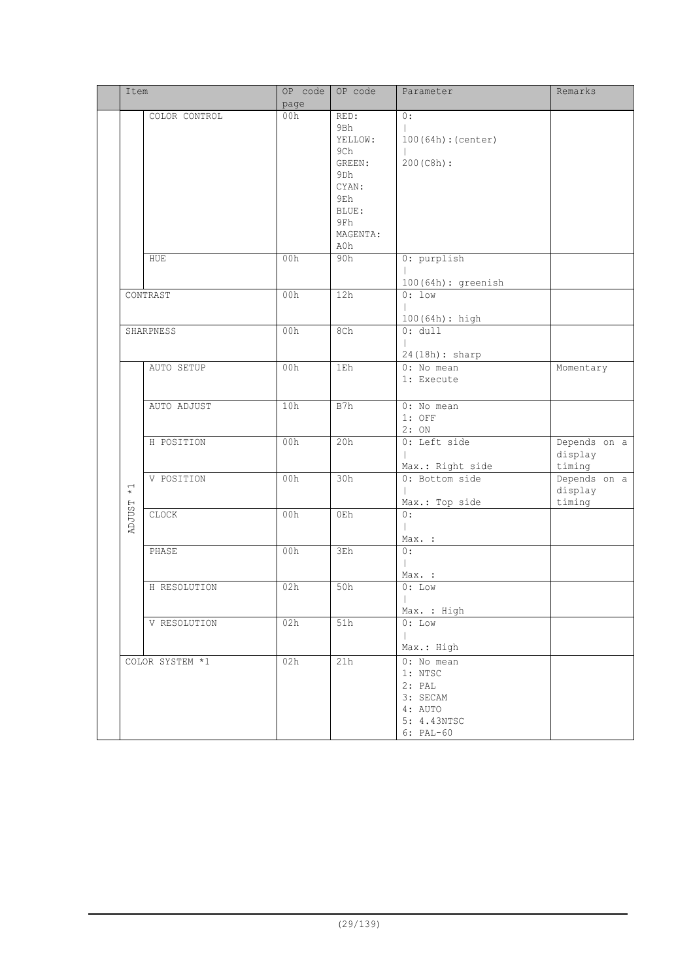| Item                                                  | page | OP code OP code                                                                                   | Parameter                                                                            | Remarks                           |
|-------------------------------------------------------|------|---------------------------------------------------------------------------------------------------|--------------------------------------------------------------------------------------|-----------------------------------|
| COLOR CONTROL                                         | 00h  | RED:<br>9Bh<br>YELLOW:<br>9Ch<br>GREEN:<br>9Dh<br>CYAN:<br>9Eh<br>BLUE:<br>9Fh<br>MAGENTA:<br>A0h | 0:<br>100(64h): (center)<br>200 (C8h) :                                              |                                   |
| HUE                                                   | 00h  | 90h                                                                                               | 0: purplish<br>$100(64h)$ : greenish                                                 |                                   |
| CONTRAST                                              | 00h  | 12h                                                                                               | $0:1$ ow<br>$\mathbf{I}$<br>$100(64h):$ high                                         |                                   |
| SHARPNESS                                             | 00h  | 8Ch                                                                                               | $0:$ dull<br>$\mathbf{I}$<br>24(18h): sharp                                          |                                   |
| AUTO SETUP                                            | 00h  | 1Eh                                                                                               | 0: No mean<br>1: Execute                                                             | Momentary                         |
| AUTO ADJUST                                           | 10h  | B7h                                                                                               | 0: No mean<br>$1:$ OFF<br>2:ON                                                       |                                   |
| H POSITION                                            | 00h  | 20h                                                                                               | 0: Left side<br>Max.: Right side                                                     | Depends on a<br>display<br>timing |
| V POSITION<br>$\stackrel{\textstyle\centerdot}{\ast}$ | 00h  | 30h                                                                                               | 0: Bottom side<br>Max.: Top side                                                     | Depends on a<br>display<br>timing |
| <b>ADJUST</b><br>CLOCK                                | 00h  | 0Eh                                                                                               | $0:$<br>$\mathbf{L}$<br>Max. :                                                       |                                   |
| PHASE                                                 | 00h  | 3Eh                                                                                               | 0:<br>$\mathbf{L}$<br>Max. :                                                         |                                   |
| H RESOLUTION                                          | 02h  | 50h                                                                                               | $0:$ Low<br>-1<br>Max. : High                                                        |                                   |
| V RESOLUTION                                          | 02h  | 51h                                                                                               | $0:$ Low<br>$\mathbb{L}$<br>Max.: High                                               |                                   |
| COLOR SYSTEM *1                                       | 02h  | 21h                                                                                               | 0: No mean<br>1: NTSC<br>2: PAL<br>3: SECAM<br>4: AUTO<br>5: 4.43NTSC<br>$6: PAL-60$ |                                   |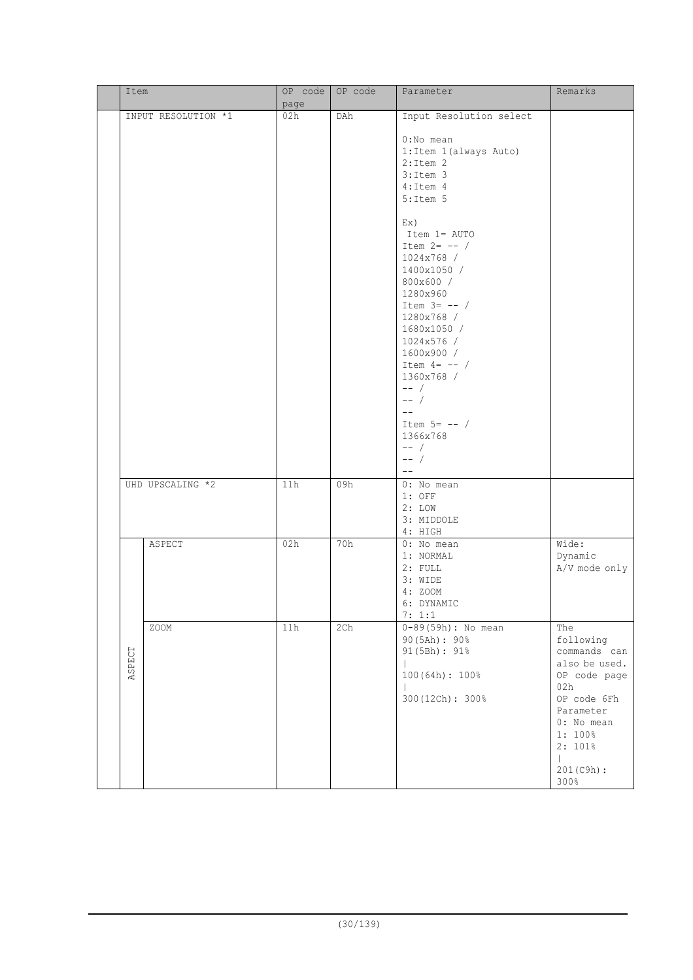| Item   |                     | OP code<br>page | OP code | Parameter                                                                                                                                                                                                                        | Remarks                                                                                                                                                                        |
|--------|---------------------|-----------------|---------|----------------------------------------------------------------------------------------------------------------------------------------------------------------------------------------------------------------------------------|--------------------------------------------------------------------------------------------------------------------------------------------------------------------------------|
|        | INPUT RESOLUTION *1 | 02h             | DAh     | Input Resolution select<br>$0:No$ mean<br>1: Item 1 (always Auto)<br>$2:$ Item $2$<br>$3:$ Item $3$<br>4: Item 4<br>$5:$ Item $5$<br>Ex)<br>Item 1= AUTO<br>Item $2=$ -- /<br>1024x768 /<br>1400x1050 /<br>800x600 /<br>1280x960 |                                                                                                                                                                                |
|        |                     |                 |         | Item $3=$ -- /<br>1280x768 /<br>1680x1050 /<br>1024x576 /<br>1600x900 /<br>Item $4=$ -- /<br>1360x768 /<br>$--$ /<br>$--$ /<br>$---$<br>Item $5=$ $--$ /<br>1366x768<br>$--$ /<br>$--$ /<br>$---$                                |                                                                                                                                                                                |
|        | UHD UPSCALING *2    | 11h             | 09h     | 0: No mean<br>$1:$ OFF<br>2: LOW<br>3: MIDDOLE<br>4: HIGH                                                                                                                                                                        |                                                                                                                                                                                |
|        | ASPECT              | 02h             | 70h     | 0: No mean<br>1: NORMAL<br>$2:$ FULL<br>3: WIDE<br>4: ZOOM<br>6: DYNAMIC<br>7: 1:1                                                                                                                                               | Wide:<br>Dynamic<br>A/V mode only                                                                                                                                              |
| ASPECT | ZOOM                | 11h             | 2Ch     | $0-89(59h)$ : No mean<br>90(5Ah): 90%<br>91 (5Bh) : 91%<br>100 (64h) : 100%<br>300(12Ch): 300%                                                                                                                                   | The<br>following<br>commands can<br>also be used.<br>OP code page<br>02h<br>OP code 6Fh<br>Parameter<br>0: No mean<br>1: 100%<br>2:101%<br>$\mathbf{L}$<br>201 (C9h) :<br>300% |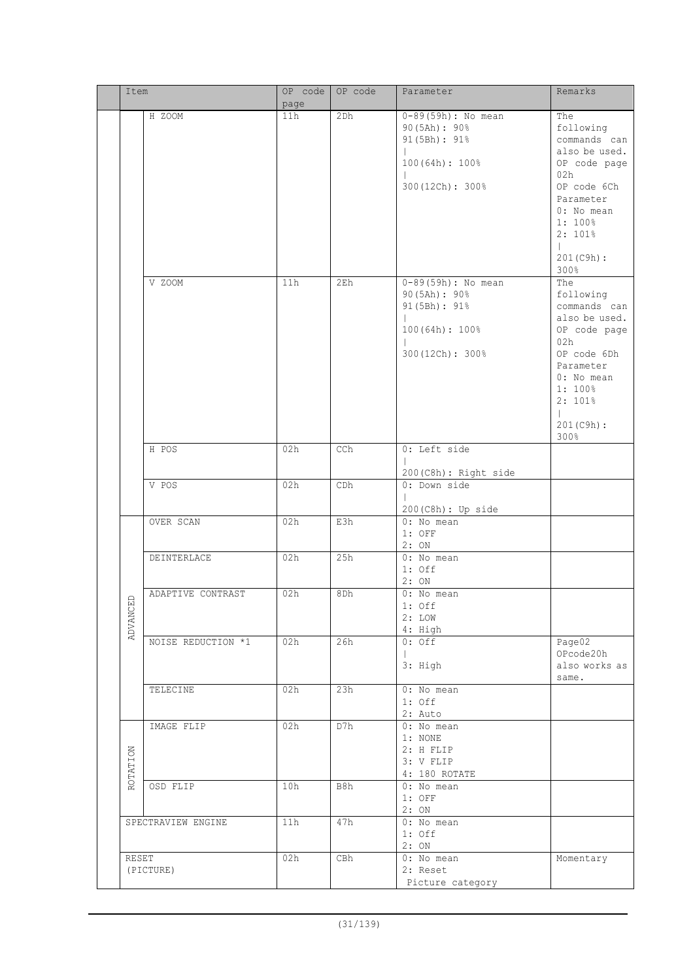|  | Item     |                    | OP code | OP code | Parameter              | Remarks                   |
|--|----------|--------------------|---------|---------|------------------------|---------------------------|
|  |          |                    | page    |         |                        |                           |
|  |          | H ZOOM             | 11h     | 2Dh     | $0-89(59h)$ : No mean  | The                       |
|  |          |                    |         |         | 90(5Ah): 90%           | following                 |
|  |          |                    |         |         | 91(5Bh): 91%           | commands can              |
|  |          |                    |         |         |                        | also be used.             |
|  |          |                    |         |         | 100(64h): 100%         | OP code page              |
|  |          |                    |         |         | 300(12Ch): 300%        | 02h<br>OP code 6Ch        |
|  |          |                    |         |         |                        | Parameter                 |
|  |          |                    |         |         |                        | 0: No mean                |
|  |          |                    |         |         |                        | 1:100%                    |
|  |          |                    |         |         |                        | 2:101%                    |
|  |          |                    |         |         |                        |                           |
|  |          |                    |         |         |                        | 201(C9h):                 |
|  |          |                    |         |         |                        | 300%                      |
|  |          | V ZOOM             | 11h     | 2Eh     | $0-89(59h)$ : No mean  | The                       |
|  |          |                    |         |         | 90(5Ah): 90%           | following                 |
|  |          |                    |         |         | 91(5Bh): 91%           | commands can              |
|  |          |                    |         |         |                        | also be used.             |
|  |          |                    |         |         | 100(64h): 100%         | OP code page              |
|  |          |                    |         |         |                        | 02h                       |
|  |          |                    |         |         | 300(12Ch): 300%        | OP code 6Dh               |
|  |          |                    |         |         |                        | Parameter                 |
|  |          |                    |         |         |                        | 0: No mean                |
|  |          |                    |         |         |                        | 1:100%                    |
|  |          |                    |         |         |                        | 2:101%                    |
|  |          |                    |         |         |                        | $\mathbf{L}$<br>201(C9h): |
|  |          |                    |         |         |                        | 300%                      |
|  |          | H POS              | 02h     | CCh     | 0: Left side           |                           |
|  |          |                    |         |         |                        |                           |
|  |          |                    |         |         | 200(C8h): Right side   |                           |
|  |          | V POS              | 02h     | CDh     | 0: Down side           |                           |
|  |          |                    |         |         |                        |                           |
|  |          |                    |         |         | 200 (C8h) : Up side    |                           |
|  |          | OVER SCAN          | 02h     | E3h     | 0: No mean             |                           |
|  |          |                    |         |         | $1:$ OFF               |                           |
|  |          |                    |         |         | 2:ON                   |                           |
|  |          | <b>DEINTERLACE</b> | 02h     | 25h     | 0: No mean             |                           |
|  |          |                    |         |         | $1:$ Off               |                           |
|  |          |                    |         |         | 2:ON                   |                           |
|  | $\Xi$    | ADAPTIVE CONTRAST  | 02h     | 8Dh     | 0: No mean             |                           |
|  |          |                    |         |         | $1:$ Off               |                           |
|  | ADVANC   |                    |         |         | 2: LOW<br>4: High      |                           |
|  |          | NOISE REDUCTION *1 | 02h     | 26h     | $0:$ Off               | Page02                    |
|  |          |                    |         |         |                        | OPcode20h                 |
|  |          |                    |         |         | 3: High                | also works as             |
|  |          |                    |         |         |                        | same.                     |
|  |          | TELECINE           | 02h     | 23h     | $0:$ No mean           |                           |
|  |          |                    |         |         | $1:$ Off               |                           |
|  |          |                    |         |         | 2: Auto                |                           |
|  |          | IMAGE FLIP         | 02h     | D7h     | 0: No mean             |                           |
|  |          |                    |         |         | 1: NONE                |                           |
|  |          |                    |         |         | 2: H FLIP              |                           |
|  |          |                    |         |         | 3: V FLIP              |                           |
|  | ROTATION |                    |         |         | 4: 180 ROTATE          |                           |
|  |          | OSD FLIP           | 10h     | B8h     | 0: No mean             |                           |
|  |          |                    |         |         | $1:$ OFF               |                           |
|  |          |                    |         |         | 2:ON                   |                           |
|  |          | SPECTRAVIEW ENGINE | 11h     | 47h     | 0: No mean<br>$1:$ Off |                           |
|  |          |                    |         |         | 2:ON                   |                           |
|  | RESET    |                    | 02h     | CBh     | 0: No mean             | Momentary                 |
|  |          | (PICTURE)          |         |         | 2: Reset               |                           |
|  |          |                    |         |         | Picture category       |                           |
|  |          |                    |         |         |                        |                           |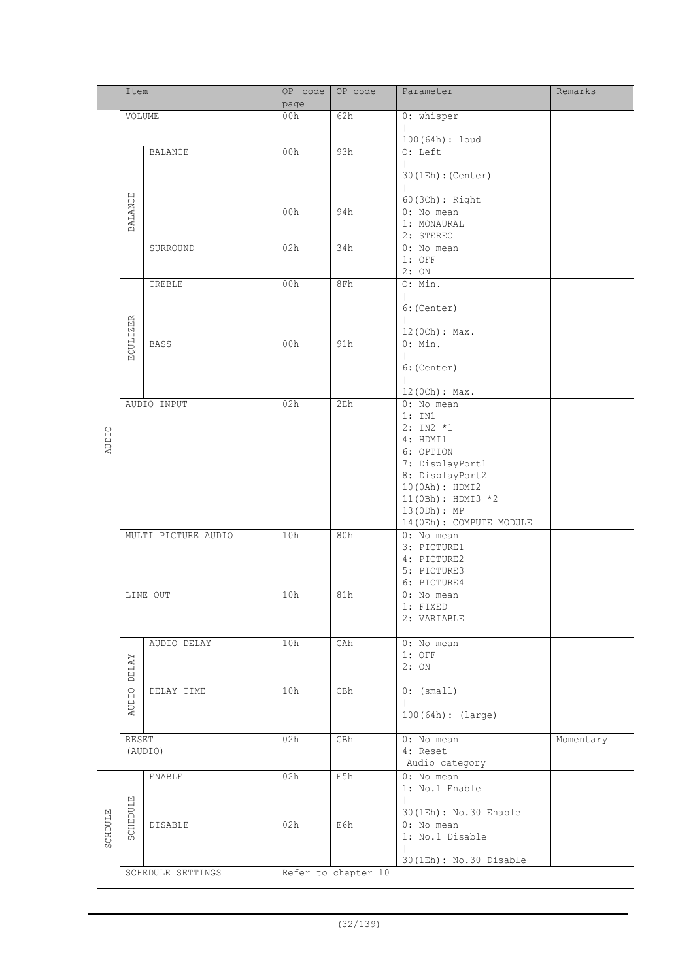|              | Item            |                     | OP code | OP code             | Parameter                               | Remarks   |
|--------------|-----------------|---------------------|---------|---------------------|-----------------------------------------|-----------|
|              |                 |                     | page    |                     |                                         |           |
|              | VOLUME          |                     | 00h     | 62h                 | 0: whisper                              |           |
|              |                 |                     |         |                     | 100(64h): loud                          |           |
|              |                 | <b>BALANCE</b>      | 00h     | 93h                 | O: Left                                 |           |
|              |                 |                     |         |                     |                                         |           |
|              |                 |                     |         |                     | 30(1Eh): (Center)                       |           |
|              |                 |                     |         |                     | 60 (3Ch) : Right                        |           |
|              | <b>BALANCE</b>  |                     | 00h     | 94h                 | 0: No mean                              |           |
|              |                 |                     |         |                     | 1: MONAURAL<br>2: STEREO                |           |
|              |                 | SURROUND            | 02h     | 34h                 | 0: No mean                              |           |
|              |                 |                     |         |                     | $1:$ OFF                                |           |
|              |                 |                     |         |                     | 2:ON                                    |           |
|              |                 | TREBLE              | 00h     | 8Fh                 | O: Min.                                 |           |
|              |                 |                     |         |                     | 6: (Center)                             |           |
|              |                 |                     |         |                     |                                         |           |
|              | <b>EQULIZER</b> |                     |         |                     | 12 (0Ch) : Max.                         |           |
|              |                 | <b>BASS</b>         | 00h     | 91h                 | 0: Min.                                 |           |
|              |                 |                     |         |                     | 6: (Center)                             |           |
|              |                 |                     |         |                     |                                         |           |
|              |                 |                     |         |                     | 12 (0Ch) : Max.                         |           |
|              |                 | AUDIO INPUT         | 02h     | 2E <sub>h</sub>     | 0: No mean<br>1: IN1                    |           |
|              |                 |                     |         |                     | $2: IN2 *1$                             |           |
| <b>AUDIO</b> |                 |                     |         |                     | 4: HDMI1                                |           |
|              |                 |                     |         |                     | 6: OPTION                               |           |
|              |                 |                     |         |                     | 7: DisplayPort1<br>8: DisplayPort2      |           |
|              |                 |                     |         |                     | 10 (0Ah) : HDMI2                        |           |
|              |                 |                     |         |                     | 11 (OBh) : HDMI3 *2                     |           |
|              |                 |                     |         |                     | 13(0Dh): MP                             |           |
|              |                 | MULTI PICTURE AUDIO | 10h     | 80h                 | 14 (OEh) : COMPUTE MODULE<br>0: No mean |           |
|              |                 |                     |         |                     | 3: PICTURE1                             |           |
|              |                 |                     |         |                     | 4: PICTURE2                             |           |
|              |                 |                     |         |                     | 5: PICTURE3                             |           |
|              |                 | LINE OUT            | 10h     | 81h                 | 6: PICTURE4                             |           |
|              |                 |                     |         |                     | 0: No mean<br>1: FIXED                  |           |
|              |                 |                     |         |                     | 2: VARIABLE                             |           |
|              |                 |                     |         |                     |                                         |           |
|              |                 | AUDIO DELAY         | 10h     | CAh                 | 0: No mean<br>$1:$ OFF                  |           |
|              | <b>DELAY</b>    |                     |         |                     | 2:ON                                    |           |
|              |                 |                     |         |                     |                                         |           |
|              | <b>AUDIO</b>    | DELAY TIME          | 10h     | CBh                 | 0: (small)                              |           |
|              |                 |                     |         |                     | 100(64h): (large)                       |           |
|              |                 |                     |         |                     |                                         |           |
|              | RESET           |                     | 02h     | CBh                 | $0:$ No mean                            | Momentary |
|              |                 | (AUDIO)             |         |                     | 4: Reset                                |           |
|              |                 |                     | 02h     | E5h                 | Audio category<br>0: No mean            |           |
|              |                 | ENABLE              |         |                     | 1: No.1 Enable                          |           |
|              |                 |                     |         |                     |                                         |           |
|              | <b>SCHEDULE</b> |                     |         |                     | 30(1Eh): No.30 Enable                   |           |
| SCHDULE      |                 | <b>DISABLE</b>      | 02h     | E6h                 | 0: No mean<br>1: No.1 Disable           |           |
|              |                 |                     |         |                     |                                         |           |
|              |                 |                     |         |                     | 30(1Eh): No.30 Disable                  |           |
|              |                 | SCHEDULE SETTINGS   |         | Refer to chapter 10 |                                         |           |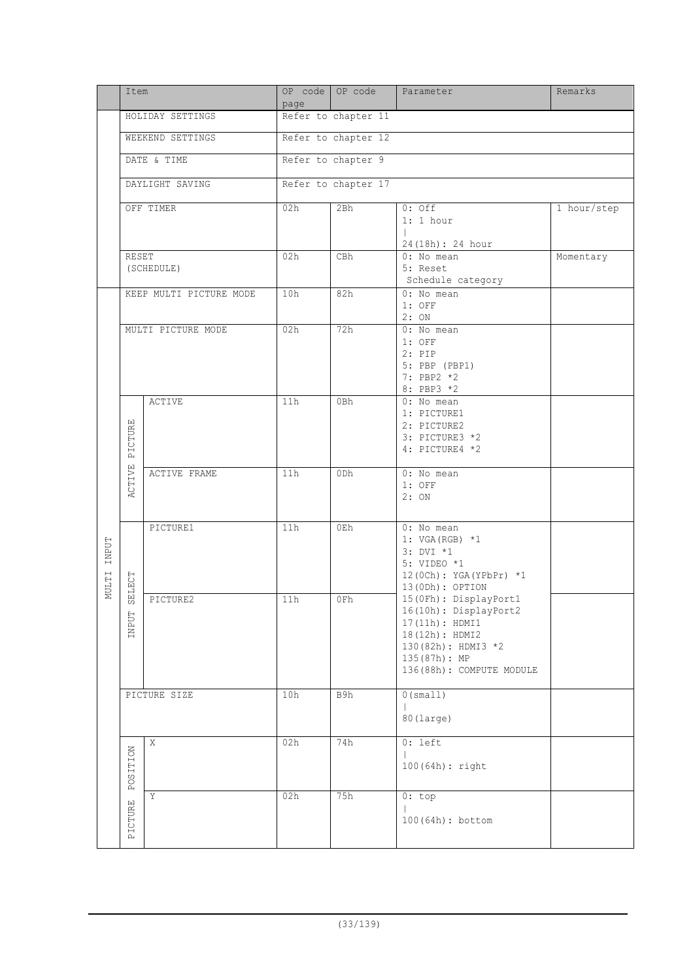|              | Item            |                         | page                | OP code OP code     | Parameter                                        | Remarks     |  |  |  |
|--------------|-----------------|-------------------------|---------------------|---------------------|--------------------------------------------------|-------------|--|--|--|
|              |                 | HOLIDAY SETTINGS        | Refer to chapter 11 |                     |                                                  |             |  |  |  |
|              |                 | WEEKEND SETTINGS        | Refer to chapter 12 |                     |                                                  |             |  |  |  |
|              |                 | DATE & TIME             |                     | Refer to chapter 9  |                                                  |             |  |  |  |
|              |                 | DAYLIGHT SAVING         |                     | Refer to chapter 17 |                                                  |             |  |  |  |
|              |                 |                         |                     |                     |                                                  |             |  |  |  |
|              |                 | OFF TIMER               | 02h                 | 2Bh                 | $0:$ Off<br>$1:1$ hour                           | 1 hour/step |  |  |  |
|              |                 |                         |                     |                     | 24 (18h) : 24 hour                               |             |  |  |  |
|              | RESET           |                         | 02h                 | CBh                 | 0: No mean                                       | Momentary   |  |  |  |
|              |                 | (SCHEDULE)              |                     |                     | 5: Reset<br>Schedule category                    |             |  |  |  |
|              |                 | KEEP MULTI PICTURE MODE | 10h                 | 82h                 | 0: No mean                                       |             |  |  |  |
|              |                 |                         |                     |                     | $1:$ OFF<br>2:ON                                 |             |  |  |  |
|              |                 | MULTI PICTURE MODE      | 02h                 | 72h                 | 0: No mean<br>$1:$ OFF                           |             |  |  |  |
|              |                 |                         |                     |                     | $2:$ PIP                                         |             |  |  |  |
|              |                 |                         |                     |                     | 5: PBP (PBP1)<br>7: PBP2 *2                      |             |  |  |  |
|              |                 |                         |                     |                     | 8: PBP3 *2                                       |             |  |  |  |
|              |                 | <b>ACTIVE</b>           | 11h                 | 0Bh                 | 0: No mean<br>1: PICTURE1                        |             |  |  |  |
|              |                 |                         |                     |                     | 2: PICTURE2                                      |             |  |  |  |
|              | PICTURE         |                         |                     |                     | 3: PICTURE3 *2                                   |             |  |  |  |
|              |                 |                         |                     |                     | 4: PICTURE4 *2                                   |             |  |  |  |
|              | ACTIVE          | ACTIVE FRAME            | 11h                 | 0 <sub>Dh</sub>     | 0: No mean                                       |             |  |  |  |
|              |                 |                         |                     |                     | $1:$ OFF<br>2:ON                                 |             |  |  |  |
|              |                 |                         |                     |                     |                                                  |             |  |  |  |
|              |                 | PICTURE1                | 11h                 | 0Eh                 | $0: No$ mean<br>1: VGA (RGB) $*1$                |             |  |  |  |
| <b>INPUT</b> |                 |                         |                     |                     | 3: DVI *1                                        |             |  |  |  |
|              |                 |                         |                     |                     | 5: VIDEO *1<br>12 (0Ch): YGA (YPbPr) *1          |             |  |  |  |
| NULTI        | ELECT           |                         |                     |                     | 13(ODh): OPTION                                  |             |  |  |  |
|              | $\sqrt{2}$      | PICTURE2                | 11h                 | 0Fh                 | 15 (OFh) : DisplayPort1<br>16(10h): DisplayPort2 |             |  |  |  |
|              | <b>INPUT</b>    |                         |                     |                     | 17(11h): HDMI1                                   |             |  |  |  |
|              |                 |                         |                     |                     | 18(12h): HDMI2<br>130 (82h) : HDMI3 *2           |             |  |  |  |
|              |                 |                         |                     |                     | 135(87h): MP                                     |             |  |  |  |
|              |                 |                         |                     |                     | 136(88h): COMPUTE MODULE                         |             |  |  |  |
|              |                 | PICTURE SIZE            | 10h                 | B9h                 | 0 (small)                                        |             |  |  |  |
|              |                 |                         |                     |                     | 80 (large)                                       |             |  |  |  |
|              |                 | X                       | 02h                 | 74h                 | $0: \text{left}$                                 |             |  |  |  |
|              |                 |                         |                     |                     |                                                  |             |  |  |  |
|              | <b>POSITION</b> |                         |                     |                     | 100(64h): right                                  |             |  |  |  |
|              |                 | Y                       | 02h                 | 75h                 | 0:top                                            |             |  |  |  |
|              | PICTURE         |                         |                     |                     |                                                  |             |  |  |  |
|              |                 |                         |                     |                     | 100(64h): bottom                                 |             |  |  |  |
|              |                 |                         |                     |                     |                                                  |             |  |  |  |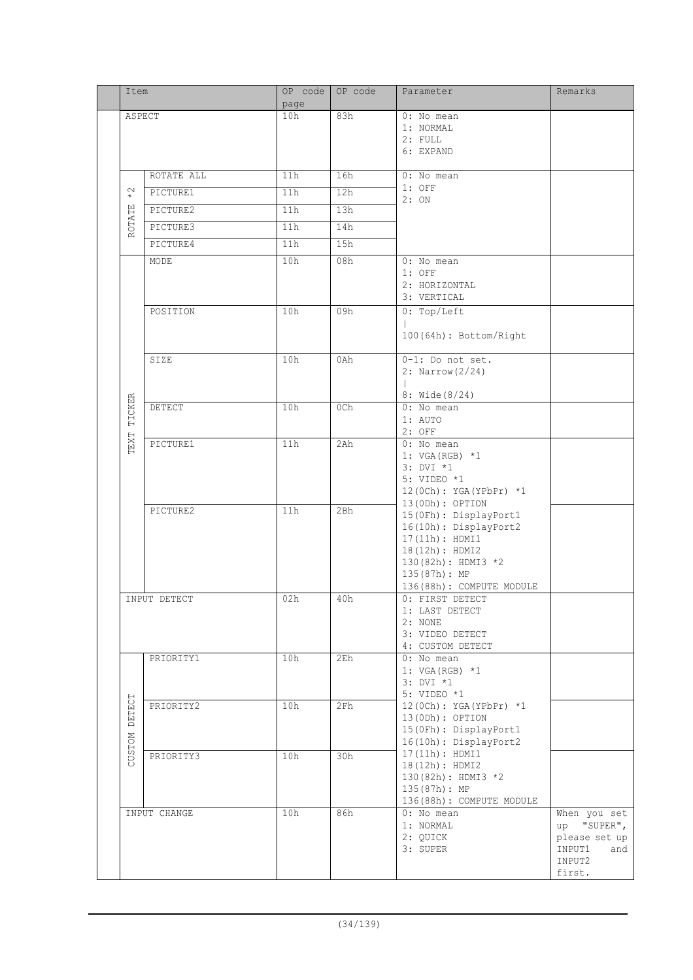|  | Item              |              | OP code<br>page | OP code | Parameter                                                                                                                                                      | Remarks                                                                           |
|--|-------------------|--------------|-----------------|---------|----------------------------------------------------------------------------------------------------------------------------------------------------------------|-----------------------------------------------------------------------------------|
|  | ASPECT            |              | 10h             | 83h     | 0: No mean<br>1: NORMAL<br>2: FULL<br>6: EXPAND                                                                                                                |                                                                                   |
|  |                   | ROTATE ALL   | 11h             | 16h     | 0: No mean                                                                                                                                                     |                                                                                   |
|  | $^\star_*$        | PICTURE1     | 11h             | 12h     | $1:$ OFF<br>2:ON                                                                                                                                               |                                                                                   |
|  |                   | PICTURE2     | 11h             | 13h     |                                                                                                                                                                |                                                                                   |
|  | ROTATE            | PICTURE3     | 11h             | 14h     |                                                                                                                                                                |                                                                                   |
|  |                   | PICTURE4     | 11h             | 15h     |                                                                                                                                                                |                                                                                   |
|  |                   | MODE         | 10h             | 08h     | 0: No mean<br>$1:$ OFF<br>2: HORIZONTAL<br>3: VERTICAL                                                                                                         |                                                                                   |
|  |                   | POSITION     | 10h             | 09h     | 0: Top/Left<br>100(64h): Bottom/Right                                                                                                                          |                                                                                   |
|  |                   | SIZE         | 10h             | 0Ah     | $\overline{0-1}$ : Do not set.<br>2: Narrow (2/24)<br>8: Wide (8/24)                                                                                           |                                                                                   |
|  | TICKER            | DETECT       | 10h             | 0Ch     | 0: No mean<br>1: AUTO<br>2: OFF                                                                                                                                |                                                                                   |
|  | TEXT              | PICTURE1     | 11h             | 2Ah     | 0: No mean<br>1: $VGA (RGB) *1$<br>3: DVI *1<br>5: VIDEO *1<br>12 (0Ch): YGA (YPbPr) *1<br>13 (0Dh) : OPTION                                                   |                                                                                   |
|  |                   | PICTURE2     | 11h             | 2Bh     | 15 (OFh) : DisplayPort1<br>16(10h): DisplayPort2<br>17(11h): HDMI1<br>18(12h): HDMI2<br>130(82h): HDMI3 *2<br>135(87h): MP<br>136(88h): COMPUTE MODULE         |                                                                                   |
|  | INPUT DETECT      |              | 02h             | 40h     | 0: FIRST DETECT<br>1: LAST DETECT<br>2: NONE<br>3: VIDEO DETECT<br>4: CUSTOM DETECT                                                                            |                                                                                   |
|  |                   | PRIORITY1    | 10h             | 2Eh     | 0: No mean<br>1: VGA (RGB) $*1$<br>3: DVI *1<br>5: VIDEO *1<br>12 (0Ch): YGA (YPbPr) *1<br>13(ODh): OPTION<br>15 (OFh) : DisplayPort1<br>16(10h): DisplayPort2 |                                                                                   |
|  | DETECT<br>MOLSDOZ | PRIORITY2    | 10h             | 2Fh     |                                                                                                                                                                |                                                                                   |
|  |                   | PRIORITY3    | 10h             | 30h     | 17(11h): HDMI1<br>18(12h): HDMI2<br>130(82h): HDMI3 *2<br>135(87h): MP<br>136(88h): COMPUTE MODULE                                                             |                                                                                   |
|  |                   | INPUT CHANGE | 10h             | 86h     | 0: No mean<br>1: NORMAL<br>2: QUICK<br>3: SUPER                                                                                                                | When you set<br>up "SUPER",<br>please set up<br>INPUT1<br>and<br>INPUT2<br>first. |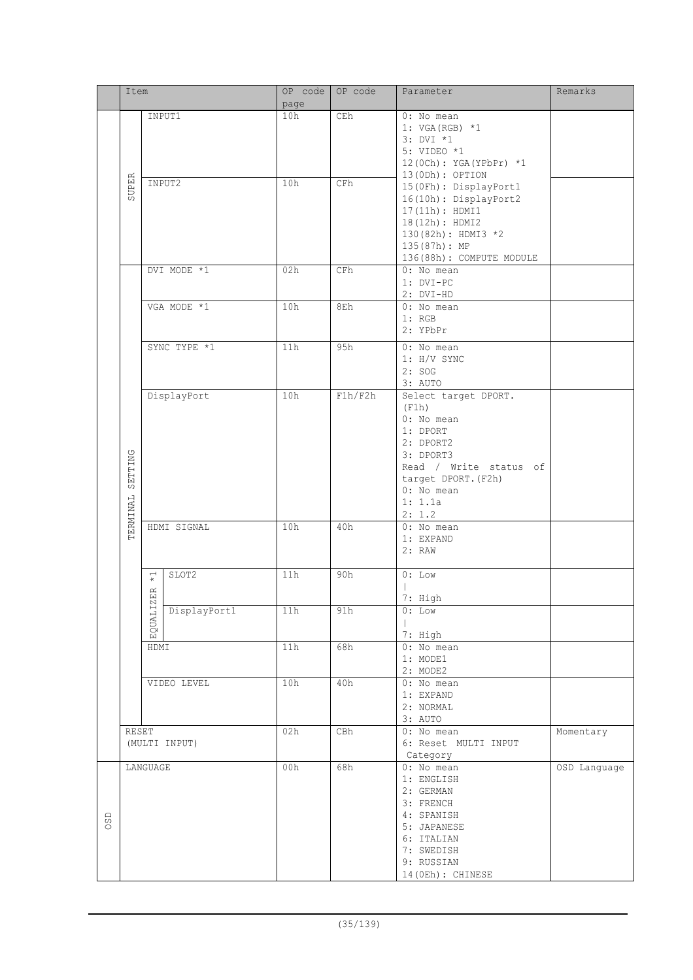|     | Item     |                          | OP code       | OP code | Parameter                | Remarks                  |              |
|-----|----------|--------------------------|---------------|---------|--------------------------|--------------------------|--------------|
|     |          |                          |               | page    |                          |                          |              |
|     |          | INPUT1                   |               | 10h     | CEh                      | 0: No mean               |              |
|     |          |                          |               |         |                          | 1: VGA (RGB) *1          |              |
|     |          |                          |               |         |                          | $3: DVI *1$              |              |
|     |          |                          |               |         |                          | 5: VIDEO *1              |              |
|     |          |                          |               |         | 12 (0Ch): YGA (YPbPr) *1 |                          |              |
|     |          |                          | INPUT2        | 10h     | CFh                      | 13(ODh): OPTION          |              |
|     | SUPER    |                          |               |         |                          | 15 (OFh) : DisplayPort1  |              |
|     |          |                          |               |         |                          | 16(10h): DisplayPort2    |              |
|     |          |                          |               |         |                          | 17(11h): HDMI1           |              |
|     |          |                          |               |         |                          | 18(12h): HDMI2           |              |
|     |          |                          |               |         |                          | 130(82h): HDMI3 *2       |              |
|     |          |                          |               |         |                          | 135(87h): MP             |              |
|     |          |                          |               |         |                          | 136(88h): COMPUTE MODULE |              |
|     |          |                          | DVI MODE *1   | 02h     | CFh                      | 0: No mean               |              |
|     |          |                          |               |         |                          | 1: DVI-PC                |              |
|     |          |                          |               |         |                          | $2: DVI-HD$              |              |
|     |          |                          | VGA MODE *1   | 10h     | 8Eh                      | $0:$ No mean             |              |
|     |          |                          |               |         |                          | 1: RGB                   |              |
|     |          |                          |               |         |                          | 2: YPbPr                 |              |
|     |          |                          | SYNC TYPE *1  | 11h     | 95h                      | 0: No mean               |              |
|     |          |                          |               |         |                          | $1: H/V$ SYNC            |              |
|     |          |                          |               |         |                          | 2: SOG                   |              |
|     |          |                          |               |         |                          | 3: AUTO                  |              |
|     |          |                          | DisplayPort   | 10h     | F1h/F2h                  | Select target DPORT.     |              |
|     |          |                          |               |         |                          | (F1h)                    |              |
|     |          |                          |               |         |                          | 0: No mean               |              |
|     |          |                          |               |         |                          | 1: DPORT                 |              |
|     |          |                          |               |         |                          | 2: DPORT2                |              |
|     |          |                          |               |         |                          | 3: DPORT3                |              |
|     | SETTING  |                          |               |         |                          | Read / Write status of   |              |
|     |          |                          |               |         |                          | target DPORT. (F2h)      |              |
|     |          |                          |               |         |                          | 0: No mean               |              |
|     |          |                          |               |         |                          | 1: 1.1a                  |              |
|     |          |                          |               |         |                          | 2: 1.2                   |              |
|     | TERMINAL |                          | HDMI SIGNAL   | 10h     | 40h                      | 0: No mean               |              |
|     |          |                          |               |         |                          | 1: EXPAND                |              |
|     |          |                          |               |         |                          | 2: RAW                   |              |
|     |          |                          |               |         |                          |                          |              |
|     |          |                          | SLOT2         | 11h     | 90h                      | $0:$ Low                 |              |
|     |          | $\overrightarrow{\star}$ |               |         |                          |                          |              |
|     |          | ZER                      |               |         |                          |                          |              |
|     |          |                          |               |         |                          | 7: High                  |              |
|     |          |                          | DisplayPort1  | 11h     | 91h                      | $0:$ Low                 |              |
|     |          | EQUALI.                  |               |         |                          |                          |              |
|     |          |                          |               | 11h     |                          | 7: High<br>0: No mean    |              |
|     |          | HDMI                     |               |         | 68h                      |                          |              |
|     |          |                          |               |         |                          | 1: MODE1                 |              |
|     |          |                          |               |         |                          | 2: MODE2                 |              |
|     |          |                          | VIDEO LEVEL   | 10h     | 40h                      | 0: No mean               |              |
|     |          |                          |               |         |                          | 1: EXPAND                |              |
|     |          |                          |               |         |                          | 2: NORMAL                |              |
|     |          |                          |               |         |                          | 3: AUTO                  |              |
|     | RESET    |                          |               | 02h     | CBh                      | 0: No mean               | Momentary    |
|     |          |                          | (MULTI INPUT) |         |                          | 6: Reset MULTI INPUT     |              |
|     |          |                          |               |         |                          | Category                 |              |
|     |          | LANGUAGE                 |               | 00h     | 68h                      | 0: No mean               | OSD Language |
|     |          |                          |               |         |                          | 1: ENGLISH               |              |
|     |          |                          |               |         |                          | 2: GERMAN                |              |
|     |          |                          |               |         |                          | 3: FRENCH                |              |
| OSD |          |                          |               |         |                          | 4: SPANISH               |              |
|     |          |                          |               |         |                          | 5: JAPANESE              |              |
|     |          |                          |               |         |                          | 6: ITALIAN               |              |
|     |          |                          |               |         |                          | 7: SWEDISH               |              |
|     |          |                          |               |         |                          | 9: RUSSIAN               |              |
|     |          |                          |               |         |                          | 14 (OEh) : CHINESE       |              |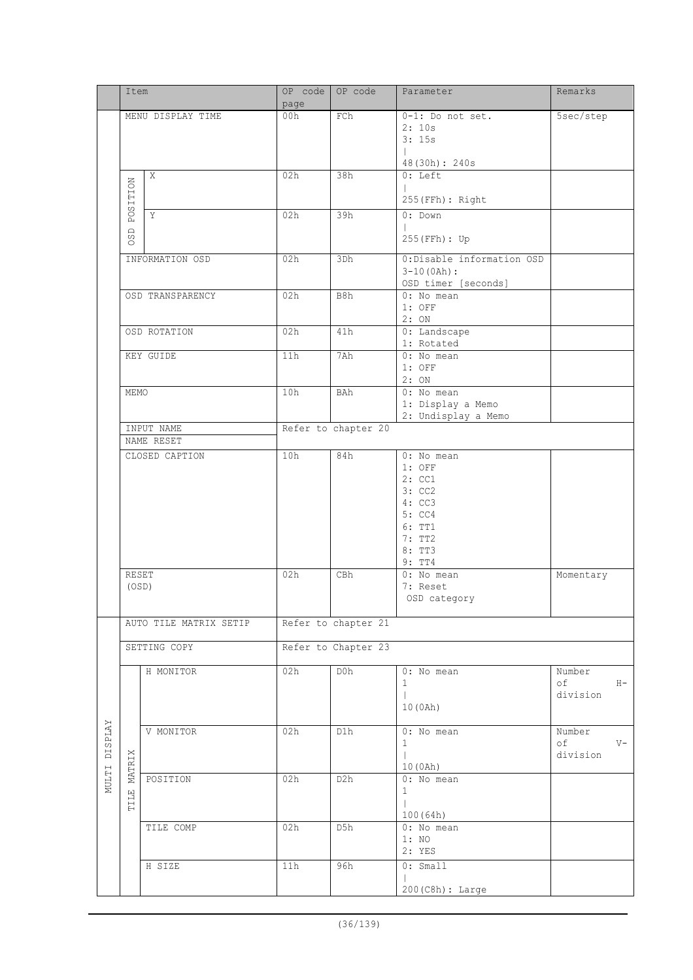|                | Item              |                        | OP code             | OP code             | Parameter                           | Remarks     |  |  |
|----------------|-------------------|------------------------|---------------------|---------------------|-------------------------------------|-------------|--|--|
|                |                   |                        | page                |                     |                                     |             |  |  |
|                | MENU DISPLAY TIME |                        | 00h                 | FCh                 | 0-1: Do not set.                    | 5sec/step   |  |  |
|                |                   |                        |                     |                     | 2:10s<br>3:15s                      |             |  |  |
|                |                   |                        |                     |                     |                                     |             |  |  |
|                |                   |                        |                     |                     | 48(30h): 240s                       |             |  |  |
|                |                   | $\mathbf X$            | 02h                 | 38h                 | $0:$ Left                           |             |  |  |
|                |                   |                        |                     |                     |                                     |             |  |  |
|                |                   |                        |                     |                     | 255 (FFh) : Right                   |             |  |  |
|                | <b>POSITION</b>   | Y                      | 02h                 | 39h                 | $0:$ Down                           |             |  |  |
|                |                   |                        |                     |                     |                                     |             |  |  |
|                | OSD               |                        |                     |                     | 255 (FFh) : Up                      |             |  |  |
|                |                   |                        |                     |                     |                                     |             |  |  |
|                |                   | INFORMATION OSD        | 02h                 | 3Dh                 | 0:Disable information OSD           |             |  |  |
|                |                   |                        |                     |                     | $3-10(0Ah):$<br>OSD timer [seconds] |             |  |  |
|                |                   | OSD TRANSPARENCY       | 02h                 | B8h                 | 0: No mean                          |             |  |  |
|                |                   |                        |                     |                     | $1:$ OFF                            |             |  |  |
|                |                   |                        |                     |                     | 2:ON                                |             |  |  |
|                |                   | OSD ROTATION           | 02h                 | 41h                 | 0: Landscape                        |             |  |  |
|                |                   |                        |                     |                     | 1: Rotated                          |             |  |  |
|                |                   | KEY GUIDE              | 11h                 | 7Ah                 | 0: No mean                          |             |  |  |
|                |                   |                        |                     |                     | $1:$ OFF                            |             |  |  |
|                |                   |                        |                     |                     | 2:ON                                |             |  |  |
|                | MEMO              |                        | 10h                 | BAh                 | 0: No mean                          |             |  |  |
|                |                   |                        |                     |                     | 1: Display a Memo                   |             |  |  |
|                |                   |                        |                     |                     | 2: Undisplay a Memo                 |             |  |  |
|                |                   | INPUT NAME             | Refer to chapter 20 |                     |                                     |             |  |  |
|                |                   | NAME RESET             |                     |                     |                                     |             |  |  |
|                |                   | CLOSED CAPTION         | 10h                 | 84h                 | 0: No mean                          |             |  |  |
|                |                   |                        |                     |                     | $1:$ OFF<br>2:CC1                   |             |  |  |
|                |                   |                        |                     |                     | 3: CC2                              |             |  |  |
|                |                   |                        |                     |                     | 4: CC3                              |             |  |  |
|                |                   |                        |                     |                     | 5: CC4                              |             |  |  |
|                |                   |                        |                     |                     | 6: TT1                              |             |  |  |
|                |                   |                        |                     |                     | 7: TT2                              |             |  |  |
|                |                   |                        |                     |                     | 8: TT3                              |             |  |  |
|                |                   |                        |                     |                     | 9: TT4                              |             |  |  |
|                | <b>RESET</b>      |                        | 02h                 | <b>CBh</b>          | 0: No mean                          | Momentary   |  |  |
|                | (OSD)             |                        |                     |                     | 7: Reset                            |             |  |  |
|                |                   |                        |                     |                     | OSD category                        |             |  |  |
|                |                   |                        |                     | Refer to chapter 21 |                                     |             |  |  |
|                |                   | AUTO TILE MATRIX SETIP |                     |                     |                                     |             |  |  |
|                |                   | SETTING COPY           | Refer to Chapter 23 |                     |                                     |             |  |  |
|                |                   |                        |                     |                     |                                     |             |  |  |
|                |                   | H MONITOR              | 02h                 | D0h                 | 0: No mean                          | Number      |  |  |
|                |                   |                        |                     |                     | $\mathbf{1}$                        | оf<br>$H -$ |  |  |
|                |                   |                        |                     |                     | $\mathbb{L}$                        | division    |  |  |
|                |                   |                        |                     |                     | 10(0Ah)                             |             |  |  |
|                |                   |                        |                     |                     |                                     |             |  |  |
| <b>DISPLAY</b> |                   | V MONITOR              | 02h                 | D1h                 | 0: No mean                          | Number      |  |  |
|                |                   |                        |                     |                     | $\mathbf{1}$                        | οf<br>$V -$ |  |  |
| NULTI          |                   |                        |                     |                     | $\mathbf{L}$                        | division    |  |  |
|                | MATRIX            | POSITION               | 02h                 | D2h                 | 10 (0Ah)<br>0: No mean              |             |  |  |
|                |                   |                        |                     |                     | $\mathbf{1}$                        |             |  |  |
|                | TILE              |                        |                     |                     |                                     |             |  |  |
|                |                   |                        |                     |                     | 100(64h)                            |             |  |  |
|                |                   | TILE COMP              | 02h                 | D5h                 | 0: No mean                          |             |  |  |
|                |                   |                        |                     |                     | 1:NO                                |             |  |  |
|                |                   |                        |                     |                     | 2: YES                              |             |  |  |
|                |                   | H SIZE                 | 11h                 | 96h                 | $0:$ Small                          |             |  |  |
|                |                   |                        |                     |                     |                                     |             |  |  |
|                |                   |                        |                     |                     | 200 (C8h) : Large                   |             |  |  |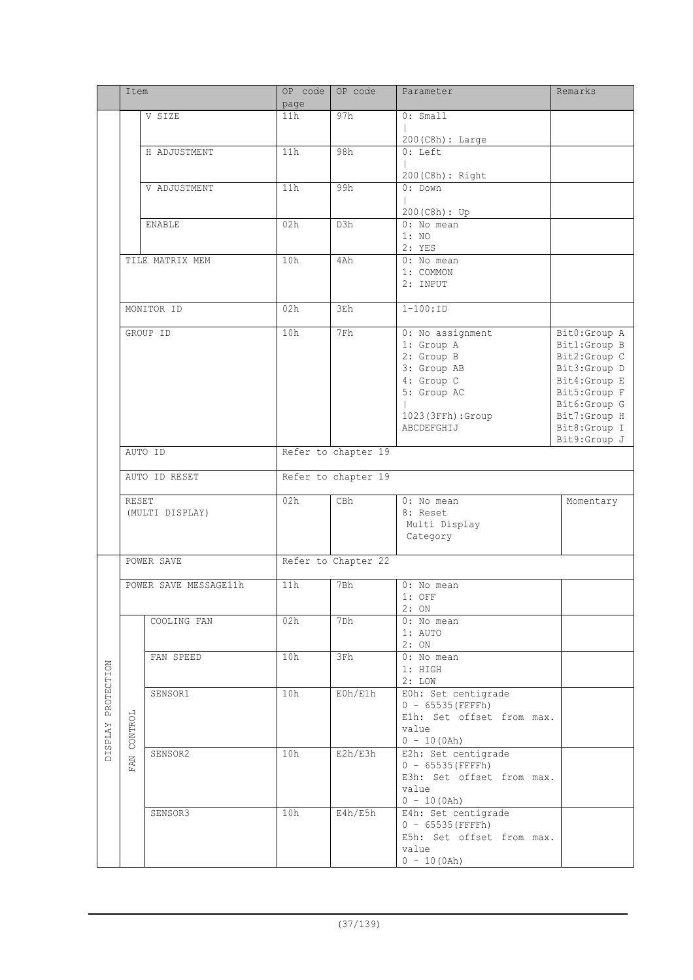|                    | Item         |                       | OP code             | OP code             | Parameter                                        | Remarks                      |  |
|--------------------|--------------|-----------------------|---------------------|---------------------|--------------------------------------------------|------------------------------|--|
|                    |              | V SIZE                | page<br>11h         | 97h                 | 0: Small                                         |                              |  |
|                    |              |                       |                     |                     |                                                  |                              |  |
|                    |              |                       |                     |                     | $200(C8h):$ Large                                |                              |  |
|                    | H ADJUSTMENT |                       | 11h                 | 98h                 | $0: \overline{\text{Left}}$                      |                              |  |
|                    |              |                       |                     |                     | 200 (C8h) : Right                                |                              |  |
|                    |              | V ADJUSTMENT          | 11h                 | 99h                 | 0: Down                                          |                              |  |
|                    |              |                       |                     |                     |                                                  |                              |  |
|                    |              | ENABLE                | 02h                 | D3h                 | 200 (C8h) : Up<br>0: No mean                     |                              |  |
|                    |              |                       |                     |                     | 1:NO                                             |                              |  |
|                    |              |                       |                     |                     | 2: YES                                           |                              |  |
|                    |              | TILE MATRIX MEM       | 10h                 | 4Ah                 | 0: No mean<br>1: COMMON                          |                              |  |
|                    |              |                       |                     |                     | 2: INPUT                                         |                              |  |
|                    |              |                       |                     |                     |                                                  |                              |  |
|                    |              | MONITOR ID            | 02h                 | 3Eh                 | $1 - 100 : ID$                                   |                              |  |
|                    |              | GROUP ID              | 10h                 | 7Fh                 | 0: No assignment                                 | Bit0:Group A                 |  |
|                    |              |                       |                     |                     | 1: Group A                                       | Bit1:Group B<br>Bit2:Group C |  |
|                    |              |                       |                     |                     | 2: Group B<br>3: Group AB                        | Bit3:Group D                 |  |
|                    |              |                       |                     |                     | 4: Group C                                       | Bit4:Group E                 |  |
|                    |              |                       |                     |                     | 5: Group AC                                      | Bit5:Group F                 |  |
|                    |              |                       |                     |                     | 1023 (3FFh) : Group                              | Bit6:Group G<br>Bit7:Group H |  |
|                    |              |                       |                     |                     | ABCDEFGHIJ                                       | Bit8:Group I                 |  |
|                    |              |                       |                     |                     |                                                  | Bit9:Group J                 |  |
|                    |              | AUTO ID               |                     | Refer to chapter 19 |                                                  |                              |  |
|                    |              | AUTO ID RESET         | Refer to chapter 19 |                     |                                                  |                              |  |
|                    | RESET        |                       | 02h                 | CBh                 | 0: No mean                                       | Momentary                    |  |
|                    |              | (MULTI DISPLAY)       |                     |                     | 8: Reset                                         |                              |  |
|                    |              |                       |                     |                     | Multi Display<br>Category                        |                              |  |
|                    |              |                       |                     |                     |                                                  |                              |  |
|                    |              | POWER SAVE            |                     | Refer to Chapter 22 |                                                  |                              |  |
|                    |              | POWER SAVE MESSAGE11h | 11h                 | 7Bh                 | 0: No mean                                       |                              |  |
|                    |              |                       |                     |                     | $1:$ OFF                                         |                              |  |
|                    |              | COOLING FAN           | 02h                 | 7Dh                 | 2: ON<br>0: No mean                              |                              |  |
|                    |              |                       |                     |                     | $1:$ AUTO                                        |                              |  |
|                    |              | FAN SPEED             |                     |                     | 2:ON<br>0: No mean                               |                              |  |
|                    |              |                       | 10h                 | 3Fh                 | 1: HIGH                                          |                              |  |
|                    |              |                       |                     |                     | 2: LOW                                           |                              |  |
| DISPLAY PROTECTION |              | SENSOR1               | 10h                 | E0h/E1h             | E0h: Set centigrade                              |                              |  |
|                    |              |                       |                     |                     | $0 - 65535$ (FFFFh)<br>Elh: Set offset from max. |                              |  |
|                    | CONTROL      |                       |                     |                     | value                                            |                              |  |
|                    |              |                       |                     |                     | $0 - 10(0h)$                                     |                              |  |
|                    | FAN          | SENSOR2               | 10h                 | E2h/E3h             | E2h: Set centigrade<br>$0 - 65535$ (FFFFh)       |                              |  |
|                    |              |                       |                     |                     | E3h: Set offset from max.                        |                              |  |
|                    |              |                       |                     |                     | value                                            |                              |  |
|                    |              | SENSOR3               | 10h                 | E4h/E5h             | $0 - 10(0/h)$<br>E4h: Set centigrade             |                              |  |
|                    |              |                       |                     |                     | $0 - 65535$ (FFFFh)                              |                              |  |
|                    |              |                       |                     |                     | E5h: Set offset from max.                        |                              |  |
|                    |              |                       |                     |                     | value<br>$0 - 10(0h)$                            |                              |  |
|                    |              |                       |                     |                     |                                                  |                              |  |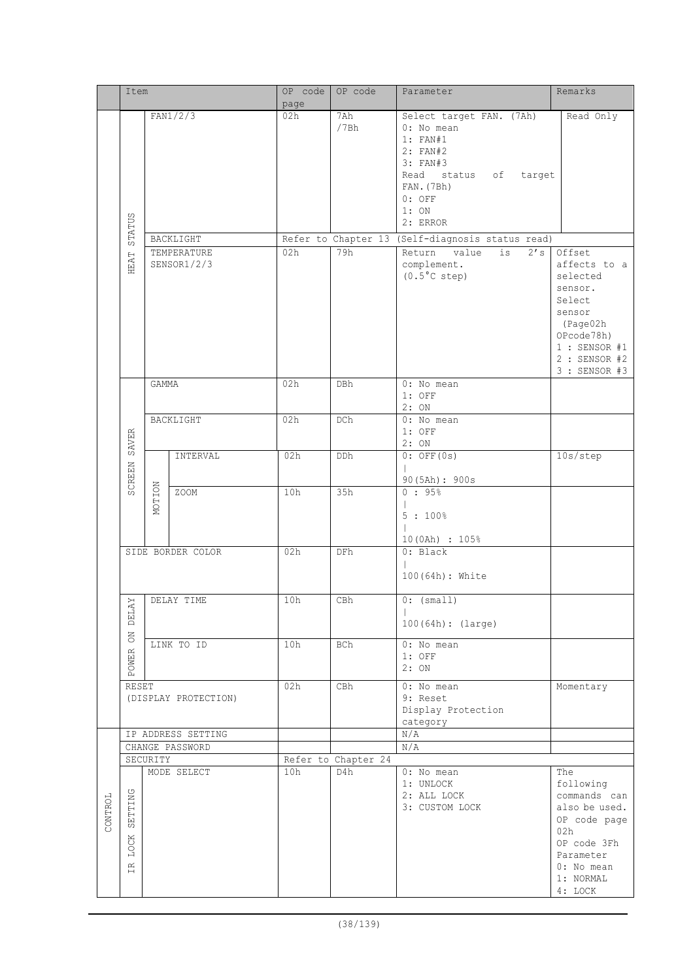|         | Item<br>FAN1/2/3         |                   | OP code                    | OP code | Parameter           | Remarks                                     |                                 |
|---------|--------------------------|-------------------|----------------------------|---------|---------------------|---------------------------------------------|---------------------------------|
|         |                          |                   | page<br>02h                | 7Ah     |                     |                                             |                                 |
|         |                          |                   |                            |         | /7Bh                | Select target FAN. (7Ah)<br>0: No mean      | Read Only                       |
|         |                          |                   |                            |         |                     | 1: FAN#1                                    |                                 |
|         |                          |                   |                            |         |                     | $2:$ FAN#2                                  |                                 |
|         |                          |                   |                            |         |                     | 3: FAN#3                                    |                                 |
|         |                          |                   |                            |         |                     | Read status of target                       |                                 |
|         |                          |                   |                            |         |                     | FAN. (7Bh)                                  |                                 |
|         |                          |                   |                            |         |                     | $0:$ OFF                                    |                                 |
|         |                          |                   |                            |         |                     | 1:ON                                        |                                 |
|         | STATUS                   |                   |                            |         |                     | 2: ERROR                                    |                                 |
|         |                          |                   | BACKLIGHT                  |         | Refer to Chapter 13 | (Self-diagnosis status read)                |                                 |
|         | HEAT                     |                   | TEMPERATURE<br>SENSOR1/2/3 | 02h     | 79h                 | is<br>Return<br>value<br>2's<br>complement. | Offset<br>affects to a          |
|         |                          |                   |                            |         |                     | $(0.5^{\circ}$ C step)                      | selected                        |
|         |                          |                   |                            |         |                     |                                             | sensor.                         |
|         |                          |                   |                            |         |                     |                                             | Select                          |
|         |                          |                   |                            |         |                     |                                             | sensor                          |
|         |                          |                   |                            |         |                     |                                             | (Page02h                        |
|         |                          |                   |                            |         |                     |                                             | OPcode78h)                      |
|         |                          |                   |                            |         |                     |                                             | $1:$ SENSOR #1                  |
|         |                          |                   |                            |         |                     |                                             | $2:$ SENSOR #2<br>3 : SENSOR #3 |
|         |                          | GAMMA             |                            | 02h     | DBh                 | 0: No mean                                  |                                 |
|         |                          |                   |                            |         |                     | $1:$ OFF                                    |                                 |
|         |                          |                   |                            |         |                     | 2:ON                                        |                                 |
|         |                          |                   | BACKLIGHT                  | 02h     | DCh                 | 0: No mean                                  |                                 |
|         | SAVER                    |                   |                            |         |                     | $1:$ OFF<br>2:ON                            |                                 |
|         | SCREEN                   |                   | INTERVAL                   | 02h     | DDh                 | $0:$ OFF $(0s)$                             | 10s/step                        |
|         |                          |                   |                            |         |                     |                                             |                                 |
|         |                          |                   |                            |         |                     | 90 (5Ah): 900s                              |                                 |
|         |                          | MOTION            | ZOOM                       | 10h     | 35h                 | 0:95%                                       |                                 |
|         |                          |                   |                            |         |                     | 5:100%                                      |                                 |
|         |                          |                   |                            |         |                     |                                             |                                 |
|         |                          |                   |                            |         |                     | 10 (0Ah) : 105%                             |                                 |
|         |                          | SIDE BORDER COLOR |                            | 02h     | DFh                 | 0: Black                                    |                                 |
|         |                          |                   |                            |         |                     |                                             |                                 |
|         |                          |                   |                            |         |                     | 100(64h): White                             |                                 |
|         |                          |                   | DELAY TIME                 | 10h     | CBh                 | $0:$ (small)                                |                                 |
|         | <b>DELAY</b>             |                   |                            |         |                     |                                             |                                 |
|         |                          |                   |                            |         |                     | 100(64h): (large)                           |                                 |
|         | <b>NO</b>                |                   | LINK TO ID                 | 10h     | BCh                 | 0: No mean                                  |                                 |
|         | POWER                    |                   |                            |         |                     | $1:$ OFF                                    |                                 |
|         |                          |                   |                            |         |                     | 2:ON                                        |                                 |
|         | RESET                    |                   |                            | 02h     | CBh                 | 0: No mean                                  | Momentary                       |
|         |                          |                   | (DISPLAY PROTECTION)       |         |                     | 9: Reset                                    |                                 |
|         |                          |                   |                            |         |                     | Display Protection                          |                                 |
|         |                          |                   | IP ADDRESS SETTING         |         |                     | category<br>N/A                             |                                 |
|         |                          |                   | CHANGE PASSWORD            |         |                     | N/A                                         |                                 |
|         |                          | SECURITY          |                            |         | Refer to Chapter 24 |                                             |                                 |
|         |                          |                   | MODE SELECT                | 10h     | D4h                 | 0: No mean                                  | The                             |
|         |                          |                   |                            |         |                     | 1: UNLOCK                                   | following                       |
|         |                          |                   |                            |         |                     | 2: ALL LOCK                                 | commands can                    |
| CONTROL | SETTING                  |                   |                            |         |                     | 3: CUSTOM LOCK                              | also be used.                   |
|         |                          |                   |                            |         |                     |                                             | OP code page<br>02h             |
|         | LOCK                     |                   |                            |         |                     |                                             | OP code 3Fh                     |
|         |                          |                   |                            |         |                     |                                             | Parameter                       |
|         | $\widetilde{\mathbb{H}}$ |                   |                            |         |                     |                                             | 0: No mean                      |
|         |                          |                   |                            |         |                     |                                             | 1: NORMAL                       |
|         |                          |                   |                            |         |                     |                                             | 4: LOCK                         |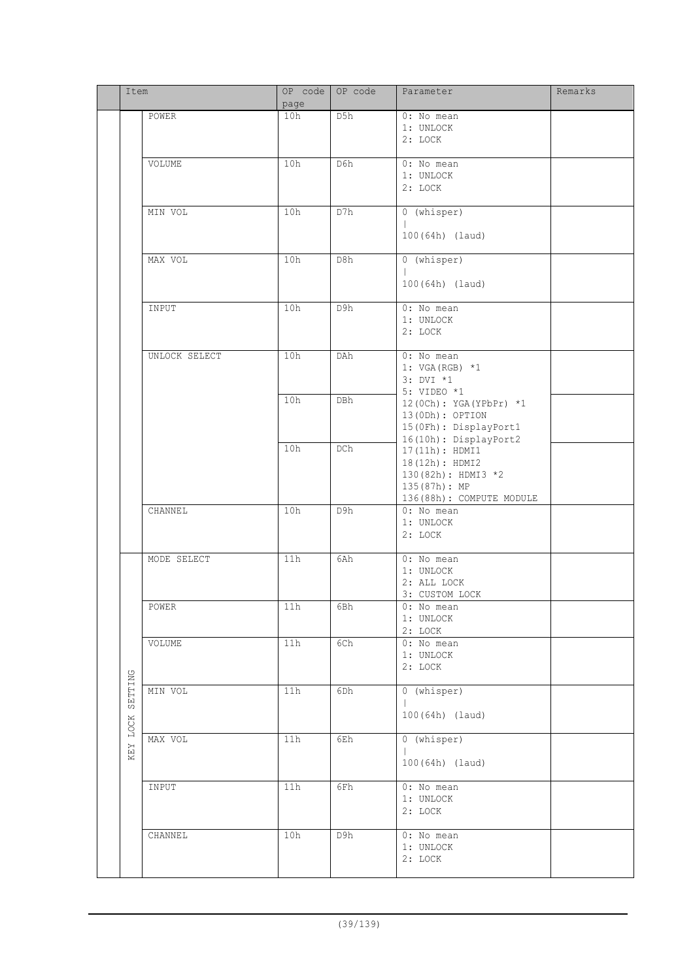|                 | Item          |       | OP code OP code | Parameter                                                                                          | Remarks |
|-----------------|---------------|-------|-----------------|----------------------------------------------------------------------------------------------------|---------|
|                 |               | page  |                 |                                                                                                    |         |
|                 | POWER         | 10h   | D5h             | 0: No mean<br>1: UNLOCK<br>2: LOCK                                                                 |         |
|                 | VOLUME        | 10h   | D6h             | 0: No mean<br>1: UNLOCK<br>2: LOCK                                                                 |         |
|                 | MIN VOL       | 10h   | D7h             | 0 (whisper)<br>100(64h) (laud)                                                                     |         |
|                 | MAX VOL       | 10h   | D8h             | 0 (whisper)<br>100(64h) (laud)                                                                     |         |
|                 | INPUT         | 10h   | D9h             | 0: No mean<br>1: UNLOCK<br>2: LOCK                                                                 |         |
|                 | UNLOCK SELECT | 10h   | DAh             | 0: No mean<br>1: VGA (RGB) $*1$<br>$3: DVI *1$<br>5: VIDEO *1                                      |         |
|                 |               | 10h   | DBh             | 12 (0Ch): YGA (YPbPr) *1<br>13 (ODh) : OPTION<br>15 (OFh) : DisplayPort1<br>16(10h): DisplayPort2  |         |
|                 |               | 10h   | DCh             | 17(11h): HDMI1<br>18(12h): HDMI2<br>130(82h): HDMI3 *2<br>135(87h): MP<br>136(88h): COMPUTE MODULE |         |
|                 | CHANNEL       | 10h   | D9h             | 0: No mean<br>1: UNLOCK<br>2: LOCK                                                                 |         |
|                 | MODE SELECT   | 11h   | 6Ah             | 0: No mean<br>1: UNLOCK<br>2: ALL LOCK<br>3: CUSTOM LOCK                                           |         |
|                 | POWER         | $11h$ | 6Bh             | $0:$ No mean<br>1: UNLOCK<br>2: LOCK                                                               |         |
|                 | VOLUME        | 11h   | 6Ch             | 0: No mean<br>1: UNLOCK<br>2: LOCK                                                                 |         |
| SETTING<br>LOCK | MIN VOL       | 11h   | 6Dh             | 0 (whisper)<br>100(64h) (laud)                                                                     |         |
| KEY             | MAX VOL       | 11h   | 6Eh             | 0 (whisper)<br>100(64h) (laud)                                                                     |         |
|                 | INPUT         | 11h   | 6Fh             | 0: No mean<br>1: UNLOCK<br>2: LOCK                                                                 |         |
|                 | CHANNEL       | 10h   | D9h             | 0: No mean<br>1: UNLOCK<br>2: LOCK                                                                 |         |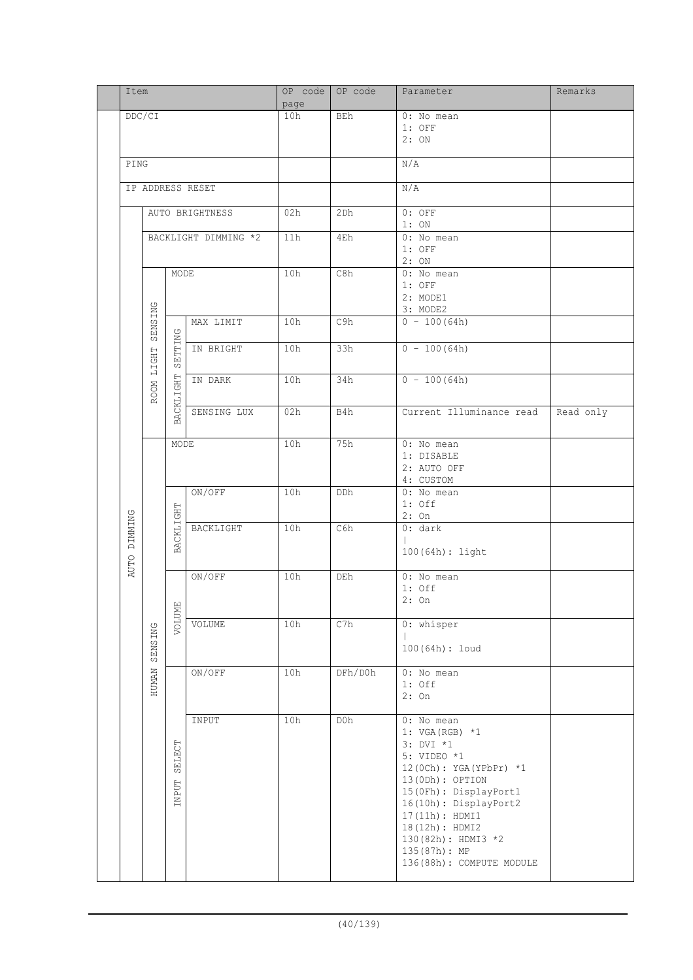|  | Item                   |              |                        |                      | OP code<br>page | OP code | Parameter                                                                                                                                                                                                                                                          | Remarks   |                                   |  |
|--|------------------------|--------------|------------------------|----------------------|-----------------|---------|--------------------------------------------------------------------------------------------------------------------------------------------------------------------------------------------------------------------------------------------------------------------|-----------|-----------------------------------|--|
|  |                        | DDC/CI       |                        |                      | 10h             | BEh     | 0: No mean<br>$1:$ OFF<br>2:ON                                                                                                                                                                                                                                     |           |                                   |  |
|  |                        | PING         |                        |                      |                 |         | N/A                                                                                                                                                                                                                                                                |           |                                   |  |
|  |                        |              |                        | IP ADDRESS RESET     |                 |         | N/A                                                                                                                                                                                                                                                                |           |                                   |  |
|  |                        |              |                        | AUTO BRIGHTNESS      | 02h             | 2Dh     | $0:$ OFF<br>1:ON                                                                                                                                                                                                                                                   |           |                                   |  |
|  |                        |              |                        | BACKLIGHT DIMMING *2 | 11h             | 4Eh     | $0: No$ mean<br>$1:$ OFF<br>2:ON                                                                                                                                                                                                                                   |           |                                   |  |
|  |                        |              | MODE                   |                      | 10h             | C8h     | 0: No mean<br>$1:$ OFF<br>2: MODE1<br>3: MODE2                                                                                                                                                                                                                     |           |                                   |  |
|  |                        | SENSING      |                        | MAX LIMIT            | 10h             | C9h     | $0 - 100(64h)$                                                                                                                                                                                                                                                     |           |                                   |  |
|  |                        | LIGHT        | SETTING                | IN BRIGHT            | 10h             | 33h     | $0 - 100(64h)$                                                                                                                                                                                                                                                     |           |                                   |  |
|  |                        | <b>ROOM</b>  | BACKLIGHT              | IN DARK              | 10h             | 34h     | $0 - 100(64h)$                                                                                                                                                                                                                                                     |           |                                   |  |
|  |                        |              |                        | SENSING LUX          | 02h             | B4h     | Current Illuminance read                                                                                                                                                                                                                                           | Read only |                                   |  |
|  |                        |              | MODE                   |                      | 10h             | 75h     | 0: No mean<br>1: DISABLE<br>2: AUTO OFF<br>4: CUSTOM                                                                                                                                                                                                               |           |                                   |  |
|  |                        |              |                        | ON/OFF               | 10h             | DDh     | 0: No mean<br>$1:$ Off<br>$2:$ On                                                                                                                                                                                                                                  |           |                                   |  |
|  | DIMMING<br><b>AUTO</b> | SENSING      | BACKLIGHT              | BACKLIGHT            | 10h             | C6h     | 0: dark<br>100(64h): light                                                                                                                                                                                                                                         |           |                                   |  |
|  |                        |              |                        |                      |                 | ON/OFF  | 10h                                                                                                                                                                                                                                                                | DEh       | 0: No mean<br>$1:$ Off<br>$2:$ On |  |
|  |                        |              | VOLUME                 | VOLUME               | 10h             | C7h     | 0: whisper<br>100(64h): loud                                                                                                                                                                                                                                       |           |                                   |  |
|  |                        | <b>HUMAN</b> |                        | ON/OFF               | 10h             | DFh/D0h | 0: No mean<br>$1:$ Off<br>$2:$ On                                                                                                                                                                                                                                  |           |                                   |  |
|  |                        |              | SELECT<br><b>INPUT</b> | INPUT                | 10h             | D0h     | 0: No mean<br>1: VGA (RGB) $*1$<br>3: DVI *1<br>5: VIDEO *1<br>12 (0Ch): YGA (YPbPr) *1<br>13(0Dh): OPTION<br>15(0Fh): DisplayPort1<br>16(10h): DisplayPort2<br>17(11h): HDMI1<br>18(12h): HDMI2<br>130(82h): HDMI3 *2<br>135(87h): MP<br>136(88h): COMPUTE MODULE |           |                                   |  |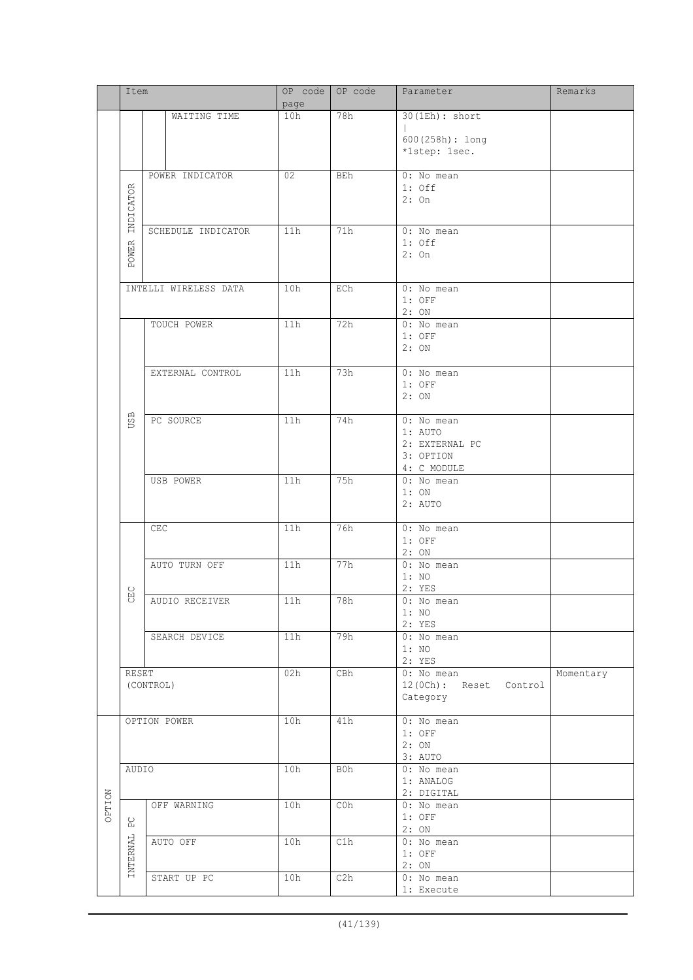|        | Item                   |                       | OP code<br>page | OP code | Parameter                                                           | Remarks   |
|--------|------------------------|-----------------------|-----------------|---------|---------------------------------------------------------------------|-----------|
|        |                        | WAITING TIME          | 10h             | 78h     | 30(1Eh): short<br>600(258h): long<br>*1step: 1sec.                  |           |
|        | INDICATOR              | POWER INDICATOR       | 02              | BEh     | 0: No mean<br>$1:$ Off<br>2:On                                      |           |
|        | OWER<br>$\mathbf{p}_1$ | SCHEDULE INDICATOR    | 11h             | 71h     | 0: No mean<br>$1:$ Off<br>$2:$ On                                   |           |
|        |                        | INTELLI WIRELESS DATA | 10h             | ECh     | 0: No mean<br>$1:$ OFF<br>2:ON                                      |           |
|        |                        | TOUCH POWER           | 11h             | 72h     | 0: No mean<br>$1:$ OFF<br>2:ON                                      |           |
|        |                        | EXTERNAL CONTROL      | 11h             | 73h     | 0: No mean<br>$1:$ OFF<br>2:ON                                      |           |
|        | USB                    | PC SOURCE             | 11h             | 74h     | 0: No mean<br>1: AUTO<br>2: EXTERNAL PC<br>3: OPTION<br>4: C MODULE |           |
|        |                        | USB POWER             | 11h             | 75h     | 0: No mean<br>1:ON<br>2: AUTO                                       |           |
|        |                        | CEC                   | 11h             | 76h     | 0: No mean<br>$1:$ OFF<br>2:ON                                      |           |
|        | $_{\rm H}^{\rm C}$     | AUTO TURN OFF         | 11h             | 77h     | 0: No mean<br>1:NO<br>2: YES                                        |           |
|        | $\circ$                | AUDIO RECEIVER        | 11h             | 78h     | $0:$ No mean<br>1:NO<br>2: YES                                      |           |
|        |                        | SEARCH DEVICE         | 11h             | 79h     | 0: No mean<br>1:NO<br>2: YES                                        |           |
|        | RESET                  | (CONTROL)             | 02h             | CBh     | 0: No mean<br>12 (OCh): Reset Control<br>Category                   | Momentary |
|        |                        | OPTION POWER          | 10h             | 41h     | 0: No mean<br>$1:$ OFF<br>2:ON<br>3: AUTO                           |           |
|        | AUDIO                  |                       | 10h             | B0h     | 0: No mean<br>1: ANALOG<br>2: DIGITAL                               |           |
| NOLLAD | $_{\rm P}^{\rm C}$     | OFF WARNING           | 10h             | C0h     | 0: No mean<br>$1:$ OFF<br>2:ON                                      |           |
|        | INTERNAL               | AUTO OFF              | 10h             | C1h     | 0: No mean<br>$1:$ OFF<br>2:ON                                      |           |
|        |                        | START UP PC           | 10h             | C2h     | 0: No mean<br>1: Execute                                            |           |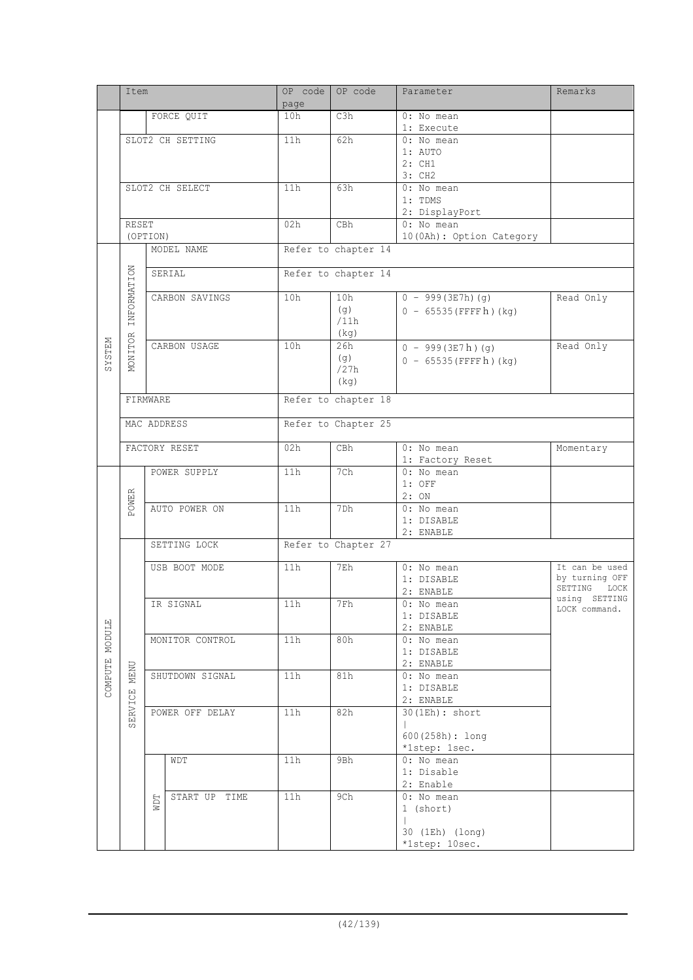|               | Item             |                 |                 | OP code<br>page | OP code             | Parameter                        | Remarks                          |
|---------------|------------------|-----------------|-----------------|-----------------|---------------------|----------------------------------|----------------------------------|
|               |                  |                 | FORCE QUIT      | 10h             | C3h                 | 0: No mean                       |                                  |
|               |                  |                 |                 |                 |                     | 1: Execute                       |                                  |
|               | SLOT2 CH SETTING |                 |                 | 11h             | 62h                 | 0: No mean<br>1: AUTO            |                                  |
|               |                  |                 |                 |                 |                     | 2:CH1                            |                                  |
|               |                  |                 |                 |                 |                     | 3: CH2                           |                                  |
|               |                  |                 | SLOT2 CH SELECT | 11h             | 63h                 | 0: No mean                       |                                  |
|               |                  |                 |                 |                 |                     | 1: TDMS                          |                                  |
|               |                  |                 |                 |                 |                     | 2: DisplayPort                   |                                  |
|               | <b>RESET</b>     |                 |                 | 02h             | CBh                 | 0: No mean                       |                                  |
|               |                  | (OPTION)        | MODEL NAME      |                 | Refer to chapter 14 | 10 (OAh) : Option Category       |                                  |
|               |                  |                 |                 |                 |                     |                                  |                                  |
|               |                  |                 | SERIAL          |                 | Refer to chapter 14 |                                  |                                  |
|               | INFORMATION      |                 |                 |                 |                     |                                  |                                  |
|               |                  |                 | CARBON SAVINGS  | 10h             | 10h                 | $0 - 999(3E7h)(g)$               | Read Only                        |
|               |                  |                 |                 |                 | (g)                 | $0 - 65535$ (FFFFh) (kg)         |                                  |
|               |                  |                 |                 |                 | /11h                |                                  |                                  |
|               | MONITOR          |                 | CARBON USAGE    | 10h             | (kg)<br>26h         |                                  | Read Only                        |
| <b>NRLSTS</b> |                  |                 |                 |                 | (q)                 | $0 - 999(3E7h)(g)$               |                                  |
|               |                  |                 |                 |                 | /27h                | $0 - 65535$ (FFFFh) (kg)         |                                  |
|               |                  |                 |                 |                 | (kg)                |                                  |                                  |
|               | FIRMWARE         |                 |                 |                 | Refer to chapter 18 |                                  |                                  |
|               |                  |                 |                 |                 |                     |                                  |                                  |
|               |                  |                 | MAC ADDRESS     |                 | Refer to Chapter 25 |                                  |                                  |
|               |                  |                 |                 |                 |                     |                                  |                                  |
|               |                  |                 | FACTORY RESET   | 02h             | CBh                 | 0: No mean                       | Momentary                        |
|               |                  |                 |                 | 11h             | 7Ch                 | 1: Factory Reset<br>$0:$ No mean |                                  |
|               |                  |                 | POWER SUPPLY    |                 |                     | $1:$ OFF                         |                                  |
|               |                  |                 |                 |                 |                     | 2:ON                             |                                  |
|               | POWER            |                 | AUTO POWER ON   | 11h             | 7Dh                 | 0: No mean                       |                                  |
|               |                  |                 |                 |                 |                     | 1: DISABLE                       |                                  |
|               |                  |                 |                 |                 |                     | 2: ENABLE                        |                                  |
|               |                  | SETTING LOCK    |                 |                 | Refer to Chapter 27 |                                  |                                  |
|               |                  |                 | USB BOOT MODE   | 11h             | 7Eh                 | 0: No mean                       | It can be used                   |
|               |                  |                 |                 |                 |                     | 1: DISABLE                       | by turning OFF                   |
|               |                  |                 |                 |                 |                     | 2: ENABLE                        | SETTING<br>LOCK<br>using SETTING |
|               |                  |                 | IR SIGNAL       | $11h$           | 7Fh                 | 0: No mean                       | LOCK command.                    |
|               |                  |                 |                 |                 |                     | 1: DISABLE<br>2: ENABLE          |                                  |
| MODULE        |                  |                 | MONITOR CONTROL | 11h             | 80h                 | 0: No mean                       |                                  |
|               |                  |                 |                 |                 |                     | 1: DISABLE                       |                                  |
| COMPUTE       |                  |                 |                 |                 |                     | 2: ENABLE                        |                                  |
|               | <b>MENU</b>      |                 | SHUTDOWN SIGNAL | 11h             | 81h                 | 0: No mean                       |                                  |
|               |                  |                 |                 |                 |                     | 1: DISABLE                       |                                  |
|               | SERVICE          | POWER OFF DELAY |                 | 11h             | 82h                 | 2: ENABLE<br>$30$ (1Eh) : short  |                                  |
|               |                  |                 |                 |                 |                     | L                                |                                  |
|               |                  |                 |                 |                 |                     | $600(258h):$ long                |                                  |
|               |                  |                 |                 |                 |                     | *1step: 1sec.                    |                                  |
|               |                  |                 | WDT             | 11h             | 9Bh                 | 0: No mean                       |                                  |
|               |                  |                 |                 |                 |                     | 1: Disable                       |                                  |
|               |                  |                 | START UP TIME   | 11h             | 9Ch                 | 2: Enable<br>0: No mean          |                                  |
|               |                  | NDT             |                 |                 |                     | 1 (short)                        |                                  |
|               |                  |                 |                 |                 |                     | L                                |                                  |
|               |                  |                 |                 |                 |                     | 30 (1Eh) (long)                  |                                  |
|               |                  |                 |                 |                 |                     | *1step: 10sec.                   |                                  |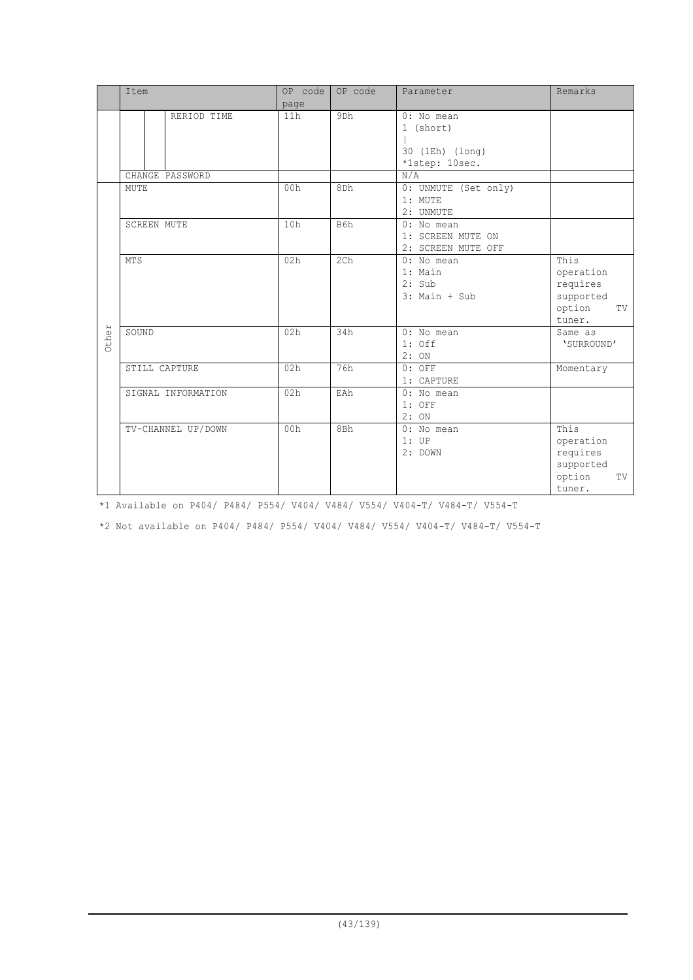|       | Item               | OP code<br>page | OP code         | Parameter                                                    | Remarks                                                              |
|-------|--------------------|-----------------|-----------------|--------------------------------------------------------------|----------------------------------------------------------------------|
|       | RERIOD TIME        | 11h             | 9 <sub>Dh</sub> | 0: No mean<br>1 (short)<br>30 (1Eh) (long)<br>*1step: 10sec. |                                                                      |
|       | CHANGE PASSWORD    |                 |                 | N/A                                                          |                                                                      |
|       | MUTE               | 00h             | 8Dh             | 0: UNMUTE (Set only)<br>1: MUTE<br>2: UNMUTE                 |                                                                      |
|       | <b>SCREEN MUTE</b> | 10h             | B6h             | 0: No mean<br>1: SCREEN MUTE ON<br>2: SCREEN MUTE OFF        |                                                                      |
|       | <b>MTS</b>         | 02h             | 2 <sub>ch</sub> | $0:$ No mean<br>1: Main<br>2: Sub<br>$3:$ Main + Sub         | This<br>operation<br>requires<br>supported<br>option<br>TV<br>tuner. |
| Other | SOUND              | 02h             | 34h             | 0: No mean<br>$1:$ Off<br>2:ON                               | Same as<br>'SURROUND'                                                |
|       | STILL CAPTURE      | 02h             | 76h             | $0:$ OFF<br>1: CAPTURE                                       | Momentary                                                            |
|       | SIGNAL INFORMATION | 02h             | EAh             | $0:$ No mean<br>$1:$ OFF<br>2:ON                             |                                                                      |
|       | TV-CHANNEL UP/DOWN | 00h             | 8Bh             | $0:$ No mean<br>1:UP<br>2: DOWN                              | This<br>operation<br>requires<br>supported<br>option<br>TV<br>tuner. |

\*1 Available on P404/ P484/ P554/ V404/ V484/ V554/ V404-T/ V484-T/ V554-T

\*2 Not available on P404/ P484/ P554/ V404/ V484/ V554/ V404-T/ V484-T/ V554-T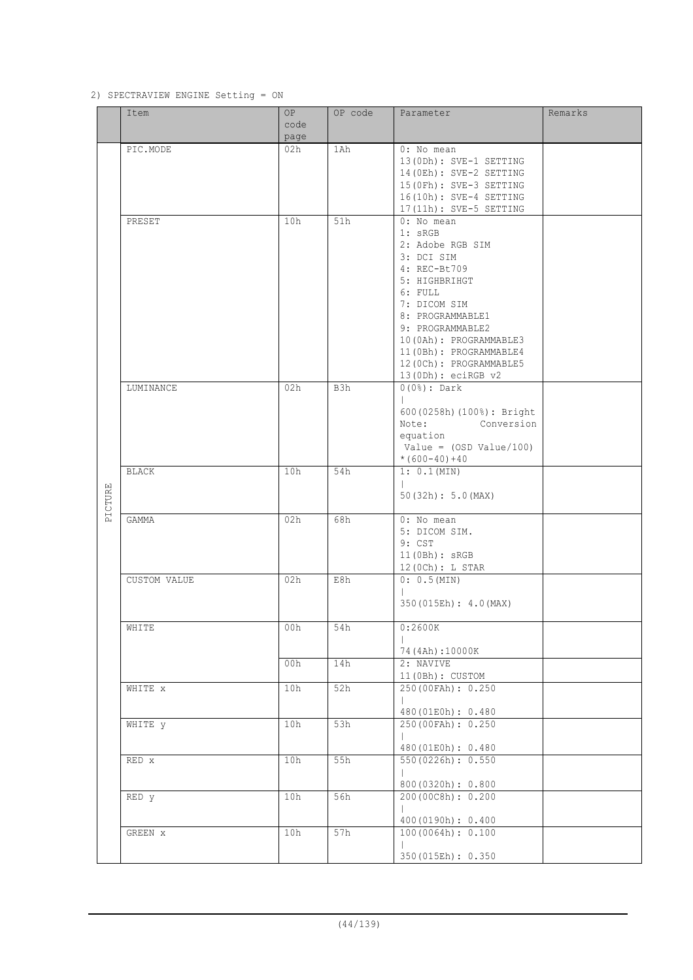#### 2) SPECTRAVIEW ENGINE Setting = ON

|         | Item           | OP.  | OP code | Parameter                   | Remarks |
|---------|----------------|------|---------|-----------------------------|---------|
|         |                | code |         |                             |         |
|         |                | page |         |                             |         |
|         | PIC.MODE       | 02h  | 1Ah     | 0: No mean                  |         |
|         |                |      |         | 13(ODh): SVE-1 SETTING      |         |
|         |                |      |         | 14 (OEh) : SVE-2 SETTING    |         |
|         |                |      |         | 15 (OFh) : SVE-3 SETTING    |         |
|         |                |      |         | 16(10h): SVE-4 SETTING      |         |
|         |                |      |         | 17(11h): SVE-5 SETTING      |         |
|         | PRESET         | 10h  | 51h     | 0: No mean                  |         |
|         |                |      |         | $1:$ sRGB                   |         |
|         |                |      |         | 2: Adobe RGB SIM            |         |
|         |                |      |         | 3: DCI SIM                  |         |
|         |                |      |         | 4: REC-Bt709                |         |
|         |                |      |         | 5: HIGHBRIHGT               |         |
|         |                |      |         | 6: FULL                     |         |
|         |                |      |         | 7: DICOM SIM                |         |
|         |                |      |         | 8: PROGRAMMABLE1            |         |
|         |                |      |         | 9: PROGRAMMABLE2            |         |
|         |                |      |         | 10 (OAh): PROGRAMMABLE3     |         |
|         |                |      |         | 11 (OBh): PROGRAMMABLE4     |         |
|         |                |      |         | 12 (OCh): PROGRAMMABLE5     |         |
|         |                |      |         | 13 (0Dh) : eciRGB v2        |         |
|         | LUMINANCE      | 02h  | B3h     | $0(0*)$ : Dark              |         |
|         |                |      |         | $\mathbb{L}$                |         |
|         |                |      |         | 600 (0258h) (100%) : Bright |         |
|         |                |      |         | Note:<br>Conversion         |         |
|         |                |      |         | equation                    |         |
|         |                |      |         | Value = $(OSD Value / 100)$ |         |
|         |                |      |         | $*(600-40)+40$              |         |
|         | <b>BLACK</b>   | 10h  | 54h     | 1: 0.1 (MIN)                |         |
|         |                |      |         | $\mathbf{L}$                |         |
|         |                |      |         | 50(32h): 5.0(MAX)           |         |
| PICTURE |                |      |         |                             |         |
|         | GAMMA          | 02h  | 68h     | 0: No mean                  |         |
|         |                |      |         | 5: DICOM SIM.               |         |
|         |                |      |         | 9: CST                      |         |
|         |                |      |         | 11(0Bh): sRGB               |         |
|         |                |      |         | 12 (0Ch) : L STAR           |         |
|         | CUSTOM VALUE   | 02h  | E8h     | 0: 0.5 (MIN)                |         |
|         |                |      |         | $\mathbf{L}$                |         |
|         |                |      |         | 350 (015Eh) : 4.0 (MAX)     |         |
|         |                |      |         |                             |         |
|         | WHITE          | 00h  | 54h     | 0:2600K                     |         |
|         |                |      |         |                             |         |
|         |                |      |         | 74 (4Ah):10000K             |         |
|         |                | 00h  | 14h     | 2: NAVIVE                   |         |
|         |                |      |         | 11 (OBh) : CUSTOM           |         |
|         | WHITE X        | 10h  | 52h     | 250 (00FAh): 0.250          |         |
|         |                |      |         | $\mathbb{L}$                |         |
|         |                |      |         | 480 (01E0h): 0.480          |         |
|         | WHITE <b>y</b> | 10h  | 53h     | 250 (00FAh): 0.250          |         |
|         |                |      |         | $\mathbb{L}$                |         |
|         |                |      |         | 480 (01E0h): 0.480          |         |
|         | RED x          | 10h  | 55h     | 550 (0226h): 0.550          |         |
|         |                |      |         |                             |         |
|         |                |      |         | 800(0320h): 0.800           |         |
|         | RED y          | 10h  | 56h     | 200 (00C8h): 0.200          |         |
|         |                |      |         | $\mathbf{L}$                |         |
|         |                |      |         | 400(0190h): 0.400           |         |
|         | GREEN X        | 10h  | 57h     | 100(0064h): 0.100           |         |
|         |                |      |         |                             |         |
|         |                |      |         | 350 (015Eh): 0.350          |         |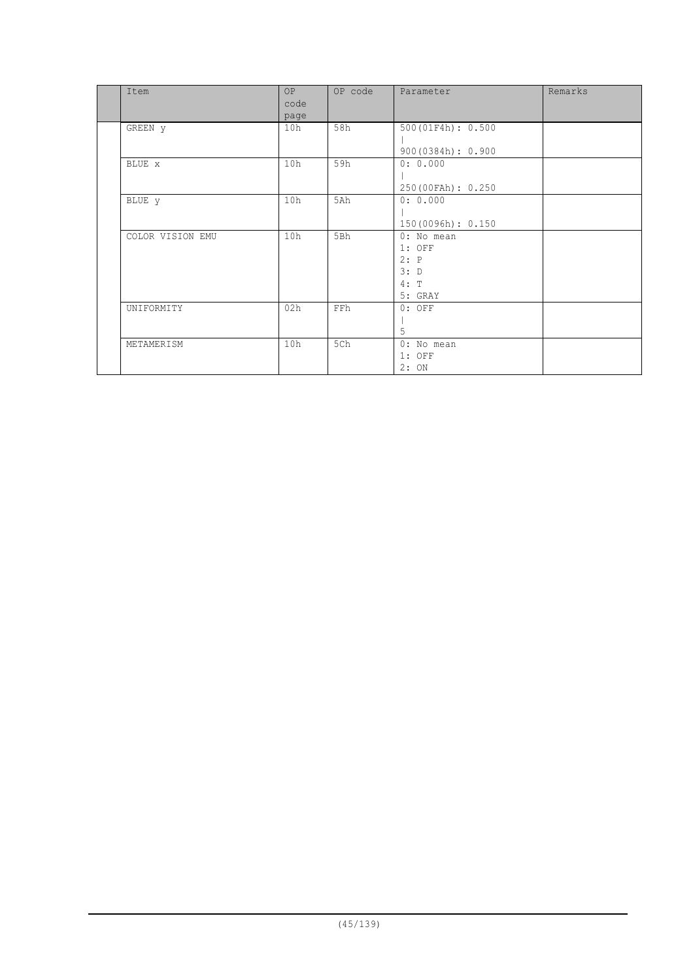| Item             | <b>OP</b><br>code<br>page | OP code    | Parameter                                                 | Remarks |
|------------------|---------------------------|------------|-----------------------------------------------------------|---------|
| GREEN y          | 10h                       | 58h        | 500(01F4h): 0.500<br>900(0384h): 0.900                    |         |
| BLUE x           | 10h                       | 59h        | 0: 0.000<br>250 (00FAh): 0.250                            |         |
| BLUE y           | 10h                       | 5Ah        | 0: 0.000<br>150(0096h): 0.150                             |         |
| COLOR VISION EMU | 10h                       | 5Bh        | 0: No mean<br>$1:$ OFF<br>2: P<br>3: D<br>4: T<br>5: GRAY |         |
| UNIFORMITY       | 02h                       | <b>FFh</b> | $0:$ OFF<br>5                                             |         |
| METAMERISM       | 10h                       | 5Ch        | 0: No mean<br>$1:$ OFF<br>2:ON                            |         |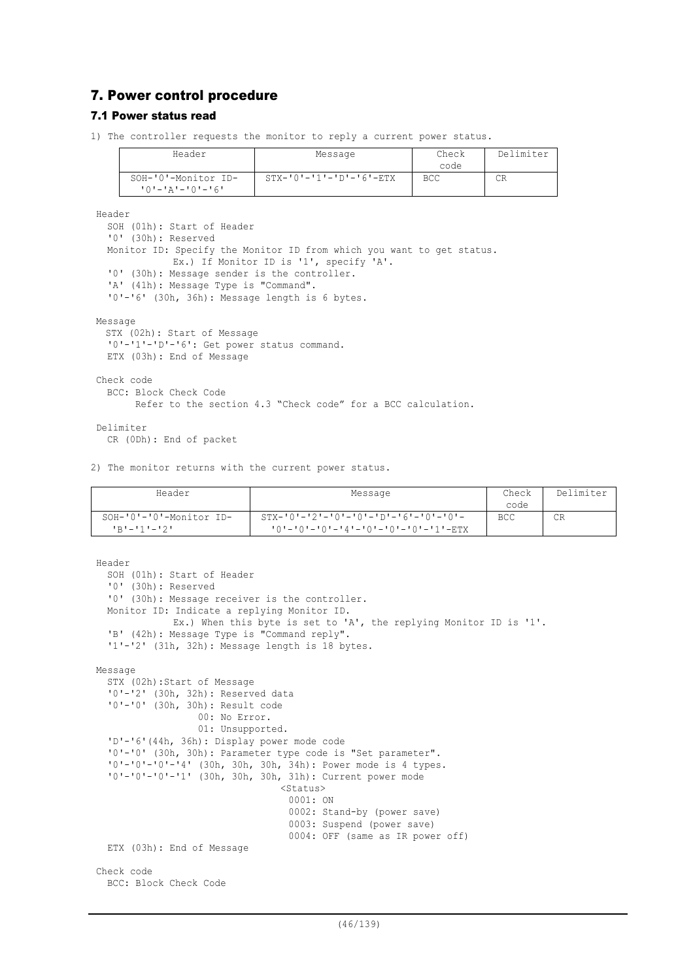# 7. Power control procedure

#### 7.1 Power status read

1) The controller requests the monitor to reply a current power status.

| Header                  | Message                             | Check | Delimiter |
|-------------------------|-------------------------------------|-------|-----------|
|                         |                                     | code  |           |
| SOH-'0'-Monitor ID-     | $STX - '0' - '1' - 'D' - '6' - ETX$ | BCC   |           |
| $101 - 121 - 101 - 161$ |                                     |       |           |

Header

```
SOH (01h): Start of Header
  '0' (30h): Reserved
  Monitor ID: Specify the Monitor ID from which you want to get status.
             Ex.) If Monitor ID is '1', specify 'A'.
  '0' (30h): Message sender is the controller.
  'A' (41h): Message Type is "Command".
  '0'-'6' (30h, 36h): Message length is 6 bytes.
Message
 STX (02h): Start of Message
  '0'-'1'-'D'-'6': Get power status command.
 ETX (03h): End of Message
Check code
  BCC: Block Check Code
       Refer to the section 4.3 "Check code" for a BCC calculation.
Delimiter
```
CR (0Dh): End of packet

2) The monitor returns with the current power status.

| Header                                 | Message                                                                                      | Check<br>code | Delimiter |
|----------------------------------------|----------------------------------------------------------------------------------------------|---------------|-----------|
| SOH-'0'-'0'-Monitor ID-<br>コロナーエキューエクエ | $STX - 10 - 2 - 10 - 10 - 10 - 10 - 16 - 10 - 10 - 1$<br>'0'-'0'-'0'-'4'-'0'-'0'-'0'-'1'-ETX | <b>BCC</b>    | CR        |

```
Header
  SOH (01h): Start of Header
  '0' (30h): Reserved
  '0' (30h): Message receiver is the controller.
  Monitor ID: Indicate a replying Monitor ID.
             Ex.) When this byte is set to 'A', the replying Monitor ID is '1'.
  'B' (42h): Message Type is "Command reply".
  '1'-'2' (31h, 32h): Message length is 18 bytes.
Message
  STX (02h):Start of Message
  '0'-'2' (30h, 32h): Reserved data
  '0'-'0' (30h, 30h): Result code
                  00: No Error.
                  01: Unsupported.
  'D'-'6'(44h, 36h): Display power mode code
  '0'-'0' (30h, 30h): Parameter type code is "Set parameter".
  '0'-'0'-'0'-'4' (30h, 30h, 30h, 34h): Power mode is 4 types.
  '0'-'0'-'0'-'1' (30h, 30h, 30h, 31h): Current power mode
                                 <Status>0001: ON
                                  0002: Stand-by (power save)
                                  0003: Suspend (power save)
                                  0004: OFF (same as IR power off)
  ETX (03h): End of Message
Check code
  BCC: Block Check Code
```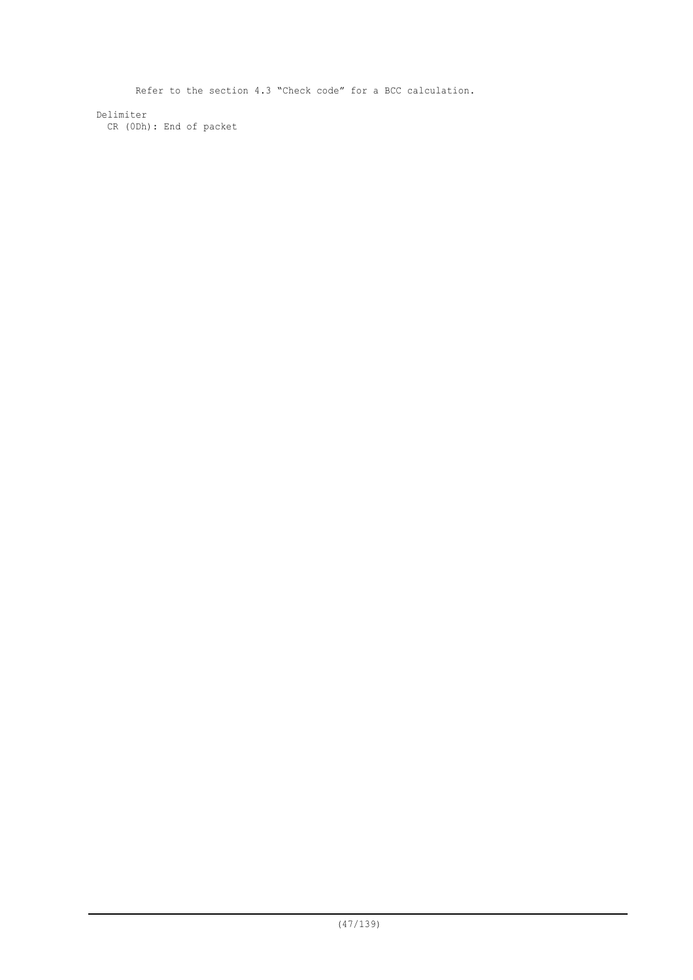Refer to the section 4.3 "Check code" for a BCC calculation. Delimiter CR (0Dh): End of packet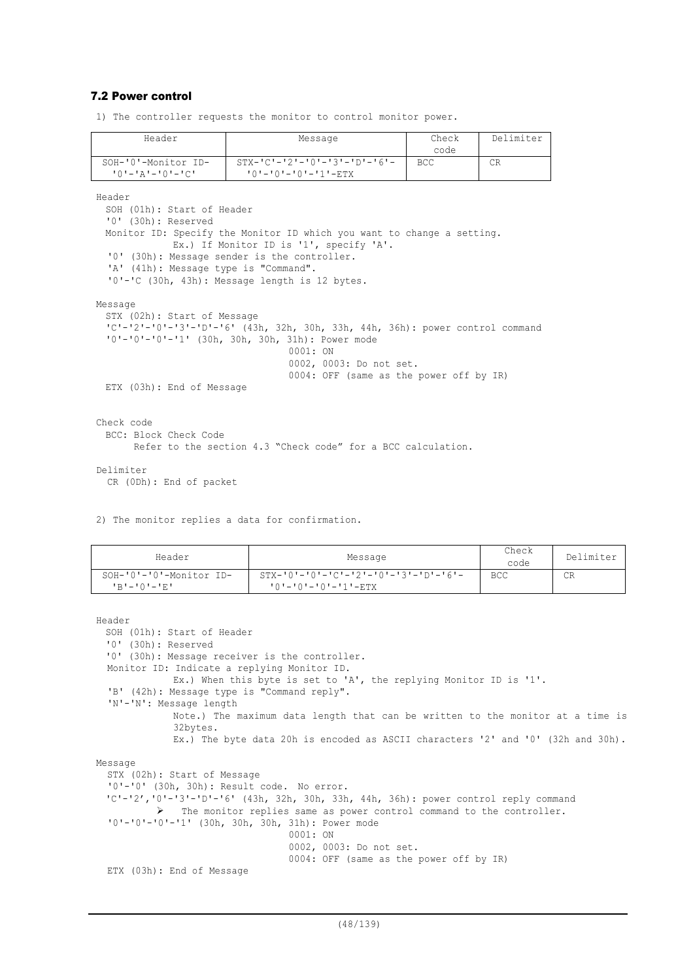#### 7.2 Power control

1) The controller requests the monitor to control monitor power.

| Header                                | Message                                                                       | Check      | Delimiter |
|---------------------------------------|-------------------------------------------------------------------------------|------------|-----------|
|                                       |                                                                               | code       |           |
| SOH-'0'-Monitor ID-                   | $STX - TC = 121 - T01 - T31 - T01 - T61 -$                                    | <b>BCC</b> | CR.       |
| $101 - 121 - 101 - 101$               | $101 - 101 - 101 - 111 - ETX$                                                 |            |           |
|                                       |                                                                               |            |           |
| Header                                |                                                                               |            |           |
| SOH (01h): Start of Header            |                                                                               |            |           |
| '0' (30h): Reserved                   |                                                                               |            |           |
|                                       | Monitor ID: Specify the Monitor ID which you want to change a setting.        |            |           |
|                                       | Ex.) If Monitor ID is '1', specify 'A'.                                       |            |           |
|                                       | '0' (30h): Message sender is the controller.                                  |            |           |
| 'A' (41h): Message type is "Command". |                                                                               |            |           |
|                                       | '0'-'C (30h, 43h): Message length is 12 bytes.                                |            |           |
|                                       |                                                                               |            |           |
| Message                               |                                                                               |            |           |
| STX (02h): Start of Message           |                                                                               |            |           |
|                                       | 'C'-'2'-'0'-'3'-'D'-'6' (43h, 32h, 30h, 33h, 44h, 36h): power control command |            |           |
|                                       | '0'-'0'-'0'-'1' (30h, 30h, 30h, 31h): Power mode                              |            |           |
|                                       | 0001:ON                                                                       |            |           |
|                                       | 0002, 0003: Do not set.                                                       |            |           |
|                                       |                                                                               |            |           |
|                                       | 0004: OFF (same as the power off by IR)                                       |            |           |
| ETX (03h): End of Message             |                                                                               |            |           |
|                                       |                                                                               |            |           |
|                                       |                                                                               |            |           |
| Check code                            |                                                                               |            |           |
| BCC: Block Check Code                 |                                                                               |            |           |
|                                       | Refer to the section 4.3 "Check code" for a BCC calculation.                  |            |           |
|                                       |                                                                               |            |           |
| Delimiter                             |                                                                               |            |           |

CR (0Dh): End of packet

2) The monitor replies a data for confirmation.

| Header                                         | Message                                                                        | Check<br>code | Delimiter |
|------------------------------------------------|--------------------------------------------------------------------------------|---------------|-----------|
| SOH-'0'-'0'-Monitor ID-<br>$P = P - P - P = P$ | $STX - '0' - '0' - 'C' - '2' - '0' - '3' - 'D' - '6' -$<br>'0'-'0'-'0'-'1'-ETX | <b>BCC</b>    | CR        |

```
Header
 SOH (01h): Start of Header
 '0' (30h): Reserved
 '0' (30h): Message receiver is the controller.
 Monitor ID: Indicate a replying Monitor ID.
              Ex.) When this byte is set to 'A', the replying Monitor ID is '1'.
  'B' (42h): Message type is "Command reply".
  'N'-'N': Message length
             Note.) The maximum data length that can be written to the monitor at a time is
             32bytes.
             Ex.) The byte data 20h is encoded as ASCII characters '2' and '0' (32h and 30h).
Message
  STX (02h): Start of Message
  '0'-'0' (30h, 30h): Result code. No error.
  'C'-'2','0'-'3'-'D'-'6' (43h, 32h, 30h, 33h, 44h, 36h): power control reply command
           The monitor replies same as power control command to the controller.
  '0'-'0'-'0'-'1' (30h, 30h, 30h, 31h): Power mode
                                  0001: ON
                                  0002, 0003: Do not set.
                                  0004: OFF (same as the power off by IR)
  ETX (03h): End of Message
```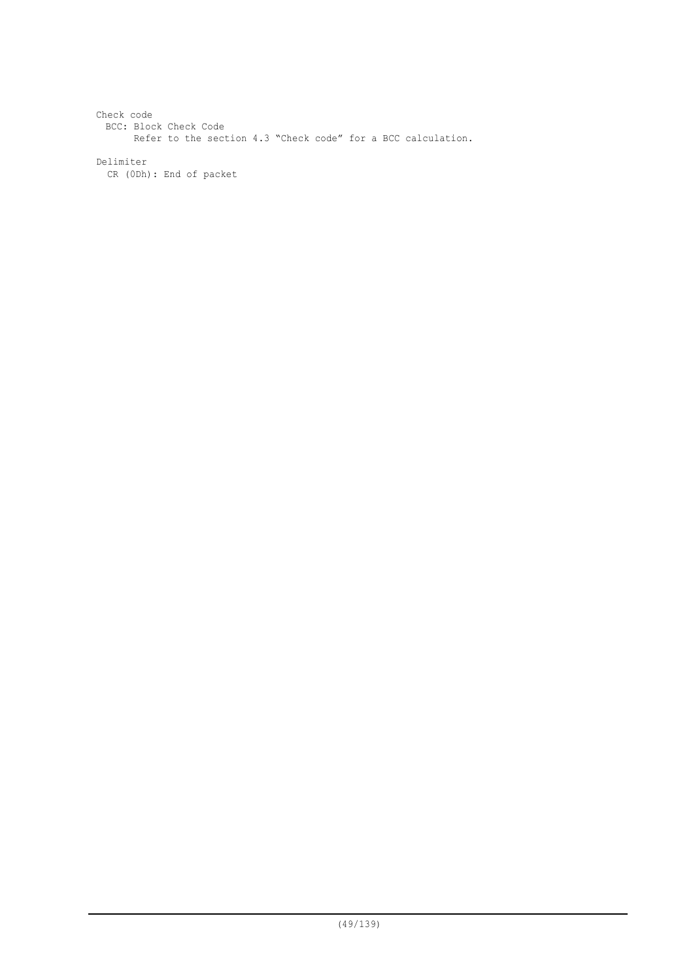```
Check code
 BCC: Block Check Code
       Refer to the section 4.3 "Check code" for a BCC calculation.
Delimiter
 CR (0Dh): End of packet
```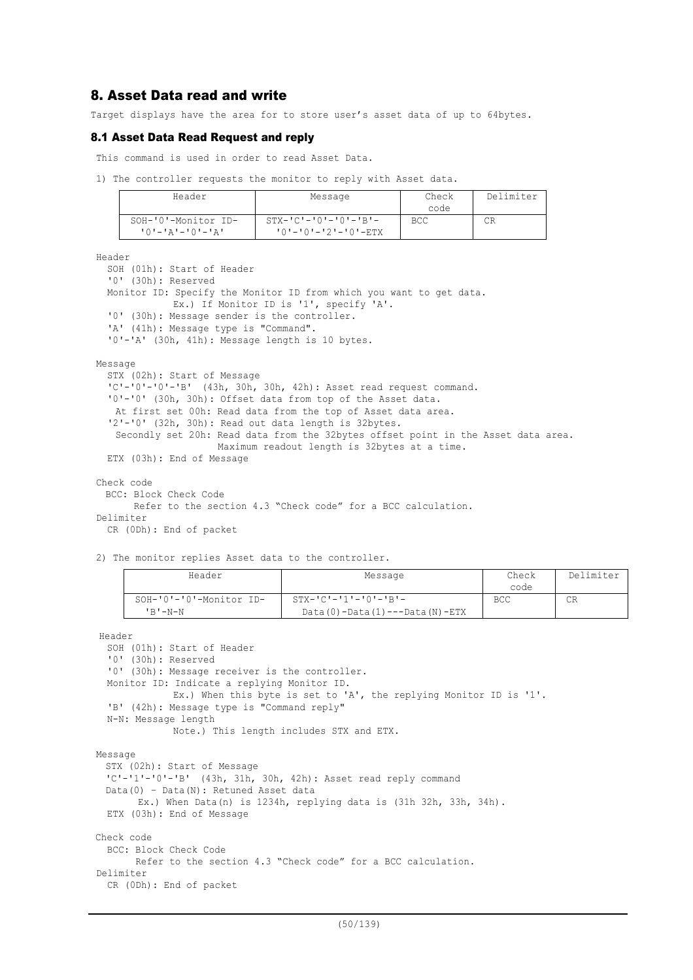# 8. Asset Data read and write

Target displays have the area for to store user's asset data of up to 64bytes.

#### 8.1 Asset Data Read Request and reply

This command is used in order to read Asset Data.

1) The controller requests the monitor to reply with Asset data.

| Header                                 | Message                                                | Check<br>code | Delimiter |
|----------------------------------------|--------------------------------------------------------|---------------|-----------|
| SOH-'0'-Monitor ID-<br>10'-'A'-'0'-'A' | $STX - 'C' - '0' - '0' - 'B' -$<br>'0'-'0'-'2'-'0'-ETX | <b>BCC</b>    |           |

Header

```
SOH (01h): Start of Header
  '0' (30h): Reserved
  Monitor ID: Specify the Monitor ID from which you want to get data.
             Ex.) If Monitor ID is '1', specify 'A'.
  '0' (30h): Message sender is the controller.
  'A' (41h): Message type is "Command".
  '0'-'A' (30h, 41h): Message length is 10 bytes.
Message
  STX (02h): Start of Message
  'C'-'0'-'0'-'B' (43h, 30h, 30h, 42h): Asset read request command.
  '0'-'0' (30h, 30h): Offset data from top of the Asset data.
   At first set 00h: Read data from the top of Asset data area.
  '2'-'0' (32h, 30h): Read out data length is 32bytes.
   Secondly set 20h: Read data from the 32bytes offset point in the Asset data area.
                     Maximum readout length is 32bytes at a time.
  ETX (03h): End of Message
Check code
 BCC: Block Check Code
       Refer to the section 4.3 "Check code" for a BCC calculation.
Delimiter
```
CR (0Dh): End of packet

2) The monitor replies Asset data to the controller.

| Header                                | Message                                                                      | Check<br>code | Delimiter |
|---------------------------------------|------------------------------------------------------------------------------|---------------|-----------|
| SOH-'0'-'0'-Monitor ID-<br>$'$ B'-N-N | $STX - 'C' - '1' - '0' - 'B' -$<br>Data $(0)$ -Data $(1)$ ---Data $(N)$ -ETX | BCC           | СR        |

Header

```
SOH (01h): Start of Header
  '0' (30h): Reserved
  '0' (30h): Message receiver is the controller.
 Monitor ID: Indicate a replying Monitor ID.
             Ex.) When this byte is set to 'A', the replying Monitor ID is '1'.
  'B' (42h): Message type is "Command reply"
  N-N: Message length
             Note.) This length includes STX and ETX.
Message
 STX (02h): Start of Message
  'C'-'1'-'0'-'B' (43h, 31h, 30h, 42h): Asset read reply command
 Data(0) – Data(N): Retuned Asset data
       Ex.) When Data(n) is 1234h, replying data is (31h 32h, 33h, 34h).
 ETX (03h): End of Message
Check code
  BCC: Block Check Code
        Refer to the section 4.3 "Check code" for a BCC calculation.
Delimiter
 CR (0Dh): End of packet
```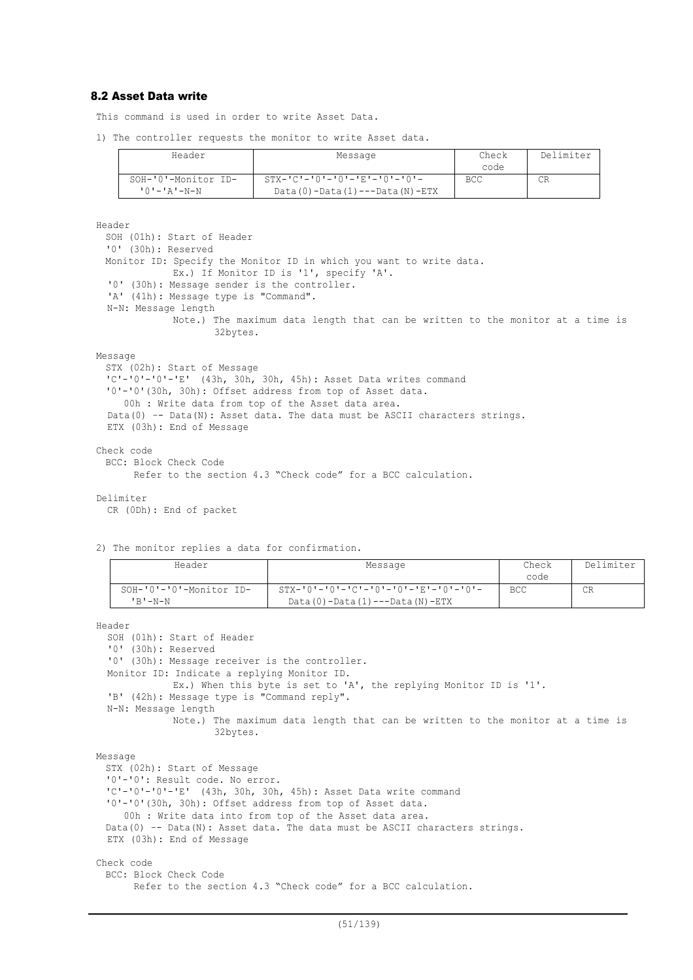## 8.2 Asset Data write

This command is used in order to write Asset Data.

1) The controller requests the monitor to write Asset data.

| Header                                     | Message                                                                              | Check<br>code | Delimiter |
|--------------------------------------------|--------------------------------------------------------------------------------------|---------------|-----------|
| SOH-'0'-Monitor ID-<br>$101 - 121 - N - N$ | $STX - 'C' - '0' - '0' - 'E' - '0' - '0' -$<br>$Data(0) - Data(1) --- Data(N) - ETX$ | <b>BCC</b>    | CR        |

Header

```
SOH (01h): Start of Header
'0' (30h): Reserved
Monitor ID: Specify the Monitor ID in which you want to write data.
           Ex.) If Monitor ID is '1', specify 'A'.
'0' (30h): Message sender is the controller.
'A' (41h): Message type is "Command".
N-N: Message length
           Note.) The maximum data length that can be written to the monitor at a time is
                   32bytes.
```
#### Message

```
STX (02h): Start of Message
'C'-'0'-'0'-'E' (43h, 30h, 30h, 45h): Asset Data writes command
'0'-'0'(30h, 30h): Offset address from top of Asset data.
  00h : Write data from top of the Asset data area.
Data(0) –- Data(N): Asset data. The data must be ASCII characters strings.
ETX (03h): End of Message
```
## Check code

```
BCC: Block Check Code
```

```
 Refer to the section 4.3 "Check code" for a BCC calculation.
```
#### Delimiter

CR (0Dh): End of packet

2) The monitor replies a data for confirmation.

| Header                  | Message                                   | Check      | Delimiter |
|-------------------------|-------------------------------------------|------------|-----------|
|                         |                                           | code       |           |
| SOH-'0'-'0'-Monitor ID- |                                           | <b>BCC</b> | CR        |
| 'B'-N-N                 | Data $(0)$ -Data $(1)$ ---Data $(N)$ -ETX |            |           |

Header

```
SOH (01h): Start of Header
  '0' (30h): Reserved
  '0' (30h): Message receiver is the controller.
  Monitor ID: Indicate a replying Monitor ID.
             Ex.) When this byte is set to 'A', the replying Monitor ID is '1'.
  'B' (42h): Message type is "Command reply".
  N-N: Message length
             Note.) The maximum data length that can be written to the monitor at a time is
                    32bytes.
Message
 STX (02h): Start of Message
  '0'-'0': Result code. No error.
  'C'-'0'-'0'-'E' (43h, 30h, 30h, 45h): Asset Data write command
  '0'-'0'(30h, 30h): Offset address from top of Asset data.
```
00h : Write data into from top of the Asset data area.

Data(0) -- Data(N): Asset data. The data must be ASCII characters strings.

ETX (03h): End of Message

## Check code

BCC: Block Check Code

Refer to the section 4.3 "Check code" for a BCC calculation.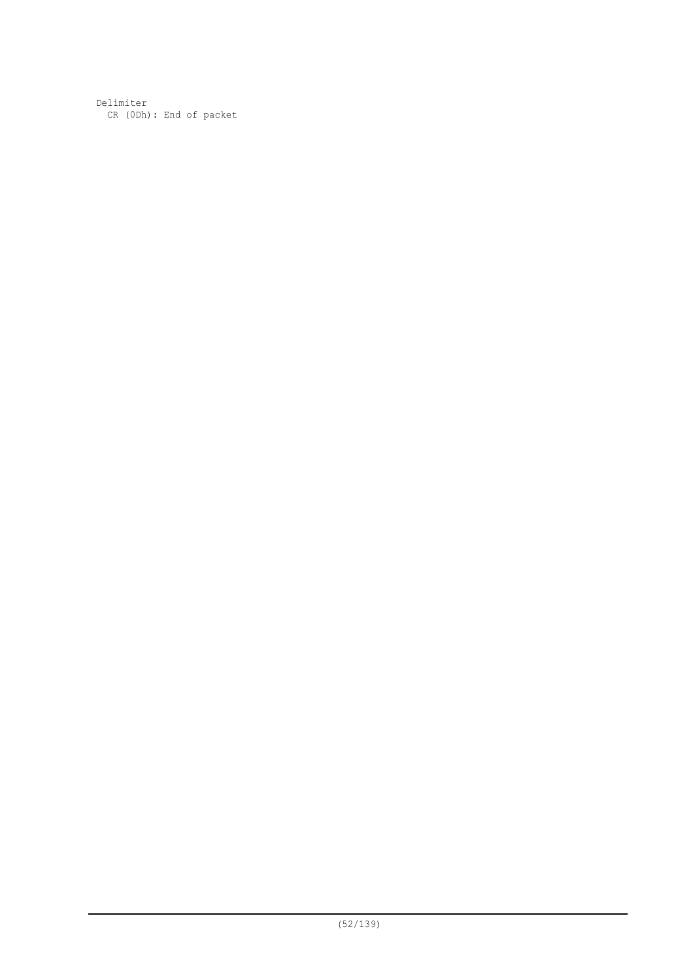Delimiter CR (0Dh): End of packet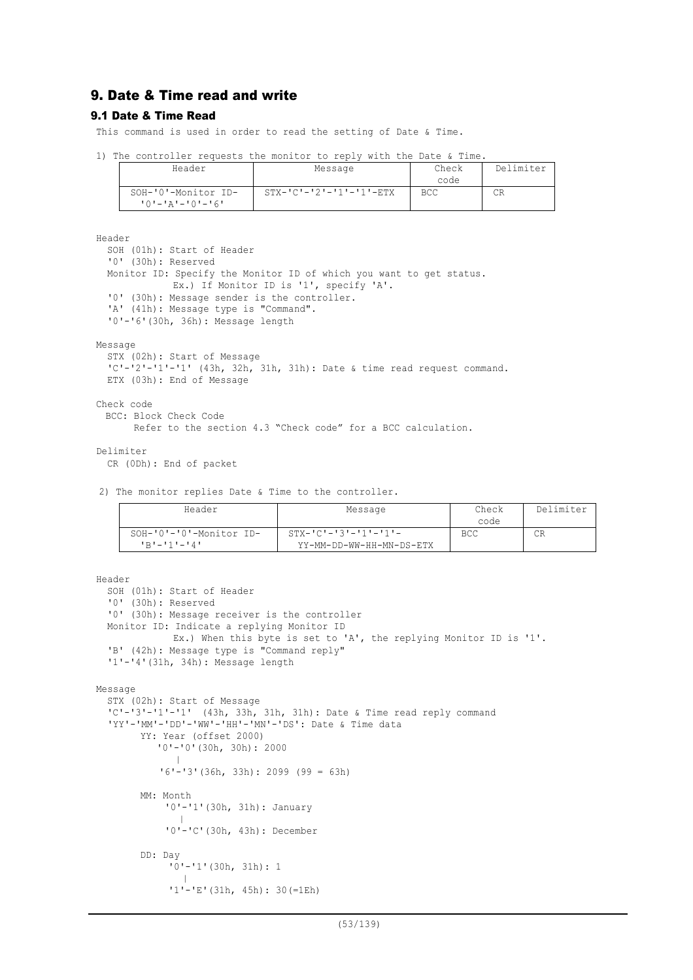# 9. Date & Time read and write

#### 9.1 Date & Time Read

This command is used in order to read the setting of Date & Time.

|  | 1) The controller requests the monitor to reply with the Date & Time. |  |  |  |  |  |
|--|-----------------------------------------------------------------------|--|--|--|--|--|
|  |                                                                       |  |  |  |  |  |

| Header                                         | Message                             | Check<br>code | Delimiter |
|------------------------------------------------|-------------------------------------|---------------|-----------|
| SOH-'0'-Monitor ID-<br>$101 - 121 - 101 - 161$ | $STX - 'C' - '2' - '1' - '1' - ETX$ | BCC           | СR        |

Header

```
SOH (01h): Start of Header
  '0' (30h): Reserved
  Monitor ID: Specify the Monitor ID of which you want to get status.
             Ex.) If Monitor ID is '1', specify 'A'.
  '0' (30h): Message sender is the controller.
  'A' (41h): Message type is "Command".
  '0'-'6'(30h, 36h): Message length
Message
  STX (02h): Start of Message
  'C'-'2'-'1'-'1' (43h, 32h, 31h, 31h): Date & time read request command.
 ETX (03h): End of Message
Check code
 BCC: Block Check Code
       Refer to the section 4.3 "Check code" for a BCC calculation.
```
Delimiter

```
CR (0Dh): End of packet
```
2) The monitor replies Date & Time to the controller.

| Header                                         | Message                                                     | Check<br>code | Delimiter |
|------------------------------------------------|-------------------------------------------------------------|---------------|-----------|
| $SOH-101-101-Monitor$ ID-<br>$1R1 - 111 - 141$ | $STX - 'C' - '3' - '1' - '1' -$<br>YY-MM-DD-WW-HH-MN-DS-ETX | <b>BCC</b>    | СR        |

```
Header
```

```
SOH (01h): Start of Header
  '0' (30h): Reserved
  '0' (30h): Message receiver is the controller
  Monitor ID: Indicate a replying Monitor ID
             Ex.) When this byte is set to 'A', the replying Monitor ID is '1'.
  'B' (42h): Message type is "Command reply"
  '1'-'4'(31h, 34h): Message length
Message
  STX (02h): Start of Message
  'C'-'3'-'1'-'1' (43h, 33h, 31h, 31h): Date & Time read reply command
  'YY'-'MM'-'DD'-'WW'-'HH'-'MN'-'DS': Date & Time data
       YY: Year (offset 2000)
            '0'-'0'(30h, 30h): 2000
         |
           '6'-'3'(36h, 33h): 2099 (99 = 63h)
       MM: Month
            '0'-'1'(30h, 31h): January
               |
            '0'-'C'(30h, 43h): December
       DD: Day
             '0'-'1'(30h, 31h): 1
               |
             '1'-'E'(31h, 45h): 30(=1Eh)
```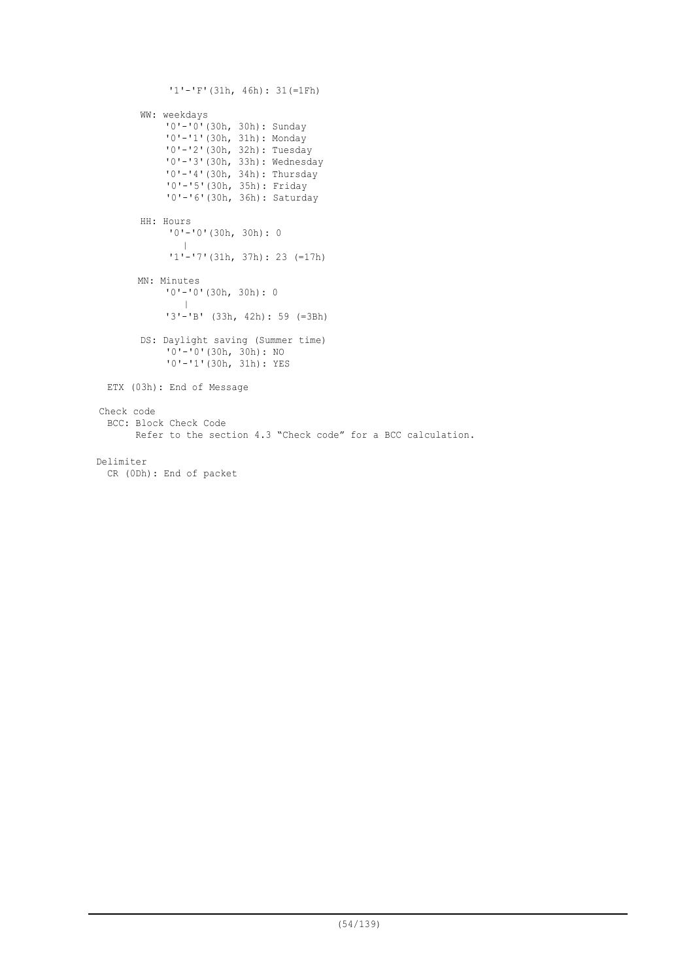```
'1'-'F'(31h, 46h): 31(=1Fh)
        WW: weekdays
             '0'-'0'(30h, 30h): Sunday
             '0'-'1'(30h, 31h): Monday
             '0'-'2'(30h, 32h): Tuesday
             '0'-'3'(30h, 33h): Wednesday
            '0'-'4'(30h, 34h): Thursday
             '0'-'5'(30h, 35h): Friday
             '0'-'6'(30h, 36h): Saturday
        HH: Hours
             '0'-'0'(30h, 30h): 0
                |
              '1'-'7'(31h, 37h): 23 (=17h)
       MN: Minutes
            '0'-'0'(30h, 30h): 0
               \blacksquare'3'-'B' (33h, 42h): 59 (=3Bh)
        DS: Daylight saving (Summer time)
            10' - 10' (30h, 30h): NO
             '0'-'1'(30h, 31h): YES
 ETX (03h): End of Message
Check code
 BCC: Block Check Code
        Refer to the section 4.3 "Check code" for a BCC calculation.
Delimiter
 CR (0Dh): End of packet
```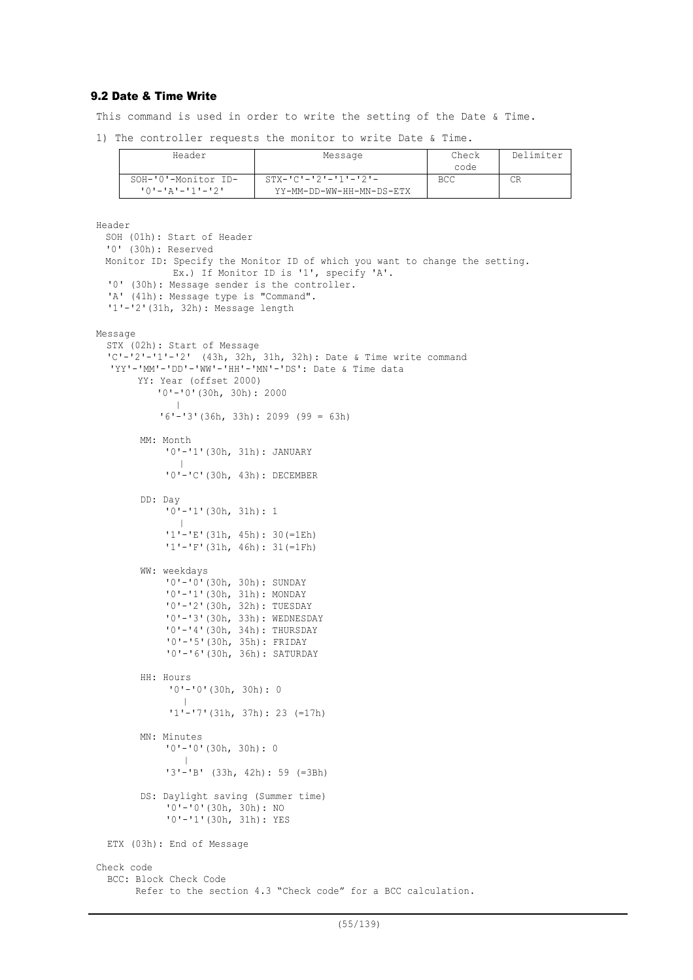## 9.2 Date & Time Write

This command is used in order to write the setting of the Date & Time.

1) The controller requests the monitor to write Date & Time.

| Header                  | Message                    | Check | Delimiter |
|-------------------------|----------------------------|-------|-----------|
|                         |                            | code  |           |
| SOH-'0'-Monitor ID-     | $STX - IC - 2 = 11 - 21 -$ | BCC   | СR        |
| <u> '0'-'A'-'1'-'2'</u> | YY-MM-DD-WW-HH-MN-DS-ETX   |       |           |

```
Header
 SOH (01h): Start of Header
  '0' (30h): Reserved
 Monitor ID: Specify the Monitor ID of which you want to change the setting.
             Ex.) If Monitor ID is '1', specify 'A'.
  '0' (30h): Message sender is the controller.
  'A' (41h): Message type is "Command".
  '1'-'2'(31h, 32h): Message length
Message
  STX (02h): Start of Message
  'C'-'2'-'1'-'2' (43h, 32h, 31h, 32h): Date & Time write command
  'YY'-'MM'-'DD'-'WW'-'HH'-'MN'-'DS': Date & Time data
       YY: Year (offset 2000)
            '0'-'0'(30h, 30h): 2000
         |
           '6'-'3'(36h, 33h): 2099 (99 = 63h)
        MM: Month
            '0'-'1'(30h, 31h): JANUARY
               |
            '0'-'C'(30h, 43h): DECEMBER
        DD: Day
            '0'-'1'(30h, 31h): 1
               |
            '1'-'E'(31h, 45h): 30(=1Eh)
            '1'-'F'(31h, 46h): 31(=1Fh)
        WW: weekdays
            '0'-'0'(30h, 30h): SUNDAY
             '0'-'1'(30h, 31h): MONDAY
             '0'-'2'(30h, 32h): TUESDAY
            '0'-'3'(30h, 33h): WEDNESDAY
            '0'-'4'(30h, 34h): THURSDAY
            '0'-'5'(30h, 35h): FRIDAY
            '0'-'6'(30h, 36h): SATURDAY
        HH: Hours
            '0'-'0'(30h, 30h): 0
                |
             '1'-'7'(31h, 37h): 23 (=17h)
        MN: Minutes
            '0'-'0'(30h, 30h): 0
                |
            '3'-'B' (33h, 42h): 59 (=3Bh)
        DS: Daylight saving (Summer time)
            '0'-'0'(30h, 30h): NO
            '0'-'1'(30h, 31h): YES
 ETX (03h): End of Message
Check code
 BCC: Block Check Code
       Refer to the section 4.3 "Check code" for a BCC calculation.
```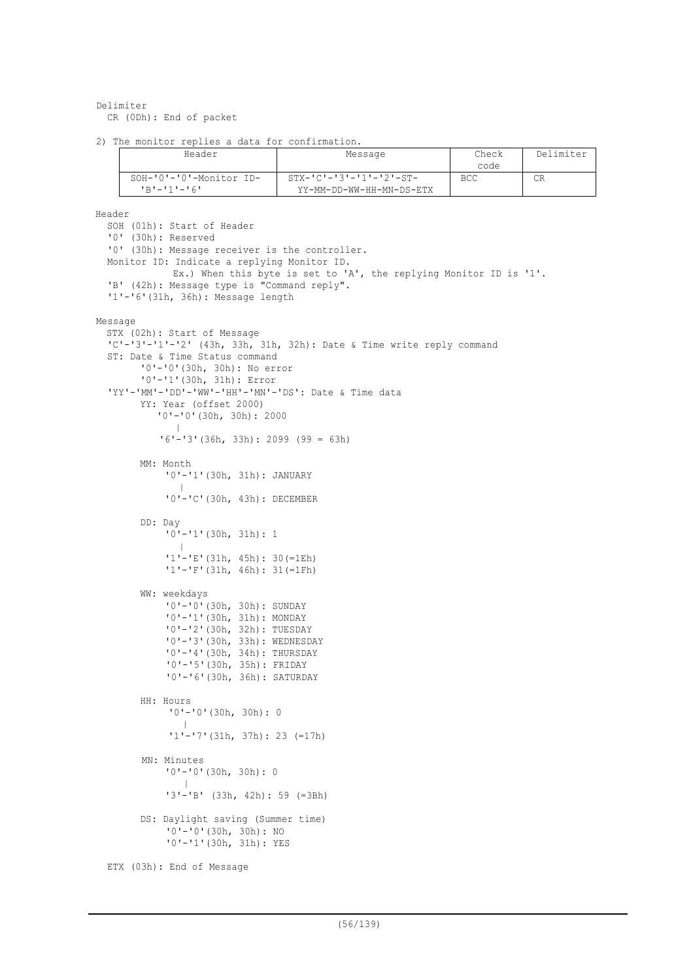```
Delimiter
  CR (0Dh): End of packet
```

```
2) The monitor replies a data for confirmation.
```

| Header                  | Message                              | Check | Delimiter |
|-------------------------|--------------------------------------|-------|-----------|
|                         |                                      | code  |           |
| SOH-'0'-'0'-Monitor ID- | $STX - 'C' - '3' - '1' - '2' - ST -$ | BCC.  | CR        |
| $1R1 - 111 - 161$       | YY-MM-DD-WW-HH-MN-DS-ETX             |       |           |

```
Header
```

```
SOH (01h): Start of Header
  '0' (30h): Reserved
  '0' (30h): Message receiver is the controller.
  Monitor ID: Indicate a replying Monitor ID.
             Ex.) When this byte is set to 'A', the replying Monitor ID is '1'.
  'B' (42h): Message type is "Command reply".
  '1'-'6'(31h, 36h): Message length
Message
  STX (02h): Start of Message
  'C'-'3'-'1'-'2' (43h, 33h, 31h, 32h): Date & Time write reply command
  ST: Date & Time Status command
        '0'-'0'(30h, 30h): No error
        '0'-'1'(30h, 31h): Error
  'YY'-'MM'-'DD'-'WW'-'HH'-'MN'-'DS': Date & Time data
       YY: Year (offset 2000)
            '0'-'0'(30h, 30h): 2000
         |
            '6'-'3'(36h, 33h): 2099 (99 = 63h)
        MM: Month
            '0'-'1'(30h, 31h): JANUARY
               |
             '0'-'C'(30h, 43h): DECEMBER
        DD: Day
            10^{1} - 11'(30h, 31h): 1
               |
             '1'-'E'(31h, 45h): 30(=1Eh)
            '1'-'F'(31h, 46h): 31(=1Fh)
        WW: weekdays
            '0'-'0'(30h, 30h): SUNDAY
            '0'-'1'(30h, 31h): MONDAY
            '0'-'2'(30h, 32h): TUESDAY
             '0'-'3'(30h, 33h): WEDNESDAY
             '0'-'4'(30h, 34h): THURSDAY
            '0'-'5'(30h, 35h): FRIDAY
            '0'-'6'(30h, 36h): SATURDAY
        HH: Hours
             '0'-'0'(30h, 30h): 0
                |
              '1'-'7'(31h, 37h): 23 (=17h)
        MN: Minutes
            '0'-'0'(30h, 30h): 0
              |
             '3'-'B' (33h, 42h): 59 (=3Bh)
        DS: Daylight saving (Summer time)
            '0'-'0'(30h, 30h): NO
            '0'-'1'(30h, 31h): YES
  ETX (03h): End of Message
```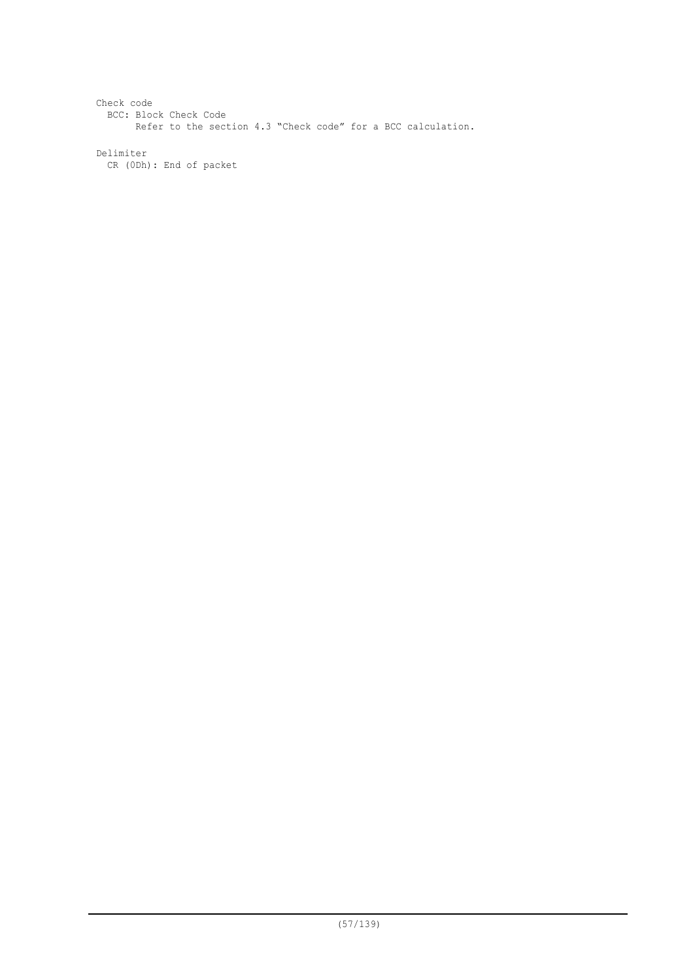Check code BCC: Block Check Code Refer to the section 4.3 "Check code" for a BCC calculation. Delimiter CR (0Dh): End of packet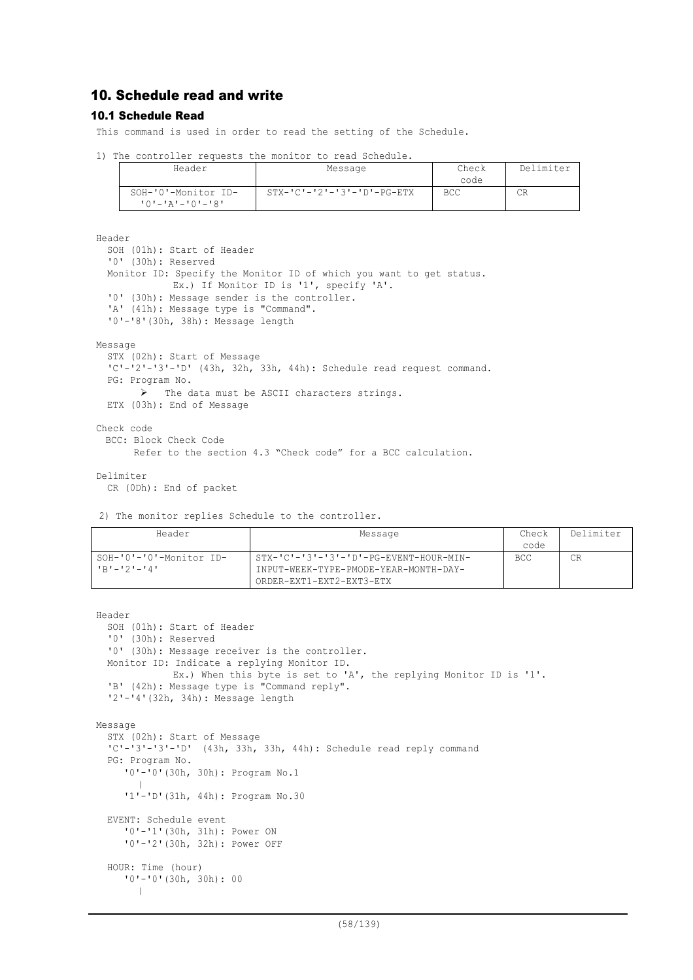# 10. Schedule read and write

#### 10.1 Schedule Read

This command is used in order to read the setting of the Schedule.

|  |  | 1) The controller requests the monitor to read Schedule. |  |  |  |  |  |  |
|--|--|----------------------------------------------------------|--|--|--|--|--|--|
|--|--|----------------------------------------------------------|--|--|--|--|--|--|

| Header                                           | Message                                  | Check<br>code | Delimiter |
|--------------------------------------------------|------------------------------------------|---------------|-----------|
| SOH-'0'-Monitor ID-<br>י 8' – ' 0' – ' 4' – ' 0' | $STX - 'C' - '2' - '3' - 'D' - PG - ETX$ | <b>BCC</b>    | СR        |

Header

```
SOH (01h): Start of Header
  '0' (30h): Reserved
  Monitor ID: Specify the Monitor ID of which you want to get status.
             Ex.) If Monitor ID is '1', specify 'A'.
  '0' (30h): Message sender is the controller.
  'A' (41h): Message type is "Command".
  '0'-'8'(30h, 38h): Message length
Message
  STX (02h): Start of Message
  'C'-'2'-'3'-'D' (43h, 32h, 33h, 44h): Schedule read request command.
  PG: Program No.
        \triangleright The data must be ASCII characters strings.
  ETX (03h): End of Message
```
Check code BCC: Block Check Code Refer to the section 4.3 "Check code" for a BCC calculation.

Delimiter

CR (0Dh): End of packet

```
2) The monitor replies Schedule to the controller.
```

| Header                                 | Message                                                                         | Check<br>code | Delimiter |
|----------------------------------------|---------------------------------------------------------------------------------|---------------|-----------|
| SOH-'0'-'0'-Monitor ID-<br>'B'-'2'-'4' | STX-'C'-'3'-'3'-'D'-PG-EVENT-HOUR-MIN-<br>INPUT-WEEK-TYPE-PMODE-YEAR-MONTH-DAY- | BCC           | СR        |
|                                        | ORDER-EXT1-EXT2-EXT3-ETX                                                        |               |           |

```
Header
  SOH (01h): Start of Header
  '0' (30h): Reserved
  '0' (30h): Message receiver is the controller.
  Monitor ID: Indicate a replying Monitor ID.
             Ex.) When this byte is set to 'A', the replying Monitor ID is '1'.
  'B' (42h): Message type is "Command reply".
  '2'-'4'(32h, 34h): Message length
Message
  STX (02h): Start of Message
  'C'-'3'-'3'-'D' (43h, 33h, 33h, 44h): Schedule read reply command
  PG: Program No.
     '0'-'0'(30h, 30h): Program No.1
        |
     '1'-'D'(31h, 44h): Program No.30
  EVENT: Schedule event
     '0'-'1'(30h, 31h): Power ON
     '0'-'2'(30h, 32h): Power OFF
  HOUR: Time (hour)
     '0'-'0'(30h, 30h): 00
      |
```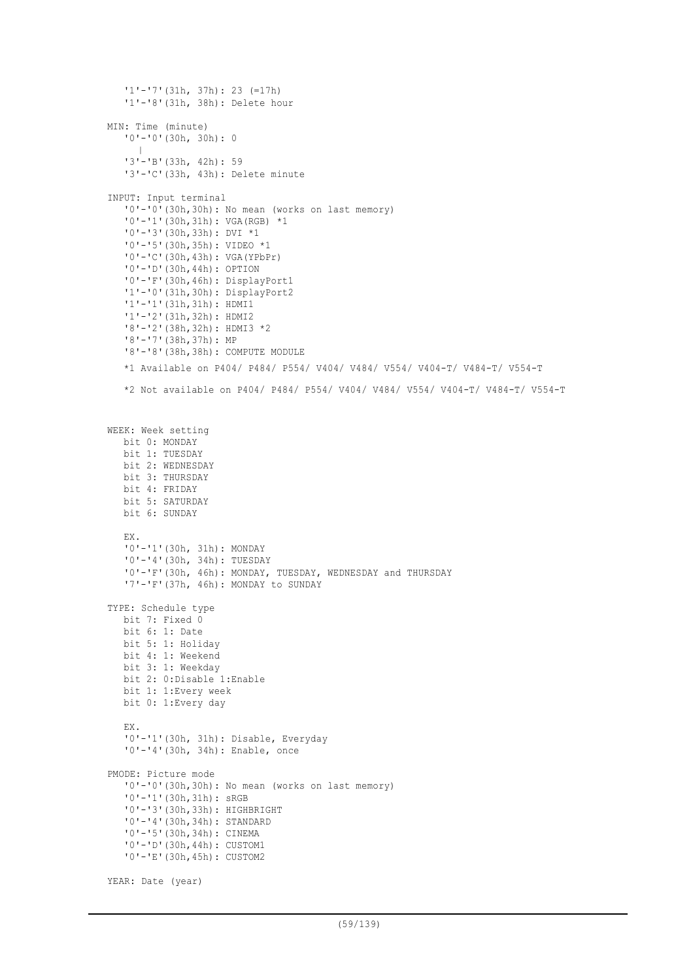```
'1'-'7'(31h, 37h): 23 (=17h)
   '1'-'8'(31h, 38h): Delete hour
MIN: Time (minute)
   '0'-'0'(30h, 30h): 0
      |
   '3'-'B'(33h, 42h): 59
   '3'-'C'(33h, 43h): Delete minute
INPUT: Input terminal
   '0'-'0'(30h,30h): No mean (works on last memory)
   '0'-'1'(30h,31h): VGA(RGB) *1
   '0'-'3'(30h,33h): DVI *1
   '0'-'5'(30h,35h): VIDEO *1
   '0'-'C'(30h,43h): VGA(YPbPr)
   '0'-'D'(30h,44h): OPTION
   '0'-'F'(30h,46h): DisplayPort1
   '1'-'0'(31h,30h): DisplayPort2
   '1'-'1'(31h,31h): HDMI1
   '1'-'2'(31h,32h): HDMI2
   '8'-'2'(38h,32h): HDMI3 *2
   '8'-'7'(38h,37h): MP
   '8'-'8'(38h,38h): COMPUTE MODULE
   *1 Available on P404/ P484/ P554/ V404/ V484/ V554/ V404-T/ V484-T/ V554-T
   *2 Not available on P404/ P484/ P554/ V404/ V484/ V554/ V404-T/ V484-T/ V554-T
WEEK: Week setting
  bit 0: MONDAY
  bit 1: TUESDAY
  bit 2: WEDNESDAY
  bit 3: THURSDAY
  bit 4: FRIDAY
  bit 5: SATURDAY
  bit 6: SUNDAY
   EX.
   '0'-'1'(30h, 31h): MONDAY
   '0'-'4'(30h, 34h): TUESDAY
   '0'-'F'(30h, 46h): MONDAY, TUESDAY, WEDNESDAY and THURSDAY
   '7'-'F'(37h, 46h): MONDAY to SUNDAY
TYPE: Schedule type
  bit 7: Fixed 0
  bit 6: 1: Date
  bit 5: 1: Holiday
  bit 4: 1: Weekend
  bit 3: 1: Weekday
  bit 2: 0:Disable 1:Enable
  bit 1: 1:Every week
  bit 0: 1:Every day
   EX.
   '0'-'1'(30h, 31h): Disable, Everyday
   '0'-'4'(30h, 34h): Enable, once
PMODE: Picture mode
   '0'-'0'(30h,30h): No mean (works on last memory)
   '0'-'1'(30h,31h): sRGB
   '0'-'3'(30h,33h): HIGHBRIGHT
   '0'-'4'(30h,34h): STANDARD
   '0'-'5'(30h,34h): CINEMA
   '0'-'D'(30h,44h): CUSTOM1
   '0'-'E'(30h,45h): CUSTOM2
```

```
YEAR: Date (year)
```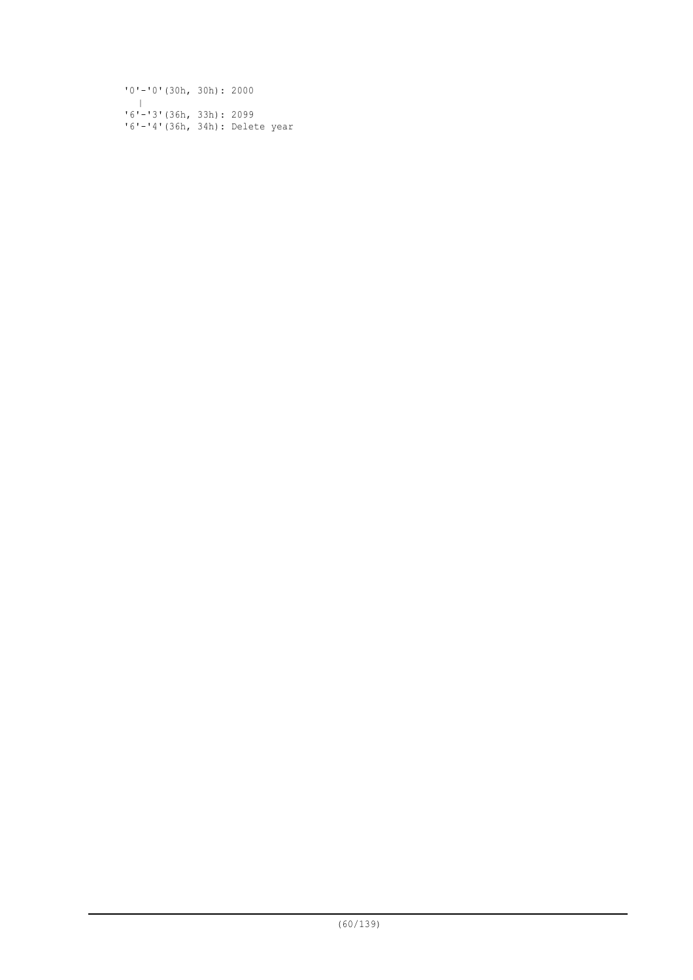'0'-'0'(30h, 30h): 2000 | '6'-'3'(36h, 33h): 2099 '6'-'4'(36h, 34h): Delete year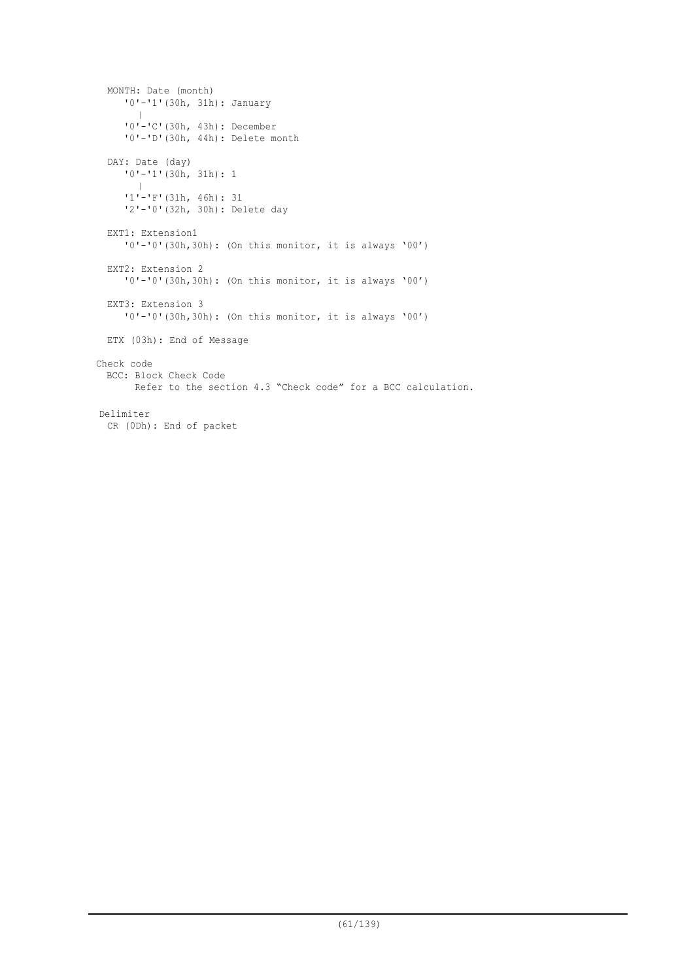```
MONTH: Date (month)
     '0'-'1'(30h, 31h): January
       \blacksquare'0'-'C'(30h, 43h): December
     '0'-'D'(30h, 44h): Delete month
  DAY: Date (day)
     '0'-'1'(30h, 31h): 1
        |
     '1'-'F'(31h, 46h): 31
     '2'-'0'(32h, 30h): Delete day
  EXT1: Extension1
     '0'-'0'(30h,30h): (On this monitor, it is always '00')
  EXT2: Extension 2
     '0'-'0'(30h,30h): (On this monitor, it is always '00')
 EXT3: Extension 3
     '0'-'0'(30h,30h): (On this monitor, it is always '00')
 ETX (03h): End of Message
Check code
 BCC: Block Check Code
       Refer to the section 4.3 "Check code" for a BCC calculation.
Delimiter
 CR (0Dh): End of packet
```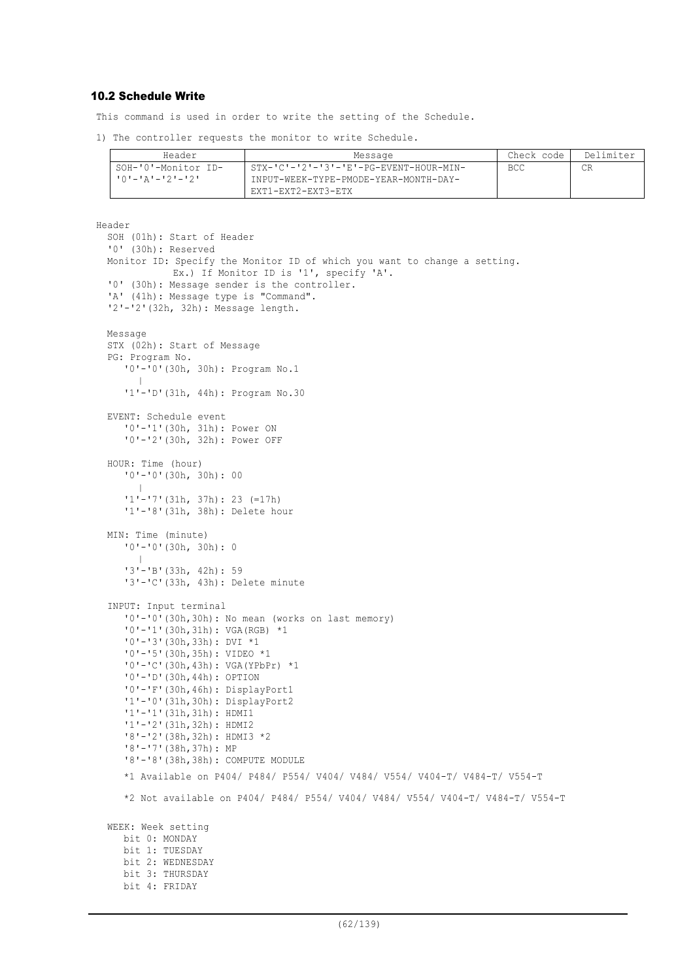### 10.2 Schedule Write

This command is used in order to write the setting of the Schedule.

1) The controller requests the monitor to write Schedule.

| Header              | Message                                  | Check code | Delimiter |
|---------------------|------------------------------------------|------------|-----------|
| SOH-'0'-Monitor ID- | . STX-'C'-'2'-'3'-'E'-PG-EVENT-HOUR-MIN- | <b>BCC</b> |           |
|                     | INPUT-WEEK-TYPE-PMODE-YEAR-MONTH-DAY-    |            |           |
|                     | EXT1-EXT2-EXT3-ETX                       |            |           |

```
Header
  SOH (01h): Start of Header
  '0' (30h): Reserved
  Monitor ID: Specify the Monitor ID of which you want to change a setting.
             Ex.) If Monitor ID is '1', specify 'A'.
  '0' (30h): Message sender is the controller.
  'A' (41h): Message type is "Command".
  '2'-'2'(32h, 32h): Message length.
  Message
  STX (02h): Start of Message
  PG: Program No.
     '0'-'0'(30h, 30h): Program No.1
       ||
     '1'-'D'(31h, 44h): Program No.30
  EVENT: Schedule event
     '0'-'1'(30h, 31h): Power ON
     '0'-'2'(30h, 32h): Power OFF
  HOUR: Time (hour)
     '0'-'0'(30h, 30h): 00
       \blacksquare'1'-'7'(31h, 37h): 23 (=17h)
     '1'-'8'(31h, 38h): Delete hour
  MIN: Time (minute)
     '0'-'0'(30h, 30h): 0
       \blacksquare'3'-'B'(33h, 42h): 59
     '3'-'C'(33h, 43h): Delete minute
  INPUT: Input terminal
     '0'-'0'(30h,30h): No mean (works on last memory)
     '0'-'1'(30h,31h): VGA(RGB) *1
     '0'-'3'(30h,33h): DVI *1
     '0'-'5'(30h,35h): VIDEO *1
     '0'-'C'(30h,43h): VGA(YPbPr) *1
     '0'-'D'(30h,44h): OPTION
     '0'-'F'(30h,46h): DisplayPort1
     '1'-'0'(31h,30h): DisplayPort2
     '1'-'1'(31h,31h): HDMI1
     '1'-'2'(31h,32h): HDMI2
     '8'-'2'(38h,32h): HDMI3 *2
     '8'-'7'(38h,37h): MP
     '8'-'8'(38h,38h): COMPUTE MODULE
     *1 Available on P404/ P484/ P554/ V404/ V484/ V554/ V404-T/ V484-T/ V554-T
     *2 Not available on P404/ P484/ P554/ V404/ V484/ V554/ V404-T/ V484-T/ V554-T
  WEEK: Week setting
    bit 0: MONDAY
    bit 1: TUESDAY
    bit 2: WEDNESDAY
    bit 3: THURSDAY
    bit 4: FRIDAY
```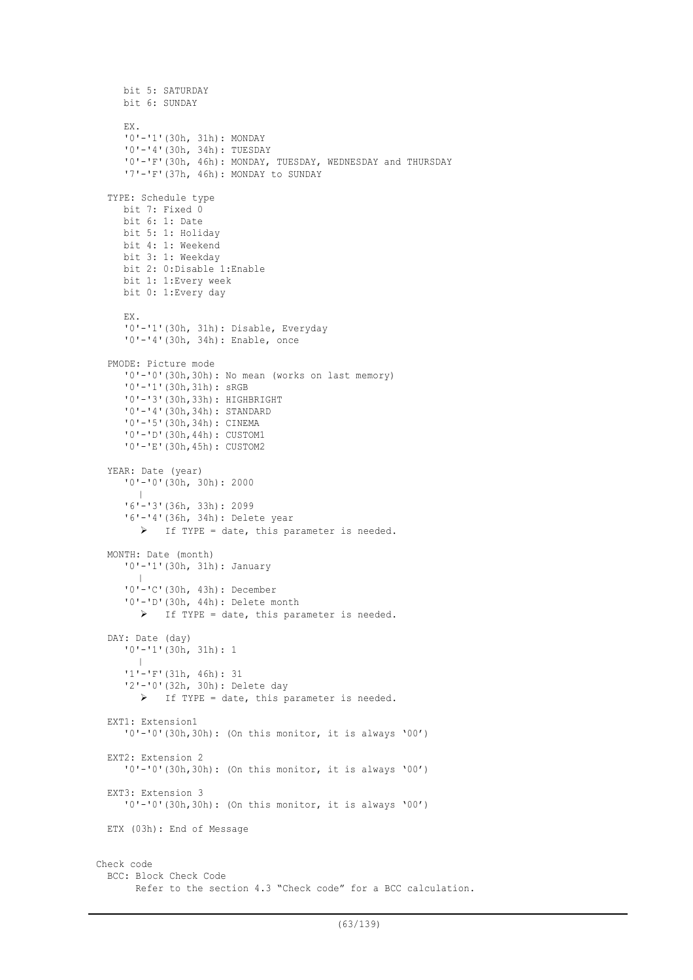```
bit 5: SATURDAY
    bit 6: SUNDAY
     EX.
     '0'-'1'(30h, 31h): MONDAY
     '0'-'4'(30h, 34h): TUESDAY
     '0'-'F'(30h, 46h): MONDAY, TUESDAY, WEDNESDAY and THURSDAY
     '7'-'F'(37h, 46h): MONDAY to SUNDAY
  TYPE: Schedule type
    bit 7: Fixed 0
    bit 6: 1: Date
    bit 5: 1: Holiday
    bit 4: 1: Weekend
    bit 3: 1: Weekday
    bit 2: 0:Disable 1:Enable
    bit 1: 1:Every week
    bit 0: 1:Every day
    EX.
     '0'-'1'(30h, 31h): Disable, Everyday
     '0'-'4'(30h, 34h): Enable, once
  PMODE: Picture mode
     '0'-'0'(30h,30h): No mean (works on last memory)
     '0'-'1'(30h,31h): sRGB
     '0'-'3'(30h,33h): HIGHBRIGHT
     '0'-'4'(30h,34h): STANDARD
     '0'-'5'(30h,34h): CINEMA
     '0'-'D'(30h,44h): CUSTOM1
     '0'-'E'(30h,45h): CUSTOM2
  YEAR: Date (year)
     '0'-'0'(30h, 30h): 2000
        |
     '6'-'3'(36h, 33h): 2099
     '6'-'4'(36h, 34h): Delete year
        \triangleright If TYPE = date, this parameter is needed.
  MONTH: Date (month)
     '0'-'1'(30h, 31h): January
        |
     '0'-'C'(30h, 43h): December
     '0'-'D'(30h, 44h): Delete month
        > If TYPE = date, this parameter is needed.
  DAY: Date (day)
     '0'-'1'(30h, 31h): 1
        |
     '1'-'F'(31h, 46h): 31
     '2'-'0'(32h, 30h): Delete day
       \triangleright If TYPE = date, this parameter is needed.
  EXT1: Extension1
     '0'-'0'(30h,30h): (On this monitor, it is always '00')
  EXT2: Extension 2
     '0'-'0'(30h,30h): (On this monitor, it is always '00')
  EXT3: Extension 3
     '0'-'0'(30h,30h): (On this monitor, it is always '00')
  ETX (03h): End of Message
Check code
 BCC: Block Check Code
        Refer to the section 4.3 "Check code" for a BCC calculation.
```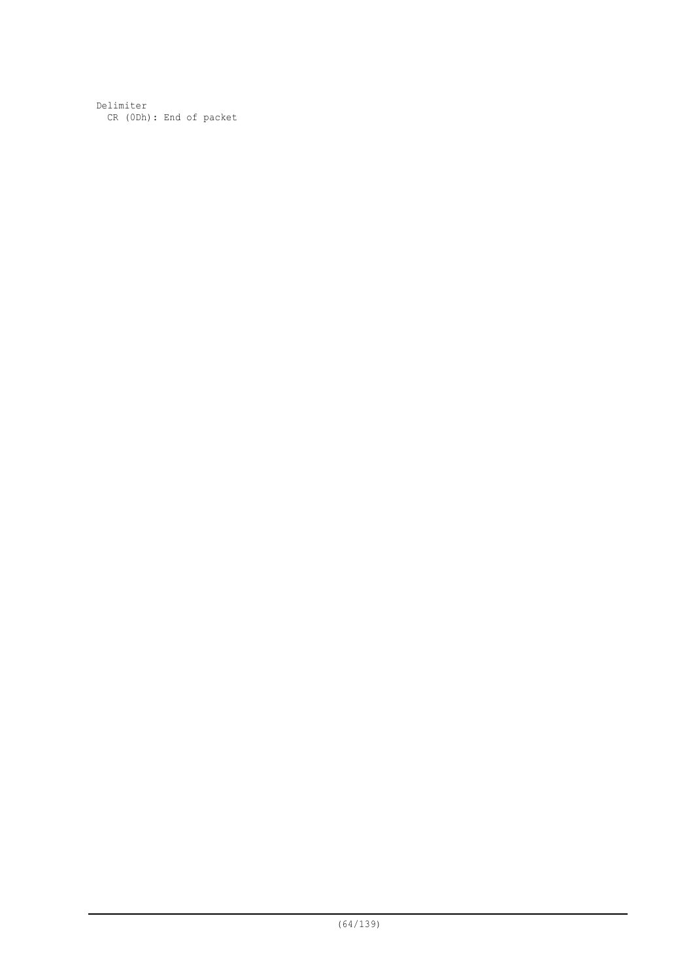Delimiter CR (0Dh): End of packet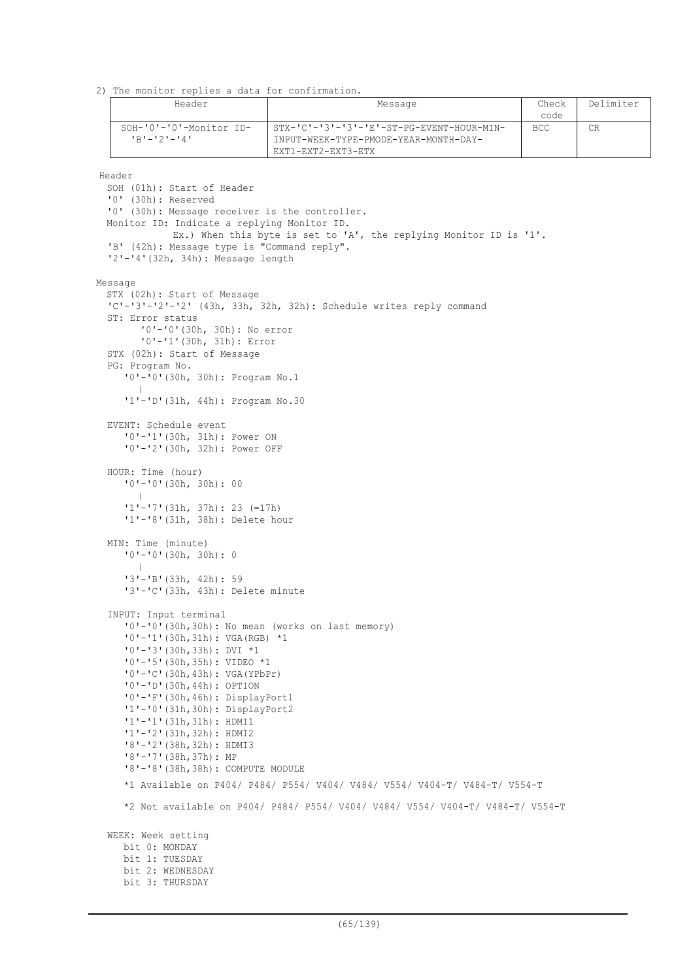2) The monitor replies a data for confirmation.

| Header                                 | Message                                                                                                  | Check<br>code | Delimiter |
|----------------------------------------|----------------------------------------------------------------------------------------------------------|---------------|-----------|
| SOH-'0'-'0'-Monitor ID-<br>'R'-'2'-'4' | STX-'C'-'3'-'3'-'E'-ST-PG-EVENT-HOUR-MIN-<br>INPUT-WEEK-TYPE-PMODE-YEAR-MONTH-DAY-<br>EXT1-EXT2-EXT3-ETX | <b>BCC</b>    |           |

Header

```
SOH (01h): Start of Header
  '0' (30h): Reserved
  '0' (30h): Message receiver is the controller.
 Monitor ID: Indicate a replying Monitor ID.
             Ex.) When this byte is set to 'A', the replying Monitor ID is '1'.
  'B' (42h): Message type is "Command reply".
  '2'-'4'(32h, 34h): Message length
Message
  STX (02h): Start of Message
  'C'-'3'-'2'-'2' (43h, 33h, 32h, 32h): Schedule writes reply command
  ST: Error status
        '0'-'0'(30h, 30h): No error
        '0'-'1'(30h, 31h): Error
  STX (02h): Start of Message
  PG: Program No.
     '0'-'0'(30h, 30h): Program No.1
        |
     '1'-'D'(31h, 44h): Program No.30
  EVENT: Schedule event
     '0'-'1'(30h, 31h): Power ON
     '0'-'2'(30h, 32h): Power OFF
  HOUR: Time (hour)
     '0'-'0'(30h, 30h): 00
        |
     '1'-'7'(31h, 37h): 23 (=17h)
     '1'-'8'(31h, 38h): Delete hour
  MIN: Time (minute)
     '0'-'0'(30h, 30h): 0
        |
     '3'-'B'(33h, 42h): 59
     '3'-'C'(33h, 43h): Delete minute
  INPUT: Input terminal
     '0'-'0'(30h,30h): No mean (works on last memory)
     '0'-'1'(30h,31h): VGA(RGB) *1
     '0'-'3'(30h,33h): DVI *1
     '0'-'5'(30h,35h): VIDEO *1
     '0'-'C'(30h,43h): VGA(YPbPr)
     '0'-'D'(30h,44h): OPTION
     '0'-'F'(30h,46h): DisplayPort1
     '1'-'0'(31h,30h): DisplayPort2
     '1'-'1'(31h,31h): HDMI1
     '1'-'2'(31h,32h): HDMI2
     '8'-'2'(38h,32h): HDMI3
     '8'-'7'(38h,37h): MP
     '8'-'8'(38h,38h): COMPUTE MODULE
     *1 Available on P404/ P484/ P554/ V404/ V484/ V554/ V404-T/ V484-T/ V554-T
     *2 Not available on P404/ P484/ P554/ V404/ V484/ V554/ V404-T/ V484-T/ V554-T
  WEEK: Week setting
    bit 0: MONDAY
     bit 1: TUESDAY
    bit 2: WEDNESDAY
    bit 3: THURSDAY
```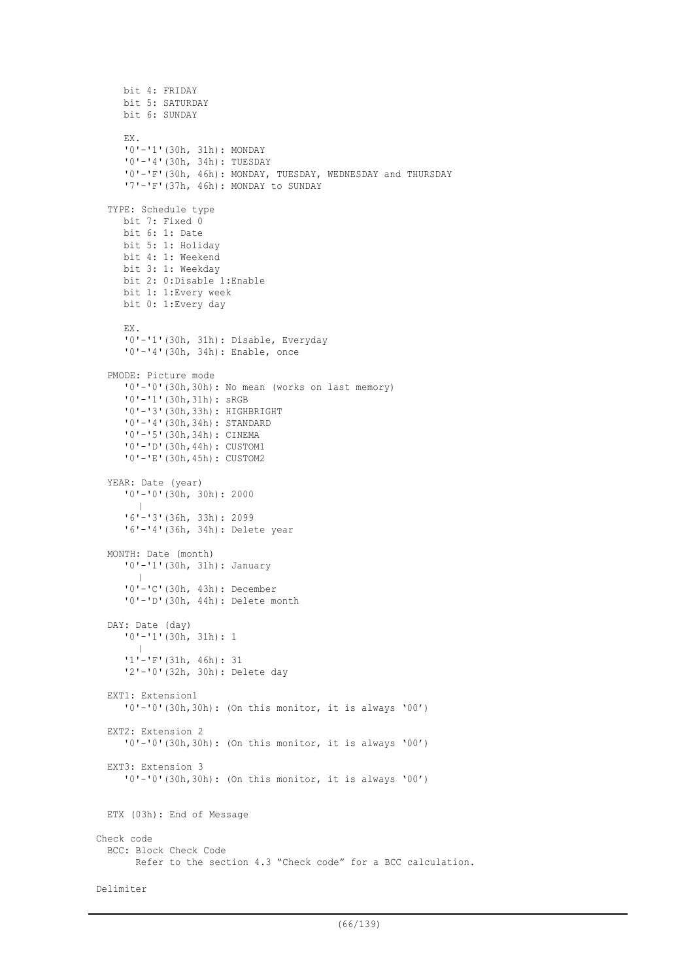```
bit 4: FRIDAY
    bit 5: SATURDAY
     bit 6: SUNDAY
    EX.
     '0'-'1'(30h, 31h): MONDAY
     '0'-'4'(30h, 34h): TUESDAY
     '0'-'F'(30h, 46h): MONDAY, TUESDAY, WEDNESDAY and THURSDAY
     '7'-'F'(37h, 46h): MONDAY to SUNDAY
  TYPE: Schedule type
    bit 7: Fixed 0
    bit 6: 1: Date
    bit 5: 1: Holiday
    bit 4: 1: Weekend
    bit 3: 1: Weekday
    bit 2: 0:Disable 1:Enable
    bit 1: 1:Every week
    bit 0: 1:Every day
    EX.
     '0'-'1'(30h, 31h): Disable, Everyday
     '0'-'4'(30h, 34h): Enable, once
  PMODE: Picture mode
     '0'-'0'(30h,30h): No mean (works on last memory)
     '0'-'1'(30h,31h): sRGB
     '0'-'3'(30h,33h): HIGHBRIGHT
     '0'-'4'(30h,34h): STANDARD
     '0'-'5'(30h,34h): CINEMA
     '0'-'D'(30h,44h): CUSTOM1
     '0'-'E'(30h,45h): CUSTOM2
  YEAR: Date (year)
     '0'-'0'(30h, 30h): 2000
        |
     '6'-'3'(36h, 33h): 2099
     '6'-'4'(36h, 34h): Delete year
  MONTH: Date (month)
     '0'-'1'(30h, 31h): January
        |
     '0'-'C'(30h, 43h): December
     '0'-'D'(30h, 44h): Delete month
  DAY: Date (day)
     '0'-'1'(30h, 31h): 1
        |
     '1'-'F'(31h, 46h): 31
     '2'-'0'(32h, 30h): Delete day
  EXT1: Extension1
     '0'-'0'(30h,30h): (On this monitor, it is always '00')
  EXT2: Extension 2
     '0'-'0'(30h,30h): (On this monitor, it is always '00')
  EXT3: Extension 3
     '0'-'0'(30h,30h): (On this monitor, it is always '00')
 ETX (03h): End of Message
Check code
 BCC: Block Check Code
        Refer to the section 4.3 "Check code" for a BCC calculation.
Delimiter
```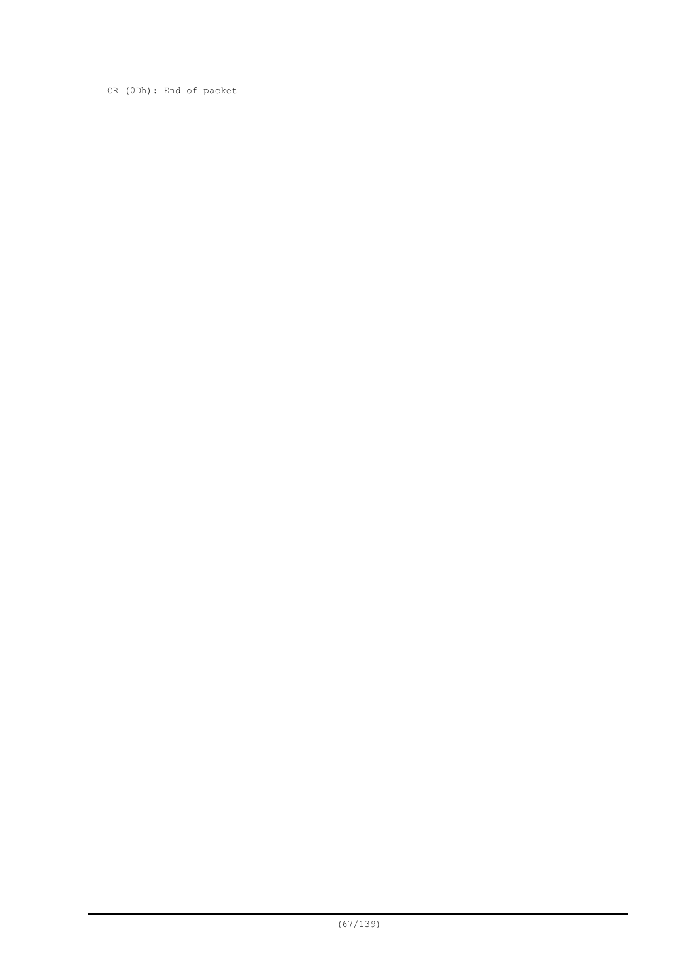CR (0Dh): End of packet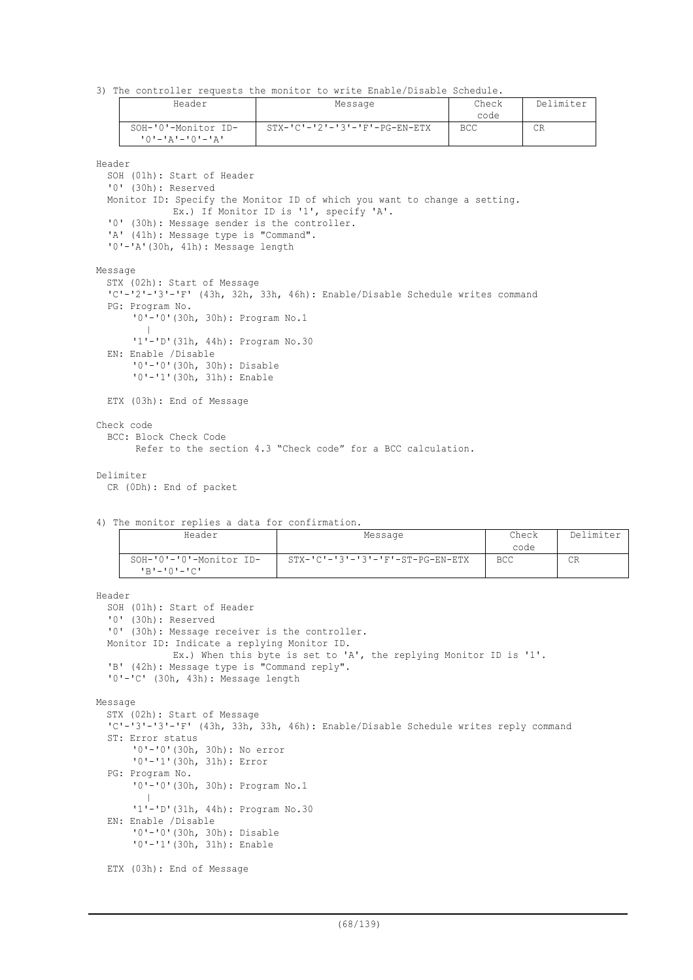3) The controller requests the monitor to write Enable/Disable Schedule.

| Header              | Check<br>Message                              |            | Delimiter |
|---------------------|-----------------------------------------------|------------|-----------|
|                     |                                               | code       |           |
| SOH-'0'-Monitor ID- | $STX - 'C' - '2' - '3' - 'F' - PG - EN - ETX$ | <b>BCC</b> | CR        |
| 10'-'A'-'0'-'A'     |                                               |            |           |

Header

SOH (01h): Start of Header '0' (30h): Reserved Monitor ID: Specify the Monitor ID of which you want to change a setting. Ex.) If Monitor ID is '1', specify 'A'. '0' (30h): Message sender is the controller. 'A' (41h): Message type is "Command". '0'-'A'(30h, 41h): Message length Message STX (02h): Start of Message 'C'-'2'-'3'-'F' (43h, 32h, 33h, 46h): Enable/Disable Schedule writes command PG: Program No. '0'-'0'(30h, 30h): Program No.1 | '1'-'D'(31h, 44h): Program No.30 EN: Enable /Disable '0'-'0'(30h, 30h): Disable '0'-'1'(30h, 31h): Enable ETX (03h): End of Message Check code BCC: Block Check Code Refer to the section 4.3 "Check code" for a BCC calculation.

#### Delimiter

```
CR (0Dh): End of packet
```

```
4) The monitor replies a data for confirmation.
```

| Header                                       | Message                                            | Check<br>code | Delimiter |
|----------------------------------------------|----------------------------------------------------|---------------|-----------|
| SOH-'0'-'0'-Monitor ID-<br>コ コ コ コ コ コ コ ロ リ | $STX - 'C' - '3' - '3' - 'F' - ST - PG - EN - ETX$ | <b>BCC</b>    | СR        |

```
Header
  SOH (01h): Start of Header
  '0' (30h): Reserved
  '0' (30h): Message receiver is the controller.
 Monitor ID: Indicate a replying Monitor ID.
             Ex.) When this byte is set to 'A', the replying Monitor ID is '1'.
  'B' (42h): Message type is "Command reply".
  '0'-'C' (30h, 43h): Message length
Message
  STX (02h): Start of Message
  'C'-'3'-'3'-'F' (43h, 33h, 33h, 46h): Enable/Disable Schedule writes reply command
  ST: Error status
      '0'-'0'(30h, 30h): No error
      '0'-'1'(30h, 31h): Error
  PG: Program No.
      '0'-'0'(30h, 30h): Program No.1
         |
       '1'-'D'(31h, 44h): Program No.30
  EN: Enable /Disable
      '0'-'0'(30h, 30h): Disable
      '0'-'1'(30h, 31h): Enable
  ETX (03h): End of Message
```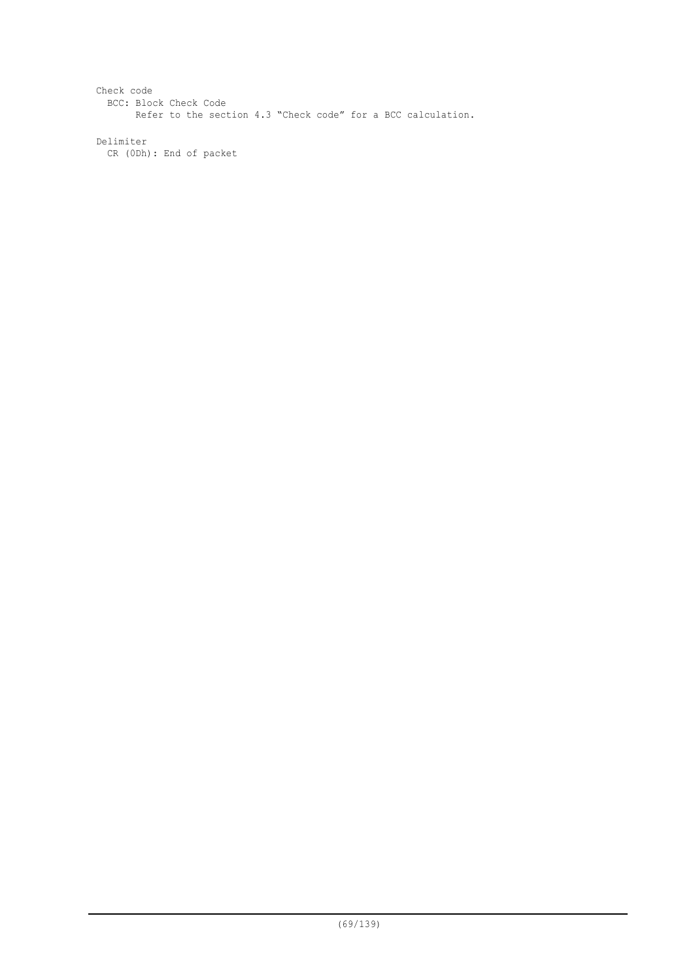Check code BCC: Block Check Code Refer to the section 4.3 "Check code" for a BCC calculation.

Delimiter CR (0Dh): End of packet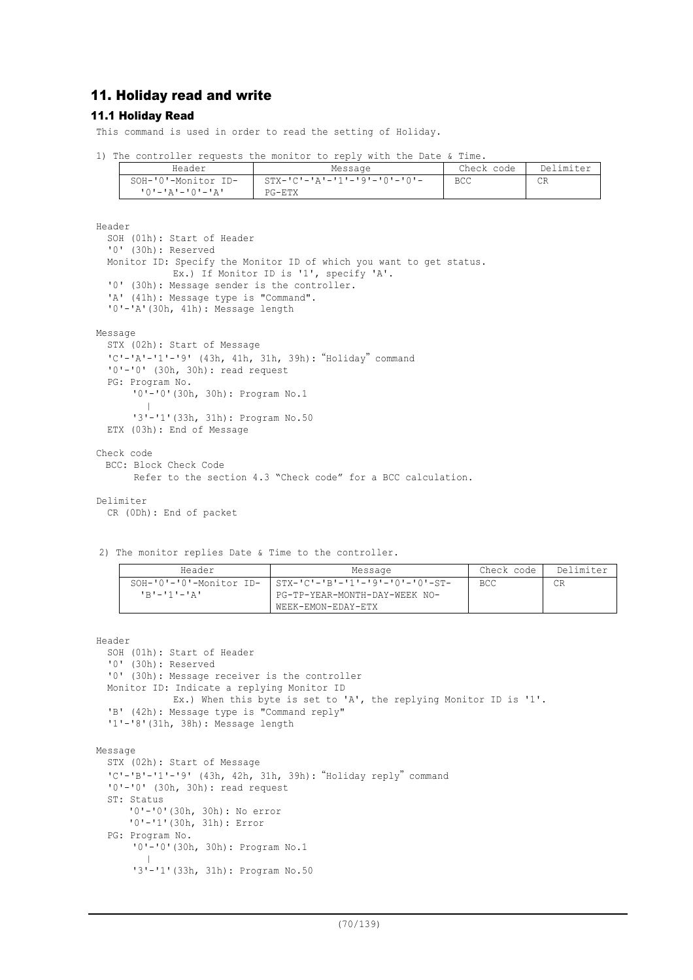# 11. Holiday read and write

#### 11.1 Holiday Read

This command is used in order to read the setting of Holiday.

|  | 1) The controller requests the monitor to reply with the Date & Time. |  |  |  |  |  |
|--|-----------------------------------------------------------------------|--|--|--|--|--|
|  |                                                                       |  |  |  |  |  |
|  |                                                                       |  |  |  |  |  |

| Header |                     | Message                                      | Check code | Delimiter |  |
|--------|---------------------|----------------------------------------------|------------|-----------|--|
|        | SOH-'0'-Monitor ID- | $STX - ICI - IAI - I1 - I9I - I0I - I0I - I$ | BCC        | СR        |  |
|        | - יבי--י0'-'א'-'0'  | PG-ETX                                       |            |           |  |

```
Header
  SOH (01h): Start of Header
  '0' (30h): Reserved
 Monitor ID: Specify the Monitor ID of which you want to get status.
             Ex.) If Monitor ID is '1', specify 'A'.
  '0' (30h): Message sender is the controller.
  'A' (41h): Message type is "Command".
  '0'-'A'(30h, 41h): Message length
Message
  STX (02h): Start of Message
  'C'-'A'-'1'-'9' (43h, 41h, 31h, 39h):"Holiday"command
  '0'-'0' (30h, 30h): read request
  PG: Program No.
      '0'-'0'(30h, 30h): Program No.1
         |
       '3'-'1'(33h, 31h): Program No.50
  ETX (03h): End of Message
Check code
 BCC: Block Check Code
        Refer to the section 4.3 "Check code" for a BCC calculation.
Delimiter
```

```
CR (0Dh): End of packet
```
2) The monitor replies Date & Time to the controller.

| Header                  | Message                         | Check code | Delimiter |
|-------------------------|---------------------------------|------------|-----------|
| SOH-'0'-'0'-Monitor ID- | STX-'C'-'B'-'1'-'9'-'0'-'0'-ST- | <b>BCC</b> | CR        |
| 'R'-'1'-'A'             | PG-TP-YEAR-MONTH-DAY-WEEK NO-   |            |           |
|                         | WEEK-EMON-EDAY-ETX              |            |           |

#### Header

```
SOH (01h): Start of Header
  '0' (30h): Reserved
  '0' (30h): Message receiver is the controller
  Monitor ID: Indicate a replying Monitor ID
             Ex.) When this byte is set to 'A', the replying Monitor ID is '1'.
  'B' (42h): Message type is "Command reply"
  '1'-'8'(31h, 38h): Message length
Message
  STX (02h): Start of Message
  'C'-'B'-'1'-'9' (43h, 42h, 31h, 39h):"Holiday reply"command
  '0'-'0' (30h, 30h): read request
  ST: Status
      '0'-'0'(30h, 30h): No error
      '0'-'1'(30h, 31h): Error
  PG: Program No.
      '0'-'0'(30h, 30h): Program No.1
         |
      '3'-'1'(33h, 31h): Program No.50
```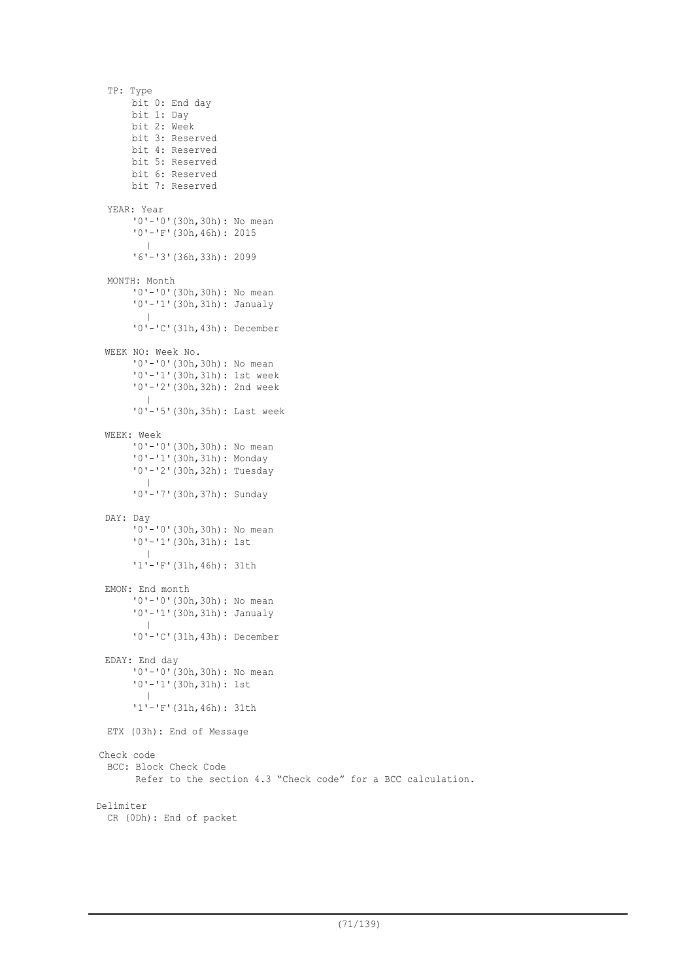```
TP: Type
      bit 0: End day
      bit 1: Day
      bit 2: Week
      bit 3: Reserved
      bit 4: Reserved
      bit 5: Reserved
      bit 6: Reserved
      bit 7: Reserved
  YEAR: Year
      '0'-'0'(30h,30h): No mean
      '0'-'F'(30h,46h): 2015
         |
      '6'-'3'(36h,33h): 2099
  MONTH: Month
      '0'-'0'(30h,30h): No mean
      '0'-'1'(30h,31h): Janualy
        |
      '0'-'C'(31h,43h): December
 WEEK NO: Week No.
      '0'-'0'(30h,30h): No mean
      '0'-'1'(30h,31h): 1st week
      '0'-'2'(30h,32h): 2nd week
        \blacksquare'0'-'5'(30h,35h): Last week
 WEEK: Week
      '0'-'0'(30h,30h): No mean
      '0'-'1'(30h,31h): Monday
      '0'-'2'(30h,32h): Tuesday
         |
       '0'-'7'(30h,37h): Sunday
 DAY: Day
      '0'-'0'(30h,30h): No mean
      '0'-'1'(30h,31h): 1st
        \blacksquare'1'-'F'(31h,46h): 31th
 EMON: End month
      '0'-'0'(30h,30h): No mean
      '0'-'1'(30h,31h): Janualy
         |
       '0'-'C'(31h,43h): December
 EDAY: End day
      '0'-'0'(30h,30h): No mean
      '0'-'1'(30h,31h): 1st
        |
      '1'-'F'(31h,46h): 31th
 ETX (03h): End of Message
Check code
  BCC: Block Check Code
        Refer to the section 4.3 "Check code" for a BCC calculation.
Delimiter
 CR (0Dh): End of packet
```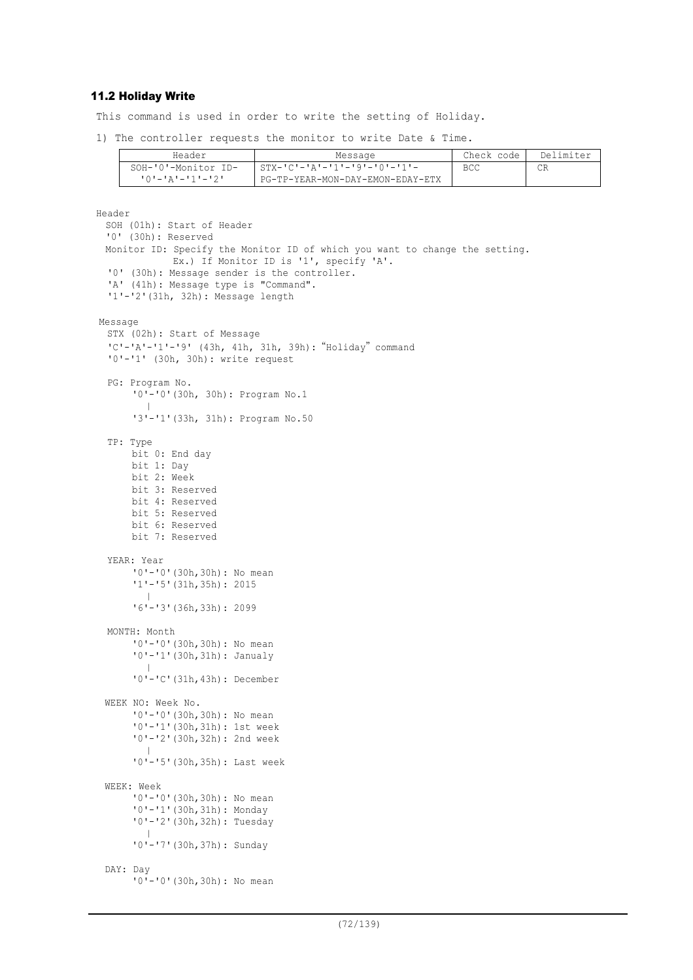## 11.2 Holiday Write

This command is used in order to write the setting of Holiday.

1) The controller requests the monitor to write Date & Time.

| Header              | Message                          | Check code | Delimiter |
|---------------------|----------------------------------|------------|-----------|
| SOH-'0'-Monitor ID- | - STX-'C'-'A'-'1'-'9'-'0'-'1'-   | <b>BCC</b> | CR        |
|                     | PG-TP-YEAR-MON-DAY-EMON-EDAY-ETX |            |           |

```
Header
 SOH (01h): Start of Header
 '0' (30h): Reserved
 Monitor ID: Specify the Monitor ID of which you want to change the setting.
             Ex.) If Monitor ID is '1', specify 'A'.
  '0' (30h): Message sender is the controller.
  'A' (41h): Message type is "Command".
  '1'-'2'(31h, 32h): Message length
Message
  STX (02h): Start of Message
  'C'-'A'-'1'-'9' (43h, 41h, 31h, 39h):"Holiday"command
  '0'-'1' (30h, 30h): write request
  PG: Program No.
      '0'-'0'(30h, 30h): Program No.1
        \blacksquare'3'-'1'(33h, 31h): Program No.50
  TP: Type
      bit 0: End day
      bit 1: Day
      bit 2: Week
      bit 3: Reserved
      bit 4: Reserved
      bit 5: Reserved
      bit 6: Reserved
      bit 7: Reserved
  YEAR: Year
      '0'-'0'(30h,30h): No mean
      '1'-'5'(31h,35h): 2015
         |
       '6'-'3'(36h,33h): 2099
  MONTH: Month
      '0'-'0'(30h,30h): No mean
      '0'-'1'(30h,31h): Janualy
         |
       '0'-'C'(31h,43h): December
 WEEK NO: Week No.
      '0'-'0'(30h,30h): No mean
      '0'-'1'(30h,31h): 1st week
      '0'-'2'(30h,32h): 2nd week
         |
       '0'-'5'(30h,35h): Last week
 WEEK: Week
      '0'-'0'(30h,30h): No mean
      '0'-'1'(30h,31h): Monday
      '0'-'2'(30h,32h): Tuesday
         |
       '0'-'7'(30h,37h): Sunday
  DAY: Day
       '0'-'0'(30h,30h): No mean
```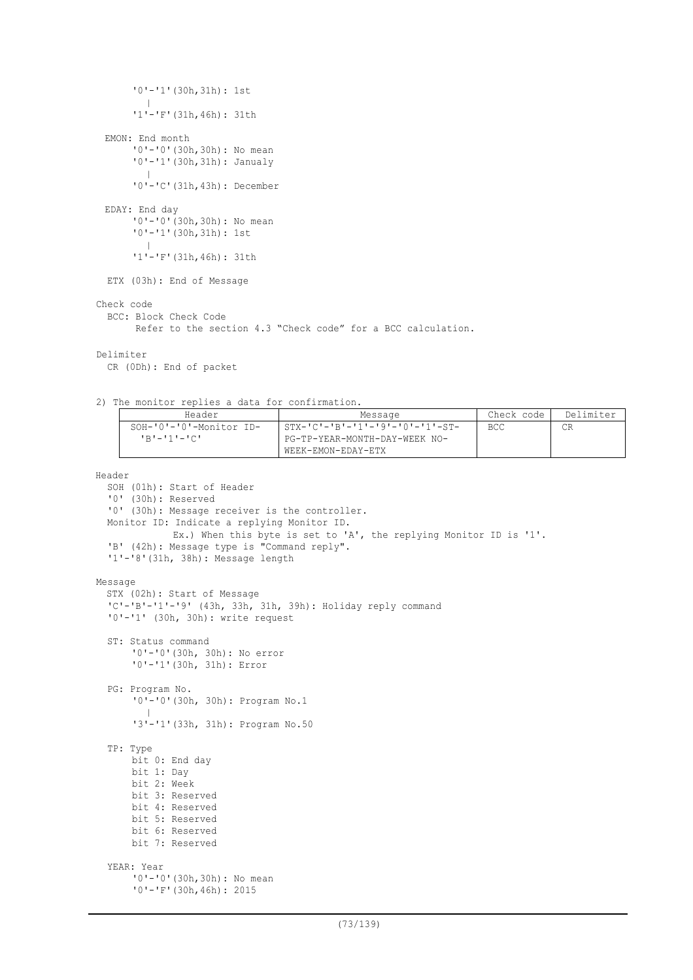```
'0'-'1'(30h,31h): 1st
         |
      '1'-'F'(31h,46h): 31th
 EMON: End month
      '0'-'0'(30h,30h): No mean
      '0'-'1'(30h,31h): Janualy
        \blacksquare'0'-'C'(31h,43h): December
 EDAY: End day
      '0'-'0'(30h,30h): No mean
      '0'-'1'(30h,31h): 1st
         |
       '1'-'F'(31h,46h): 31th
  ETX (03h): End of Message
Check code
  BCC: Block Check Code
       Refer to the section 4.3 "Check code" for a BCC calculation.
Delimiter
 CR (0Dh): End of packet
```
2) The monitor replies a data for confirmation.

| Header                  | Message                                                                                                                                                                                                                                                                                                                                                                     | Check code | Delimiter |
|-------------------------|-----------------------------------------------------------------------------------------------------------------------------------------------------------------------------------------------------------------------------------------------------------------------------------------------------------------------------------------------------------------------------|------------|-----------|
| SOH-'0'-'0'-Monitor ID- | $1 \text{ STX} - 1 \text{C} - 1 \text{B} - 1 \text{C} - 1 \text{C} - 1 \text{C} - 1 \text{C} - 1 \text{C} - 1 \text{C} - 1 \text{C} - 1 \text{C} - 1 \text{C} - 1 \text{C} - 1 \text{C} - 1 \text{C} - 1 \text{C} - 1 \text{C} - 1 \text{C} - 1 \text{C} - 1 \text{C} - 1 \text{C} - 1 \text{C} - 1 \text{C} - 1 \text{C} - 1 \text{C} - 1 \text{C} - 1 \text{C} - 1 \text$ | BCC.       |           |
| $1R1 - 111 - 1C1$       | PG-TP-YEAR-MONTH-DAY-WEEK NO-<br>WEEK-EMON-EDAY-ETX                                                                                                                                                                                                                                                                                                                         |            |           |

Header

```
SOH (01h): Start of Header
  '0' (30h): Reserved
  '0' (30h): Message receiver is the controller.
 Monitor ID: Indicate a replying Monitor ID.
             Ex.) When this byte is set to 'A', the replying Monitor ID is '1'.
  'B' (42h): Message type is "Command reply".
  '1'-'8'(31h, 38h): Message length
Message
  STX (02h): Start of Message
  'C'-'B'-'1'-'9' (43h, 33h, 31h, 39h): Holiday reply command
  '0'-'1' (30h, 30h): write request
  ST: Status command
      '0'-'0'(30h, 30h): No error
      '0'-'1'(30h, 31h): Error
  PG: Program No.
      '0'-'0'(30h, 30h): Program No.1
         \blacksquare'3'-'1'(33h, 31h): Program No.50
  TP: Type
      bit 0: End day
      bit 1: Day
      bit 2: Week
      bit 3: Reserved
      bit 4: Reserved
      bit 5: Reserved
      bit 6: Reserved
      bit 7: Reserved
  YEAR: Year
      '0'-'0'(30h,30h): No mean
      '0'-'F'(30h,46h): 2015
```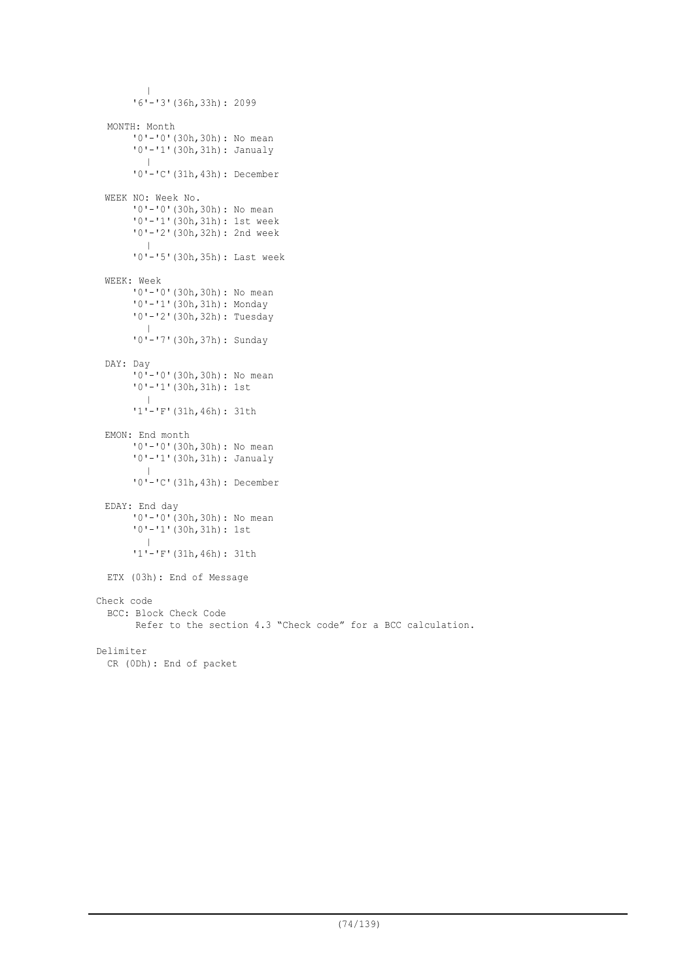```
|
       '6'-'3'(36h,33h): 2099
  MONTH: Month
      '0'-'0'(30h,30h): No mean
       '0'-'1'(30h,31h): Janualy
        \blacksquare'0'-'C'(31h,43h): December
 WEEK NO: Week No.
       '0'-'0'(30h,30h): No mean
       '0'-'1'(30h,31h): 1st week
      '0'-'2'(30h,32h): 2nd week
         |
      '0'-'5'(30h,35h): Last week
 WEEK: Week
      '0'-'0'(30h,30h): No mean
      '0'-'1'(30h,31h): Monday
      '0'-'2'(30h,32h): Tuesday
        |
      '0'-'7'(30h,37h): Sunday
 DAY: Day
      '0'-'0'(30h,30h): No mean
       '0'-'1'(30h,31h): 1st
        \blacksquare'1'-'F'(31h,46h): 31th
 EMON: End month
      '0'-'0'(30h,30h): No mean
      '0'-'1'(30h,31h): Janualy
         |
       '0'-'C'(31h,43h): December
 EDAY: End day
      '0'-'0'(30h,30h): No mean
       '0'-'1'(30h,31h): 1st
        \blacksquare'1'-'F'(31h,46h): 31th
 ETX (03h): End of Message
Check code
 BCC: Block Check Code
        Refer to the section 4.3 "Check code" for a BCC calculation.
Delimiter
 CR (0Dh): End of packet
```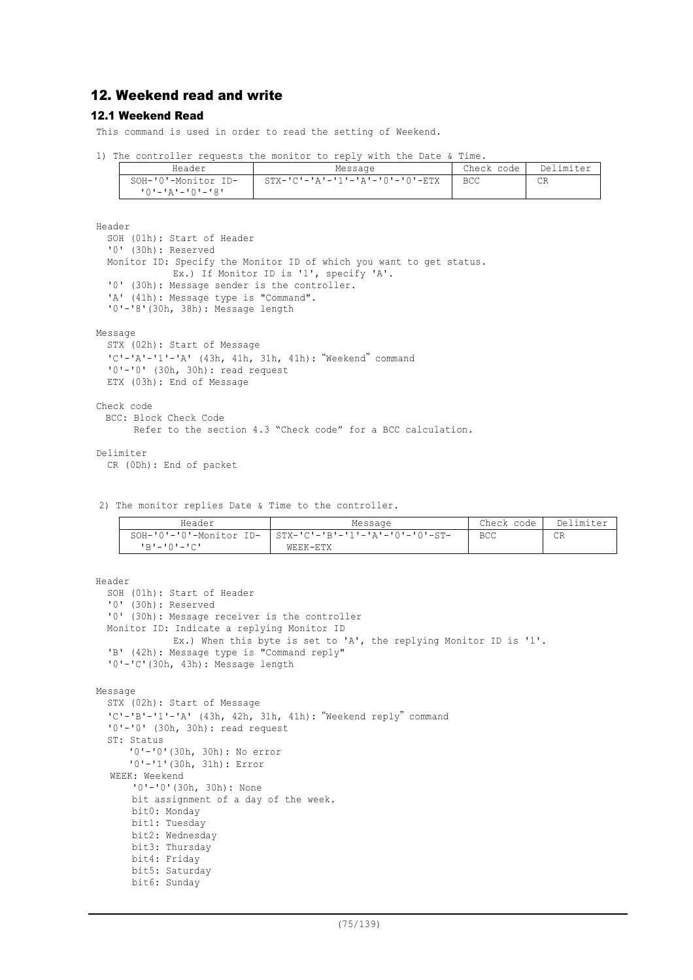# 12. Weekend read and write

## 12.1 Weekend Read

This command is used in order to read the setting of Weekend.

| Header              | Message                                         | Check code | Delimiter |
|---------------------|-------------------------------------------------|------------|-----------|
| SOH-'0'-Monitor ID- | $STX - 'C' - 'A' - '1' - 'A' - '0' - '0' - ETX$ | BCC.       | CR        |
| י8'–'0'–'4'–'0'–'8' |                                                 |            |           |

Header SOH (01h): Start of Header '0' (30h): Reserved Monitor ID: Specify the Monitor ID of which you want to get status. Ex.) If Monitor ID is '1', specify 'A'. '0' (30h): Message sender is the controller. 'A' (41h): Message type is "Command". '0'-'8'(30h, 38h): Message length

Message

```
STX (02h): Start of Message
'C'-'A'-'1'-'A' (43h, 41h, 31h, 41h): "Weekend" command
'0'-'0' (30h, 30h): read request
ETX (03h): End of Message
```

```
Check code
 BCC: Block Check Code
       Refer to the section 4.3 "Check code" for a BCC calculation.
```
Delimiter CR (0Dh): End of packet

2) The monitor replies Date & Time to the controller.

| Header          | Message                                                   | Check code | Delimiter |
|-----------------|-----------------------------------------------------------|------------|-----------|
|                 | SOH-'0'-'0'-Monitor ID-   STX-'C'-'B'-'1'-'A'-'0'-'0'-ST- | <b>BCC</b> | СR        |
| $R = 101 - 101$ | WEEK-ETX                                                  |            |           |

```
Header
  SOH (01h): Start of Header
  '0' (30h): Reserved
  '0' (30h): Message receiver is the controller
 Monitor ID: Indicate a replying Monitor ID
             Ex.) When this byte is set to 'A', the replying Monitor ID is '1'.
  'B' (42h): Message type is "Command reply"
  '0'-'C'(30h, 43h): Message length
Message
  STX (02h): Start of Message
  'C'-'B'-'1'-'A' (43h, 42h, 31h, 41h):"Weekend reply"command
  '0'-'0' (30h, 30h): read request
  ST: Status
      '0'-'0'(30h, 30h): No error
      '0'-'1'(30h, 31h): Error
  WEEK: Weekend
      '0'-'0'(30h, 30h): None
      bit assignment of a day of the week.
      bit0: Monday
      bit1: Tuesday
      bit2: Wednesday
      bit3: Thursday
      bit4: Friday
      bit5: Saturday
      bit6: Sunday
```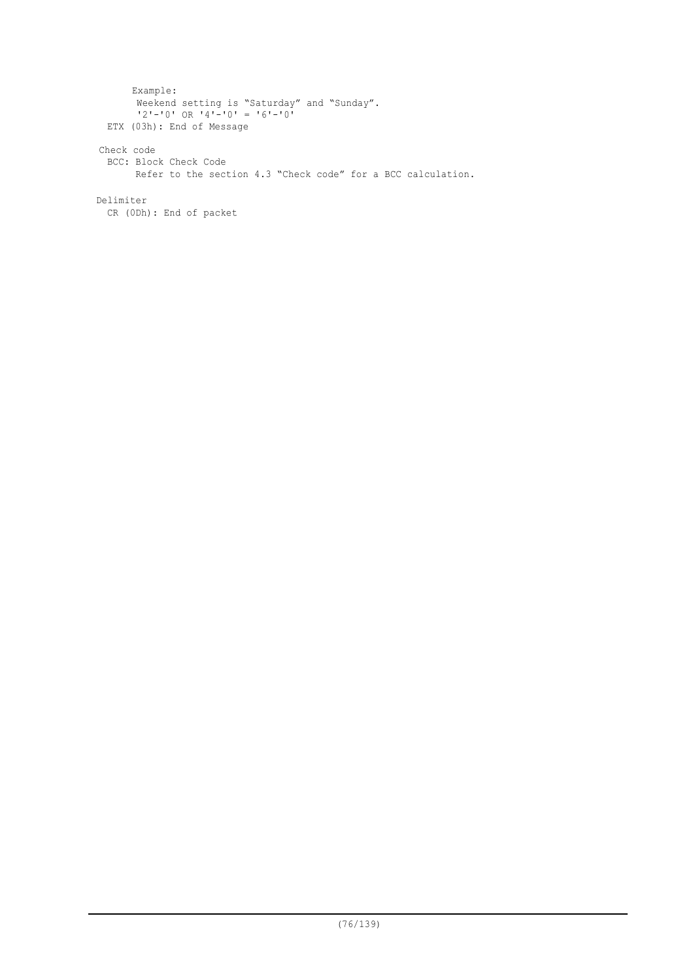```
Example:
       Weekend setting is "Saturday" and "Sunday".
        '2'-'0' OR '4'-'0' = '6'-'0'
 ETX (03h): End of Message
Check code
 BCC: Block Check Code
      Refer to the section 4.3 "Check code" for a BCC calculation.
Delimiter
```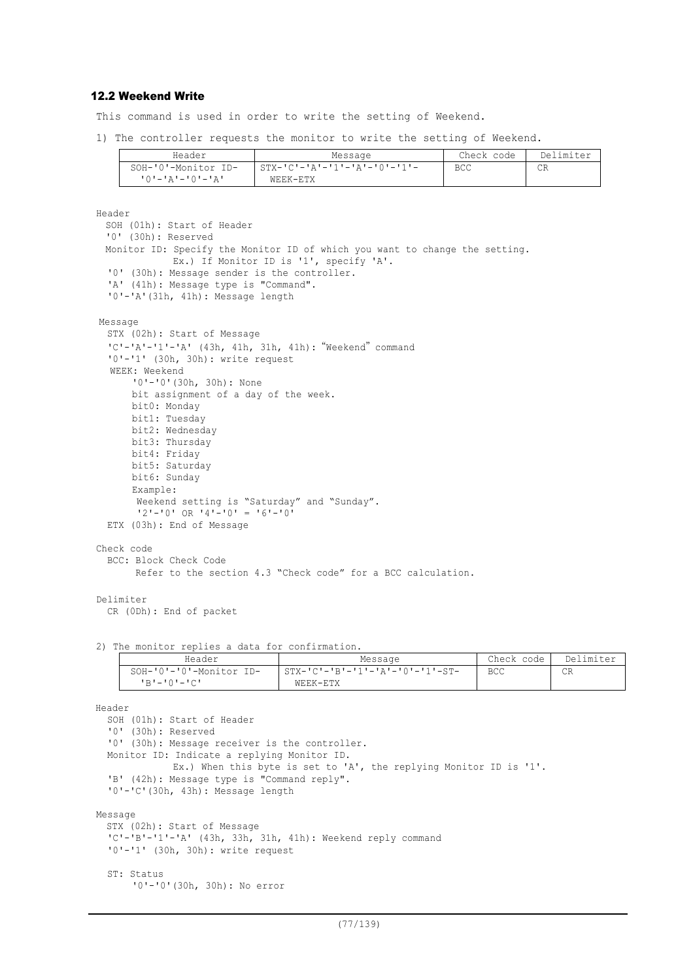## 12.2 Weekend Write

This command is used in order to write the setting of Weekend.

1) The controller requests the monitor to write the setting of Weekend.

| Header              | Message                        | Check code | Delimiter |
|---------------------|--------------------------------|------------|-----------|
| SOH-'0'-Monitor ID- | $STX-ICI-IAI-11I-IAI-10I-11I-$ | BCC        | CR        |
| יבי–י∩י–יבי–יחי     | WEEK-ETX                       |            |           |

```
Header
  SOH (01h): Start of Header
  '0' (30h): Reserved
  Monitor ID: Specify the Monitor ID of which you want to change the setting.
                Ex.) If Monitor ID is '1', specify 'A'.
  '0' (30h): Message sender is the controller.
  'A' (41h): Message type is "Command".
  '0'-'A'(31h, 41h): Message length
Message
  STX (02h): Start of Message
   'C'-'A'-'1'-'A' (43h, 41h, 31h, 41h): "Weekend" command
  '0'-'1' (30h, 30h): write request
   WEEK: Weekend
        '0'-'0'(30h, 30h): None
       bit assignment of a day of the week.
       bit0: Monday
       bit1: Tuesday
       bit2: Wednesday
       bit3: Thursday
       bit4: Friday
       bit5: Saturday
       bit6: Sunday
       Example:
        Weekend setting is "Saturday" and "Sunday".
        '2'-'0' OR '4'-'0' = '6'-'0'
  ETX (03h): End of Message
Check code
  BCC: Block Check Code
         Refer to the section 4.3 "Check code" for a BCC calculation.
Delimiter
  CR (0Dh): End of packet
2) The monitor replies a data for confirmation.
                   Header Message Check code Delimiter
       SOH-'0'-'0'-Monitor ID-
         'B'-'0'-'C'
                                         \overline{\text{STX} - \text{IC} - \text{IB} - \text{I} - \text{I} - \text{A} - \text{I} - \text{I} - \text{I} - \text{S} - \text{I} - \text{I} - \text{I} - \text{I} - \text{I} - \text{I} - \text{I} - \text{I} - \text{I} - \text{I} - \text{I} - \text{I} - \text{I} - \text{I} - \text{I} - \text{I} - \text{I} - \text{I} - \text{I} - \text{I} - \text{I} - \text{I} - \text{I} - \text{I} - \text{I} - \text{I} -WEEK-ETX
                                                                                      BCC CR
Header
  SOH (01h): Start of Header
  '0' (30h): Reserved
  '0' (30h): Message receiver is the controller.
  Monitor ID: Indicate a replying Monitor ID.
                Ex.) When this byte is set to 'A', the replying Monitor ID is '1'.
  'B' (42h): Message type is "Command reply".
  '0'-'C'(30h, 43h): Message length
Message
  STX (02h): Start of Message
  'C'-'B'-'1'-'A' (43h, 33h, 31h, 41h): Weekend reply command
  '0'-'1' (30h, 30h): write request
  ST: Status
```

```
'0'-'0'(30h, 30h): No error
```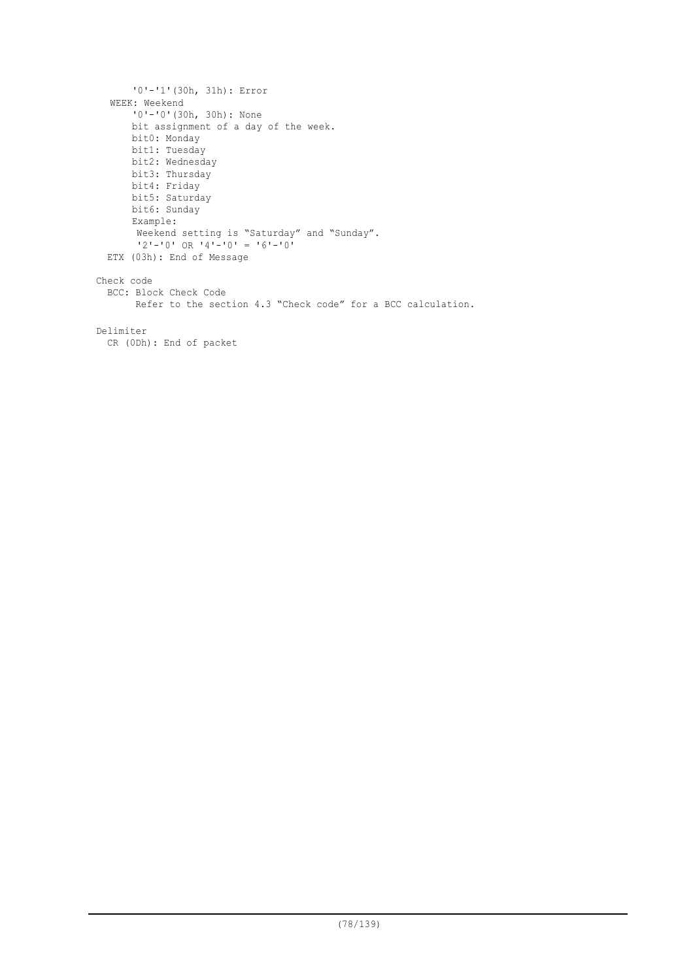```
'0'-'1'(30h, 31h): Error
  WEEK: Weekend
      '0'-'0'(30h, 30h): None
      bit assignment of a day of the week.
      bit0: Monday
      bit1: Tuesday
      bit2: Wednesday
      bit3: Thursday
      bit4: Friday
      bit5: Saturday
      bit6: Sunday
      Example:
      Weekend setting is "Saturday" and "Sunday".
       '2'-'0' OR '4'-'0' = '6'-'0'
 ETX (03h): End of Message
Check code
 BCC: Block Check Code
       Refer to the section 4.3 "Check code" for a BCC calculation.
Delimiter
 CR (0Dh): End of packet
```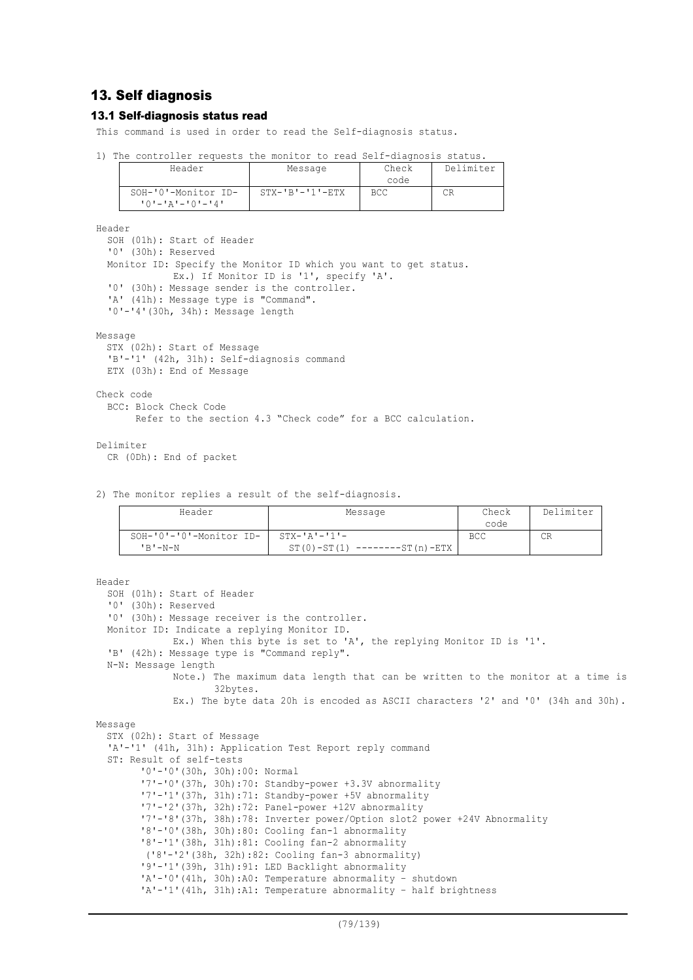# 13. Self diagnosis

## 13.1 Self-diagnosis status read

This command is used in order to read the Self-diagnosis status.

|  |                                                |  |                         |  | The controller requests the monitor to read Self-diagnosis status. |    |           |
|--|------------------------------------------------|--|-------------------------|--|--------------------------------------------------------------------|----|-----------|
|  | Header                                         |  | Message                 |  | Check                                                              |    | Delimiter |
|  |                                                |  |                         |  | code                                                               |    |           |
|  | SOH-'0'-Monitor ID-<br>$101 - 121 - 101 - 141$ |  | $STX - 'B' - '1' - ETX$ |  | BCC                                                                | CR |           |

Header

SOH (01h): Start of Header '0' (30h): Reserved Monitor ID: Specify the Monitor ID which you want to get status. Ex.) If Monitor ID is '1', specify 'A'. '0' (30h): Message sender is the controller. 'A' (41h): Message type is "Command". '0'-'4'(30h, 34h): Message length

#### Message

STX (02h): Start of Message 'B'-'1' (42h, 31h): Self-diagnosis command ETX (03h): End of Message

#### Check code

BCC: Block Check Code Refer to the section 4.3 "Check code" for a BCC calculation.

#### Delimiter

CR (0Dh): End of packet

2) The monitor replies a result of the self-diagnosis.

| Header                  | Message                              | Check      | Delimiter |
|-------------------------|--------------------------------------|------------|-----------|
|                         |                                      | code       |           |
| SOH-'0'-'0'-Monitor ID- | $STX - 'A' - '1' -$                  | <b>BCC</b> | СR        |
| $'R' - N - N$           | $ST(0) - ST(1)$<br>$------ST(n)-ETX$ |            |           |

```
Header
  SOH (01h): Start of Header
  '0' (30h): Reserved
  '0' (30h): Message receiver is the controller.
  Monitor ID: Indicate a replying Monitor ID.
             Ex.) When this byte is set to 'A', the replying Monitor ID is '1'.
  'B' (42h): Message type is "Command reply".
  N-N: Message length
             Note.) The maximum data length that can be written to the monitor at a time is
                     32bytes.
             Ex.) The byte data 20h is encoded as ASCII characters '2' and '0' (34h and 30h).
Message
  STX (02h): Start of Message
  'A'-'1' (41h, 31h): Application Test Report reply command
  ST: Result of self-tests
        '0'-'0'(30h, 30h):00: Normal
        '7'-'0'(37h, 30h):70: Standby-power +3.3V abnormality
        '7'-'1'(37h, 31h):71: Standby-power +5V abnormality
        '7'-'2'(37h, 32h):72: Panel-power +12V abnormality
        '7'-'8'(37h, 38h):78: Inverter power/Option slot2 power +24V Abnormality
        '8'-'0'(38h, 30h):80: Cooling fan-1 abnormality
        '8'-'1'(38h, 31h):81: Cooling fan-2 abnormality
        ('8'-'2'(38h, 32h):82: Cooling fan-3 abnormality)
        '9'-'1'(39h, 31h):91: LED Backlight abnormality
        'A'-'0'(41h, 30h):A0: Temperature abnormality – shutdown
        'A'-'1'(41h, 31h):A1: Temperature abnormality - half brightness
```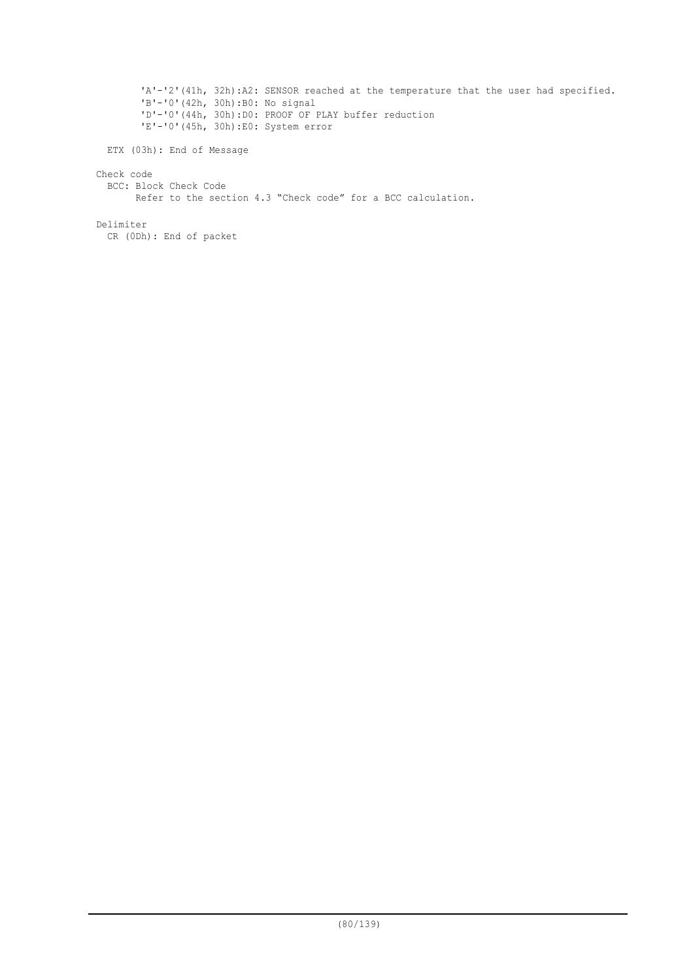'A'-'2'(41h, 32h):A2: SENSOR reached at the temperature that the user had specified. 'B'-'0'(42h, 30h):B0: No signal 'D'-'0'(44h, 30h):D0: PROOF OF PLAY buffer reduction 'E'-'0'(45h, 30h):E0: System error

ETX (03h): End of Message

## Check code

BCC: Block Check Code Refer to the section 4.3 "Check code" for a BCC calculation.

Delimiter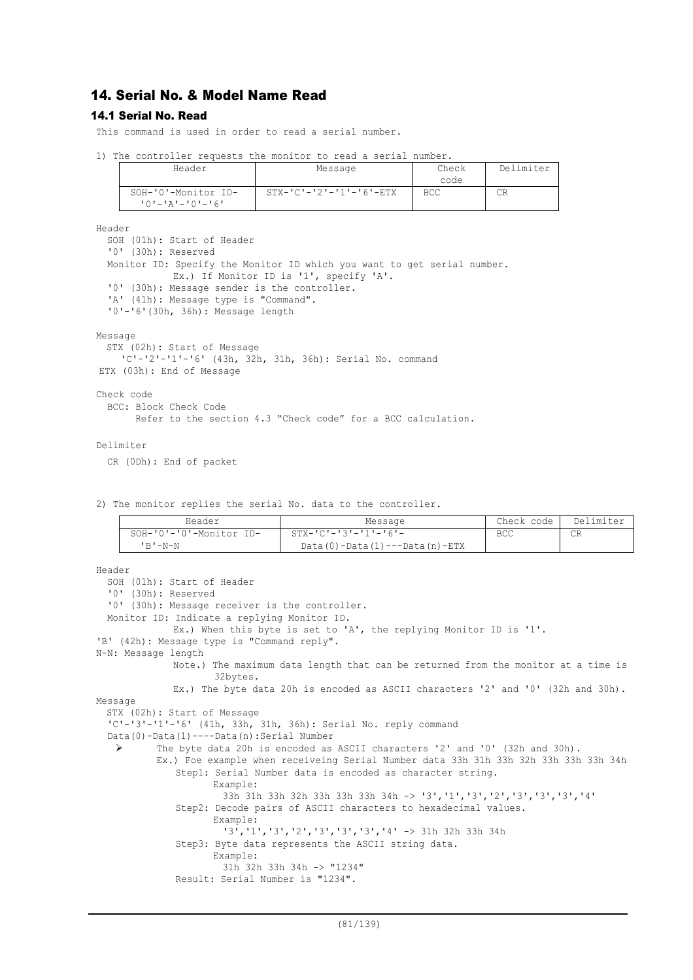# 14. Serial No. & Model Name Read

## 14.1 Serial No. Read

This command is used in order to read a serial number.

|  |  | 1) The controller requests the monitor to read a serial number. |  |  |  |  |  |  |  |  |
|--|--|-----------------------------------------------------------------|--|--|--|--|--|--|--|--|
|--|--|-----------------------------------------------------------------|--|--|--|--|--|--|--|--|

| Header                                         | Message                             | Check<br>code | Delimiter |
|------------------------------------------------|-------------------------------------|---------------|-----------|
| SOH-'0'-Monitor ID-<br>$101 - 121 - 101 - 161$ | $STX - 'C' - '2' - '1' - '6' - ETX$ | BCC           | CR        |

Header

SOH (01h): Start of Header '0' (30h): Reserved Monitor ID: Specify the Monitor ID which you want to get serial number. Ex.) If Monitor ID is '1', specify 'A'. '0' (30h): Message sender is the controller. 'A' (41h): Message type is "Command". '0'-'6'(30h, 36h): Message length

Message

```
STX (02h): Start of Message
   'C'-'2'-'1'-'6' (43h, 32h, 31h, 36h): Serial No. command
ETX (03h): End of Message
```
Check code

```
BCC: Block Check Code
      Refer to the section 4.3 "Check code" for a BCC calculation.
```
Delimiter

CR (0Dh): End of packet

2) The monitor replies the serial No. data to the controller.

| Header                  | Message                               | Check code | Delimiter |
|-------------------------|---------------------------------------|------------|-----------|
| SOH-'0'-'0'-Monitor ID- | $STX - IC - 13 - 11 - 6 =$            | <b>BCC</b> | CR        |
| $'$ $R'$ $-N-N$         | $Data(0) - Data(1) --- Data(n) - ETX$ |            |           |

```
Header
  SOH (01h): Start of Header
  '0' (30h): Reserved
  '0' (30h): Message receiver is the controller.
 Monitor ID: Indicate a replying Monitor ID.
             Ex.) When this byte is set to 'A', the replying Monitor ID is '1'.
'B' (42h): Message type is "Command reply".
N-N: Message length
             Note.) The maximum data length that can be returned from the monitor at a time is
                    32bytes.
             Ex.) The byte data 20h is encoded as ASCII characters '2' and '0' (32h and 30h).
Message
  STX (02h): Start of Message
  'C'-'3'-'1'-'6' (41h, 33h, 31h, 36h): Serial No. reply command
  Data(0)-Data(1)----Data(n):Serial Number
    The byte data 20h is encoded as ASCII characters '2' and '0' (32h and 30h).
           Ex.) Foe example when receiveing Serial Number data 33h 31h 33h 32h 33h 33h 33h 34h
             Step1: Serial Number data is encoded as character string.
                    Example:
                      33h 31h 33h 32h 33h 33h 33h 34h -> '3','1','3','2','3','3','3','4'
              Step2: Decode pairs of ASCII characters to hexadecimal values.
                    Example:
                      '3','1','3','2','3','3','3','4' -> 31h 32h 33h 34h
              Step3: Byte data represents the ASCII string data.
                     Example:
                      31h 32h 33h 34h -> "1234"
              Result: Serial Number is "1234".
```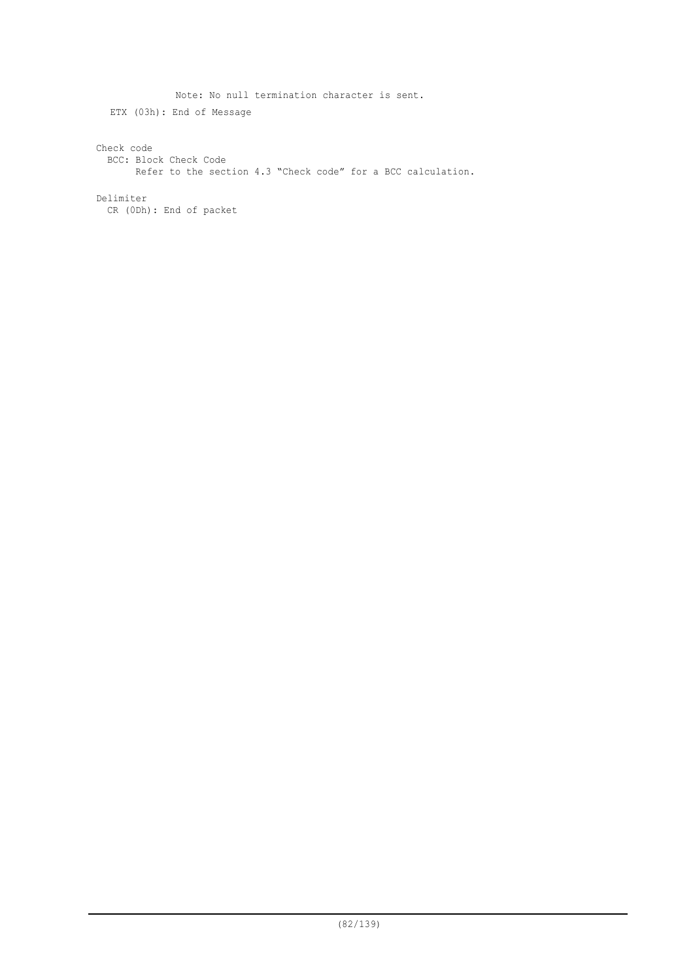Note: No null termination character is sent. ETX (03h): End of Message Check code BCC: Block Check Code Refer to the section 4.3 "Check code" for a BCC calculation. Delimiter CR (0Dh): End of packet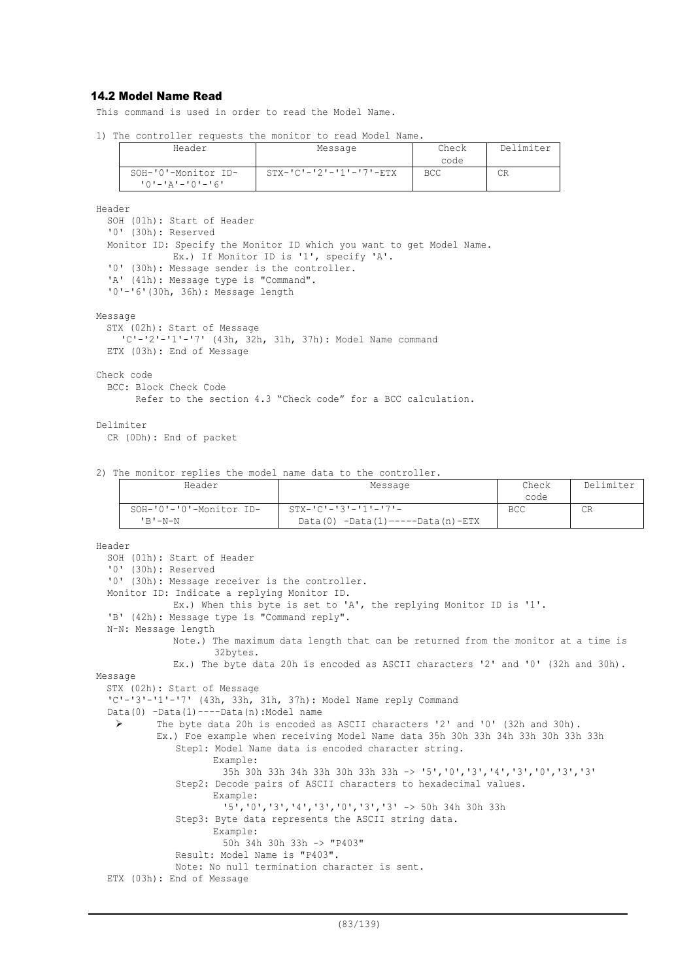# 14.2 Model Name Read

This command is used in order to read the Model Name.

```
1) The controller requests the monitor to read Model Name.
```

| Header                                         | Message                             | Check<br>code | Delimiter |
|------------------------------------------------|-------------------------------------|---------------|-----------|
| SOH-'0'-Monitor ID-<br>$101 - 121 - 101 - 161$ | $STX - 'C' - '2' - '1' - '7' - ETX$ | BCC           | СR        |

Header

```
SOH (01h): Start of Header
  '0' (30h): Reserved
  Monitor ID: Specify the Monitor ID which you want to get Model Name.
             Ex.) If Monitor ID is '1', specify 'A'.
  '0' (30h): Message sender is the controller.
  'A' (41h): Message type is "Command".
  '0'-'6'(30h, 36h): Message length
Message
  STX (02h): Start of Message
    'C'-'2'-'1'-'7' (43h, 32h, 31h, 37h): Model Name command
  ETX (03h): End of Message
Check code
  BCC: Block Check Code
        Refer to the section 4.3 "Check code" for a BCC calculation.
```
### Delimiter

CR (0Dh): End of packet

#### 2) The monitor replies the model name data to the controller.

| Header                  | Message                              | Check      | Delimiter |
|-------------------------|--------------------------------------|------------|-----------|
|                         |                                      | code       |           |
| SOH-'0'-'0'-Monitor ID- | $STX - TC = 3I - T1I - T7I -$        | <b>BCC</b> | <b>CR</b> |
| $'$ B'-N-N              | $Data(0) -Data(1) --- Data(n) - ETX$ |            |           |

```
Header
```

```
SOH (01h): Start of Header
  '0' (30h): Reserved
  '0' (30h): Message receiver is the controller.
  Monitor ID: Indicate a replying Monitor ID.
             Ex.) When this byte is set to 'A', the replying Monitor ID is '1'.
  'B' (42h): Message type is "Command reply".
  N-N: Message length
             Note.) The maximum data length that can be returned from the monitor at a time is
                     32bytes.
             Ex.) The byte data 20h is encoded as ASCII characters '2' and '0' (32h and 30h).
Message
  STX (02h): Start of Message
  'C'-'3'-'1'-'7' (43h, 33h, 31h, 37h): Model Name reply Command
  Data(0) -Data(1)----Data(n):Model name
    The byte data 20h is encoded as ASCII characters '2' and '0' (32h and 30h).
           Ex.) Foe example when receiving Model Name data 35h 30h 33h 34h 33h 30h 33h 33h
              Step1: Model Name data is encoded character string.
                    Example:
                      35h 30h 33h 34h 33h 30h 33h 33h -> '5','0','3','4','3','0','3','3'
              Step2: Decode pairs of ASCII characters to hexadecimal values.
                    Example:
                      '5','0','3','4','3','0','3','3' -> 50h 34h 30h 33h
              Step3: Byte data represents the ASCII string data.
                    Example:
                      50h 34h 30h 33h -> "P403"
              Result: Model Name is "P403".
              Note: No null termination character is sent.
  ETX (03h): End of Message
```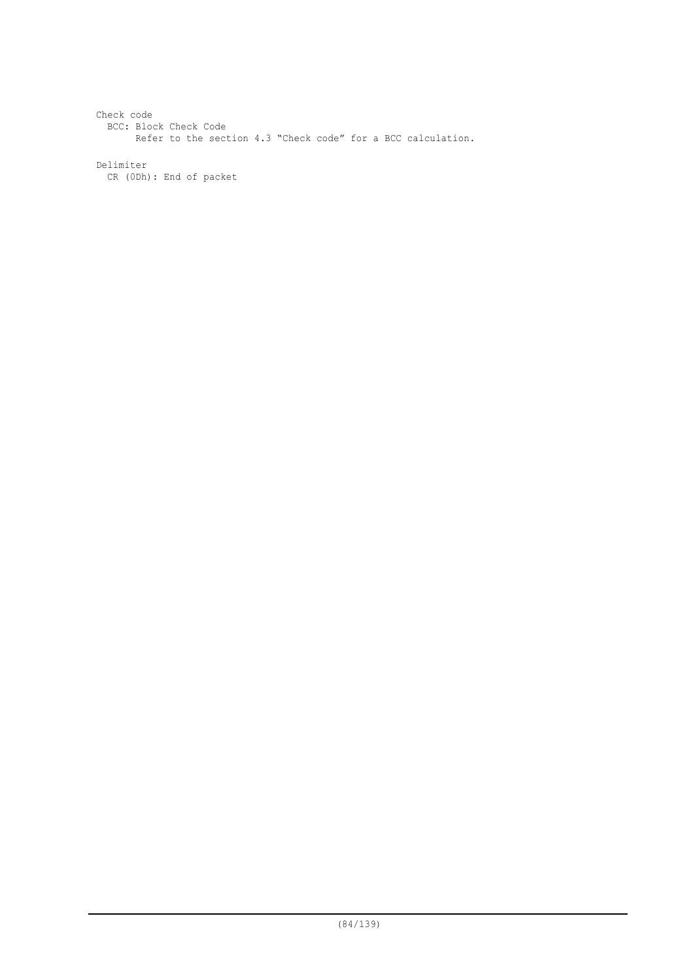Check code BCC: Block Check Code Refer to the section 4.3 "Check code" for a BCC calculation.

Delimiter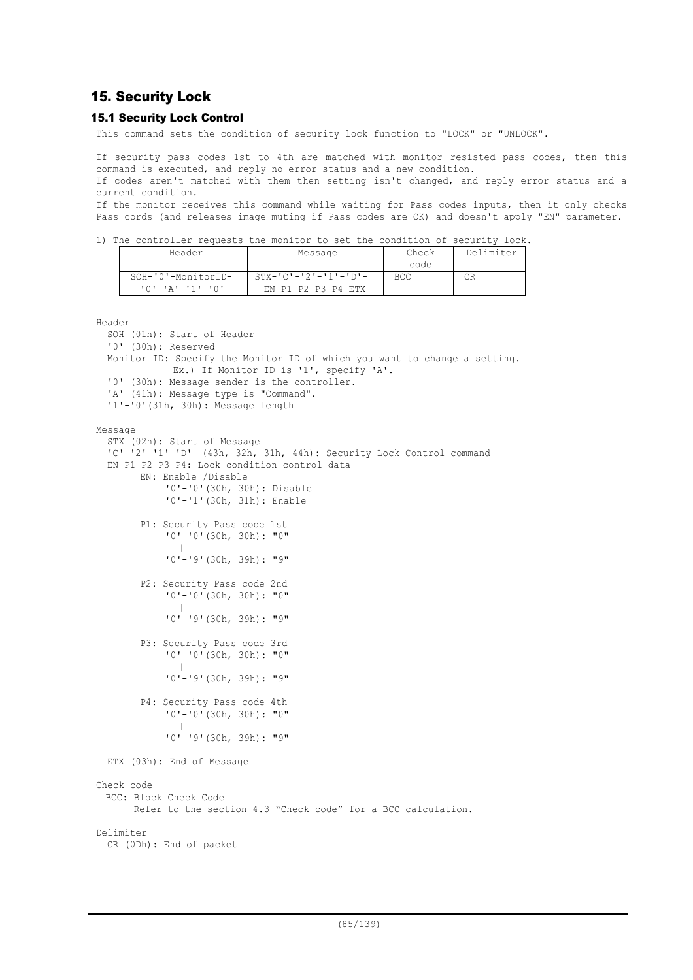# 15. Security Lock

## 15.1 Security Lock Control

This command sets the condition of security lock function to "LOCK" or "UNLOCK".

If security pass codes 1st to 4th are matched with monitor resisted pass codes, then this command is executed, and reply no error status and a new condition.

If codes aren't matched with them then setting isn't changed, and reply error status and a current condition.

If the monitor receives this command while waiting for Pass codes inputs, then it only checks Pass cords (and releases image muting if Pass codes are OK) and doesn't apply "EN" parameter.

1) The controller requests the monitor to set the condition of security lock.

| Header                                        | Message                                                 | Check<br>code | Delimiter |
|-----------------------------------------------|---------------------------------------------------------|---------------|-----------|
| SOH-'0'-MonitorID-<br>$101 - 121 - 111 - 101$ | $STX - ICI - I2I - I1I - IDI -$<br>$EN-P1-P2-P3-P4-FTX$ | <b>BCC</b>    | СR        |

```
Header
```

```
SOH (01h): Start of Header
  '0' (30h): Reserved
  Monitor ID: Specify the Monitor ID of which you want to change a setting.
             Ex.) If Monitor ID is '1', specify 'A'.
  '0' (30h): Message sender is the controller.
  'A' (41h): Message type is "Command".
  '1'-'0'(31h, 30h): Message length
Message
  STX (02h): Start of Message
  'C'-'2'-'1'-'D' (43h, 32h, 31h, 44h): Security Lock Control command
  EN-P1-P2-P3-P4: Lock condition control data
        EN: Enable /Disable
            '0'-'0'(30h, 30h): Disable
            '0'-'1'(30h, 31h): Enable
        P1: Security Pass code 1st
            '0'-'0'(30h, 30h): "0"
               |
             '0'-'9'(30h, 39h): "9"
        P2: Security Pass code 2nd
            '0'-'0'(30h, 30h): "0"
               |
             '0'-'9'(30h, 39h): "9"
        P3: Security Pass code 3rd
            '0'-'0'(30h, 30h): "0"
               |
             '0'-'9'(30h, 39h): "9"
        P4: Security Pass code 4th
            '0'-'0'(30h, 30h): "0"
               |
             '0'-'9'(30h, 39h): "9"
 ETX (03h): End of Message
Check code
 BCC: Block Check Code
       Refer to the section 4.3 "Check code" for a BCC calculation.
Delimiter
  CR (0Dh): End of packet
```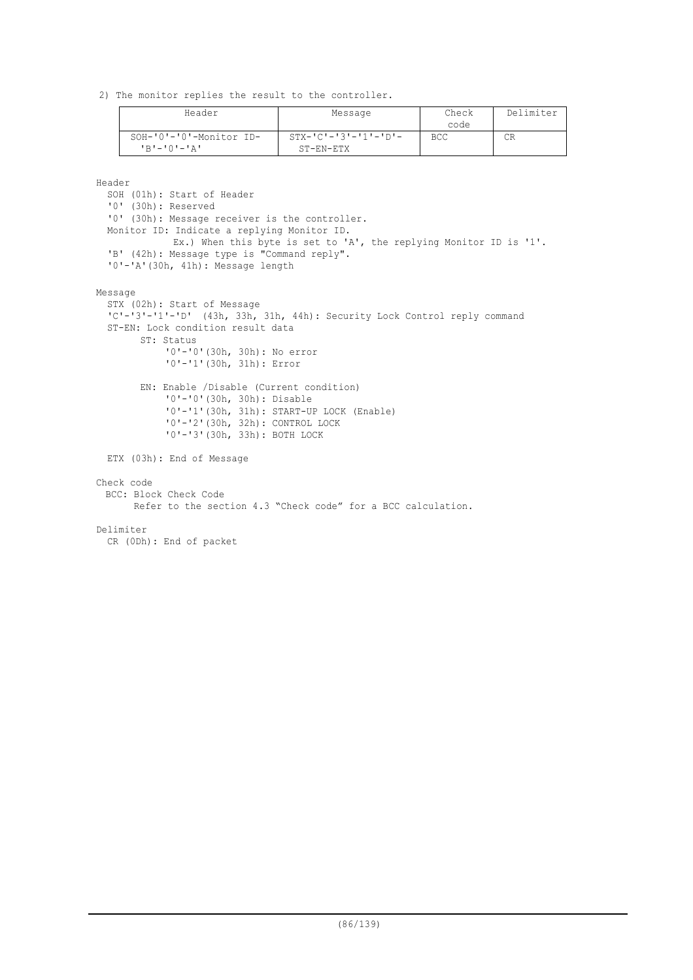2) The monitor replies the result to the controller.

| Header                  | Message                         | Check      | Delimiter |
|-------------------------|---------------------------------|------------|-----------|
|                         |                                 | code       |           |
| SOH-'0'-'0'-Monitor ID- | $STX - 'C' - '3' - '1' - 'D' -$ | <b>BCC</b> | СR        |
| $R$ $I - I$ $(1 - I)$   | $ST-EN-ETX$                     |            |           |

Header

SOH (01h): Start of Header '0' (30h): Reserved '0' (30h): Message receiver is the controller. Monitor ID: Indicate a replying Monitor ID. Ex.) When this byte is set to 'A', the replying Monitor ID is '1'. 'B' (42h): Message type is "Command reply". '0'-'A'(30h, 41h): Message length Message STX (02h): Start of Message 'C'-'3'-'1'-'D' (43h, 33h, 31h, 44h): Security Lock Control reply command ST-EN: Lock condition result data ST: Status '0'-'0'(30h, 30h): No error '0'-'1'(30h, 31h): Error EN: Enable /Disable (Current condition) '0'-'0'(30h, 30h): Disable '0'-'1'(30h, 31h): START-UP LOCK (Enable) '0'-'2'(30h, 32h): CONTROL LOCK '0'-'3'(30h, 33h): BOTH LOCK ETX (03h): End of Message Check code BCC: Block Check Code Refer to the section 4.3 "Check code" for a BCC calculation. Delimiter CR (0Dh): End of packet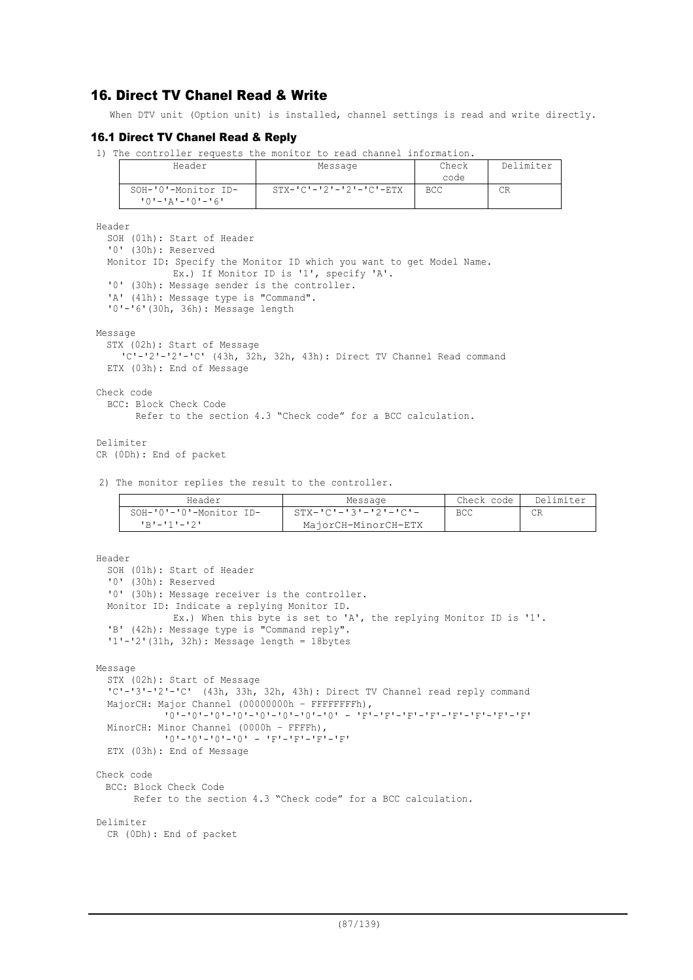# 16. Direct TV Chanel Read & Write

When DTV unit (Option unit) is installed, channel settings is read and write directly.

## 16.1 Direct TV Chanel Read & Reply

1) The controller requests the monitor to read channel information.

| Header                                 | Message                             | Check<br>code | Delimiter |
|----------------------------------------|-------------------------------------|---------------|-----------|
| SOH-'0'-Monitor ID-<br>10'-'A'-'0'-'6' | $STX - 'C' - '2' - '2' - 'C' - ETX$ | <b>BCC</b>    | CR        |

Header

```
SOH (01h): Start of Header
'0' (30h): Reserved
Monitor ID: Specify the Monitor ID which you want to get Model Name.
           Ex.) If Monitor ID is '1', specify 'A'.
'0' (30h): Message sender is the controller.
'A' (41h): Message type is "Command".
'0'-'6'(30h, 36h): Message length
```
Message

```
STX (02h): Start of Message
  'C'-'2'-'2'-'C' (43h, 32h, 32h, 43h): Direct TV Channel Read command
ETX (03h): End of Message
```
Check code

```
BCC: Block Check Code
```
Refer to the section 4.3 "Check code" for a BCC calculation.

Delimiter

```
CR (0Dh): End of packet
```
2) The monitor replies the result to the controller.

| Header                  | Message                | Check code | Delimiter |
|-------------------------|------------------------|------------|-----------|
| SOH-'0'-'0'-Monitor ID- | - STX-'C'-'3'-'2'-'C'- | <b>BCC</b> |           |
| コロナーエキューエクエ             | MajorCH-MinorCH-ETX    |            |           |

```
Header
  SOH (01h): Start of Header
  '0' (30h): Reserved
  '0' (30h): Message receiver is the controller.
 Monitor ID: Indicate a replying Monitor ID.
             Ex.) When this byte is set to 'A', the replying Monitor ID is '1'.
  'B' (42h): Message type is "Command reply".
  '1'-'2'(31h, 32h): Message length = 18bytes
Message
  STX (02h): Start of Message
  'C'-'3'-'2'-'C' (43h, 33h, 32h, 43h): Direct TV Channel read reply command
  MajorCH: Major Channel (00000000h - FFFFFFFFh),
            '0'-'0'-'0'-'0'-'0'-'0'-'0'-'0' - 'F'-'F'-'F'-'F'-'F'-'F'-'F'-'F'
  MinorCH: Minor Channel (0000h – FFFFh),
            101 - 101 - 101 - 101 = 1F1 - 1F1 - 1F1 - 1F1ETX (03h): End of Message
Check code
 BCC: Block Check Code
       Refer to the section 4.3 "Check code" for a BCC calculation.
Delimiter
 CR (0Dh): End of packet
```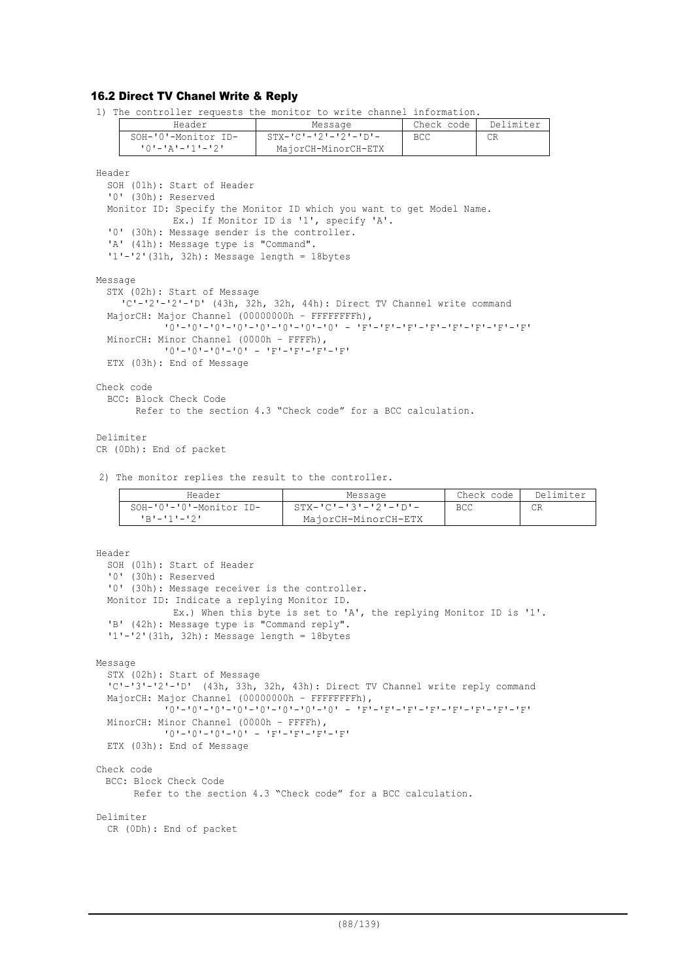# 16.2 Direct TV Chanel Write & Reply

1) The controller requests the monitor to write channel information.

| Header              | Message                      | Check code | Delimiter |
|---------------------|------------------------------|------------|-----------|
| SOH-'0'-Monitor ID- | $STX - IC - 12 - 121 - 1D -$ | BCC        | CR        |
|                     | MajorCH-MinorCH-ETX          |            |           |
|                     |                              |            |           |

Header

```
SOH (01h): Start of Header
  '0' (30h): Reserved
  Monitor ID: Specify the Monitor ID which you want to get Model Name.
             Ex.) If Monitor ID is '1', specify 'A'.
  '0' (30h): Message sender is the controller.
  'A' (41h): Message type is "Command".
  '1'-'2'(31h, 32h): Message length = 18bytes
Message
  STX (02h): Start of Message
    'C'-'2'-'2'-'D' (43h, 32h, 32h, 44h): Direct TV Channel write command
 MajorCH: Major Channel (00000000h - FFFFFFFFh),
            '0'-'0'-'0'-'0'-'0'-'0'-'0'-'0' - 'F'-'F'-'F'-'F'-'F'-'F'-'F'-'F'
  MinorCH: Minor Channel (0000h – FFFFh),
            101 - 101 - 101 - 101 = 1F'-'F'-'F'-'F'
 ETX (03h): End of Message
Check code
  BCC: Block Check Code
        Refer to the section 4.3 "Check code" for a BCC calculation.
```
Delimiter CR (0Dh): End of packet

2) The monitor replies the result to the controller.

| Header                                 | Message                                       | Check code | Delimiter |
|----------------------------------------|-----------------------------------------------|------------|-----------|
| SOH-'0'-'0'-Monitor ID-<br>コロリーエチエーエクエ | - STX-'C'-'3'-'2'-'D'-<br>MajorCH-MinorCH-ETX | <b>BCC</b> | СR        |
|                                        |                                               |            |           |

```
Header
  SOH (01h): Start of Header
  '0' (30h): Reserved
  '0' (30h): Message receiver is the controller.
  Monitor ID: Indicate a replying Monitor ID.
                 Ex.) When this byte is set to 'A', the replying Monitor ID is '1'.
  'B' (42h): Message type is "Command reply".
  '1'-'2'(31h, 32h): Message length = 18bytes
Message
  STX (02h): Start of Message
  'C'-'3'-'2'-'D' (43h, 33h, 32h, 43h): Direct TV Channel write reply command
  MajorCH: Major Channel (00000000h - FFFFFFFFh),
               \frac{1}{2}\frac{1}{2}\frac{1}{2}\frac{1}{2}\frac{1}{2}\frac{1}{2}\frac{1}{2}\frac{1}{2}\frac{1}{2}\frac{1}{2}\frac{1}{2}\frac{1}{2}\frac{1}{2}\frac{1}{2}\frac{1}{2}\frac{1}{2}\frac{1}{2}\frac{1}{2}\frac{1}{2}\frac{1}{2}\frac{1}{2}\frac{1}{2}\frac{1}{2}\frac{1}{2}\frac{1MinorCH: Minor Channel (0000h – FFFFh),
               '0'-'0'-'0'-'0' - 'F'-'F'-'F'-'F'
  ETX (03h): End of Message
Check code
  BCC: Block Check Code
         Refer to the section 4.3 "Check code" for a BCC calculation.
Delimiter
  CR (0Dh): End of packet
```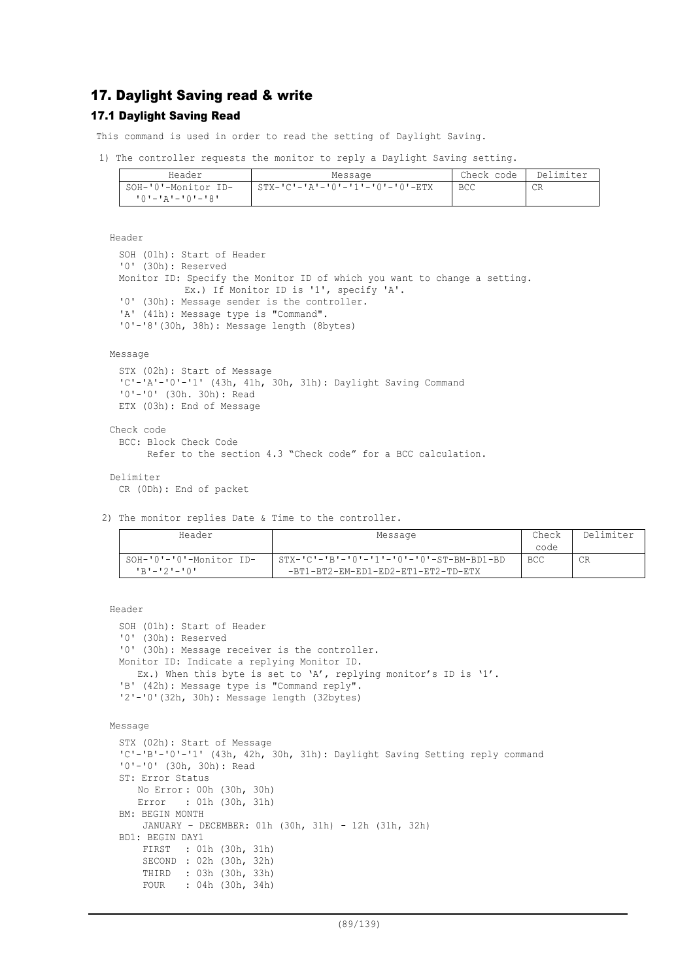# 17. Daylight Saving read & write

# 17.1 Daylight Saving Read

This command is used in order to read the setting of Daylight Saving.

1) The controller requests the monitor to reply a Daylight Saving setting.

| Header              | Message                         | Check code I | . Delimiter |
|---------------------|---------------------------------|--------------|-------------|
| SOH-'0'-Monitor ID- | STX-'C'-'A'-'O'-'1'-'O'-'O'-ETX | <b>BCC</b>   | СR          |
| י8'−'0'–'4'–'0'     |                                 |              |             |

Header

```
SOH (01h): Start of Header
'0' (30h): Reserved
Monitor ID: Specify the Monitor ID of which you want to change a setting.
           Ex.) If Monitor ID is '1', specify 'A'.
'0' (30h): Message sender is the controller.
'A' (41h): Message type is "Command".
'0'-'8'(30h, 38h): Message length (8bytes)
```
### Message

```
STX (02h): Start of Message
 'C'-'A'-'0'-'1' (43h, 41h, 30h, 31h): Daylight Saving Command
 '0'-'0' (30h. 30h): Read
 ETX (03h): End of Message
Check code
 BCC: Block Check Code
       Refer to the section 4.3 "Check code" for a BCC calculation.
Delimiter
```

```
CR (0Dh): End of packet
```
2) The monitor replies Date & Time to the controller.

| Header                  | Message                                  | Check      | Delimiter |
|-------------------------|------------------------------------------|------------|-----------|
|                         |                                          | code       |           |
| SOH-'0'-'0'-Monitor ID- | STX-'C'-'B'-'0'-'1'-'0'-'0'-ST-BM-BD1-BD | <b>BCC</b> | CR        |
| $P - 121 - 101$         | -BT1-BT2-EM-ED1-ED2-ET1-ET2-TD-ETX       |            |           |

#### Header

```
SOH (01h): Start of Header
'0' (30h): Reserved
'0' (30h): Message receiver is the controller.
Monitor ID: Indicate a replying Monitor ID.
  Ex.) When this byte is set to 'A', replying monitor's ID is '1'.
'B' (42h): Message type is "Command reply".
'2'-'0'(32h, 30h): Message length (32bytes)
```

```
Message
```

```
STX (02h): Start of Message
'C'-'B'-'0'-'1' (43h, 42h, 30h, 31h): Daylight Saving Setting reply command
'0'-'0' (30h, 30h): Read
ST: Error Status
    No Error : 00h (30h, 30h)
    Error : 01h (30h, 31h)
BM: BEGIN MONTH
    JANUARY – DECEMBER: 01h (30h, 31h) - 12h (31h, 32h)
BD1: BEGIN DAY1<br>FIRST : 01
          : 01h (30h, 31h) SECOND : 02h (30h, 32h)
     THIRD : 03h (30h, 33h)
     FOUR : 04h (30h, 34h)
```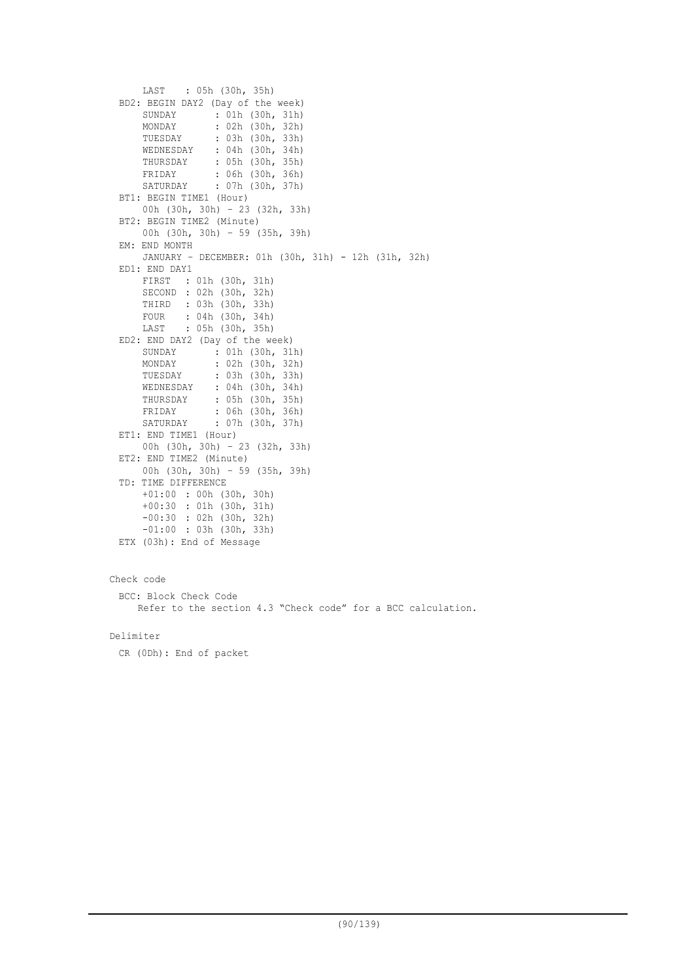```
 LAST : 05h (30h, 35h)
 BD2: BEGIN DAY2 (Day of the week)
      SUNDAY : 01h (30h, 31h)
     MONDAY : 02h (30h, 32h)<br>TUESDAY : 03h (30h, 33h)
                  : 03h (30h, 33h)
   WEDNESDAY : 04h (30h, 34h)
   THURSDAY : 05h (30h, 35h)
      FRIDAY : 06h (30h, 36h)
      SATURDAY : 07h (30h, 37h)
 BT1: BEGIN TIME1 (Hour)
      00h (30h, 30h) – 23 (32h, 33h)
 BT2: BEGIN TIME2 (Minute)
      00h (30h, 30h) – 59 (35h, 39h)
 EM: END MONTH
      JANUARY – DECEMBER: 01h (30h, 31h) - 12h (31h, 32h)
 ED1: END DAY1
      FIRST : 01h (30h, 31h)
      SECOND : 02h (30h, 32h)
      THIRD : 03h (30h, 33h)
      FOUR : 04h (30h, 34h)
      LAST : 05h (30h, 35h)
 ED2: END DAY2 (Day of the week)
      SUNDAY : 01h (30h, 31h)
     MONDAY : 02h (30h, 32h)<br>TUESDAY : 03h (30h, 33h)
                 : 03h (30h, 33h) WEDNESDAY : 04h (30h, 34h)
      THURSDAY : 05h (30h, 35h)
   FRIDAY : 06h (30h, 36h)
   SATURDAY : 07h (30h, 37h)
 ET1: END TIME1 (Hour)
      00h (30h, 30h) – 23 (32h, 33h)
 ET2: END TIME2 (Minute)
      00h (30h, 30h) – 59 (35h, 39h)
 TD: TIME DIFFERENCE
      +01:00 : 00h (30h, 30h)
      +00:30 : 01h (30h, 31h)
      -00:30 : 02h (30h, 32h)
       -01:00 : 03h (30h, 33h)
 ETX (03h): End of Message
Check code
```
BCC: Block Check Code Refer to the section 4.3 "Check code" for a BCC calculation.

Delimiter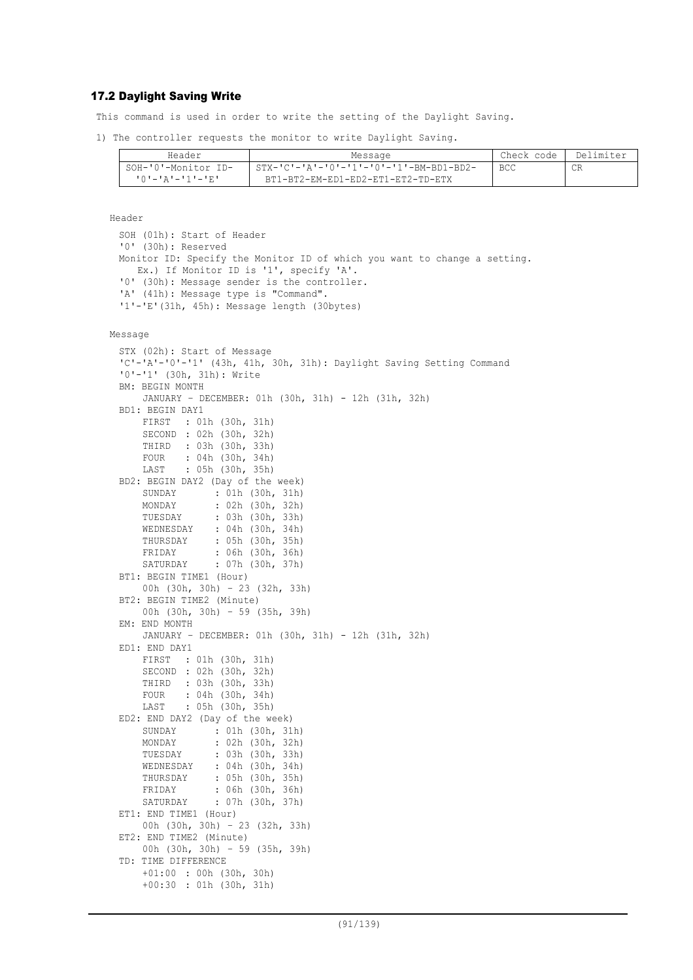## 17.2 Daylight Saving Write

This command is used in order to write the setting of the Daylight Saving.

1) The controller requests the monitor to write Daylight Saving.

| Header                           | Message                                   | Check code   Delimiter |    |
|----------------------------------|-------------------------------------------|------------------------|----|
| SOH-'0'-Monitor ID-              | 1 STX-'C'-'A'-'0'-'1'-'0'-'1'-BM-BD1-BD2- | - BCC                  | CR |
| 「 () ' ― ' A ' ― ' 1 ' ― ' E ' ― | BT1-BT2-EM-ED1-ED2-ET1-ET2-TD-ETX         |                        |    |

Header

SOH (01h): Start of Header '0' (30h): Reserved Monitor ID: Specify the Monitor ID of which you want to change a setting. Ex.) If Monitor ID is '1', specify 'A'. '0' (30h): Message sender is the controller. 'A' (41h): Message type is "Command". '1'-'E'(31h, 45h): Message length (30bytes)

#### Message

```
STX (02h): Start of Message
'C'-'A'-'0'-'1' (43h, 41h, 30h, 31h): Daylight Saving Setting Command
'0'-'1' (30h, 31h): Write
BM: BEGIN MONTH
     JANUARY – DECEMBER: 01h (30h, 31h) - 12h (31h, 32h)
BD1: BEGIN DAY1
     FIRST : 01h (30h, 31h)
     SECOND : 02h (30h, 32h)
     THIRD : 03h (30h, 33h)
     FOUR : 04h (30h, 34h)
     LAST : 05h (30h, 35h)
BD2: BEGIN DAY2 (Day of the week)
     SUNDAY : 01h (30h, 31h)
    MONDAY : 02h (30h, 32h)<br>TUESDAY : 03h (30h, 33h)
                : 03h (30h, 33h)
     WEDNESDAY : 04h (30h, 34h)
    THURSDAY : 05h (30h, 35h)<br>FRIDAY : 06h (30h, 36h)
                : 06h (30h, 36h) SATURDAY : 07h (30h, 37h)
BT1: BEGIN TIME1 (Hour)
     00h (30h, 30h) – 23 (32h, 33h)
BT2: BEGIN TIME2 (Minute)
     00h (30h, 30h) – 59 (35h, 39h)
EM: END MONTH
     JANUARY – DECEMBER: 01h (30h, 31h) - 12h (31h, 32h)
ED1: END DAY1
     FIRST : 01h (30h, 31h)
     SECOND : 02h (30h, 32h)
     THIRD : 03h (30h, 33h)
     FOUR : 04h (30h, 34h)
     LAST : 05h (30h, 35h)
ED2: END DAY2 (Day of the week)
     SUNDAY : 01h (30h, 31h)
     MONDAY : 02h (30h, 32h)
     TUESDAY : 03h (30h, 33h)
     WEDNESDAY : 04h (30h, 34h)
     THURSDAY : 05h (30h, 35h)
     FRIDAY : 06h (30h, 36h)
     SATURDAY : 07h (30h, 37h)
ET1: END TIME1 (Hour)
     00h (30h, 30h) – 23 (32h, 33h)
ET2: END TIME2 (Minute)
     00h (30h, 30h) – 59 (35h, 39h)
TD: TIME DIFFERENCE
     +01:00 : 00h (30h, 30h)
     +00:30 : 01h (30h, 31h)
```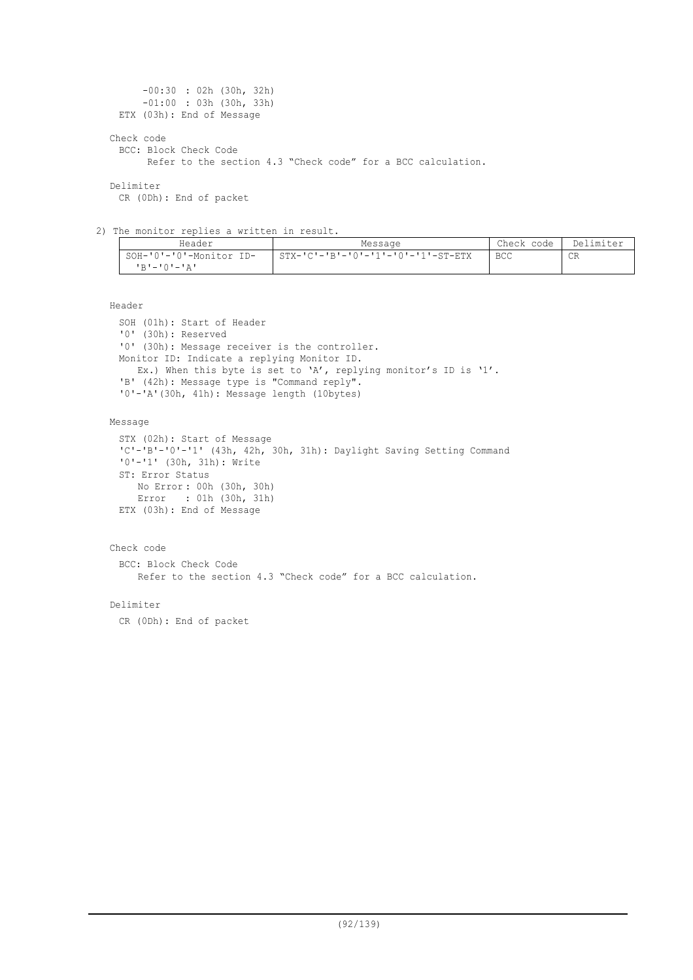```
 -00:30 : 02h (30h, 32h)
       -01:00 : 03h (30h, 33h)
 ETX (03h): End of Message
Check code
 BCC: Block Check Code
       Refer to the section 4.3 "Check code" for a BCC calculation.
Delimiter
 CR (0Dh): End of packet
```
2) The monitor replies a written in result.

| Header                  | Message                            | Check code | Delimiter |
|-------------------------|------------------------------------|------------|-----------|
| SOH-'0'-'0'-Monitor ID- | STX-'C'-'B'-'0'-'1'-'0'-'1'-ST-ETX | <b>BCC</b> | CR        |
| י בי – י ∩י – י בי      |                                    |            |           |

### Header

```
SOH (01h): Start of Header
'0' (30h): Reserved
'0' (30h): Message receiver is the controller.
Monitor ID: Indicate a replying Monitor ID.
  Ex.) When this byte is set to 'A', replying monitor's ID is '1'.
'B' (42h): Message type is "Command reply".
'0'-'A'(30h, 41h): Message length (10bytes)
```
### Message

```
STX (02h): Start of Message
'C'-'B'-'0'-'1' (43h, 42h, 30h, 31h): Daylight Saving Setting Command
'0'-'1' (30h, 31h): Write
ST: Error Status
    No Error : 00h (30h, 30h)
    Error : 01h (30h, 31h)
ETX (03h): End of Message
```
### Check code

BCC: Block Check Code Refer to the section 4.3 "Check code" for a BCC calculation.

### Delimiter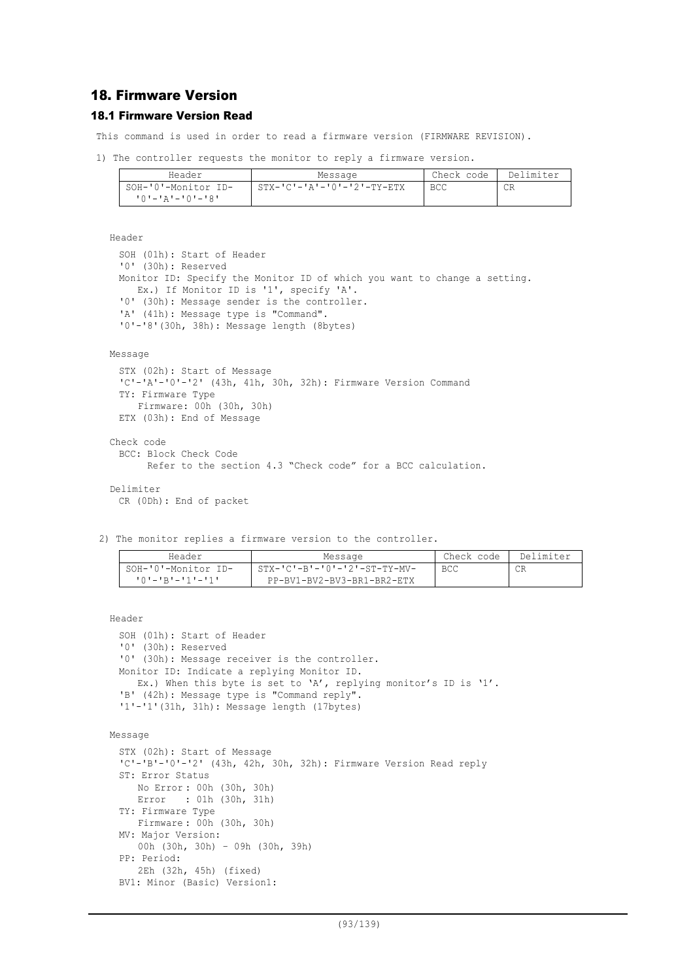# 18. Firmware Version

# 18.1 Firmware Version Read

This command is used in order to read a firmware version (FIRMWARE REVISION).

```
1) The controller requests the monitor to reply a firmware version.
```

| Header                  | Message                      | Check code | Delimiter |
|-------------------------|------------------------------|------------|-----------|
| SOH-'0'-Monitor ID-     | $STX-ICI-IAI-I0I-I2I-TY-ETX$ | <b>BCC</b> | СR        |
| $101 - 121 - 101 - 181$ |                              |            |           |

Header

```
SOH (01h): Start of Header
'0' (30h): Reserved
Monitor ID: Specify the Monitor ID of which you want to change a setting.
  Ex.) If Monitor ID is '1', specify 'A'.
'0' (30h): Message sender is the controller.
'A' (41h): Message type is "Command".
'0'-'8'(30h, 38h): Message length (8bytes)
```
Message

```
STX (02h): Start of Message
 'C'-'A'-'0'-'2' (43h, 41h, 30h, 32h): Firmware Version Command
 TY: Firmware Type
     Firmware: 00h (30h, 30h)
 ETX (03h): End of Message
Check code
 BCC: Block Check Code
       Refer to the section 4.3 "Check code" for a BCC calculation.
```
Delimiter

CR (0Dh): End of packet

2) The monitor replies a firmware version to the controller.

| Header                  | Message                      | Check code | Delimiter |
|-------------------------|------------------------------|------------|-----------|
| SOH-'0'-Monitor ID-     | STX-'C'-B'-'0'-'2'-ST-TY-MV- | BCC        |           |
| $101 - 1R1 - 111 - 111$ | PP-BV1-BV2-BV3-BR1-BR2-ETX   |            |           |

Header

```
SOH (01h): Start of Header
 '0' (30h): Reserved
 '0' (30h): Message receiver is the controller.
 Monitor ID: Indicate a replying Monitor ID.
   Ex.) When this byte is set to 'A', replying monitor's ID is '1'.
 'B' (42h): Message type is "Command reply".
 '1'-'1'(31h, 31h): Message length (17bytes)
Message
 STX (02h): Start of Message
 'C'-'B'-'0'-'2' (43h, 42h, 30h, 32h): Firmware Version Read reply
 ST: Error Status
     No Error : 00h (30h, 30h)
     Error : 01h (30h, 31h)
 TY: Firmware Type
     Firmware : 00h (30h, 30h)
 MV: Major Version:
    00h (30h, 30h) – 09h (30h, 39h)
 PP: Period:
     2Eh (32h, 45h) (fixed)
 BV1: Minor (Basic) Version1:
```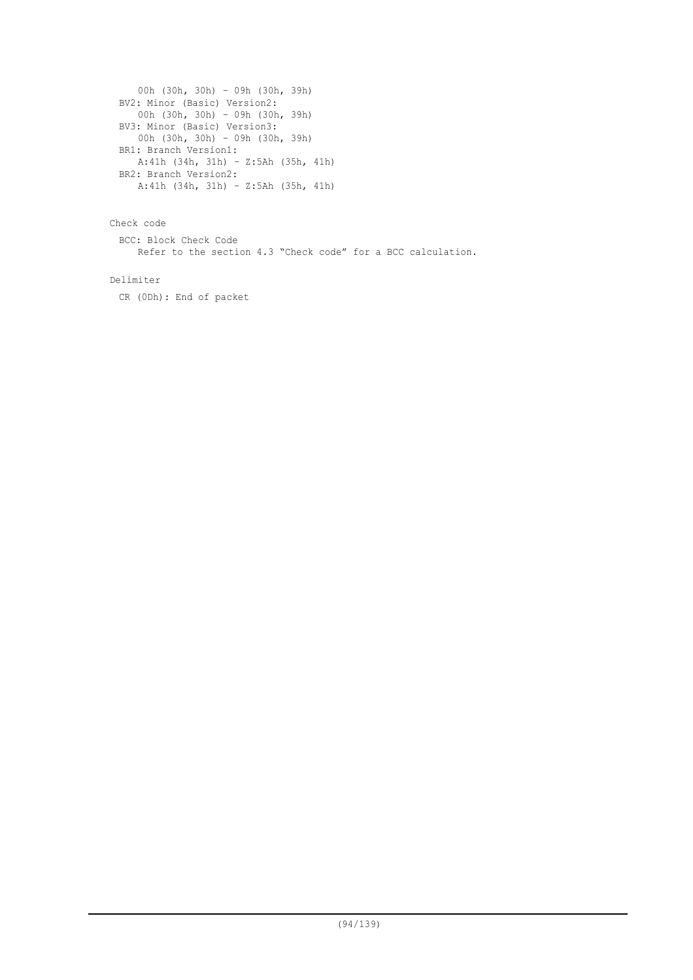```
00h (30h, 30h) – 09h (30h, 39h)
BV2: Minor (Basic) Version2:
  00h (30h, 30h) – 09h (30h, 39h)
BV3: Minor (Basic) Version3:
   00h (30h, 30h) – 09h (30h, 39h)
BR1: Branch Version1:
   A:41h (34h, 31h) – Z:5Ah (35h, 41h)
BR2: Branch Version2:
  A:41h (34h, 31h) – Z:5Ah (35h, 41h)
```
Check code

BCC: Block Check Code Refer to the section 4.3 "Check code" for a BCC calculation.

Delimiter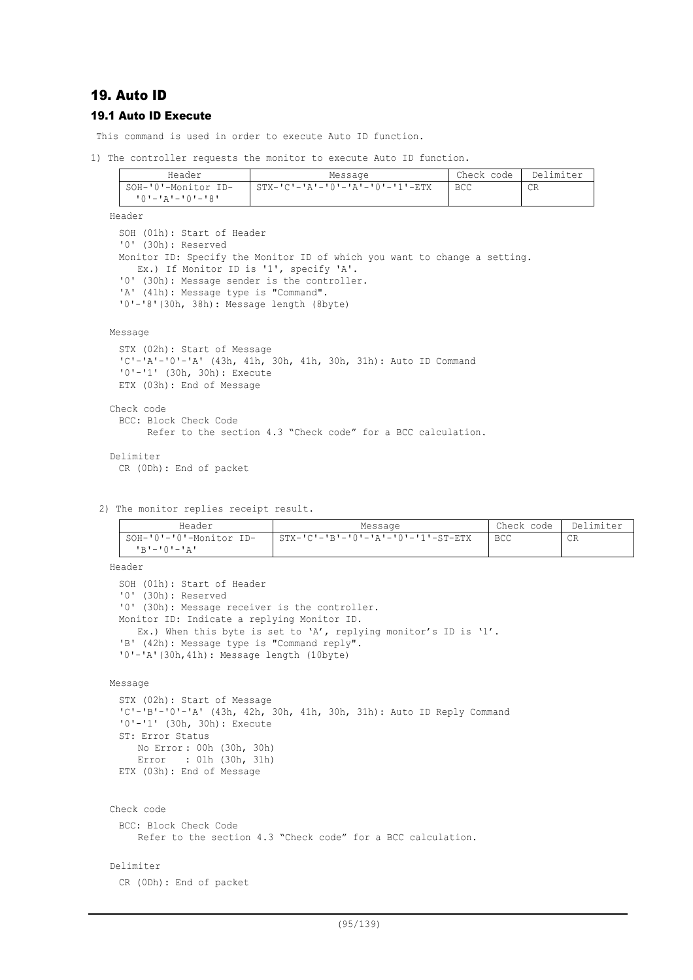# 19. Auto ID

# 19.1 Auto ID Execute

This command is used in order to execute Auto ID function.

1) The controller requests the monitor to execute Auto ID function.

| Header                    | Message                                  | Check code | Delimiter |
|---------------------------|------------------------------------------|------------|-----------|
| SOH-'0'-Monitor ID-       | $\Gamma$ STX-'C'-'A'-'0'-'A'-'0'-'1'-ETX | <b>BCC</b> | СR        |
| י 8' – י 0' – י 4' – י 0' |                                          |            |           |
| Header                    |                                          |            |           |

SOH (01h): Start of Header '0' (30h): Reserved Monitor ID: Specify the Monitor ID of which you want to change a setting. Ex.) If Monitor ID is '1', specify 'A'. '0' (30h): Message sender is the controller. 'A' (41h): Message type is "Command". '0'-'8'(30h, 38h): Message length (8byte)

#### Message

```
STX (02h): Start of Message
 'C'-'A'-'0'-'A' (43h, 41h, 30h, 41h, 30h, 31h): Auto ID Command
 '0'-'1' (30h, 30h): Execute
 ETX (03h): End of Message
Check code
 BCC: Block Check Code
       Refer to the section 4.3 "Check code" for a BCC calculation.
Delimiter
 CR (0Dh): End of packet
```
2) The monitor replies receipt result.

| Header                                 | Message                                 | Check code | Delimiter |
|----------------------------------------|-----------------------------------------|------------|-----------|
| SOH-'0'-'0'-Monitor ID-<br>IR'-'0'-'A' | $STX-ICI-IBI-I0I-IAI-I0I-I-I-II-ST-ETX$ | BCC        | CR        |

Header

```
SOH (01h): Start of Header
'0' (30h): Reserved
'0' (30h): Message receiver is the controller.
Monitor ID: Indicate a replying Monitor ID.
  Ex.) When this byte is set to 'A', replying monitor's ID is '1'.
'B' (42h): Message type is "Command reply".
'0'-'A'(30h,41h): Message length (10byte)
```

```
Message
```

```
STX (02h): Start of Message
IC'-IB'-I0'-IA' (43h, 42h, 30h, 41h, 30h, 31h): Auto ID Reply Command
'0'-'1' (30h, 30h): Execute
ST: Error Status
    No Error : 00h (30h, 30h)
    Error : 01h (30h, 31h)
ETX (03h): End of Message
```

```
Check code
 BCC: Block Check Code
    Refer to the section 4.3 "Check code" for a BCC calculation.
```
### Delimiter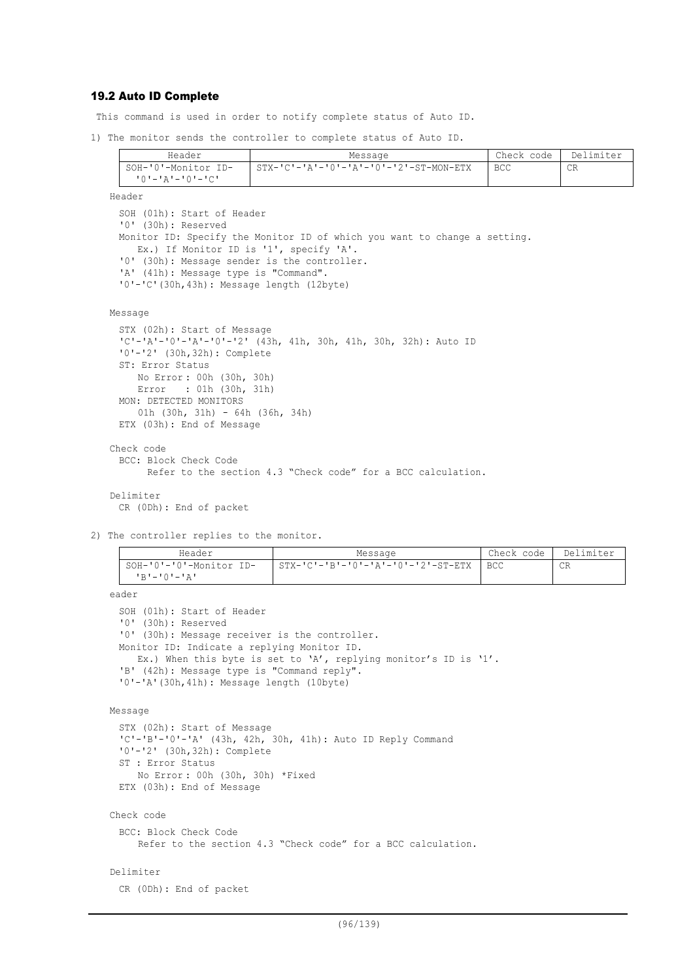# 19.2 Auto ID Complete

This command is used in order to notify complete status of Auto ID.

1) The monitor sends the controller to complete status of Auto ID.

| Header              | Message                                | Check code | Delimiter |
|---------------------|----------------------------------------|------------|-----------|
| SOH-'0'-Monitor ID- | STX-'C'-'A'-'O'-'A'-'O'-'2'-ST-MON-ETX | BCC        | CR        |
| י∩י−י∧י−י∧י         |                                        |            |           |

Header

SOH (01h): Start of Header '0' (30h): Reserved Monitor ID: Specify the Monitor ID of which you want to change a setting. Ex.) If Monitor ID is '1', specify 'A'. '0' (30h): Message sender is the controller. 'A' (41h): Message type is "Command". '0'-'C'(30h,43h): Message length (12byte)

```
Message
```

```
STX (02h): Start of Message
 'C'-'A'-'0'-'A'-'0'-'2' (43h, 41h, 30h, 41h, 30h, 32h): Auto ID
 '0'-'2' (30h,32h): Complete
 ST: Error Status
     No Error : 00h (30h, 30h)
     Error : 01h (30h, 31h)
 MON: DETECTED MONITORS
     01h (30h, 31h) - 64h (36h, 34h)
 ETX (03h): End of Message
Check code
 BCC: Block Check Code
```
Refer to the section 4.3 "Check code" for a BCC calculation.

```
Delimiter
 CR (0Dh): End of packet
```
2) The controller replies to the monitor.

| Header                                   | Message                            | Check code | Delimiter |
|------------------------------------------|------------------------------------|------------|-----------|
| SOH-'0'-'0'-Monitor ID-<br>י בי—י∩י−י בי | STX-'C'-'B'-'O'-'A'-'O'-'2'-ST-ETX | BCC        | CR        |

eader

```
SOH (01h): Start of Header
'0' (30h): Reserved
'0' (30h): Message receiver is the controller.
Monitor ID: Indicate a replying Monitor ID.
  Ex.) When this byte is set to 'A', replying monitor's ID is '1'.
'B' (42h): Message type is "Command reply".
'0'-'A'(30h,41h): Message length (10byte)
```

```
Message
```

```
STX (02h): Start of Message
'C'-'B'-'0'-'A' (43h, 42h, 30h, 41h): Auto ID Reply Command
'0'-'2' (30h,32h): Complete
ST : Error Status
   No Error : 00h (30h, 30h) *Fixed
ETX (03h): End of Message
```

```
Check code
```
BCC: Block Check Code Refer to the section 4.3 "Check code" for a BCC calculation.

### Delimiter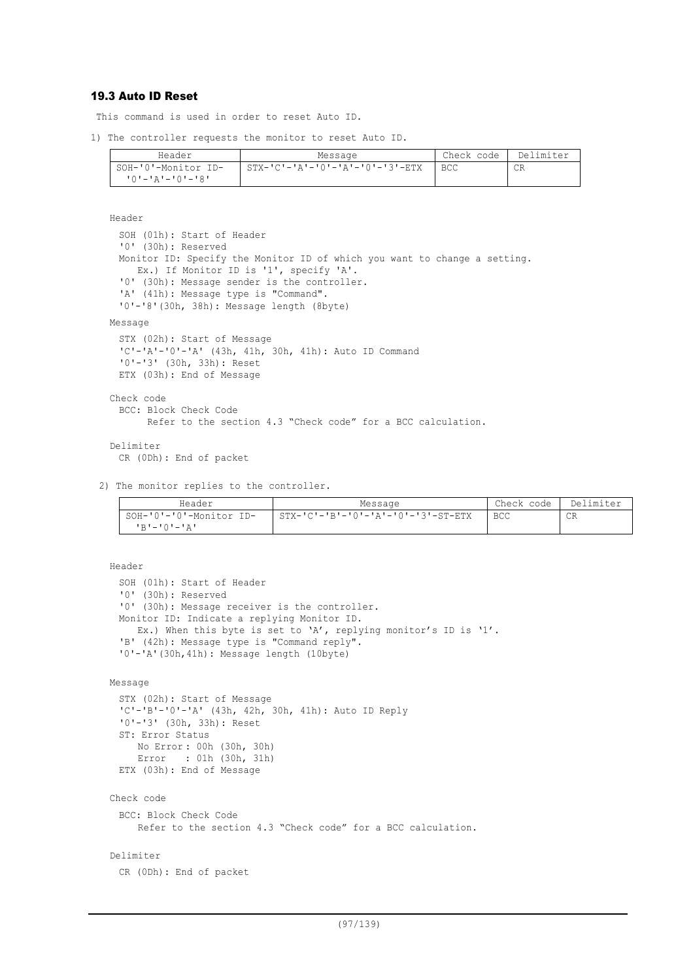# 19.3 Auto ID Reset

This command is used in order to reset Auto ID.

1) The controller requests the monitor to reset Auto ID.

| Header              | Message                         | Check code | Delimiter |
|---------------------|---------------------------------|------------|-----------|
| SOH-'0'-Monitor ID- | STX-'C'-'A'-'O'-'A'-'O'-'3'-ETX | BCC        | СR        |
| 10'-'A'-'0'-'8'     |                                 |            |           |

```
Header
```

```
SOH (01h): Start of Header
 '0' (30h): Reserved
 Monitor ID: Specify the Monitor ID of which you want to change a setting.
    Ex.) If Monitor ID is '1', specify 'A'.
  '0' (30h): Message sender is the controller.
  'A' (41h): Message type is "Command".
 '0'-'8'(30h, 38h): Message length (8byte)
Message
 STX (02h): Start of Message
 'C'-'A'-'0'-'A' (43h, 41h, 30h, 41h): Auto ID Command
 '0'-'3' (30h, 33h): Reset
 ETX (03h): End of Message
Check code
 BCC: Block Check Code
```
Refer to the section 4.3 "Check code" for a BCC calculation.

#### Delimiter

```
CR (0Dh): End of packet
```
2) The monitor replies to the controller.

| Header                    | Message                            | Check code   Delimiter |    |
|---------------------------|------------------------------------|------------------------|----|
| I SOH-'0'-'0'-Monitor ID- | STX-'C'-'B'-'0'-'A'-'0'-'3'-ST-ETX | <b>BCC</b>             | CR |
| י בי – י∩י – י פי         |                                    |                        |    |

Header SOH (01h): Start of Header '0' (30h): Reserved '0' (30h): Message receiver is the controller. Monitor ID: Indicate a replying Monitor ID. Ex.) When this byte is set to 'A', replying monitor's ID is '1'. 'B' (42h): Message type is "Command reply". '0'-'A'(30h,41h): Message length (10byte)

```
Message
```

```
STX (02h): Start of Message
 'C'-'B'-'0'-'A' (43h, 42h, 30h, 41h): Auto ID Reply
 '0'-'3' (30h, 33h): Reset
 ST: Error Status
     No Error : 00h (30h, 30h)
     Error : 01h (30h, 31h)
 ETX (03h): End of Message
Check code
 BCC: Block Check Code
    Refer to the section 4.3 "Check code" for a BCC calculation.
Delimiter
```

```
CR (0Dh): End of packet
```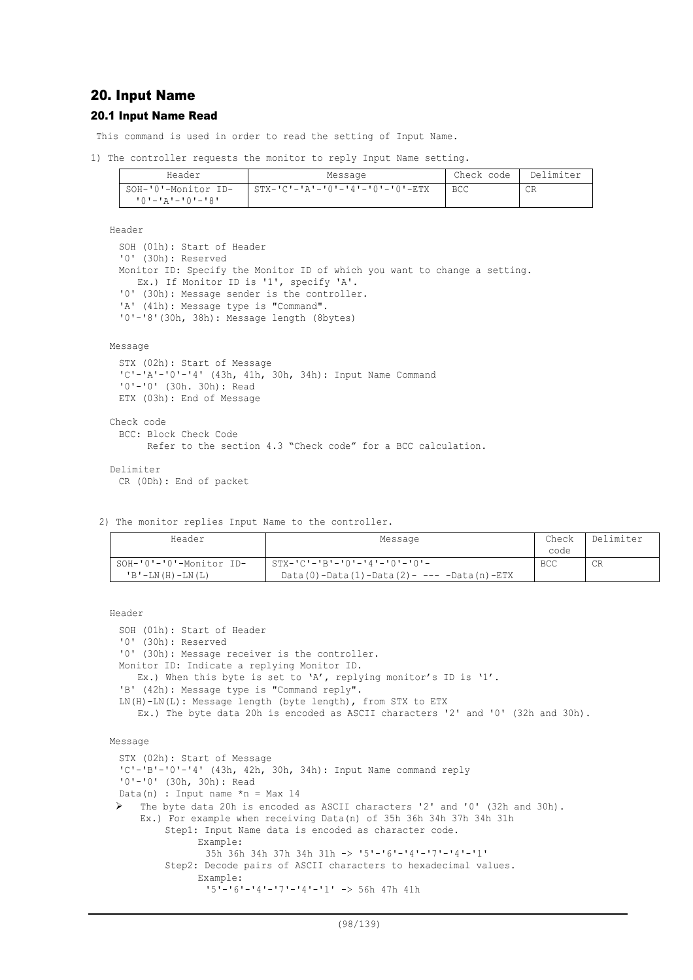# 20. Input Name

### 20.1 Input Name Read

This command is used in order to read the setting of Input Name.

1) The controller requests the monitor to reply Input Name setting.

| Header                                     | Message                                         | Check code | Delimiter |
|--------------------------------------------|-------------------------------------------------|------------|-----------|
| SOH-'0'-Monitor ID-<br>י8'–'0'–'4'–'0'–'8' | $STX - 'C' - 'A' - '0' - '4' - '0' - '0' - ETX$ | <b>BCC</b> | СR        |

Header

```
SOH (01h): Start of Header
'0' (30h): Reserved
Monitor ID: Specify the Monitor ID of which you want to change a setting.
  Ex.) If Monitor ID is '1', specify 'A'.
'0' (30h): Message sender is the controller.
'A' (41h): Message type is "Command".
'0'-'8'(30h, 38h): Message length (8bytes)
```
#### Message

```
STX (02h): Start of Message
 'C'-'A'-'0'-'4' (43h, 41h, 30h, 34h): Input Name Command
 '0'-'0' (30h. 30h): Read
 ETX (03h): End of Message
Check code
 BCC: Block Check Code
       Refer to the section 4.3 "Check code" for a BCC calculation.
```

```
Delimiter
 CR (0Dh): End of packet
```
2) The monitor replies Input Name to the controller.

| Header                                                 | Message                                                                                          | Check<br>code | Delimiter |
|--------------------------------------------------------|--------------------------------------------------------------------------------------------------|---------------|-----------|
| SOH-'0'-'0'-Monitor ID-<br>$'B'$ – LN $(H)$ – LN $(L)$ | $STX - 'C' - 'B' - 'O' - '4' - 'O' - 'O' -$<br>$Data(0) - Data(1) - Data(2) - --- Data(n) - ETX$ | <b>BCC</b>    | CR        |

Header

```
SOH (01h): Start of Header
 '0' (30h): Reserved
 '0' (30h): Message receiver is the controller.
 Monitor ID: Indicate a replying Monitor ID.
    Ex.) When this byte is set to 'A', replying monitor's ID is '1'.
 'B' (42h): Message type is "Command reply".
 LN(H)-LN(L): Message length (byte length), from STX to ETX
    Ex.) The byte data 20h is encoded as ASCII characters '2' and '0' (32h and 30h).
Message
 STX (02h): Start of Message
 'C'-'B'-'0'-'4' (43h, 42h, 30h, 34h): Input Name command reply
 '0'-'0' (30h, 30h): Read
 Data(n) : Input name *n = Max 14 The byte data 20h is encoded as ASCII characters '2' and '0' (32h and 30h).
     Ex.) For example when receiving Data(n) of 35h 36h 34h 37h 34h 31h
         Step1: Input Name data is encoded as character code.
               Example:
                35h 36h 34h 37h 34h 31h -> '5'-'6'-'4'-'7'-'4'-'1'
         Step2: Decode pairs of ASCII characters to hexadecimal values.
               Example:
                 '5'-'6'-'4'-'7'-'4'-'1' -> 56h 47h 41h
```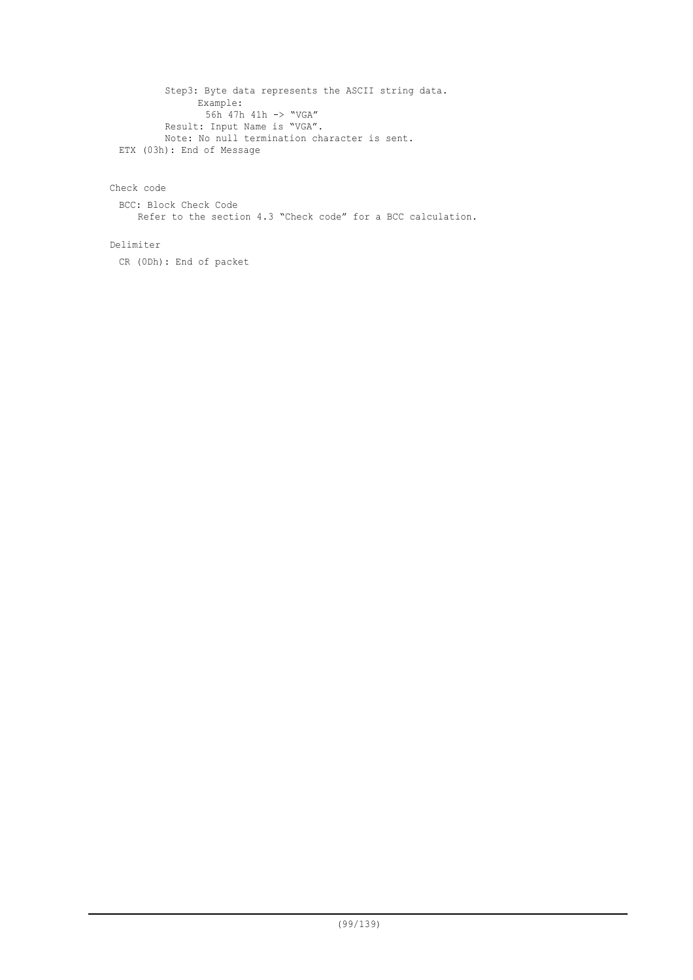Step3: Byte data represents the ASCII string data. Example: 56h 47h 41h -> "VGA" Result: Input Name is "VGA". Note: No null termination character is sent. ETX (03h): End of Message

Check code

BCC: Block Check Code Refer to the section 4.3 "Check code" for a BCC calculation.

Delimiter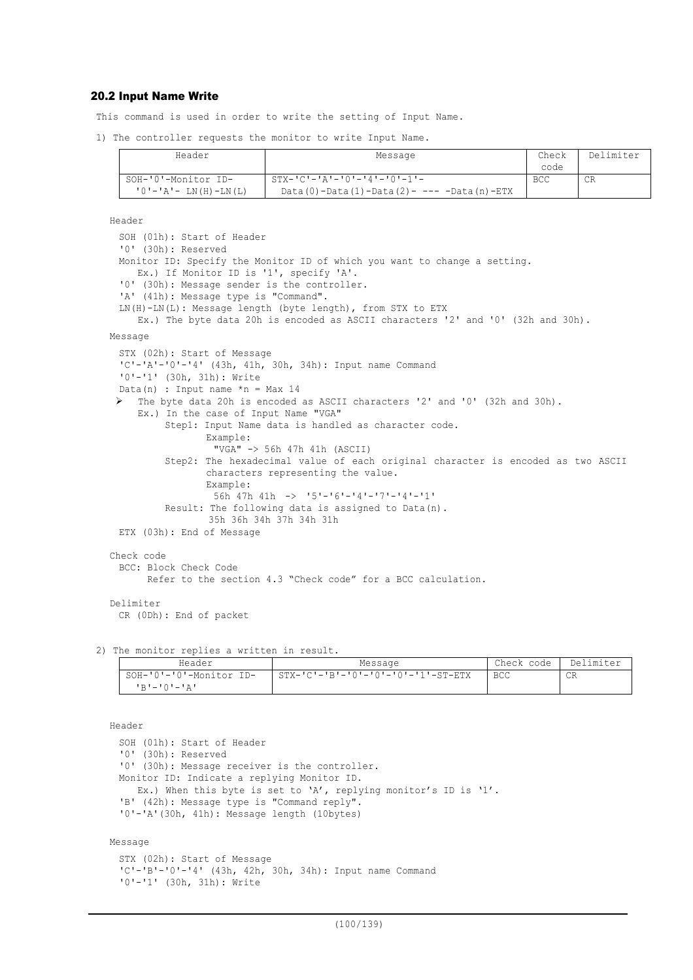# 20.2 Input Name Write

This command is used in order to write the setting of Input Name.

1) The controller requests the monitor to write Input Name.

| Header                        | Message                                           | Check      | Delimiter |
|-------------------------------|---------------------------------------------------|------------|-----------|
|                               |                                                   | code       |           |
| SOH-'0'-Monitor ID-           | $STX-ICI-IAI-IOI-IAI-IO-I-IOI-1$                  | <b>BCC</b> | CR        |
| $'0'$ - $'A'$ - LN(H) - LN(L) | $Data(0) - Data(1) - Data(2) - --- Data(n) - ETX$ |            |           |

```
Header
```

```
SOH (01h): Start of Header
 '0' (30h): Reserved
 Monitor ID: Specify the Monitor ID of which you want to change a setting.
    Ex.) If Monitor ID is '1', specify 'A'.
  '0' (30h): Message sender is the controller.
 'A' (41h): Message type is "Command".
 LN(H)-LN(L): Message length (byte length), from STX to ETX
    Ex.) The byte data 20h is encoded as ASCII characters '2' and '0' (32h and 30h).
Message
 STX (02h): Start of Message
 'C'-'A'-'0'-'4' (43h, 41h, 30h, 34h): Input name Command
 '0'-'1' (30h, 31h): Write
 Data(n) : Input name *n = Max 14 The byte data 20h is encoded as ASCII characters '2' and '0' (32h and 30h).
    Ex.) In the case of Input Name "VGA"
         Step1: Input Name data is handled as character code.
                 Example:
                  "VGA" -> 56h 47h 41h (ASCII)
         Step2: The hexadecimal value of each original character is encoded as two ASCII
                 characters representing the value.
                 Example:
                  56h 47h 41h -> '5'-'6'-'4'-'7'-'4'-'1'
         Result: The following data is assigned to Data(n).
                 35h 36h 34h 37h 34h 31h
 ETX (03h): End of Message
Check code
 BCC: Block Check Code
       Refer to the section 4.3 "Check code" for a BCC calculation.
Delimiter
 CR (0Dh): End of packet
```
2) The monitor replies a written in result.

| Header                  | Message                              | Check code | Delimiter |
|-------------------------|--------------------------------------|------------|-----------|
| SOH-'0'-'0'-Monitor ID- | . STX-'C'-'B'-'0'-'0'-'0'-'1'-ST-ETX | <b>BCC</b> | CR        |
| $1R1 - 1Q1 - 1Q1$       |                                      |            |           |

Header SOH (01h): Start of Header '0' (30h): Reserved '0' (30h): Message receiver is the controller. Monitor ID: Indicate a replying Monitor ID. Ex.) When this byte is set to 'A', replying monitor's ID is '1'. 'B' (42h): Message type is "Command reply". '0'-'A'(30h, 41h): Message length (10bytes)

Message

```
STX (02h): Start of Message
'C'-'B'-'0'-'4' (43h, 42h, 30h, 34h): Input name Command
'0'-'1' (30h, 31h): Write
```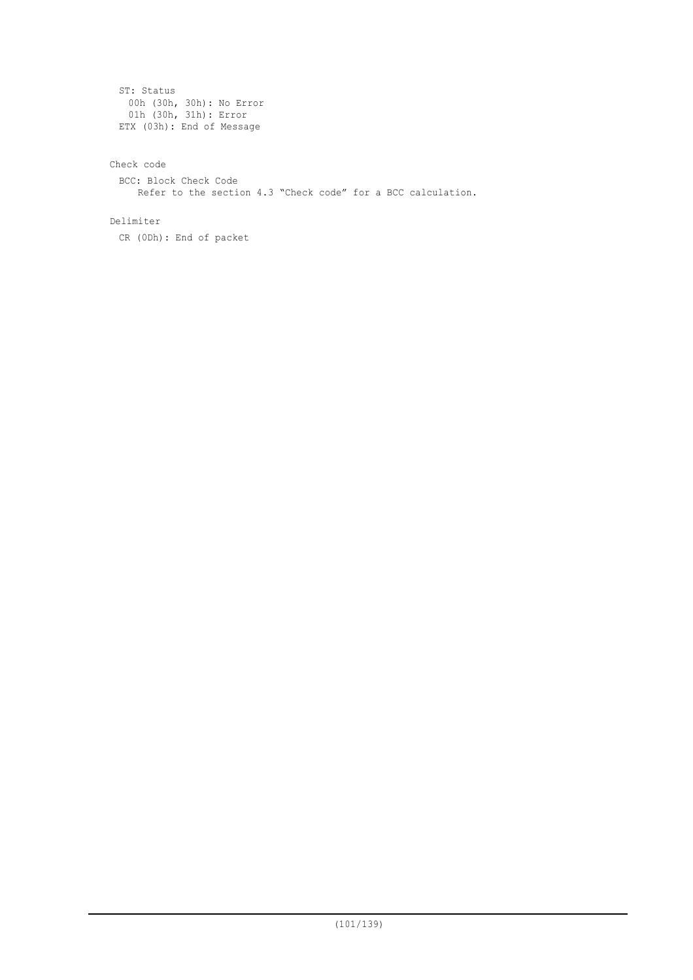```
ST: Status
 00h (30h, 30h): No Error
 01h (30h, 31h): Error
ETX (03h): End of Message
```
# Check code

BCC: Block Check Code Refer to the section 4.3 "Check code" for a BCC calculation.

### Delimiter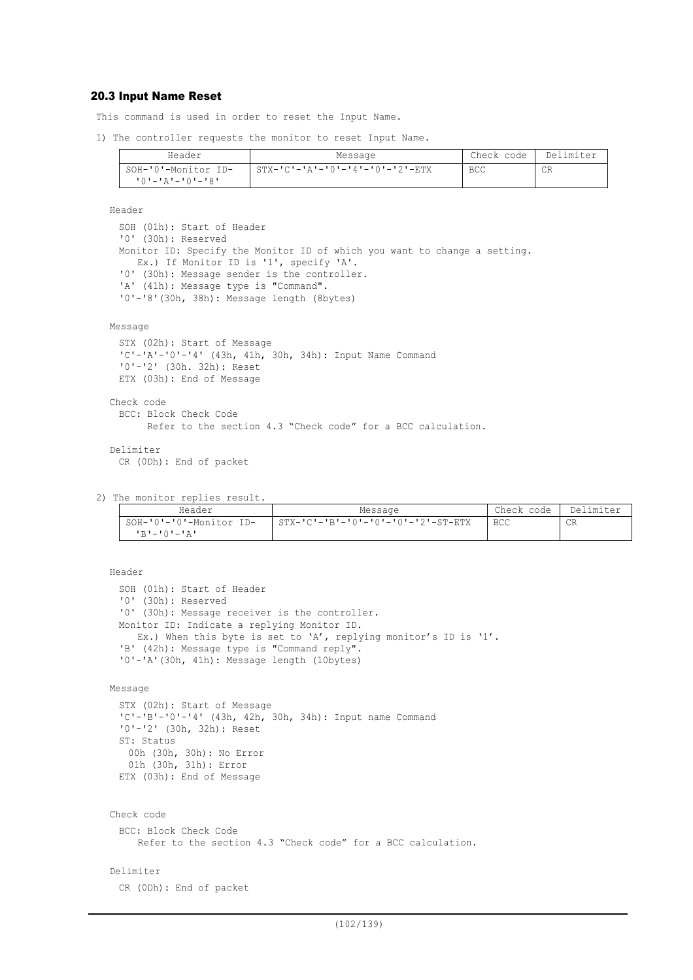# 20.3 Input Name Reset

This command is used in order to reset the Input Name.

1) The controller requests the monitor to reset Input Name.

| Header              | Message                         | Check code | Delimiter |
|---------------------|---------------------------------|------------|-----------|
| SOH-'0'-Monitor ID- | STX-'C'-'A'-'0'-'4'-'0'-'2'-ETX | BCC        | СR        |
| י8'–'0'–'4'–'0'–'8' |                                 |            |           |

Header

```
SOH (01h): Start of Header
'0' (30h): Reserved
Monitor ID: Specify the Monitor ID of which you want to change a setting.
  Ex.) If Monitor ID is '1', specify 'A'.
'0' (30h): Message sender is the controller.
'A' (41h): Message type is "Command".
'0'-'8'(30h, 38h): Message length (8bytes)
```
Message

```
STX (02h): Start of Message
 'C'-'A'-'0'-'4' (43h, 41h, 30h, 34h): Input Name Command
 '0'-'2' (30h. 32h): Reset
 ETX (03h): End of Message
Check code
 BCC: Block Check Code
       Refer to the section 4.3 "Check code" for a BCC calculation.
```
Delimiter CR (0Dh): End of packet

2) The monitor replies result.

| Header                  | Message                            | Check code | Delimiter |
|-------------------------|------------------------------------|------------|-----------|
| SOH-'0'-'0'-Monitor ID- | STX-'C'-'B'-'0'-'0'-'0'-'2'-ST-ETX | <b>BCC</b> | CR        |
| יגי−י∩י−יתי             |                                    |            |           |

```
Header
 SOH (01h): Start of Header
 '0' (30h): Reserved
 '0' (30h): Message receiver is the controller.
 Monitor ID: Indicate a replying Monitor ID.
    Ex.) When this byte is set to 'A', replying monitor's ID is '1'.
  'B' (42h): Message type is "Command reply".
  '0'-'A'(30h, 41h): Message length (10bytes)
Message
 STX (02h): Start of Message
 'C'-'B'-'0'-'4' (43h, 42h, 30h, 34h): Input name Command
 '0'-'2' (30h, 32h): Reset
 ST: Status
   00h (30h, 30h): No Error
   01h (30h, 31h): Error
  ETX (03h): End of Message
Check code
 BCC: Block Check Code
     Refer to the section 4.3 "Check code" for a BCC calculation.
Delimiter
 CR (0Dh): End of packet
```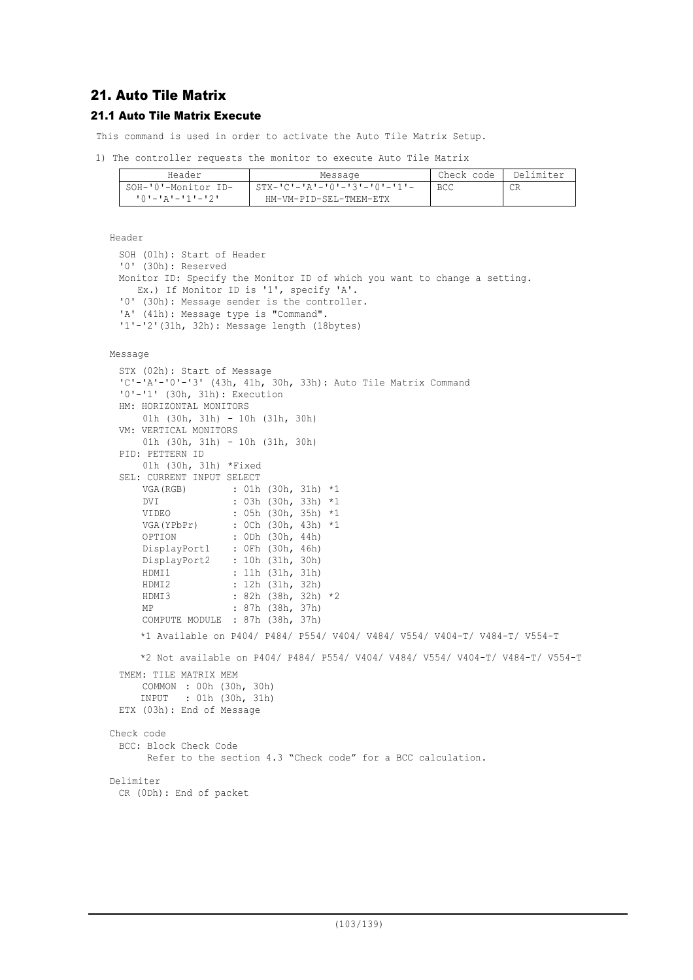# 21. Auto Tile Matrix

# 21.1 Auto Tile Matrix Execute

This command is used in order to activate the Auto Tile Matrix Setup.

```
1) The controller requests the monitor to execute Auto Tile Matrix
```

| Header              | Message                                     | Check code | Delimiter |
|---------------------|---------------------------------------------|------------|-----------|
| SOH-'0'-Monitor ID- | $STX - 'C' - 'A' - 'O' - '3' - 'O' - '1' -$ | <b>BCC</b> | CR        |
|                     | HM-VM-PID-SEL-TMEM-ETX                      |            |           |

Header

```
SOH (01h): Start of Header
'0' (30h): Reserved
Monitor ID: Specify the Monitor ID of which you want to change a setting.
  Ex.) If Monitor ID is '1', specify 'A'.
'0' (30h): Message sender is the controller.
'A' (41h): Message type is "Command".
'1'-'2'(31h, 32h): Message length (18bytes)
```

```
Message
```

```
STX (02h): Start of Message
 'C'-'A'-U'-J' (43h, 41h, 30h, 33h): Auto Tile Matrix Command
 '0'-'1' (30h, 31h): Execution
 HM: HORIZONTAL MONITORS
      01h (30h, 31h) - 10h (31h, 30h)
 VM: VERTICAL MONITORS
      01h (30h, 31h) - 10h (31h, 30h)
 PID: PETTERN ID
      01h (30h, 31h) *Fixed
 SEL: CURRENT INPUT SELECT
     VGA(RGB) : 01h (30h, 31h) *1<br>pvt : 03h (30h, 33h) *1
                    : 03h (30h, 33h) *1 VIDEO : 05h (30h, 35h) *1
      VGA(YPbPr) : 0Ch (30h, 43h) *1
                    : 0Dh (30h, 44h)
     DisplayPort1 : 0Fh (30h, 46h)
     DisplayPort2 : 10h (31h, 30h)
      HDMI1 : 11h (31h, 31h)
      HDMI2 : 12h (31h, 32h)
                    : 82h (38h, 32h) *2 MP : 87h (38h, 37h)
   COMPUTE MODULE : 87h (38h, 37h)
     *1 Available on P404/ P484/ P554/ V404/ V484/ V554/ V404-T/ V484-T/ V554-T
     *2 Not available on P404/ P484/ P554/ V404/ V484/ V554/ V404-T/ V484-T/ V554-T
 TMEM: TILE MATRIX MEM
      COMMON : 00h (30h, 30h)
     INPUT : 01h (30h, 31h)
 ETX (03h): End of Message
Check code
 BCC: Block Check Code
       Refer to the section 4.3 "Check code" for a BCC calculation.
Delimiter
 CR (0Dh): End of packet
```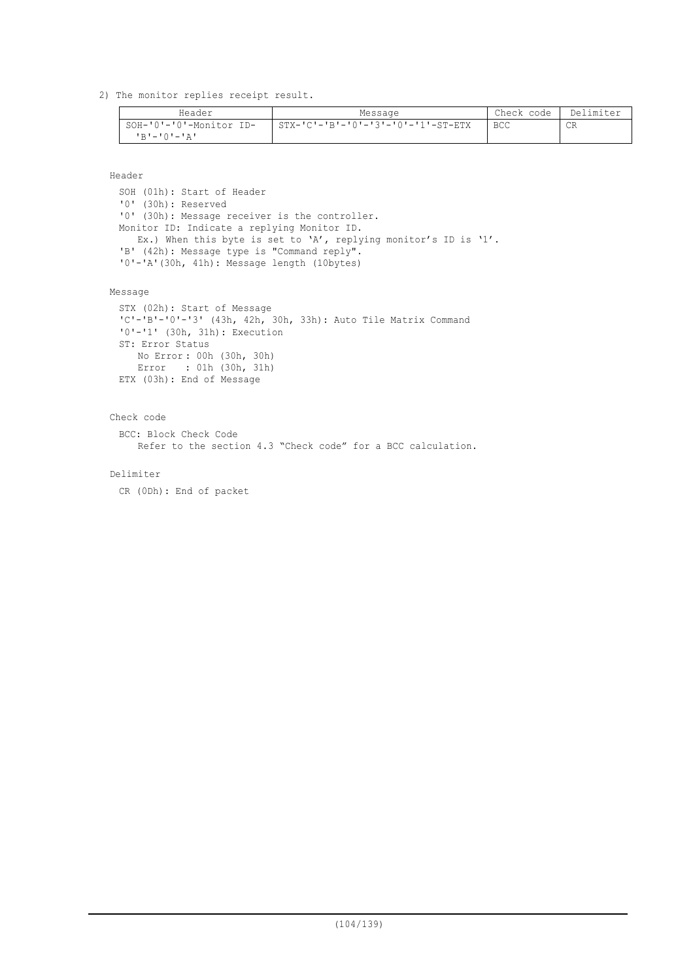2) The monitor replies receipt result.

| Header                  | Message                            | Check code | Delimiter |
|-------------------------|------------------------------------|------------|-----------|
| SOH-'0'-'0'-Monitor ID- | STX-'C'-'B'-'0'-'3'-'0'-'1'-ST-ETX | <b>BCC</b> | СR        |
| י בי—י∩י−י בי           |                                    |            |           |

Header

SOH (01h): Start of Header '0' (30h): Reserved '0' (30h): Message receiver is the controller. Monitor ID: Indicate a replying Monitor ID. Ex.) When this byte is set to 'A', replying monitor's ID is '1'. 'B' (42h): Message type is "Command reply". '0'-'A'(30h, 41h): Message length (10bytes)

Message

```
STX (02h): Start of Message
'C'-'B'-'0'-'3' (43h, 42h, 30h, 33h): Auto Tile Matrix Command
'0'-'1' (30h, 31h): Execution
ST: Error Status
    No Error : 00h (30h, 30h)
    Error : 01h (30h, 31h)
ETX (03h): End of Message
```
Check code

BCC: Block Check Code Refer to the section 4.3 "Check code" for a BCC calculation.

Delimiter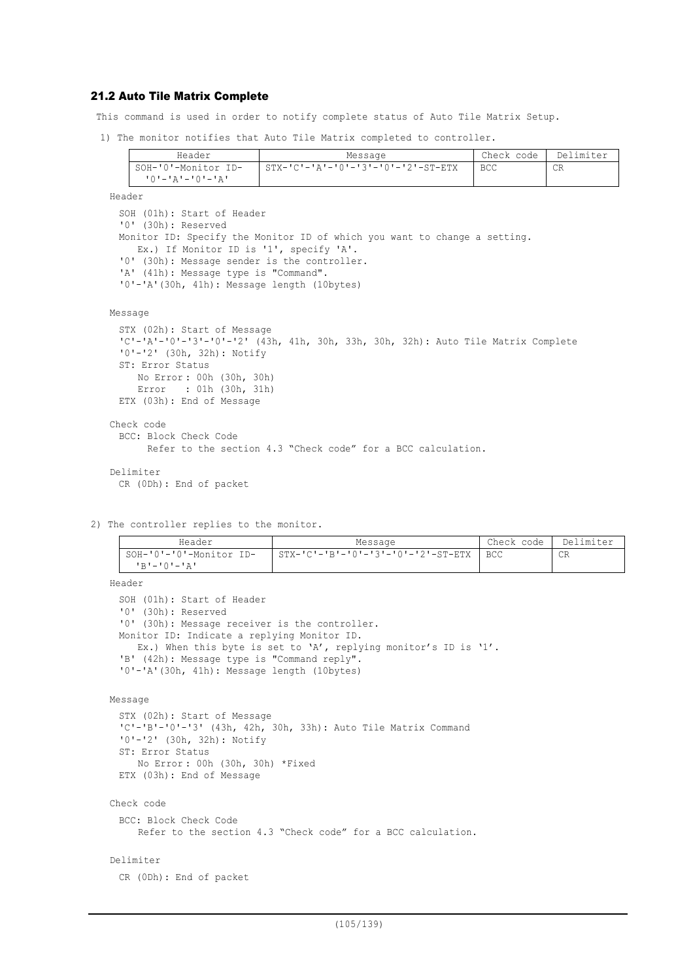### 21.2 Auto Tile Matrix Complete

This command is used in order to notify complete status of Auto Tile Matrix Setup.

1) The monitor notifies that Auto Tile Matrix completed to controller.

| Header                   | Message                                              | Check code | Delimiter |
|--------------------------|------------------------------------------------------|------------|-----------|
| SOH-'0'-Monitor ID-      | $STX - 'C' - 'A' - '0' - '3' - '0' - '2' - ST - ETX$ | BCC.       | CR        |
| י בי – י∩י – י בי – י ∩י |                                                      |            |           |

Header SOH (01h): Start of Header '0' (30h): Reserved Monitor ID: Specify the Monitor ID of which you want to change a setting. Ex.) If Monitor ID is '1', specify 'A'. '0' (30h): Message sender is the controller. 'A' (41h): Message type is "Command". '0'-'A'(30h, 41h): Message length (10bytes)

```
Message
```

```
STX (02h): Start of Message
 'C'-'A'-'0'-'3'-'0'-'2' (43h, 41h, 30h, 33h, 30h, 32h): Auto Tile Matrix Complete
 '0'-'2' (30h, 32h): Notify
 ST: Error Status
     No Error : 00h (30h, 30h)
     Error : 01h (30h, 31h)
 ETX (03h): End of Message
Check code
 BCC: Block Check Code
       Refer to the section 4.3 "Check code" for a BCC calculation.
Delimiter
 CR (0Dh): End of packet
```
2) The controller replies to the monitor.

| Header                  | Message                                    | Check code | Delimiter |
|-------------------------|--------------------------------------------|------------|-----------|
| SOH-'0'-'0'-Monitor ID- | - STX-'C'-'B'-'0'-'3'-'0'-'2'-ST-ETX   BCC |            | СR        |
| $1 R 1 - 1 Q 1 - 1 R 1$ |                                            |            |           |

Header

```
SOH (01h): Start of Header
'0' (30h): Reserved
'0' (30h): Message receiver is the controller.
Monitor ID: Indicate a replying Monitor ID.
  Ex.) When this byte is set to 'A', replying monitor's ID is '1'.
'B' (42h): Message type is "Command reply".
'0'-'A'(30h, 41h): Message length (10bytes)
```

```
Message
```

```
STX (02h): Start of Message
'C'-'B'-'0'-'3' (43h, 42h, 30h, 33h): Auto Tile Matrix Command
'0'-'2' (30h, 32h): Notify
ST: Error Status
    No Error : 00h (30h, 30h) *Fixed
ETX (03h): End of Message
```

```
Check code
```

```
BCC: Block Check Code
   Refer to the section 4.3 "Check code" for a BCC calculation.
```
### Delimiter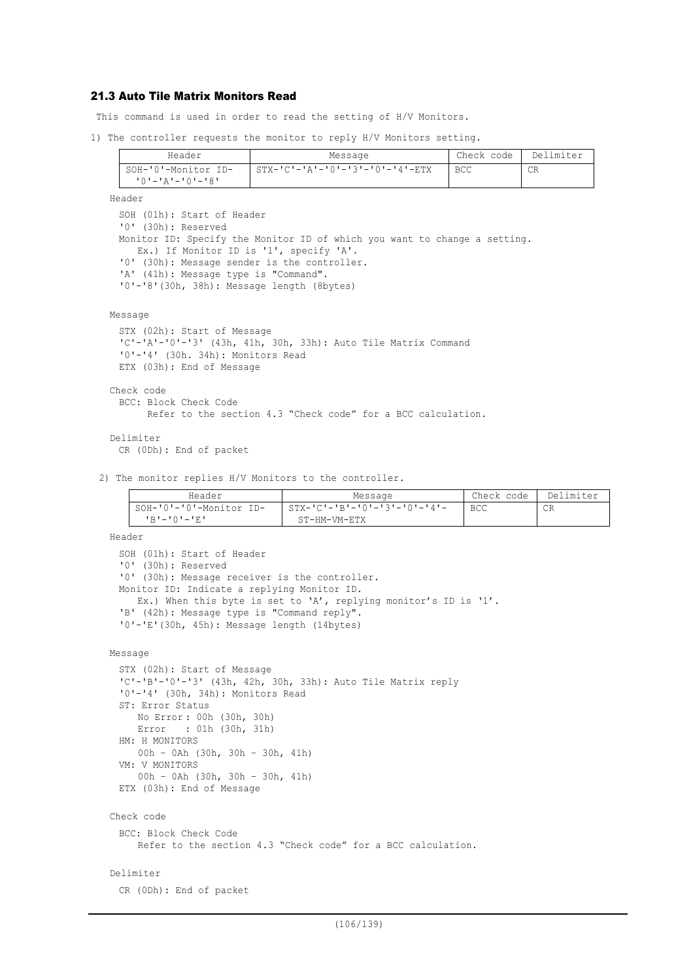# 21.3 Auto Tile Matrix Monitors Read

This command is used in order to read the setting of H/V Monitors.

1) The controller requests the monitor to reply H/V Monitors setting.

| Header                                 | Message                                         | Check code | Delimiter |
|----------------------------------------|-------------------------------------------------|------------|-----------|
| SOH-'0'-Monitor ID-<br>10'-'A'-'0'-'8' | $STX - 'C' - 'A' - '0' - '3' - '0' - '4' - ETX$ | <b>BCC</b> | СR        |

```
SOH (01h): Start of Header
'0' (30h): Reserved
Monitor ID: Specify the Monitor ID of which you want to change a setting.
  Ex.) If Monitor ID is '1', specify 'A'.
'0' (30h): Message sender is the controller.
'A' (41h): Message type is "Command".
'0'-'8'(30h, 38h): Message length (8bytes)
```

```
Message
```
Header

```
STX (02h): Start of Message
 'C'-'A'-'0'-'3' (43h, 41h, 30h, 33h): Auto Tile Matrix Command
 '0'-'4' (30h. 34h): Monitors Read
 ETX (03h): End of Message
Check code
 BCC: Block Check Code
       Refer to the section 4.3 "Check code" for a BCC calculation.
```

```
Delimiter
 CR (0Dh): End of packet
```
2) The monitor replies H/V Monitors to the controller.

| Header                  | Message                         | Check code | Delimiter |
|-------------------------|---------------------------------|------------|-----------|
| SOH-'0'-'0'-Monitor ID- | $STX-ICI-IBI-I0I-I3I-I0I-I4I-I$ | <b>BCC</b> | CR        |
| $P = P - P - P = P$     | ST-HM-VM-ETX                    |            |           |

```
Header
 SOH (01h): Start of Header
 '0' (30h): Reserved
 '0' (30h): Message receiver is the controller.
 Monitor ID: Indicate a replying Monitor ID.
    Ex.) When this byte is set to 'A', replying monitor's ID is '1'.
  'B' (42h): Message type is "Command reply".
  '0'-'E'(30h, 45h): Message length (14bytes)
Message
 STX (02h): Start of Message
 'C'-'B'-'0'-'3' (43h, 42h, 30h, 33h): Auto Tile Matrix reply
 '0'-'4' (30h, 34h): Monitors Read
 ST: Error Status
     No Error : 00h (30h, 30h)
     Error : 01h (30h, 31h)
 HM: H MONITORS
     00h – 0Ah (30h, 30h – 30h, 41h)
 VM: V MONITORS
     00h – 0Ah (30h, 30h – 30h, 41h)
 ETX (03h): End of Message
Check code
 BCC: Block Check Code
     Refer to the section 4.3 "Check code" for a BCC calculation.
Delimiter
 CR (0Dh): End of packet
```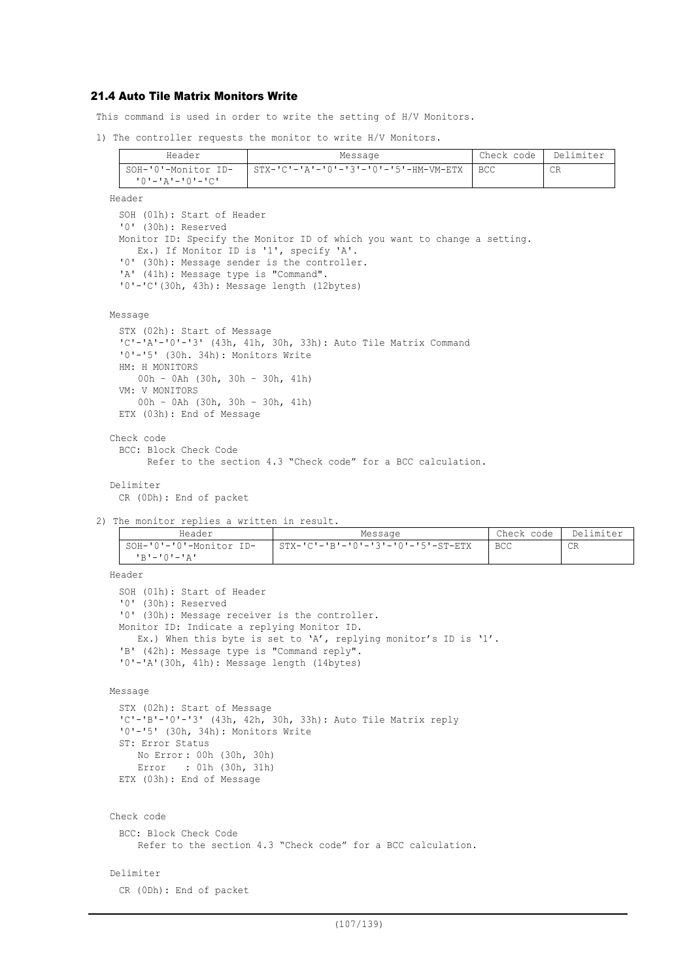# 21.4 Auto Tile Matrix Monitors Write

This command is used in order to write the setting of H/V Monitors.

1) The controller requests the monitor to write H/V Monitors.

| Header                  | Message                                     | Check code | Delimiter |
|-------------------------|---------------------------------------------|------------|-----------|
| SOH-'0'-Monitor ID-     | STX-'C'-'A'-'0'-'3'-'0'-'5'-HM-VM-ETX   BCC |            | СR        |
| <u> 'O'-'A'-'O'-'C'</u> |                                             |            |           |

```
Header
 SOH (01h): Start of Header
 '0' (30h): Reserved
 Monitor ID: Specify the Monitor ID of which you want to change a setting.
    Ex.) If Monitor ID is '1', specify 'A'.
  '0' (30h): Message sender is the controller.
  'A' (41h): Message type is "Command".
 '0'-'C'(30h, 43h): Message length (12bytes)
```

```
Message
```

```
STX (02h): Start of Message
 'C'-'A'-'0'-'3' (43h, 41h, 30h, 33h): Auto Tile Matrix Command
 '0'-'5' (30h. 34h): Monitors Write
 HM: H MONITORS
     00h – 0Ah (30h, 30h – 30h, 41h)
 VM: V MONITORS
     00h – 0Ah (30h, 30h – 30h, 41h)
 ETX (03h): End of Message
Check code
 BCC: Block Check Code
       Refer to the section 4.3 "Check code" for a BCC calculation.
```

```
Delimiter
```
CR (0Dh): End of packet

2) The monitor replies a written in result.

| Header                                   | Message                                              | Check code | Delimiter |
|------------------------------------------|------------------------------------------------------|------------|-----------|
| SOH-'0'-'0'-Monitor ID-<br>י בי—י∩י−י בי | $STX - 'C' - 'B' - '0' - '3' - '0' - '5' - ST - ETX$ | <b>BCC</b> | CR        |

Header

```
SOH (01h): Start of Header
'0' (30h): Reserved
'0' (30h): Message receiver is the controller.
Monitor ID: Indicate a replying Monitor ID.
  Ex.) When this byte is set to 'A', replying monitor's ID is '1'.
'B' (42h): Message type is "Command reply".
'0'-'A'(30h, 41h): Message length (14bytes)
```

```
Message
```

```
STX (02h): Start of Message
'C'-'B'-'0'-'3' (43h, 42h, 30h, 33h): Auto Tile Matrix reply
'0'-'5' (30h, 34h): Monitors Write
ST: Error Status
   No Error : 00h (30h, 30h)
    Error : 01h (30h, 31h)
ETX (03h): End of Message
```

```
Check code
```

```
BCC: Block Check Code
   Refer to the section 4.3 "Check code" for a BCC calculation.
```

```
Delimiter
```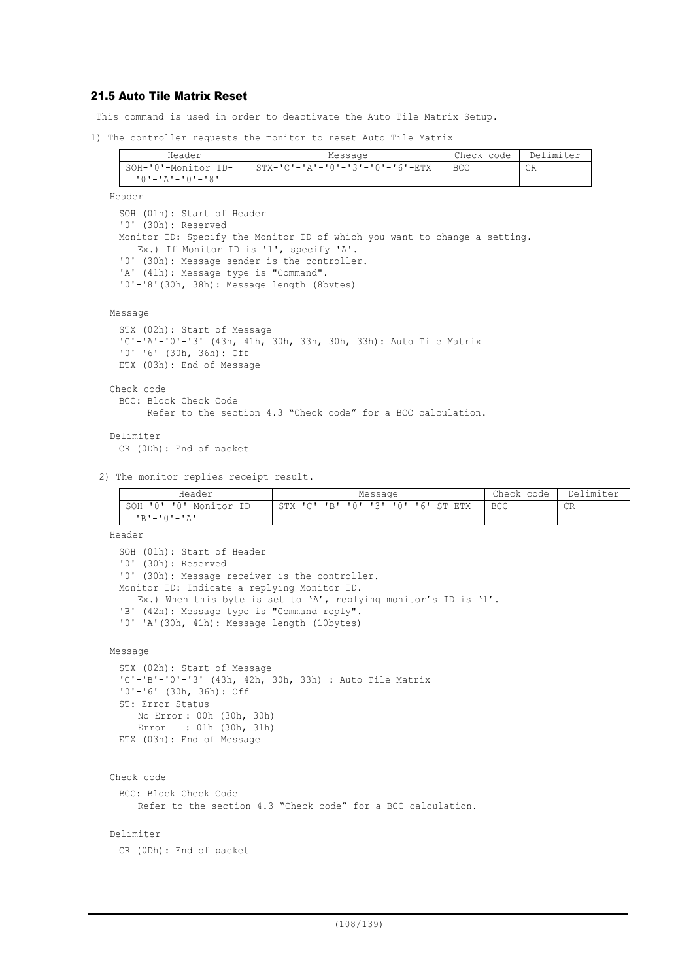# 21.5 Auto Tile Matrix Reset

This command is used in order to deactivate the Auto Tile Matrix Setup.

1) The controller requests the monitor to reset Auto Tile Matrix

| Header                                 | Message                                         | Check code | Delimiter |
|----------------------------------------|-------------------------------------------------|------------|-----------|
| SOH-'0'-Monitor ID-<br>יפי—ימי—יבי—ימי | $STX - 'C' - 'A' - '0' - '3' - '0' - '6' - ETX$ | BCC        | CR        |
|                                        |                                                 |            |           |

Header SOH (01h): Start of Header '0' (30h): Reserved Monitor ID: Specify the Monitor ID of which you want to change a setting. Ex.) If Monitor ID is '1', specify 'A'. '0' (30h): Message sender is the controller. 'A' (41h): Message type is "Command". '0'-'8'(30h, 38h): Message length (8bytes)

```
Message
```

```
STX (02h): Start of Message
 'C'-'A'-'0'-'3' (43h, 41h, 30h, 33h, 30h, 33h): Auto Tile Matrix
 '0'-'6' (30h, 36h): Off
 ETX (03h): End of Message
Check code
 BCC: Block Check Code
       Refer to the section 4.3 "Check code" for a BCC calculation.
Delimiter
```
CR (0Dh): End of packet

2) The monitor replies receipt result.

| Header                  | Message                            | Check code | Delimiter |
|-------------------------|------------------------------------|------------|-----------|
| SOH-'0'-'0'-Monitor ID- | STX-'C'-'B'-'0'-'3'-'0'-'6'-ST-ETX | <b>BCC</b> | CR        |
| י בי – י∩י – י תי       |                                    |            |           |

Header SOH (01h): Start of Header '0' (30h): Reserved '0' (30h): Message receiver is the controller. Monitor ID: Indicate a replying Monitor ID. Ex.) When this byte is set to 'A', replying monitor's ID is '1'. 'B' (42h): Message type is "Command reply". '0'-'A'(30h, 41h): Message length (10bytes) Message STX (02h): Start of Message 'C'-'B'-'0'-'3' (43h, 42h, 30h, 33h) : Auto Tile Matrix '0'-'6' (30h, 36h): Off ST: Error Status No Error : 00h (30h, 30h) Error : 01h (30h, 31h) ETX (03h): End of Message Check code BCC: Block Check Code Refer to the section 4.3 "Check code" for a BCC calculation.

### Delimiter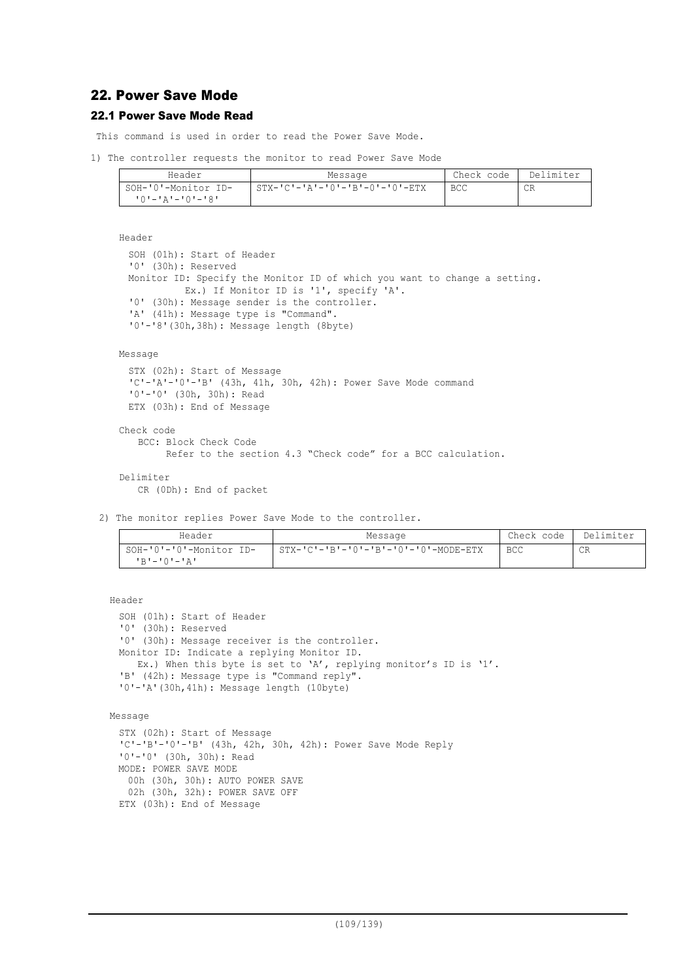## 22. Power Save Mode

## 22.1 Power Save Mode Read

This command is used in order to read the Power Save Mode.

1) The controller requests the monitor to read Power Save Mode

| Header                    | Message                                        | Check code | Delimiter |
|---------------------------|------------------------------------------------|------------|-----------|
| SOH-'0'-Monitor ID-       | $STX - 'C' - 'A' - '0' - 'B' - 0' - '0' - ETX$ | BCC        | CR        |
| י <i>פי</i> -יחי-יבי--יחי |                                                |            |           |

```
Header
```

```
SOH (01h): Start of Header
'0' (30h): Reserved
Monitor ID: Specify the Monitor ID of which you want to change a setting.
          Ex.) If Monitor ID is '1', specify 'A'.
'0' (30h): Message sender is the controller.
'A' (41h): Message type is "Command".
'0'-'8'(30h,38h): Message length (8byte)
```
### Message

```
STX (02h): Start of Message
 'C'-'A'-'0'-'B' (43h, 41h, 30h, 42h): Power Save Mode command
 '0'-'0' (30h, 30h): Read
 ETX (03h): End of Message
Check code
   BCC: Block Check Code
```

```
 Refer to the section 4.3 "Check code" for a BCC calculation.
```
### Delimiter CR (0Dh): End of packet

2) The monitor replies Power Save Mode to the controller.

| Header                                        | Message                                                | Check code | Delimiter |
|-----------------------------------------------|--------------------------------------------------------|------------|-----------|
| SOH-'0'-'0'-Monitor ID-<br><b>'R'-'O'-'A'</b> | $STX - 'C' - 'B' - '0' - 'B' - '0' - '0' - MODE - ETX$ | <b>BCC</b> | CR        |
|                                               |                                                        |            |           |

Header

```
SOH (01h): Start of Header
'0' (30h): Reserved
'0' (30h): Message receiver is the controller.
Monitor ID: Indicate a replying Monitor ID.
  Ex.) When this byte is set to 'A', replying monitor's ID is '1'.
'B' (42h): Message type is "Command reply".
'0'-'A'(30h,41h): Message length (10byte)
```

```
Message
```

```
STX (02h): Start of Message
'C'-'B'-'0'-'B' (43h, 42h, 30h, 42h): Power Save Mode Reply
'0'-'0' (30h, 30h): Read
MODE: POWER SAVE MODE
 00h (30h, 30h): AUTO POWER SAVE
 02h (30h, 32h): POWER SAVE OFF
ETX (03h): End of Message
```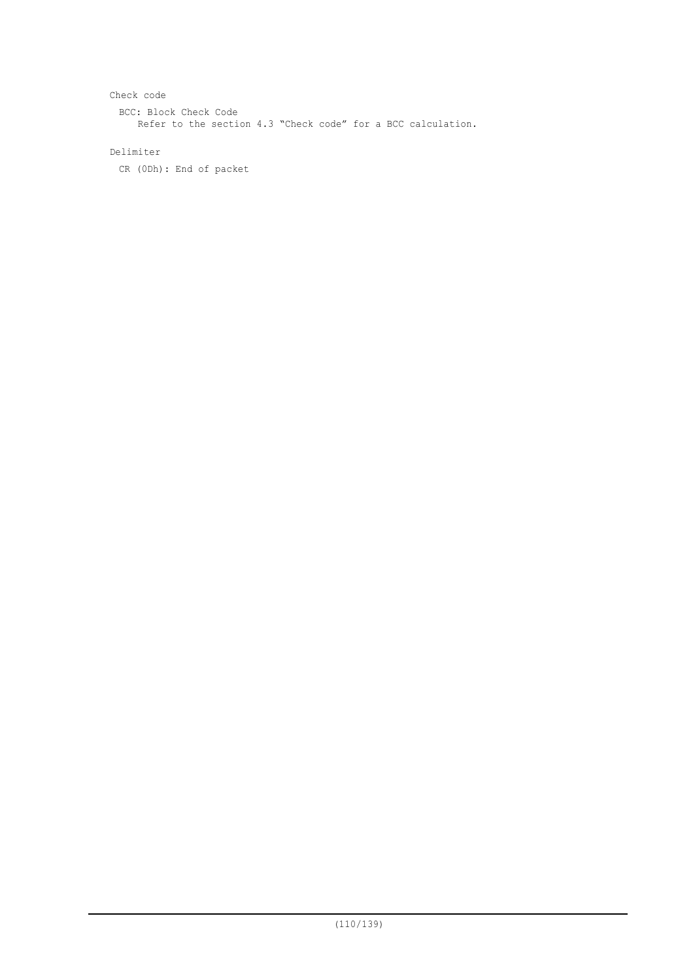```
Check code
 BCC: Block Check Code
    Refer to the section 4.3 "Check code" for a BCC calculation.
```
## Delimiter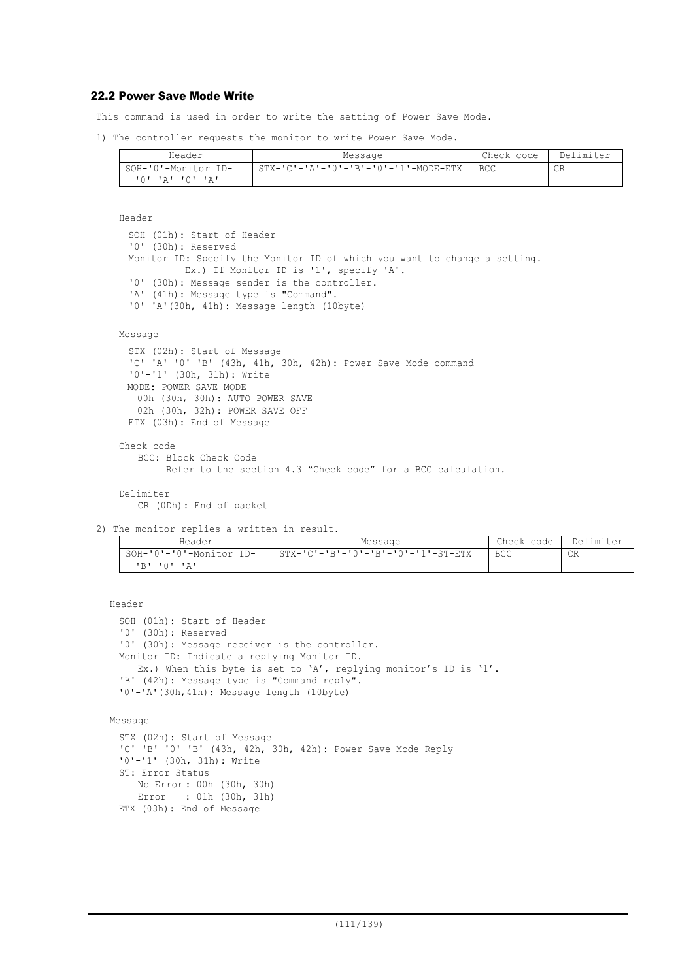## 22.2 Power Save Mode Write

This command is used in order to write the setting of Power Save Mode.

1) The controller requests the monitor to write Power Save Mode.

| Header              | Message                                 | Check code | Delimiter |
|---------------------|-----------------------------------------|------------|-----------|
| SOH-'0'-Monitor ID- | $STX-ICI-IAI-IOI-IBI-IOI-II-IOMODE-ETX$ | I BCC      | СR        |
| 10'-'A'-'0'-'A'     |                                         |            |           |

Header

SOH (01h): Start of Header '0' (30h): Reserved Monitor ID: Specify the Monitor ID of which you want to change a setting. Ex.) If Monitor ID is '1', specify 'A'. '0' (30h): Message sender is the controller. 'A' (41h): Message type is "Command". '0'-'A'(30h, 41h): Message length (10byte)

#### Message

```
STX (02h): Start of Message
'C'-'A'-'0'-'B' (43h, 41h, 30h, 42h): Power Save Mode command
'0'-'1' (30h, 31h): Write
MODE: POWER SAVE MODE
  00h (30h, 30h): AUTO POWER SAVE
  02h (30h, 32h): POWER SAVE OFF
ETX (03h): End of Message
```
Check code BCC: Block Check Code Refer to the section 4.3 "Check code" for a BCC calculation.

```
Delimiter
   CR (0Dh): End of packet
```
2) The monitor replies a written in result.

| Header                                                                                                       | Message                              | Check code | Delimiter |
|--------------------------------------------------------------------------------------------------------------|--------------------------------------|------------|-----------|
| SOH-'0'-'0'-Monitor ID-<br>$R$ <sup><math>\sim</math></sup> $\sim$ $\sim$ $\sim$ $\sim$ $\sim$ $\sim$ $\sim$ | . STX-'C'-'B'-'0'-'B'-'0'-'1'-ST-ETX | BCC        | CR        |

Header

SOH (01h): Start of Header '0' (30h): Reserved '0' (30h): Message receiver is the controller. Monitor ID: Indicate a replying Monitor ID. Ex.) When this byte is set to 'A', replying monitor's ID is '1'. 'B' (42h): Message type is "Command reply". '0'-'A'(30h,41h): Message length (10byte)

Message

```
STX (02h): Start of Message
'C'-'B'-'0'-'B' (43h, 42h, 30h, 42h): Power Save Mode Reply
'0'-'1' (30h, 31h): Write
ST: Error Status
  No Error : 00h (30h, 30h)
  Error : 01h (30h, 31h)
ETX (03h): End of Message
```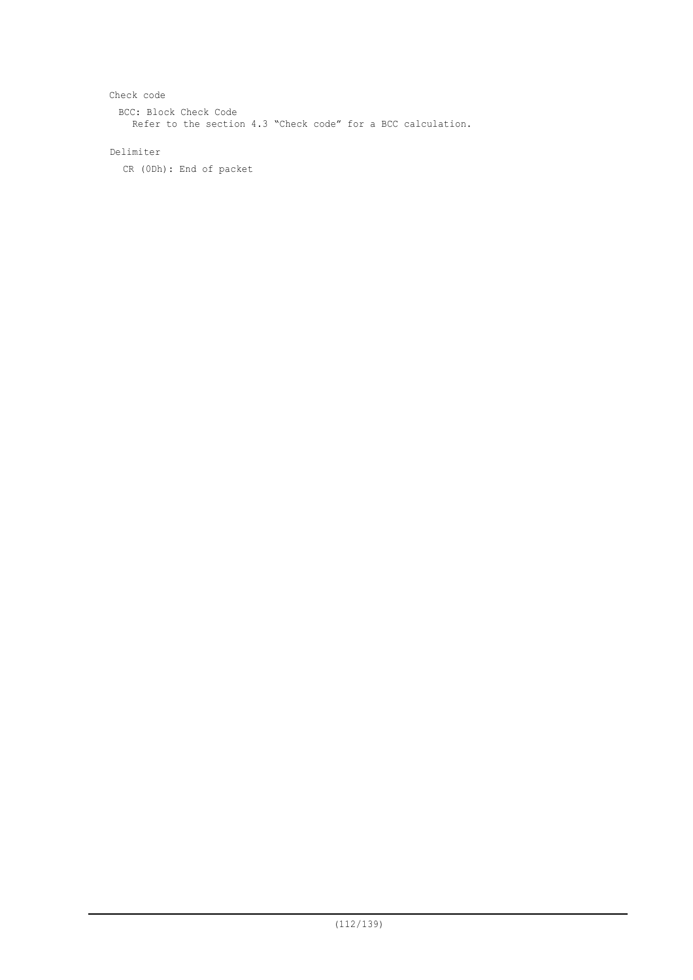Check code BCC: Block Check Code Refer to the section 4.3 "Check code" for a BCC calculation.

## Delimiter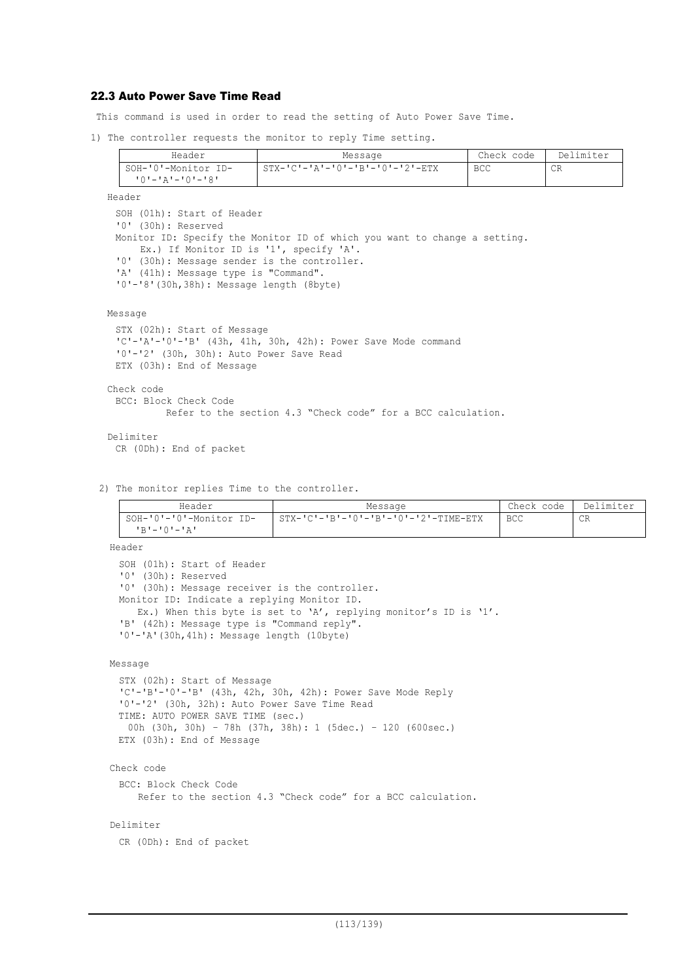## 22.3 Auto Power Save Time Read

This command is used in order to read the setting of Auto Power Save Time.

1) The controller requests the monitor to reply Time setting.

| Header              | Message                                         | Check code | Delimiter |
|---------------------|-------------------------------------------------|------------|-----------|
| SOH-'0'-Monitor ID- | $STX - 'C' - 'A' - 'O' - 'B' - 'O' - '2' - ETX$ | <b>BCC</b> | ◡⊥∖       |
| 10'-'A'-'0'-'8'     |                                                 |            |           |

Header

```
SOH (01h): Start of Header
'0' (30h): Reserved
Monitor ID: Specify the Monitor ID of which you want to change a setting.
   Ex.) If Monitor ID is '1', specify 'A'.
'0' (30h): Message sender is the controller.
'A' (41h): Message type is "Command".
'0'-'8'(30h,38h): Message length (8byte)
```
Message

```
STX (02h): Start of Message
 'C'-'A'-'0'-'B' (43h, 41h, 30h, 42h): Power Save Mode command
 '0'-'2' (30h, 30h): Auto Power Save Read
 ETX (03h): End of Message
Check code
 BCC: Block Check Code
           Refer to the section 4.3 "Check code" for a BCC calculation.
Delimiter
 CR (0Dh): End of packet
```
2) The monitor replies Time to the controller.

| Header                  | Message                                | Check code | Delimiter |
|-------------------------|----------------------------------------|------------|-----------|
| SOH-'0'-'0'-Monitor ID- | $STX-ICI-IBI-I0I-IBI-I0I-I2I-TIME-ETX$ | <b>BCC</b> | CR        |
| י בי—י∩י−י בי           |                                        |            |           |

Header

```
SOH (01h): Start of Header
'0' (30h): Reserved
'0' (30h): Message receiver is the controller.
Monitor ID: Indicate a replying Monitor ID.
  Ex.) When this byte is set to 'A', replying monitor's ID is '1'.
'B' (42h): Message type is "Command reply".
'0'-'A'(30h,41h): Message length (10byte)
```
Message

```
STX (02h): Start of Message
'C'-'B'-'0'-'B' (43h, 42h, 30h, 42h): Power Save Mode Reply
'0'-'2' (30h, 32h): Auto Power Save Time Read
TIME: AUTO POWER SAVE TIME (sec.)
 00h (30h, 30h) – 78h (37h, 38h): 1 (5dec.) – 120 (600sec.)
ETX (03h): End of Message
```
### Check code

BCC: Block Check Code Refer to the section 4.3 "Check code" for a BCC calculation.

#### Delimiter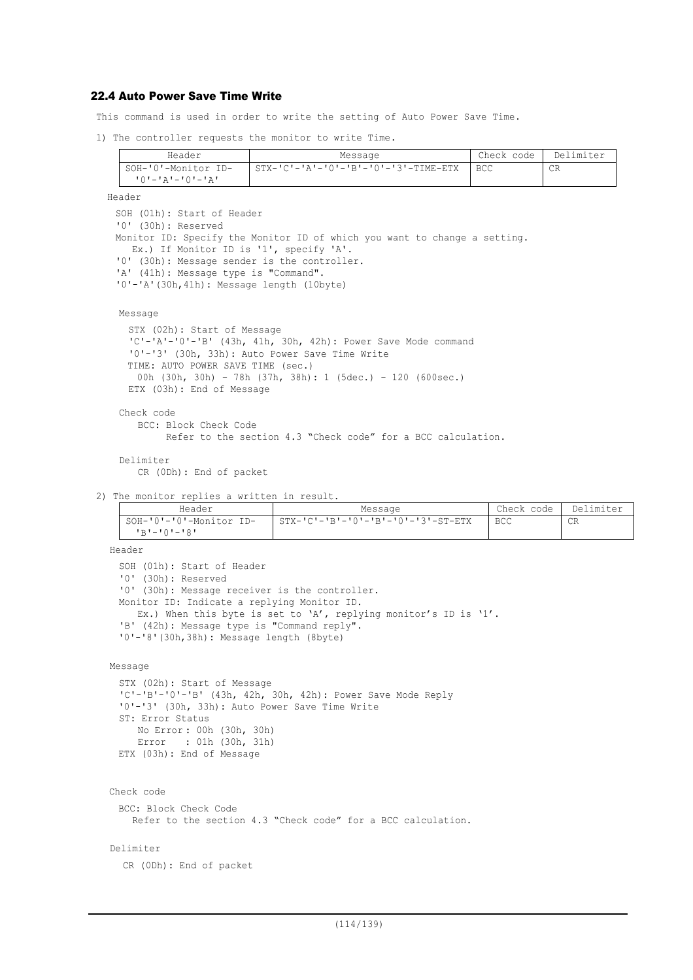## 22.4 Auto Power Save Time Write

This command is used in order to write the setting of Auto Power Save Time.

1) The controller requests the monitor to write Time.

| Header              | Message                                | Check code | Delimiter |
|---------------------|----------------------------------------|------------|-----------|
| SOH-'0'-Monitor ID- | $STX-ICI-IAI-IOI-IBI-IOI-I3I-TIME-ETX$ | BCC        | CR        |
|                     |                                        |            |           |

Header

```
SOH (01h): Start of Header
'0' (30h): Reserved
Monitor ID: Specify the Monitor ID of which you want to change a setting.
  Ex.) If Monitor ID is '1', specify 'A'.
'0' (30h): Message sender is the controller.
'A' (41h): Message type is "Command".
'0'-'A'(30h,41h): Message length (10byte)
```
Message

```
STX (02h): Start of Message
 'C'-'A'-'0'-'B' (43h, 41h, 30h, 42h): Power Save Mode command
 '0'-'3' (30h, 33h): Auto Power Save Time Write
 TIME: AUTO POWER SAVE TIME (sec.)
   00h (30h, 30h) – 78h (37h, 38h): 1 (5dec.) – 120 (600sec.)
 ETX (03h): End of Message
Check code
   BCC: Block Check Code
         Refer to the section 4.3 "Check code" for a BCC calculation.
```

```
Delimiter
   CR (0Dh): End of packet
```
2) The monitor replies a written in result.

| Header                  | Message                                              | Check code | Delimiter |
|-------------------------|------------------------------------------------------|------------|-----------|
| SOH-'0'-'0'-Monitor ID- | $STX - 'C' - 'B' - '0' - 'B' - '0' - '3' - ST - ETX$ | <b>BCC</b> | CR        |
| י פי – יחי – י פי       |                                                      |            |           |

Header

```
SOH (01h): Start of Header
'0' (30h): Reserved
'0' (30h): Message receiver is the controller.
Monitor ID: Indicate a replying Monitor ID.
  Ex.) When this byte is set to 'A', replying monitor's ID is '1'.
'B' (42h): Message type is "Command reply".
'0'-'8'(30h,38h): Message length (8byte)
```

```
Message
```

```
STX (02h): Start of Message
'C'-'B'-'0'-'B' (43h, 42h, 30h, 42h): Power Save Mode Reply
'0'-'3' (30h, 33h): Auto Power Save Time Write
ST: Error Status
    No Error : 00h (30h, 30h)
   Error : 01h (30h, 31h)
ETX (03h): End of Message
```

```
Check code
```
BCC: Block Check Code

```
Refer to the section 4.3 "Check code" for a BCC calculation.
```
#### Delimiter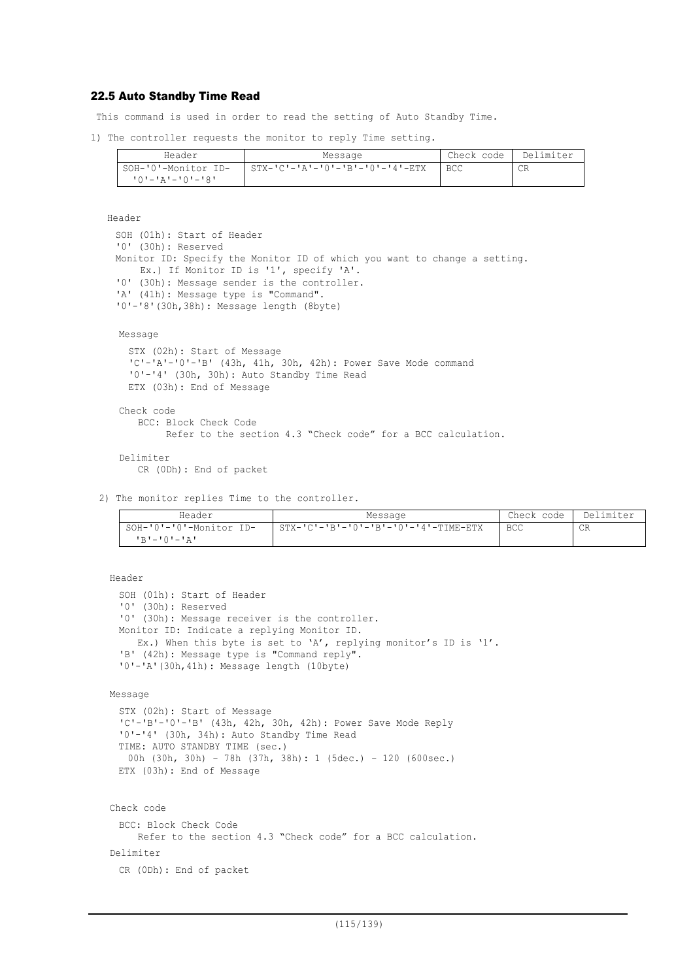### 22.5 Auto Standby Time Read

This command is used in order to read the setting of Auto Standby Time.

1) The controller requests the monitor to reply Time setting.

| Header              | Message                         | Check code | Delimiter |
|---------------------|---------------------------------|------------|-----------|
| SOH-'0'-Monitor ID- | STX-'C'-'A'-'O'-'B'-'O'-'4'-ETX | <b>BCC</b> | CR        |
| 10'-'A'-'0'-'8'     |                                 |            |           |

Header

```
SOH (01h): Start of Header
'0' (30h): Reserved
Monitor ID: Specify the Monitor ID of which you want to change a setting.
   Ex.) If Monitor ID is '1', specify 'A'.
'0' (30h): Message sender is the controller.
'A' (41h): Message type is "Command".
'0'-'8'(30h,38h): Message length (8byte)
```
Message

```
STX (02h): Start of Message
 'C'-'A'-'0'-'B' (43h, 41h, 30h, 42h): Power Save Mode command
 '0'-'4' (30h, 30h): Auto Standby Time Read
 ETX (03h): End of Message
Check code
   BCC: Block Check Code
```
Refer to the section 4.3 "Check code" for a BCC calculation.

```
Delimiter
   CR (0Dh): End of packet
```
2) The monitor replies Time to the controller.

| Header                  | Message                               | Check code | Delimiter |
|-------------------------|---------------------------------------|------------|-----------|
| SOH-'0'-'0'-Monitor ID- | $STX-ICI-IBI-I0I-IBI-I0I-I4I-THE-ETX$ | <b>BCC</b> | CR        |
| י בי – י∩י – י בי       |                                       |            |           |

```
Header
 SOH (01h): Start of Header
 '0' (30h): Reserved
 '0' (30h): Message receiver is the controller.
 Monitor ID: Indicate a replying Monitor ID.
    Ex.) When this byte is set to 'A', replying monitor's ID is '1'.
 'B' (42h): Message type is "Command reply".
 '0'-'A'(30h,41h): Message length (10byte)
Message
 STX (02h): Start of Message
 'C'-'B'-'0'-'B' (43h, 42h, 30h, 42h): Power Save Mode Reply
 '0'-'4' (30h, 34h): Auto Standby Time Read
 TIME: AUTO STANDBY TIME (sec.)
  00h (30h, 30h) – 78h (37h, 38h): 1 (5dec.) – 120 (600sec.)
 ETX (03h): End of Message
Check code
 BCC: Block Check Code
```

```
Refer to the section 4.3 "Check code" for a BCC calculation.
```
Delimiter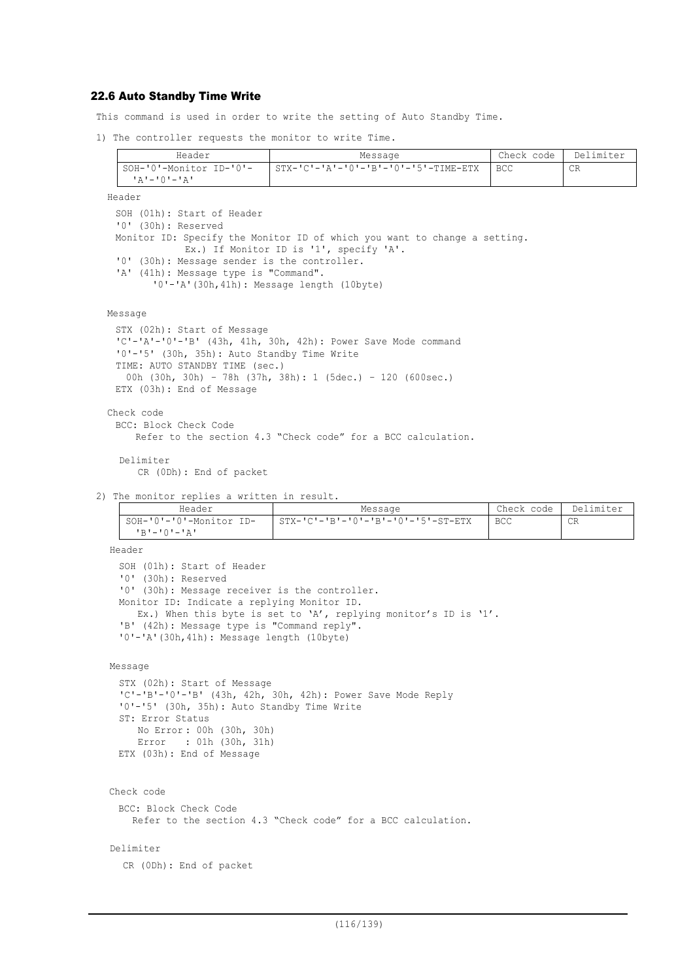### 22.6 Auto Standby Time Write

This command is used in order to write the setting of Auto Standby Time.

1) The controller requests the monitor to write Time.

| Header                                          | Message                              | Check code l | Delimiter |
|-------------------------------------------------|--------------------------------------|--------------|-----------|
| SOH-'0'-Monitor ID-'0'-<br>╹ <b>д╹–╹</b> ⋂╹–╹Д╹ | STX-'C'-'A'-'O'-'B'-'O'-'5'-TIME-ETX | I BCC        | CR        |
| .                                               |                                      |              |           |

Header

SOH (01h): Start of Header '0' (30h): Reserved Monitor ID: Specify the Monitor ID of which you want to change a setting. Ex.) If Monitor ID is '1', specify 'A'. '0' (30h): Message sender is the controller. 'A' (41h): Message type is "Command". '0'-'A'(30h,41h): Message length (10byte)

Message

```
STX (02h): Start of Message
 'C'-'A'-'0'-'B' (43h, 41h, 30h, 42h): Power Save Mode command
 '0'-'5' (30h, 35h): Auto Standby Time Write
 TIME: AUTO STANDBY TIME (sec.)
   00h (30h, 30h) – 78h (37h, 38h): 1 (5dec.) – 120 (600sec.)
 ETX (03h): End of Message
Check code
 BCC: Block Check Code
     Refer to the section 4.3 "Check code" for a BCC calculation.
```
Delimiter CR (0Dh): End of packet

2) The monitor replies a written in result.

| Header                  | Message                            | Check code   Delimiter |    |
|-------------------------|------------------------------------|------------------------|----|
| SOH-'0'-'0'-Monitor ID- | STX-'C'-'B'-'0'-'B'-'0'-'5'-ST-ETX | BCC                    | CR |
| $1R1 - 1Q1 - 1Q1$       |                                    |                        |    |

Header

```
SOH (01h): Start of Header
'0' (30h): Reserved
'0' (30h): Message receiver is the controller.
Monitor ID: Indicate a replying Monitor ID.
  Ex.) When this byte is set to 'A', replying monitor's ID is '1'.
'B' (42h): Message type is "Command reply".
'0'-'A'(30h,41h): Message length (10byte)
```

```
Message
```

```
STX (02h): Start of Message
'C'-'B'-'0'-'B' (43h, 42h, 30h, 42h): Power Save Mode Reply
'0'-'5' (30h, 35h): Auto Standby Time Write
ST: Error Status
    No Error : 00h (30h, 30h)
   Error : 01h (30h, 31h)
ETX (03h): End of Message
```

```
Check code
```
BCC: Block Check Code

```
Refer to the section 4.3 "Check code" for a BCC calculation.
```
#### Delimiter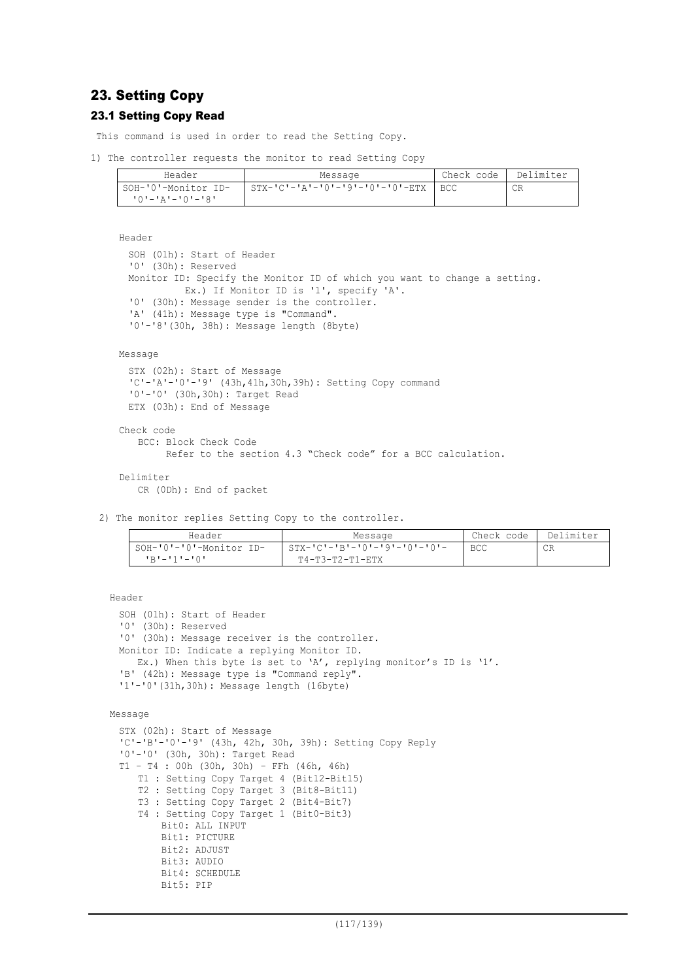# 23. Setting Copy

## 23.1 Setting Copy Read

This command is used in order to read the Setting Copy.

```
1) The controller requests the monitor to read Setting Copy
```

| Header                    | Message                         | Check code | Delimiter |
|---------------------------|---------------------------------|------------|-----------|
| SOH-'0'-Monitor ID-       | STX-'C'-'A'-'O'-'9'-'O'-'O'-ETX | BCC        |           |
| י <i>פי</i> -יחי-יבי--יחי |                                 |            |           |

```
Header
```

```
SOH (01h): Start of Header
'0' (30h): Reserved
Monitor ID: Specify the Monitor ID of which you want to change a setting.
          Ex.) If Monitor ID is '1', specify 'A'.
'0' (30h): Message sender is the controller.
'A' (41h): Message type is "Command".
'0'-'8'(30h, 38h): Message length (8byte)
```
### Message

```
STX (02h): Start of Message
'C'-'A'-'0'-'9' (43h,41h,30h,39h): Setting Copy command
'0'-'0' (30h,30h): Target Read
ETX (03h): End of Message
```

```
Check code
   BCC: Block Check Code
```

```
 Refer to the section 4.3 "Check code" for a BCC calculation.
```

```
Delimiter
```

```
CR (0Dh): End of packet
```
2) The monitor replies Setting Copy to the controller.

| Header                  | Message                                     | Check code | Delimiter |
|-------------------------|---------------------------------------------|------------|-----------|
| SOH-'0'-'0'-Monitor ID- | $STX - 'C' - 'B' - '0' - '9' - '0' - '0' -$ | BCC        | CR        |
| י∩י−יוי−יתי             | $T4-T3-T2-T1-ETX$                           |            |           |

Header

```
SOH (01h): Start of Header
'0' (30h): Reserved
'0' (30h): Message receiver is the controller.
Monitor ID: Indicate a replying Monitor ID.
  Ex.) When this byte is set to 'A', replying monitor's ID is '1'.
'B' (42h): Message type is "Command reply".
'1'-'0'(31h,30h): Message length (16byte)
```

```
Message
```

```
STX (02h): Start of Message
'C'-'B'-'0'-'9' (43h, 42h, 30h, 39h): Setting Copy Reply
'0'-'0' (30h, 30h): Target Read
T1 – T4 : 00h (30h, 30h) – FFh (46h, 46h)
   T1 : Setting Copy Target 4 (Bit12-Bit15)
   T2 : Setting Copy Target 3 (Bit8-Bit11)
   T3 : Setting Copy Target 2 (Bit4-Bit7)
   T4 : Setting Copy Target 1 (Bit0-Bit3)
       Bit0: ALL INPUT
       Bit1: PICTURE
       Bit2: ADJUST
       Bit3: AUDIO
       Bit4: SCHEDULE
       Bit5: PIP
```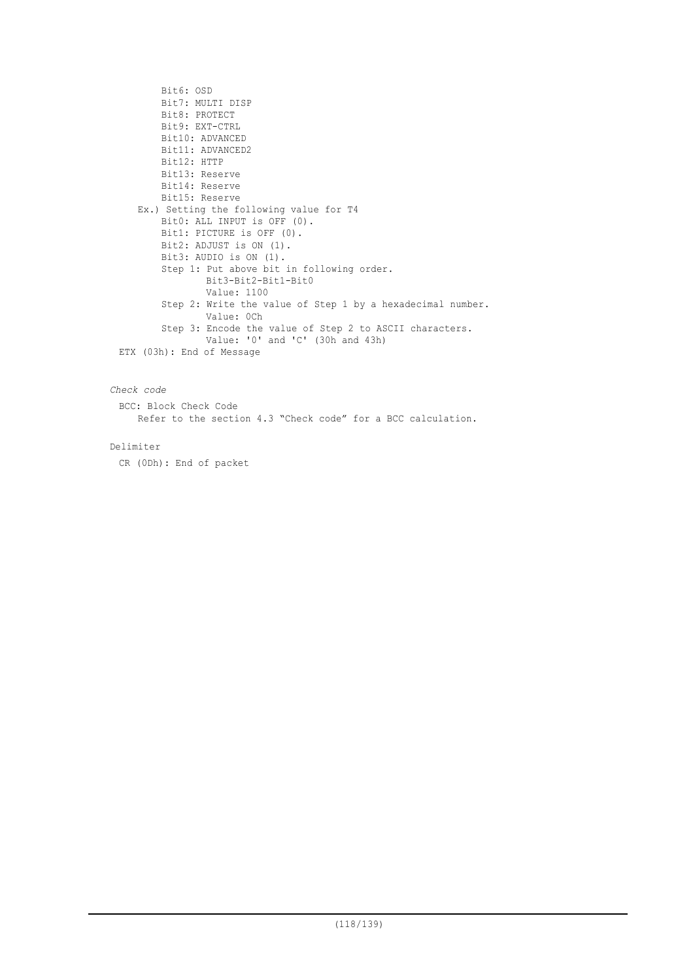```
Bit6: OSD
       Bit7: MULTI DISP
       Bit8: PROTECT
       Bit9: EXT-CTRL
       Bit10: ADVANCED
        Bit11: ADVANCED2
        Bit12: HTTP
       Bit13: Reserve
       Bit14: Reserve
       Bit15: Reserve
   Ex.) Setting the following value for T4
        Bit0: ALL INPUT is OFF (0).
       Bit1: PICTURE is OFF (0).
       Bit2: ADJUST is ON (1).
       Bit3: AUDIO is ON (1).
       Step 1: Put above bit in following order.
               Bit3-Bit2-Bit1-Bit0
               Value: 1100
        Step 2: Write the value of Step 1 by a hexadecimal number.
               Value: 0Ch
     Step 3: Encode the value of Step 2 to ASCII characters.
                Value: '0' and 'C' (30h and 43h)
ETX (03h): End of Message
```
## *Check code*

BCC: Block Check Code Refer to the section 4.3 "Check code" for a BCC calculation.

### Delimiter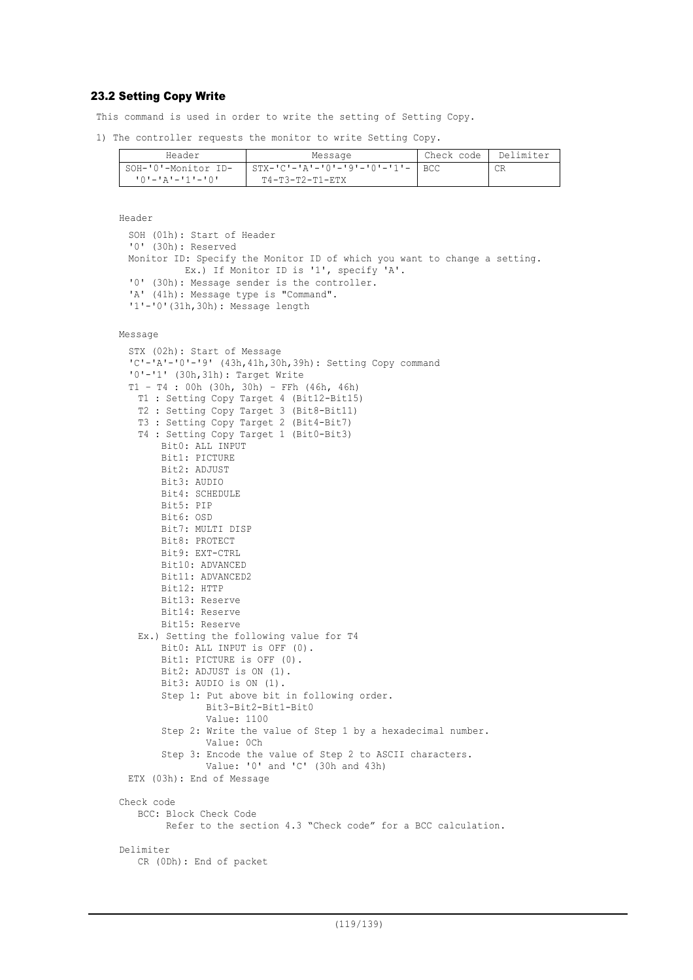## 23.2 Setting Copy Write

This command is used in order to write the setting of Setting Copy.

1) The controller requests the monitor to write Setting Copy.

| Header              | Message                      | Check code | Delimiter |
|---------------------|------------------------------|------------|-----------|
| SOH-'0'-Monitor ID- | STX-'C'-'A'-'0'-'9'-'0'-'1'- | <b>BCC</b> |           |
| '0'-'A'-'1'-'0'     | T4-T3-T2-T1-RTX              |            |           |

```
Header
```

```
SOH (01h): Start of Header
'0' (30h): Reserved
Monitor ID: Specify the Monitor ID of which you want to change a setting.
          Ex.) If Monitor ID is '1', specify 'A'.
'0' (30h): Message sender is the controller.
'A' (41h): Message type is "Command".
'1'-'0'(31h,30h): Message length
```

```
Message
```

```
STX (02h): Start of Message
 'C'-'A'-'0'-'9' (43h,41h,30h,39h): Setting Copy command
 '0'-'1' (30h,31h): Target Write
 T1 – T4 : 00h (30h, 30h) – FFh (46h, 46h)
   T1 : Setting Copy Target 4 (Bit12-Bit15)
   T2 : Setting Copy Target 3 (Bit8-Bit11)
   T3 : Setting Copy Target 2 (Bit4-Bit7)
   T4 : Setting Copy Target 1 (Bit0-Bit3)
       Bit0: ALL INPUT
       Bit1: PICTURE
       Bit2: ADJUST
       Bit3: AUDIO
       Bit4: SCHEDULE
       Bit5: PIP
       Bit6: OSD
       Bit7: MULTI DISP
       Bit8: PROTECT
       Bit9: EXT-CTRL
       Bit10: ADVANCED
       Bit11: ADVANCED2
       Bit12: HTTP
       Bit13: Reserve
       Bit14: Reserve
       Bit15: Reserve
   Ex.) Setting the following value for T4
       Bit0: ALL INPUT is OFF (0).
       Bit1: PICTURE is OFF (0).
       Bit2: ADJUST is ON (1).
       Bit3: AUDIO is ON (1).
       Step 1: Put above bit in following order.
               Bit3-Bit2-Bit1-Bit0
               Value: 1100
        Step 2: Write the value of Step 1 by a hexadecimal number.
               Value: 0Ch
        Step 3: Encode the value of Step 2 to ASCII characters.
               Value: '0' and 'C' (30h and 43h)
 ETX (03h): End of Message
Check code
   BCC: Block Check Code
         Refer to the section 4.3 "Check code" for a BCC calculation.
Delimiter
   CR (0Dh): End of packet
```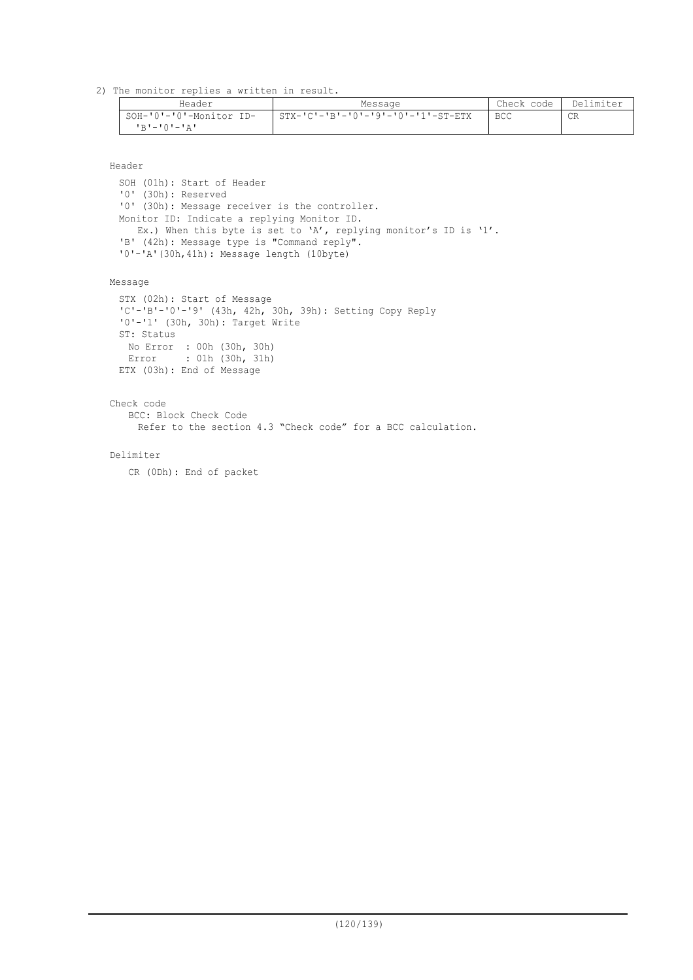2) The monitor replies a written in result.

| Header                                        | Message                            | Check code   Delimiter |    |
|-----------------------------------------------|------------------------------------|------------------------|----|
| SOH-'0'-'0'-Monitor ID-<br><b>'R'-'O'-'A'</b> | STX-'C'-'B'-'0'-'9'-'0'-'1'-ST-ETX | <b>BCC</b>             | CR |

Header

SOH (01h): Start of Header '0' (30h): Reserved '0' (30h): Message receiver is the controller. Monitor ID: Indicate a replying Monitor ID. Ex.) When this byte is set to 'A', replying monitor's ID is '1'. 'B' (42h): Message type is "Command reply". '0'-'A'(30h,41h): Message length (10byte)

Message

STX (02h): Start of Message 'C'-'B'-'0'-'9' (43h, 42h, 30h, 39h): Setting Copy Reply '0'-'1' (30h, 30h): Target Write ST: Status No Error : 00h (30h, 30h) Error : 01h (30h, 31h) ETX (03h): End of Message

Check code

BCC: Block Check Code

Refer to the section 4.3 "Check code" for a BCC calculation.

Delimiter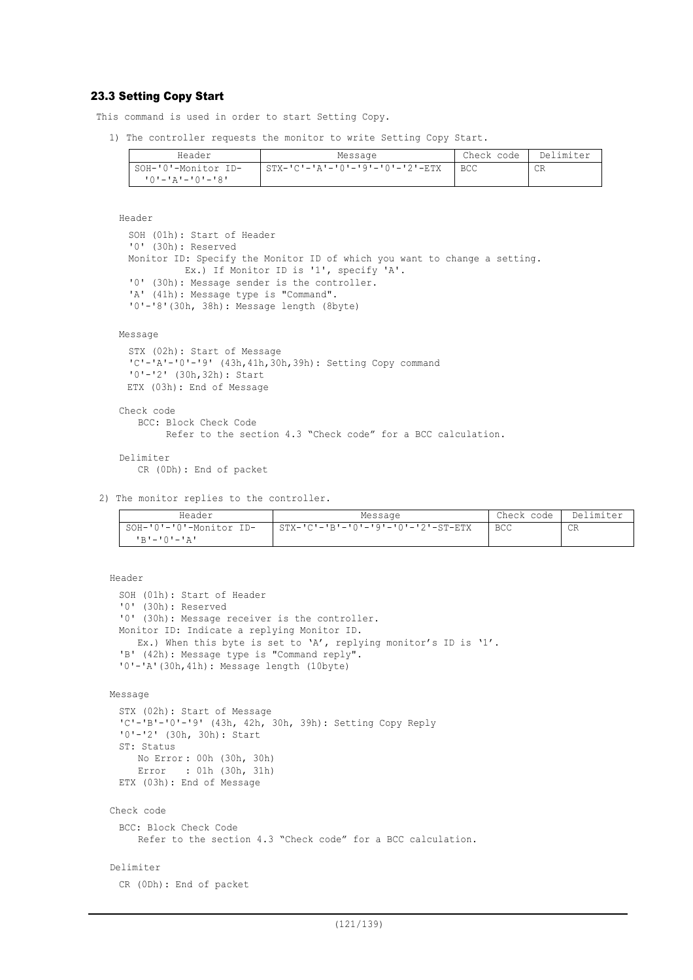## 23.3 Setting Copy Start

This command is used in order to start Setting Copy.

1) The controller requests the monitor to write Setting Copy Start.

| Header              | Message                                         | Check code | Delimiter |
|---------------------|-------------------------------------------------|------------|-----------|
| SOH-'0'-Monitor ID- | $STX - 'C' - 'A' - '0' - '9' - '0' - '2' - ETX$ | BCC.       | СR        |
| י8י−י∩י−יגי−י∩י     |                                                 |            |           |

```
Header
```

```
SOH (01h): Start of Header
'0' (30h): Reserved
Monitor ID: Specify the Monitor ID of which you want to change a setting.
         Ex.) If Monitor ID is '1', specify 'A'.
'0' (30h): Message sender is the controller.
'A' (41h): Message type is "Command".
'0'-'8'(30h, 38h): Message length (8byte)
```
#### Message

```
STX (02h): Start of Message
 'C'-'A'-'0'-'9' (43h,41h,30h,39h): Setting Copy command
 '0'-'2' (30h,32h): Start
 ETX (03h): End of Message
Check code
   BCC: Block Check Code
         Refer to the section 4.3 "Check code" for a BCC calculation.
```
# Delimiter

CR (0Dh): End of packet

2) The monitor replies to the controller.

| Header                  | Message                            | Check code | Delimiter |
|-------------------------|------------------------------------|------------|-----------|
| SOH-'0'-'0'-Monitor ID- | STX-'C'-'B'-'0'-'9'-'0'-'2'-ST-ETX | <b>BCC</b> | CR        |
| <b>'R'-'O'-'A'</b>      |                                    |            |           |

```
Header
```

```
SOH (01h): Start of Header
 '0' (30h): Reserved
 '0' (30h): Message receiver is the controller.
 Monitor ID: Indicate a replying Monitor ID.
    Ex.) When this byte is set to 'A', replying monitor's ID is '1'.
 'B' (42h): Message type is "Command reply".
 '0'-'A'(30h,41h): Message length (10byte)
Message
 STX (02h): Start of Message
 'C'-'B'-'0'-'9' (43h, 42h, 30h, 39h): Setting Copy Reply
 '0'-'2' (30h, 30h): Start
 ST: Status
     No Error : 00h (30h, 30h)
     Error : 01h (30h, 31h)
 ETX (03h): End of Message
Check code
 BCC: Block Check Code
     Refer to the section 4.3 "Check code" for a BCC calculation.
Delimiter
 CR (0Dh): End of packet
```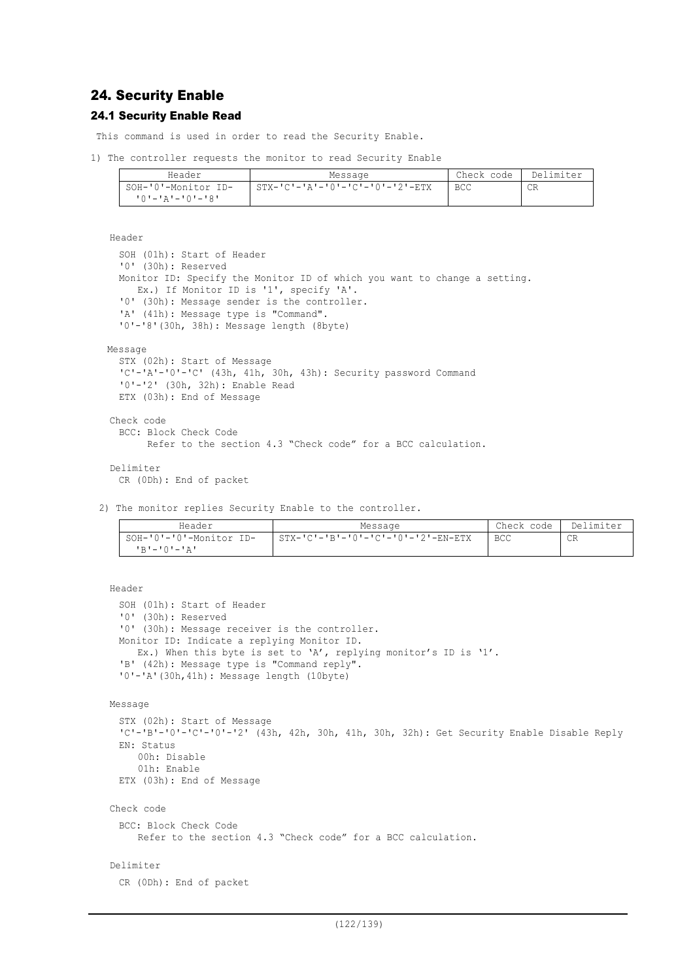# 24. Security Enable

## 24.1 Security Enable Read

This command is used in order to read the Security Enable.

```
1) The controller requests the monitor to read Security Enable
```

| Header              | Message                                         | Check code | Delimiter |
|---------------------|-------------------------------------------------|------------|-----------|
| SOH-'0'-Monitor ID- | $STX - 'C' - 'A' - 'O' - 'C' - 'O' - '2' - ETX$ | <b>BCC</b> | СR        |
| י8'–י∩י–יג'–י∩י     |                                                 |            |           |

Header

```
SOH (01h): Start of Header
  '0' (30h): Reserved
  Monitor ID: Specify the Monitor ID of which you want to change a setting.
    Ex.) If Monitor ID is '1', specify 'A'.
  '0' (30h): Message sender is the controller.
  'A' (41h): Message type is "Command".
  '0'-'8'(30h, 38h): Message length (8byte)
Message
  STX (02h): Start of Message
  'C'-'A'-'0'-'C' (43h, 41h, 30h, 43h): Security password Command
  '0'-'2' (30h, 32h): Enable Read
  ETX (03h): End of Message
Check code
  BCC: Block Check Code
        Refer to the section 4.3 "Check code" for a BCC calculation.
```
Delimiter CR (0Dh): End of packet

2) The monitor replies Security Enable to the controller.

| Header                                     | Message                              | Check code | Delimiter |
|--------------------------------------------|--------------------------------------|------------|-----------|
| SOH-'0'-'0'-Monitor ID-<br>$R$ יבי $0$ יבי | $STX-ICI-IBI-I0I-ICI-I0I-I2I-EN-ETX$ | <b>BCC</b> | CR        |

```
Header
```

```
SOH (01h): Start of Header
 '0' (30h): Reserved
 '0' (30h): Message receiver is the controller.
 Monitor ID: Indicate a replying Monitor ID.
    Ex.) When this byte is set to 'A', replying monitor's ID is '1'.
 'B' (42h): Message type is "Command reply".
 '0'-'A'(30h,41h): Message length (10byte)
Message
 STX (02h): Start of Message
 'C'-'B'-'0'-'C'-'0'-'2' (43h, 42h, 30h, 41h, 30h, 32h): Get Security Enable Disable Reply
 EN: Status
     00h: Disable
     01h: Enable
 ETX (03h): End of Message
Check code
 BCC: Block Check Code
    Refer to the section 4.3 "Check code" for a BCC calculation.
```

```
Delimiter
```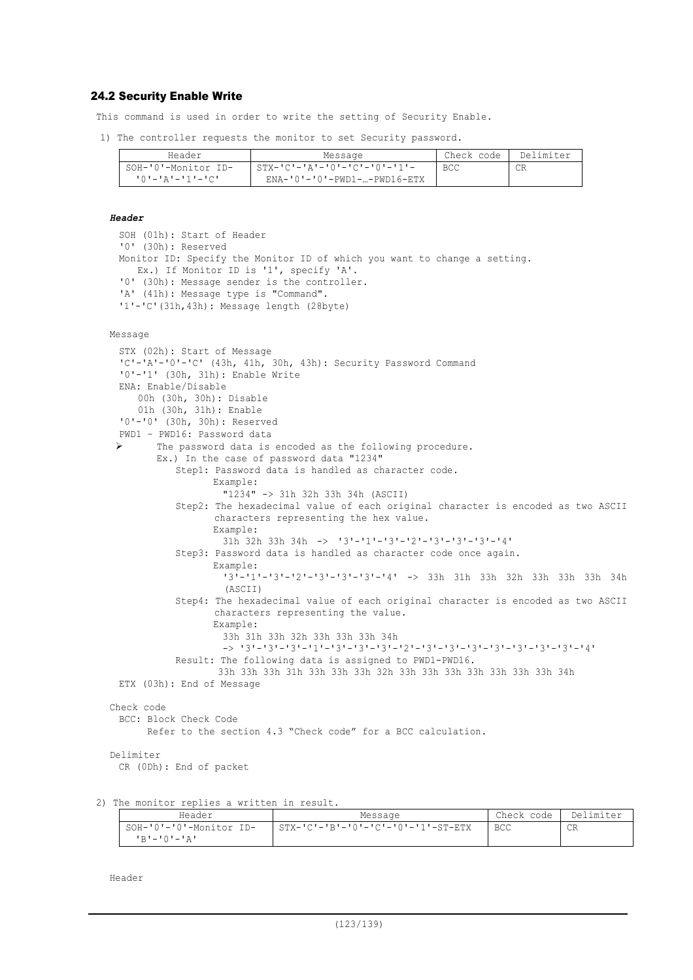## 24.2 Security Enable Write

This command is used in order to write the setting of Security Enable.

1) The controller requests the monitor to set Security password.

| Header              | Message                                     | Check code | Delimiter |
|---------------------|---------------------------------------------|------------|-----------|
| SOH-'0'-Monitor ID- | $STX - 'C' - 'A' - '0' - 'C' - '0' - '1' -$ | <b>BCC</b> |           |
|                     | ENA-'0'-'0'-PWD1-…-PWD16-ETX                |            |           |

### *Header*

```
SOH (01h): Start of Header
'0' (30h): Reserved
Monitor ID: Specify the Monitor ID of which you want to change a setting.
  Ex.) If Monitor ID is '1', specify 'A'.
'0' (30h): Message sender is the controller.
'A' (41h): Message type is "Command".
'1'-'C'(31h,43h): Message length (28byte)
```
#### Message

```
STX (02h): Start of Message
 'C'-'A'-'0'-'C' (43h, 41h, 30h, 43h): Security Password Command
 '0'-'1' (30h, 31h): Enable Write
 ENA: Enable/Disable
      00h (30h, 30h): Disable
      01h (30h, 31h): Enable
 '0'-'0' (30h, 30h): Reserved
 PWD1 – PWD16: Password data
 \triangleright The password data is encoded as the following procedure.
        Ex.) In the case of password data "1234"
           Step1: Password data is handled as character code.
                  Example:
                    "1234" -> 31h 32h 33h 34h (ASCII)
           Step2: The hexadecimal value of each original character is encoded as two ASCII
                  characters representing the hex value.
                  Example:
                    31h 32h 33h 34h -> '3'-'1'-'3'-'2'-'3'-'3'-'3'-'4'
           Step3: Password data is handled as character code once again.
                  Example:
                    '3'-'1'-'3'-'2'-'3'-'3'-'3'-'4' -> 33h 31h 33h 32h 33h 33h 33h 34h
                    (ASCII)
           Step4: The hexadecimal value of each original character is encoded as two ASCII
                  characters representing the value.
                  Example:
                    33h 31h 33h 32h 33h 33h 33h 34h
                    -> '3'-'3'-'3'-'1'-'3'-'3'-'3'-'2'-'3'-'3'-'3'-'3'-'3'-'3'-'3'-'4'
           Result: The following data is assigned to PWD1-PWD16.
                   33h 33h 33h 31h 33h 33h 33h 32h 33h 33h 33h 33h 33h 33h 33h 34h
 ETX (03h): End of Message
Check code
 BCC: Block Check Code
       Refer to the section 4.3 "Check code" for a BCC calculation.
Delimiter
 CR (0Dh): End of packet
```
2) The monitor replies a written in result.

| Header                                        | Message                            | Check code I | Delimiter |
|-----------------------------------------------|------------------------------------|--------------|-----------|
| SOH-'0'-'0'-Monitor ID-<br><b>'R'-'O'-'A'</b> | STX-'C'-'B'-'0'-'C'-'0'-'1'-ST-ETX | BCC          | CR        |

Header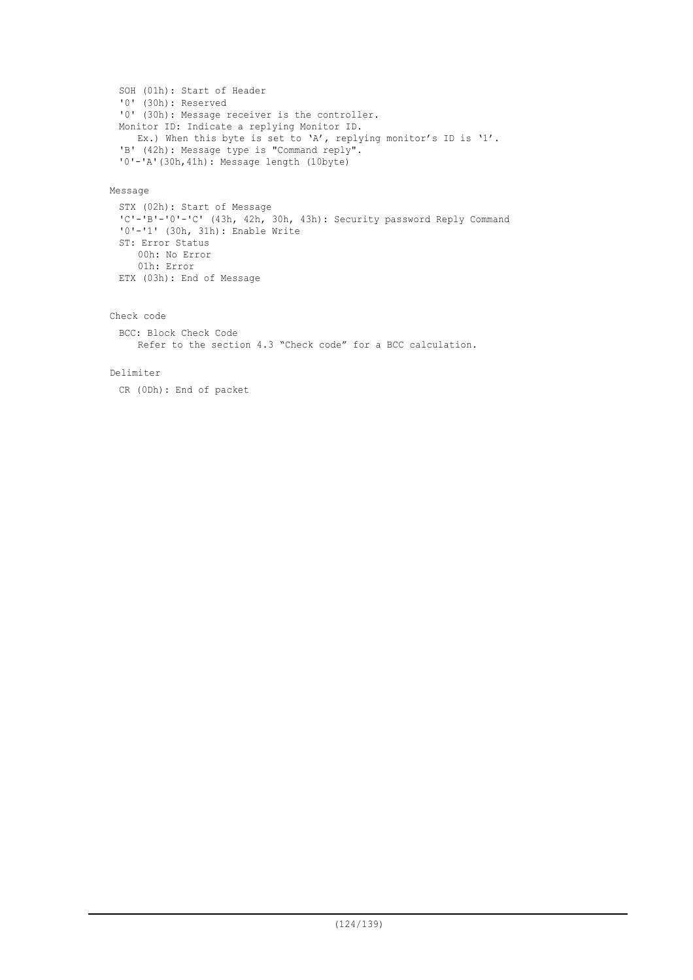```
SOH (01h): Start of Header
'0' (30h): Reserved
'0' (30h): Message receiver is the controller.
Monitor ID: Indicate a replying Monitor ID.
  Ex.) When this byte is set to 'A', replying monitor's ID is '1'.
'B' (42h): Message type is "Command reply".
'0'-'A'(30h,41h): Message length (10byte)
```
## Message

```
STX (02h): Start of Message
'C'-'B'-'0'-'C' (43h, 42h, 30h, 43h): Security password Reply Command
'0'-'1' (30h, 31h): Enable Write
ST: Error Status
    00h: No Error
    01h: Error
ETX (03h): End of Message
```

```
Check code
```

```
BCC: Block Check Code
   Refer to the section 4.3 "Check code" for a BCC calculation.
```
### Delimiter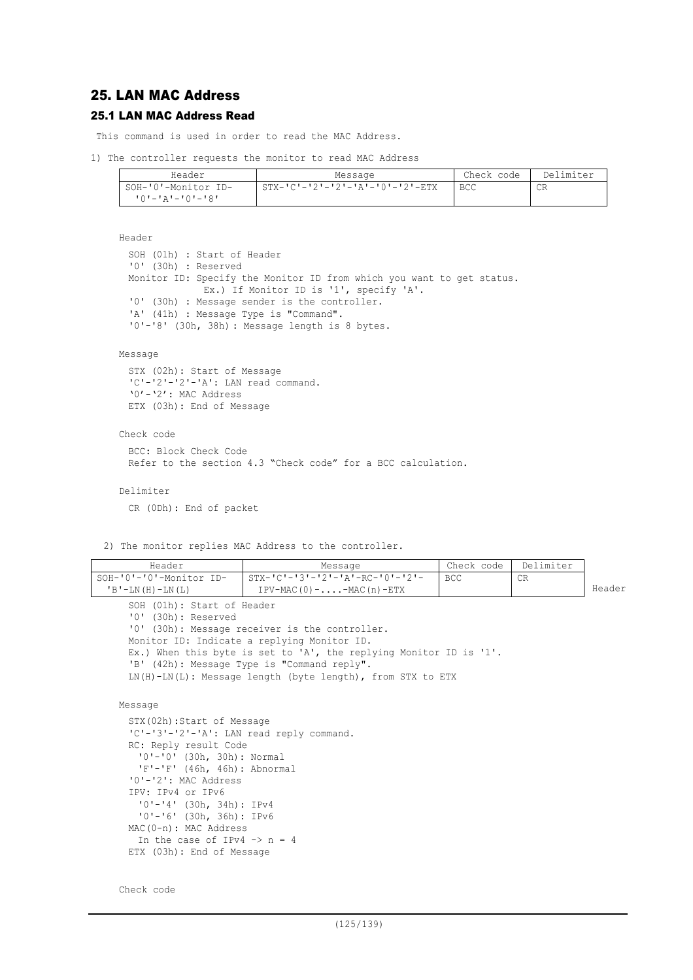# 25. LAN MAC Address

## 25.1 LAN MAC Address Read

This command is used in order to read the MAC Address.

1) The controller requests the monitor to read MAC Address

| Header              | Message                                         | Check code | Delimiter |
|---------------------|-------------------------------------------------|------------|-----------|
| SOH-'0'-Monitor ID- | $STX - 'C' - '2' - '2' - 'A' - '0' - '2' - ETX$ | <b>BCC</b> | CR        |
| 10'-'A'-'0'-'8'     |                                                 |            |           |

```
Header
```

```
SOH (01h) : Start of Header
'0' (30h) : Reserved
Monitor ID: Specify the Monitor ID from which you want to get status.
             Ex.) If Monitor ID is '1', specify 'A'.
'0' (30h) : Message sender is the controller.
'A' (41h) : Message Type is "Command".
'0'-'8' (30h, 38h) : Message length is 8 bytes.
```
### Message

```
STX (02h): Start of Message
'C'-'2'-'2'-'A': LAN read command.
'0'-'2': MAC Address
ETX (03h): End of Message
```
#### Check code

```
BCC: Block Check Code
Refer to the section 4.3 "Check code" for a BCC calculation.
```
Delimiter

CR (0Dh): End of packet

2) The monitor replies MAC Address to the controller.

| Header                     | Message                              | Check code   Delimiter |    |        |
|----------------------------|--------------------------------------|------------------------|----|--------|
| SOH-'0'-'0'-Monitor ID-    | STX-'C'-'3'-'2'-'A'-RC-'0'-'2'-      | l BCC.                 | CR |        |
| $'B'$ -LN $(H)$ -LN $(L)$  | $IPV-MAC(0) - \ldots - MAC(n) - ETX$ |                        |    | Header |
| SOH (01h): Start of Header |                                      |                        |    |        |

```
'0' (30h): Reserved
'0' (30h): Message receiver is the controller.
Monitor ID: Indicate a replying Monitor ID.
Ex.) When this byte is set to 'A', the replying Monitor ID is '1'.
'B' (42h): Message Type is "Command reply".
LN(H)-LN(L): Message length (byte length), from STX to ETX
```

```
Message
```

```
STX(02h):Start of Message
'C'-'3'-'2'-'A': LAN read reply command.
RC: Reply result Code
 '0'-'0' (30h, 30h): Normal
 'F'-'F' (46h, 46h): Abnormal
'0'-'2': MAC Address
IPV: IPv4 or IPv6
 '0'-'4' (30h, 34h): IPv4
 '0'-'6' (30h, 36h): IPv6
MAC(0-n): MAC Address
In the case of IPv4 \rightarrow n = 4ETX (03h): End of Message
```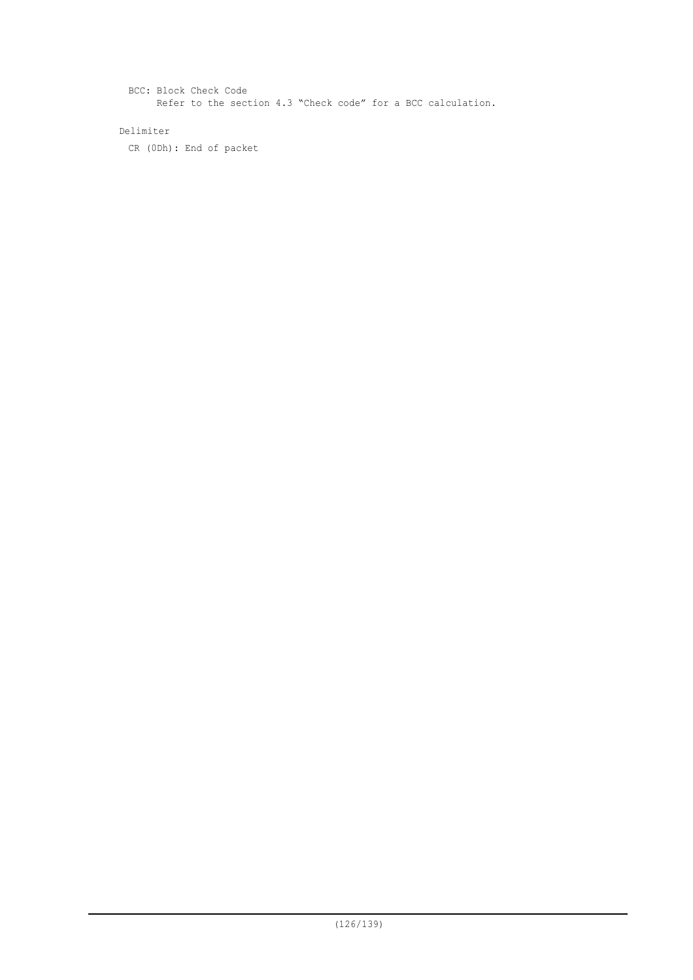BCC: Block Check Code Refer to the section 4.3 "Check code" for a BCC calculation.

## Delimiter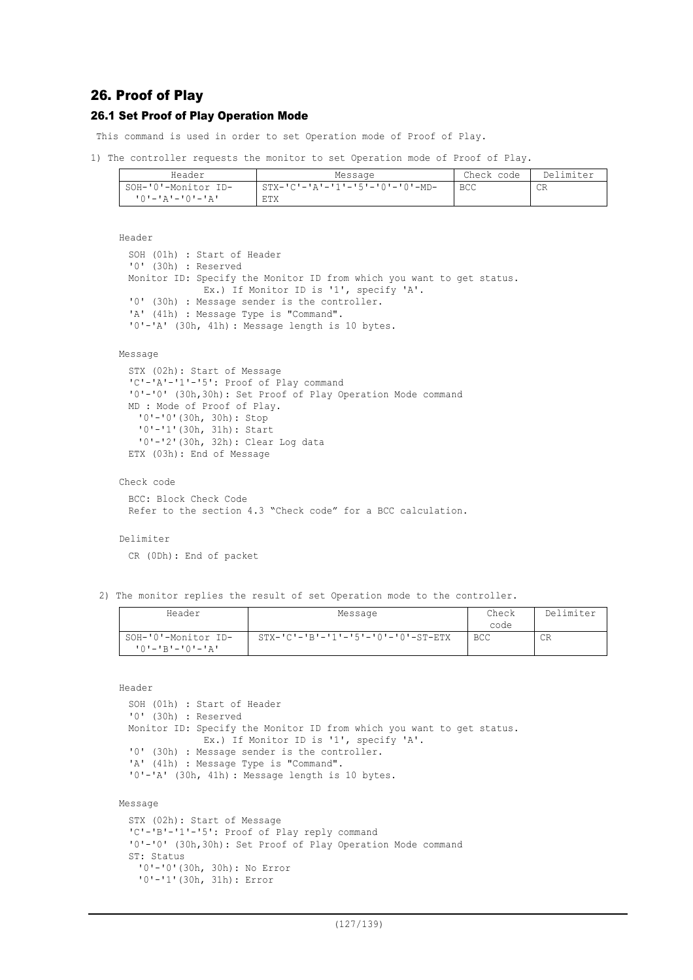## 26. Proof of Play

## 26.1 Set Proof of Play Operation Mode

This command is used in order to set Operation mode of Proof of Play.

```
1) The controller requests the monitor to set Operation mode of Proof of Play.
```

| Header              | Message                            | Check code | Delimiter |
|---------------------|------------------------------------|------------|-----------|
| SOH-'0'-Monitor ID- | $STX-ICI-IAI-I1-I5I-I0I-I0-I-MD-I$ | <b>BCC</b> | CR        |
| יבי−י∩י−יגי−יחי     | ETX                                |            |           |

```
Header
```

```
SOH (01h) : Start of Header
'0' (30h) : Reserved
Monitor ID: Specify the Monitor ID from which you want to get status.
             Ex.) If Monitor ID is '1', specify 'A'.
'0' (30h) : Message sender is the controller.
'A' (41h) : Message Type is "Command".
'0'-'A' (30h, 41h) : Message length is 10 bytes.
```
### Message

```
STX (02h): Start of Message
'C'-'A'-'1'-'5': Proof of Play command
'0'-'0' (30h,30h): Set Proof of Play Operation Mode command
MD : Mode of Proof of Play.
  '0'-'0'(30h, 30h): Stop
   '0'-'1'(30h, 31h): Start
  '0'-'2'(30h, 32h): Clear Log data
ETX (03h): End of Message
```

```
Check code
```

```
BCC: Block Check Code
Refer to the section 4.3 "Check code" for a BCC calculation.
```
#### Delimiter

CR (0Dh): End of packet

2) The monitor replies the result of set Operation mode to the controller.

| Header                  | Message                                              | Check      | Delimiter |
|-------------------------|------------------------------------------------------|------------|-----------|
|                         |                                                      | code       |           |
| SOH-'0'-Monitor ID-     | $STX - 'C' - 'B' - '1' - '5' - '0' - '0' - ST - ETX$ | <b>BCC</b> | СR        |
| $101 - 1R1 - 101 - 1R1$ |                                                      |            |           |

Header

```
SOH (01h) : Start of Header
'0' (30h) : Reserved
Monitor ID: Specify the Monitor ID from which you want to get status.
             Ex.) If Monitor ID is '1', specify 'A'.
'0' (30h) : Message sender is the controller.
'A' (41h) : Message Type is "Command".
'0'-'A' (30h, 41h) : Message length is 10 bytes.
```
#### Message

```
STX (02h): Start of Message
'C'-'B'-'1'-'5': Proof of Play reply command
'0'-'0' (30h,30h): Set Proof of Play Operation Mode command
ST: Status
 '0'-'0'(30h, 30h): No Error
 '0'-'1'(30h, 31h): Error
```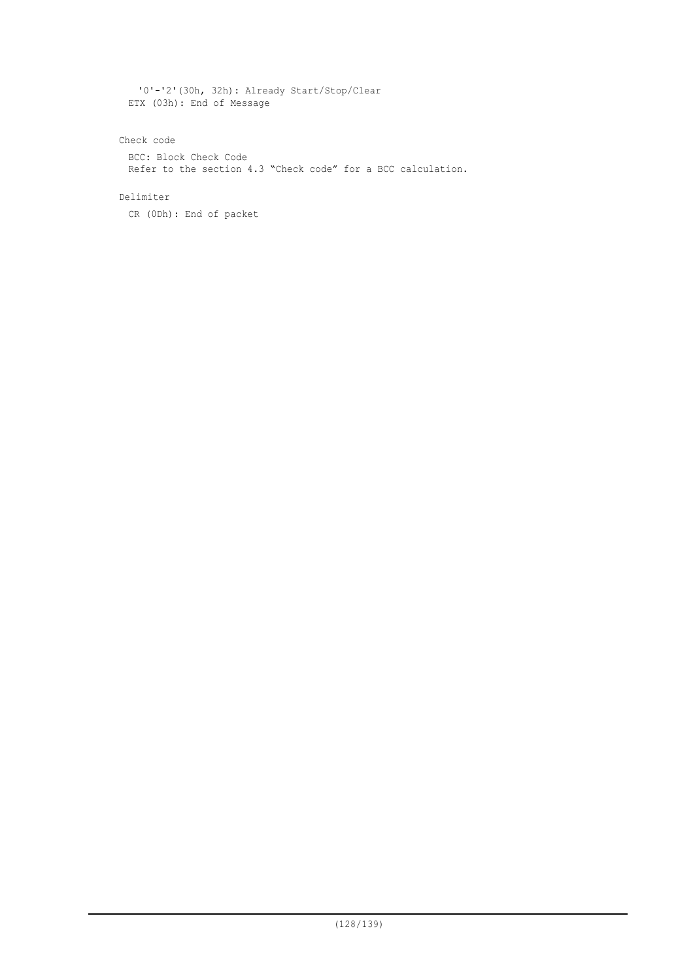'0'-'2'(30h, 32h): Already Start/Stop/Clear ETX (03h): End of Message

## Check code

BCC: Block Check Code Refer to the section 4.3 "Check code" for a BCC calculation.

## Delimiter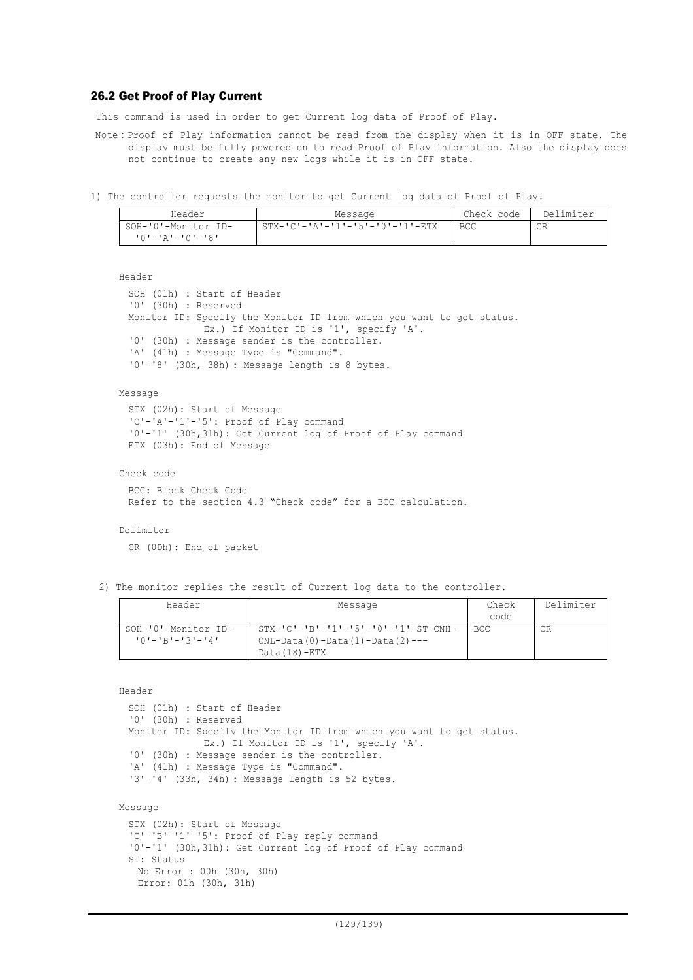## 26.2 Get Proof of Play Current

This command is used in order to get Current log data of Proof of Play.

- Note:Proof of Play information cannot be read from the display when it is in OFF state. The display must be fully powered on to read Proof of Play information. Also the display does not continue to create any new logs while it is in OFF state.
- 1) The controller requests the monitor to get Current log data of Proof of Play.

| Header              | Message                         | Check code | Delimiter |
|---------------------|---------------------------------|------------|-----------|
| SOH-'0'-Monitor ID- | STX-'C'-'A'-'1'-'5'-'0'-'1'-ETX | BCC        | CR        |
| 10'-'A'-'0'-'8'     |                                 |            |           |

Header

```
SOH (01h) : Start of Header
'0' (30h) : Reserved
Monitor ID: Specify the Monitor ID from which you want to get status.
             Ex.) If Monitor ID is '1', specify 'A'.
'0' (30h) : Message sender is the controller.
'A' (41h) : Message Type is "Command".
'0'-'8' (30h, 38h) : Message length is 8 bytes.
```
Message

```
STX (02h): Start of Message
'C'-'A'-'1'-'5': Proof of Play command
'0'-'1' (30h,31h): Get Current log of Proof of Play command
ETX (03h): End of Message
```
Check code

BCC: Block Check Code Refer to the section 4.3 "Check code" for a BCC calculation.

Delimiter

CR (0Dh): End of packet

2) The monitor replies the result of Current log data to the controller.

| Header                  | Message                                                | Check      | Delimiter |
|-------------------------|--------------------------------------------------------|------------|-----------|
|                         |                                                        | code       |           |
| SOH-'0'-Monitor ID-     | $STX - 'C' - 'B' - '1' - '5' - '0' - '1' - ST - CNH -$ | <b>BCC</b> | СR        |
| $101 - 1B1 - 131 - 141$ | $CNL-Data(0)-Data(1)-Data(2)---$                       |            |           |
|                         | Data(18)-ETX                                           |            |           |

Header

```
SOH (01h) : Start of Header
 '0' (30h) : Reserved
 Monitor ID: Specify the Monitor ID from which you want to get status.
              Ex.) If Monitor ID is '1', specify 'A'.
 '0' (30h) : Message sender is the controller.
  'A' (41h) : Message Type is "Command".
  '3'-'4' (33h, 34h) : Message length is 52 bytes.
Message
 STX (02h): Start of Message
  'C'-'B'-'1'-'5': Proof of Play reply command
  '0'-'1' (30h,31h): Get Current log of Proof of Play command
 ST: Status
    No Error : 00h (30h, 30h)
    Error: 01h (30h, 31h)
```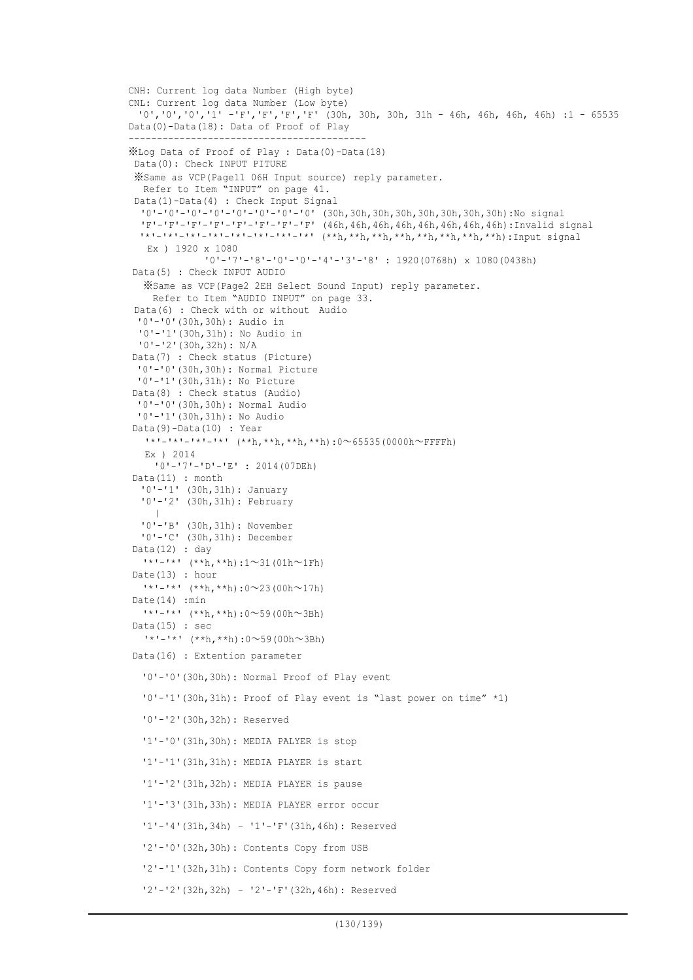```
CNH: Current log data Number (High byte)
CNL: Current log data Number (Low byte)
 '0','0','0','1' -'F','F','F','F' (30h, 30h, 30h, 31h - 46h, 46h, 46h, 46h) :1 - 65535
Data(0)-Data(18): Data of Proof of Play
  ------------------------------------------
※Log Data of Proof of Play : Data(0)-Data(18)
Data(0): Check INPUT PITURE
 ※Same as VCP(Page11 06H Input source) reply parameter.
  Refer to Item "INPUT" on page 41.
 Data(1)-Data(4) : Check Input Signal
  '0'-'0'-'0'-'0'-'0'-'0'-'0'-'0' (30h,30h,30h,30h,30h,30h,30h,30h):No signal
  'F'-'F'-'F'-'F'-'F'-'F'-'F'-'F' (46h,46h,46h,46h,46h,46h,46h,46h):Invalid signal
  \frac{1}{x}'-'*'-'*'-'*'-'*'-'*'-'*'-'*' (**h,**h,**h,**h,**h,**h,**h,**h):Input signal
   Ex ) 1920 x 1080
             '0'-'7'-'8'-'0'-'0'-'4'-'3'-'8' : 1920(0768h) x 1080(0438h)
Data(5) : Check INPUT AUDIO
  ※Same as VCP(Page2 2EH Select Sound Input) reply parameter.
   Refer to Item "AUDIO INPUT" on page 33.
 Data(6) : Check with or without Audio
 '0'-'0'(30h,30h): Audio in
  '0'-'1'(30h,31h): No Audio in
 '0'-'2'(30h,32h): N/A
Data(7) : Check status (Picture)
 '0'-'0'(30h,30h): Normal Picture
 '0'-'1'(30h,31h): No Picture
Data(8) : Check status (Audio)
 '0'-'0'(30h,30h): Normal Audio
 '0'-'1'(30h,31h): No Audio
Data(9)-Data(10) : Year
   '*'-'*'-'*'-'*' (**h,**h,**h,**h):0~65535(0000h~FFFFh)
  Ex ) 2014
    '0'-'7'-'D'-'E' : 2014(07DEh)
Data(11) : month
  '0'-'1' (30h,31h): January
   '0'-'2' (30h,31h): February
     |
  '0'-'B' (30h,31h): November
  '0'-'C' (30h,31h): December
Data(12) : day
  '*'-'*' (**h,**h):1~31(01h~1Fh)
Date(13) : hour
  '*'-'*' (**h,**h):0~23(00h~17h)
Date(14) : min
  '*'-'*' (**h,**h):0~59(00h~3Bh)
Data(15) : sec
  '*'-'*' (**h,**h):0~59(00h~3Bh)
Data(16) : Extention parameter
  '0'-'0'(30h,30h): Normal Proof of Play event
  '0'-'1'(30h,31h): Proof of Play event is "last power on time" *1)
  '0'-'2'(30h,32h): Reserved
  '1'-'0'(31h,30h): MEDIA PALYER is stop
  '1'-'1'(31h,31h): MEDIA PLAYER is start
  '1'-'2'(31h,32h): MEDIA PLAYER is pause
  '1'-'3'(31h,33h): MEDIA PLAYER error occur
  '1'-'4'(31h,34h) – '1'-'F'(31h,46h): Reserved
  '2'-'0'(32h,30h): Contents Copy from USB
  '2'-'1'(32h,31h): Contents Copy form network folder
  '2'-'2'(32h,32h) – '2'-'F'(32h,46h): Reserved
```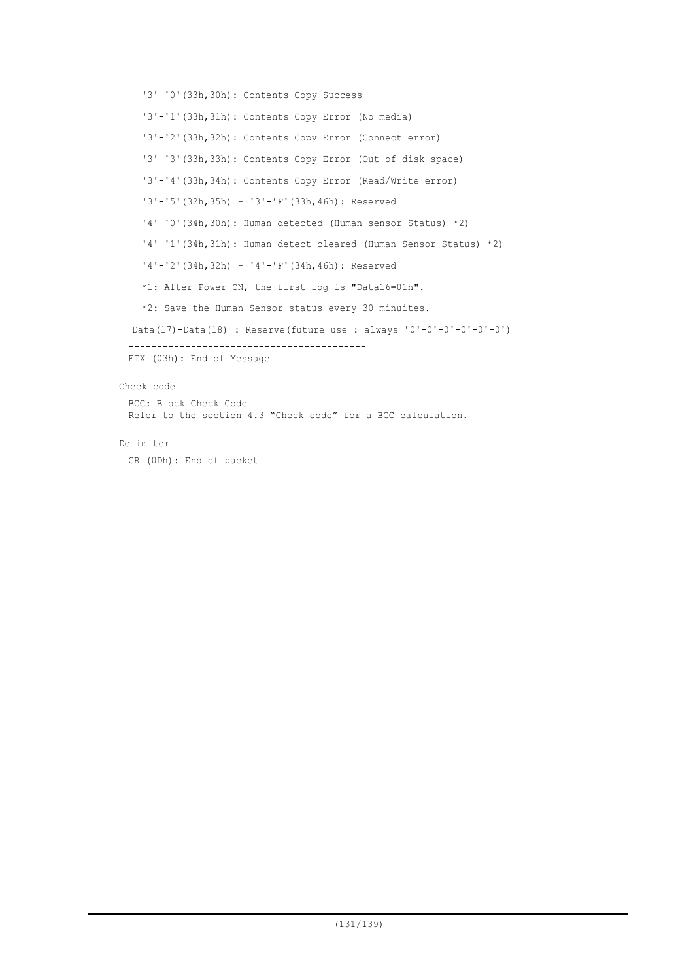```
'3'-'0'(33h,30h): Contents Copy Success
  '3'-'1'(33h,31h): Contents Copy Error (No media)
  '3'-'2'(33h,32h): Contents Copy Error (Connect error)
  '3'-'3'(33h,33h): Contents Copy Error (Out of disk space)
  '3'-'4'(33h,34h): Contents Copy Error (Read/Write error)
  '3'-'5'(32h,35h) – '3'-'F'(33h,46h): Reserved
  '4'-'0'(34h,30h): Human detected (Human sensor Status) *2)
  '4'-'1'(34h,31h): Human detect cleared (Human Sensor Status) *2)
  '4'-'2'(34h,32h) – '4'-'F'(34h,46h): Reserved
  *1: After Power ON, the first log is "Data16=01h".
  *2: Save the Human Sensor status every 30 minuites.
Data(17)-Data(18) : Reserve(future use : always '0'-0'-0'-0'-0'-0')
------------------------------------------
ETX (03h): End of Message
```
### Check code

BCC: Block Check Code Refer to the section 4.3 "Check code" for a BCC calculation.

### Delimiter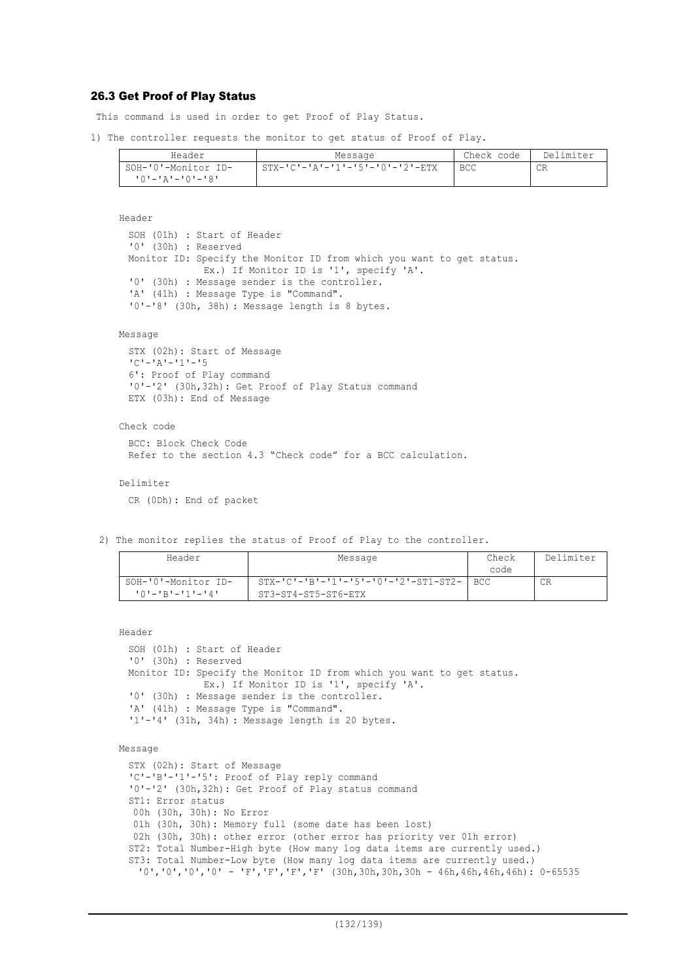### 26.3 Get Proof of Play Status

This command is used in order to get Proof of Play Status.

1) The controller requests the monitor to get status of Proof of Play.

| Header              | Message                         | Check code | Delimiter |
|---------------------|---------------------------------|------------|-----------|
| SOH-'0'-Monitor ID- | STX-'C'-'A'-'1'-'5'-'0'-'2'-ETX | <b>BCC</b> | CR        |
| 10'-'A'-'0'-'8'     |                                 |            |           |

Header

SOH (01h) : Start of Header '0' (30h) : Reserved Monitor ID: Specify the Monitor ID from which you want to get status. Ex.) If Monitor ID is '1', specify 'A'. '0' (30h) : Message sender is the controller. 'A' (41h) : Message Type is "Command". '0'-'8' (30h, 38h) : Message length is 8 bytes.

#### Message

STX (02h): Start of Message 'C'-'A'-'1'-'5 6': Proof of Play command '0'-'2' (30h,32h): Get Proof of Play Status command ETX (03h): End of Message

### Check code

BCC: Block Check Code Refer to the section 4.3 "Check code" for a BCC calculation.

Delimiter

CR (0Dh): End of packet

2) The monitor replies the status of Proof of Play to the controller.

| Header                                 | Message                                                             | Check<br>code | Delimiter |
|----------------------------------------|---------------------------------------------------------------------|---------------|-----------|
| SOH-'0'-Monitor ID-<br>10'-'R'-'1'-'4' | $STX-IC - IB - 11 - 5 - 0 - 2 - ST1 - ST2 -$<br>ST3-ST4-ST5-ST6-ETX | I BCC         | CR.       |

```
Header
```

```
SOH (01h) : Start of Header
'0' (30h) : Reserved
Monitor ID: Specify the Monitor ID from which you want to get status.
             Ex.) If Monitor ID is '1', specify 'A'.
'0' (30h) : Message sender is the controller.
'A' (41h) : Message Type is "Command".
'1'-'4' (31h, 34h) : Message length is 20 bytes.
```
#### Message

STX (02h): Start of Message 'C'-'B'-'1'-'5': Proof of Play reply command '0'-'2' (30h,32h): Get Proof of Play status command ST1: Error status 00h (30h, 30h): No Error 01h (30h, 30h): Memory full (some date has been lost) 02h (30h, 30h): other error (other error has priority ver 01h error) ST2: Total Number-High byte (How many log data items are currently used.) ST3: Total Number-Low byte (How many log data items are currently used.)  $'0', '0', '0', '0' - 'F', 'F', 'F', 'F' (30h,30h,30h - 46h,46h,46h)$ : 0-65535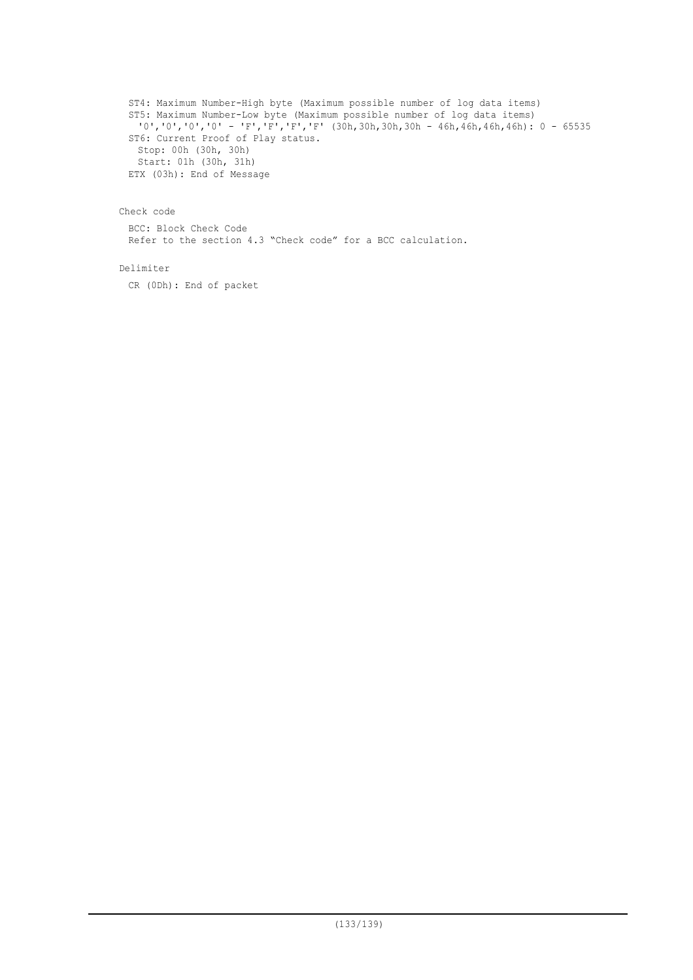ST4: Maximum Number-High byte (Maximum possible number of log data items) ST5: Maximum Number-Low byte (Maximum possible number of log data items)  $'0'$ ,'0','0','0' - 'F','F','F','F' (30h,30h,30h,30h - 46h,46h,46h,46h): 0 - 65535 ST6: Current Proof of Play status. Stop: 00h (30h, 30h) Start: 01h (30h, 31h) ETX (03h): End of Message

### Check code

BCC: Block Check Code Refer to the section 4.3 "Check code" for a BCC calculation.

### Delimiter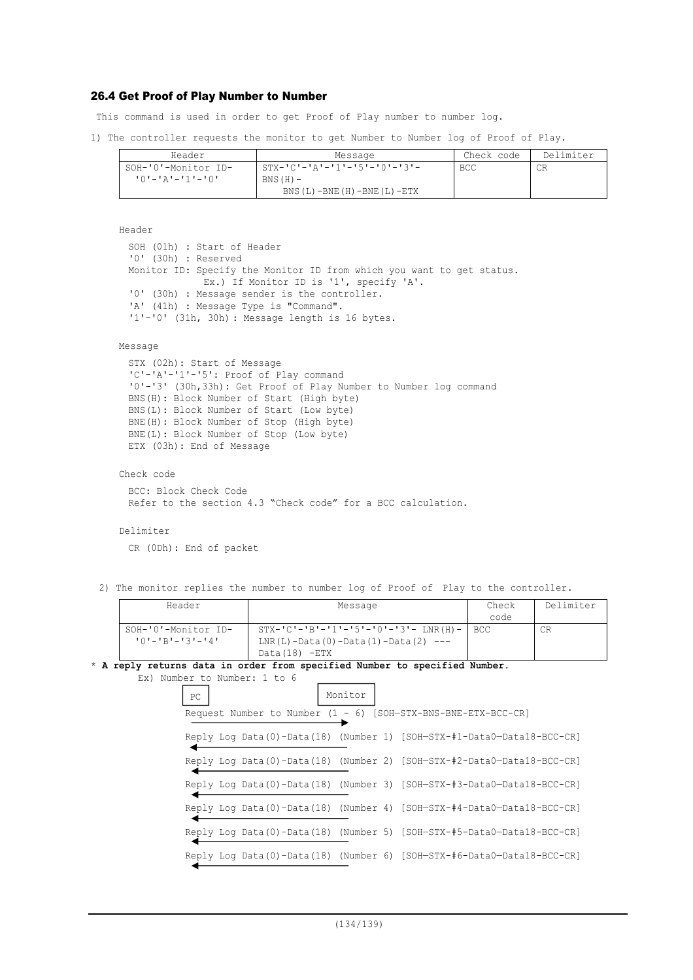## 26.4 Get Proof of Play Number to Number

This command is used in order to get Proof of Play number to number log.

1) The controller requests the monitor to get Number to Number log of Proof of Play.

| Header                     | Message                              | Check code | Delimiter |
|----------------------------|--------------------------------------|------------|-----------|
| SOH-'0'-Monitor ID-        | $STX-ICI-IAI-11I-15I-10I-13I-$       | BCC        | CR        |
| +0 - - + 1 - - + 1 - + 0 + | $BNS(H)$ –                           |            |           |
|                            | BNS $(L)$ -BNE $(H)$ -BNE $(L)$ -ETX |            |           |

```
Header
 SOH (01h) : Start of Header
 '0' (30h) : Reserved
 Monitor ID: Specify the Monitor ID from which you want to get status.
              Ex.) If Monitor ID is '1', specify 'A'.
 '0' (30h) : Message sender is the controller.
 'A' (41h) : Message Type is "Command".
 '1'-'0' (31h, 30h) : Message length is 16 bytes.
```
### Message

```
STX (02h): Start of Message
'C'-'A'-'1'-'5': Proof of Play command
'0'-'3' (30h,33h): Get Proof of Play Number to Number log command
BNS(H): Block Number of Start (High byte)
BNS(L): Block Number of Start (Low byte)
BNE(H): Block Number of Stop (High byte)
BNE(L): Block Number of Stop (Low byte)
ETX (03h): End of Message
```
Check code

```
BCC: Block Check Code
Refer to the section 4.3 "Check code" for a BCC calculation.
```
### Delimiter

CR (0Dh): End of packet

2) The monitor replies the number to number log of Proof of Play to the controller.

| Header                  | Message                                        | Check | Delimiter |
|-------------------------|------------------------------------------------|-------|-----------|
|                         |                                                | code  |           |
| SOH-'0'-Monitor ID-     | $STX - IC = B = 11 - 15 = 101 - 31 - LNR(H) -$ | BCC.  | CR        |
| $101 - 1B1 - 131 - 141$ | $LNR(L) - Data(0) - Data(1) - Data(2) ---$     |       |           |
|                         | $Data(18) - ETX$                               |       |           |

#### \* **A reply returns data in order from specified Number to specified Number.**  $Ex)$  Numb

|    | mber to Number: 1 to 6 |         |                                                                        |
|----|------------------------|---------|------------------------------------------------------------------------|
| PC |                        | Monitor |                                                                        |
|    |                        |         | Request Number to Number (1 - 6) [SOH-STX-BNS-BNE-ETX-BCC-CR]          |
|    |                        |         | Reply Log Data(0)-Data(18) (Number 1) [SOH-STX-#1-Data0-Data18-BCC-CR] |
|    |                        |         | Reply Log Data(0)-Data(18) (Number 2) [SOH-STX-#2-Data0-Data18-BCC-CR] |
|    |                        |         | Reply Log Data(0)-Data(18) (Number 3) [SOH-STX-#3-Data0-Data18-BCC-CR] |
|    |                        |         | Reply Log Data(0)-Data(18) (Number 4) [SOH-STX-#4-Data0-Data18-BCC-CR] |
|    |                        |         | Reply Log Data(0)-Data(18) (Number 5) [SOH-STX-#5-Data0-Data18-BCC-CR] |
|    |                        |         | Reply Log Data(0)-Data(18) (Number 6) [SOH-STX-#6-Data0-Data18-BCC-CR] |
|    |                        |         |                                                                        |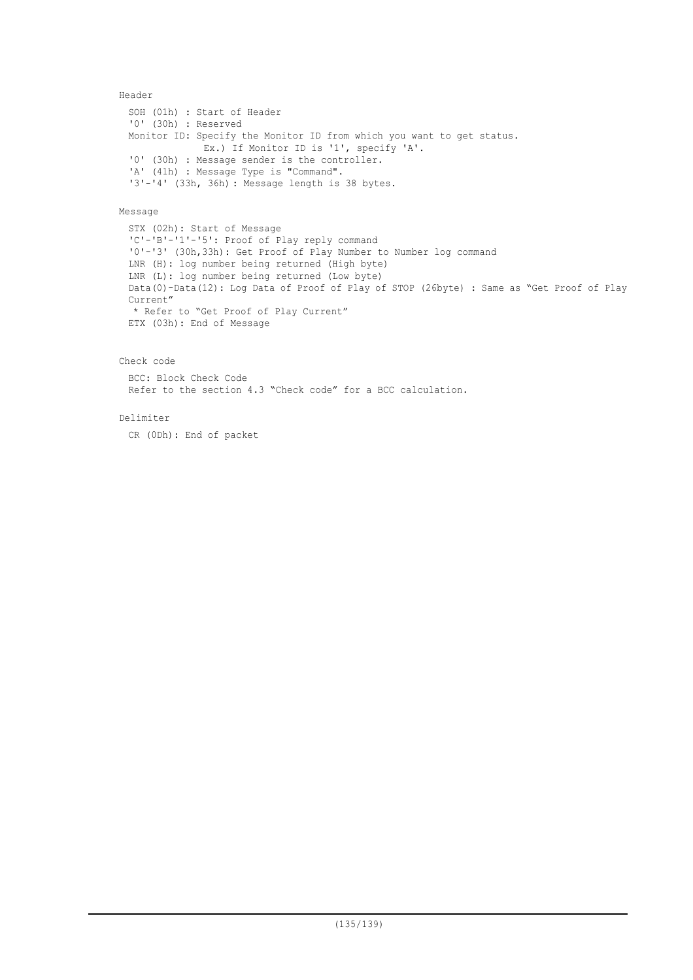### Header

```
SOH (01h) : Start of Header
'0' (30h) : Reserved
Monitor ID: Specify the Monitor ID from which you want to get status.
             Ex.) If Monitor ID is '1', specify 'A'.
'0' (30h) : Message sender is the controller.
'A' (41h) : Message Type is "Command".
'3'-'4' (33h, 36h) : Message length is 38 bytes.
```
### Message

STX (02h): Start of Message 'C'-'B'-'1'-'5': Proof of Play reply command '0'-'3' (30h,33h): Get Proof of Play Number to Number log command LNR (H): log number being returned (High byte) LNR (L): log number being returned (Low byte) Data(0)-Data(12): Log Data of Proof of Play of STOP (26byte) : Same as "Get Proof of Play Current" \* Refer to "Get Proof of Play Current" ETX (03h): End of Message

### Check code

BCC: Block Check Code Refer to the section 4.3 "Check code" for a BCC calculation.

### Delimiter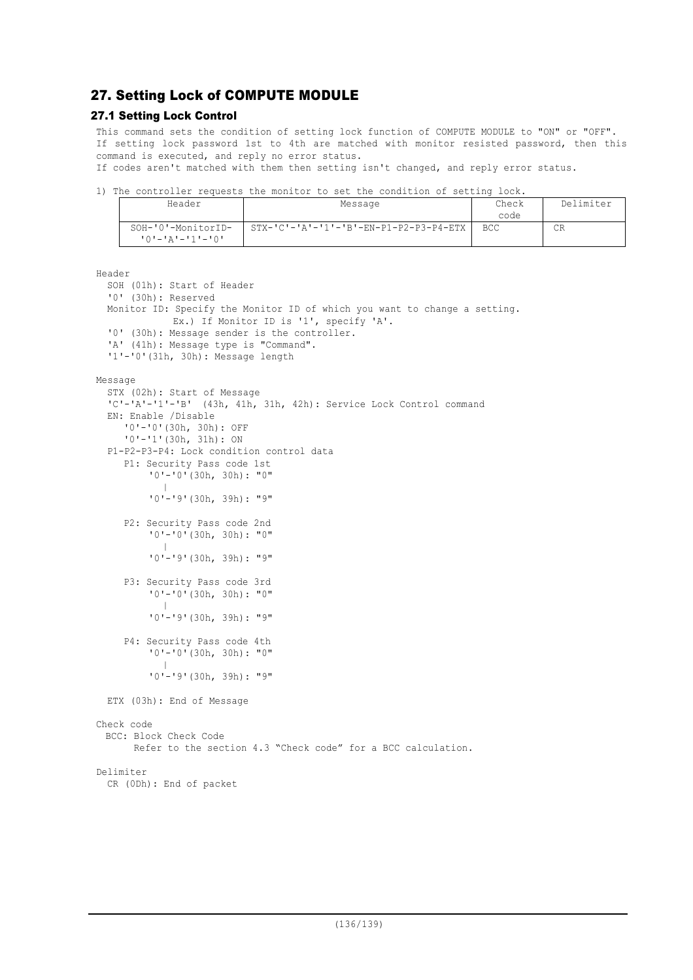# 27. Setting Lock of COMPUTE MODULE

## 27.1 Setting Lock Control

This command sets the condition of setting lock function of COMPUTE MODULE to "ON" or "OFF". If setting lock password 1st to 4th are matched with monitor resisted password, then this command is executed, and reply no error status.

If codes aren't matched with them then setting isn't changed, and reply error status.

1) The controller requests the monitor to set the condition of setting lock.

| Header                                              | Message                                | Check<br>code | Delimiter |
|-----------------------------------------------------|----------------------------------------|---------------|-----------|
| SOH-'0'-MonitorID-<br>י ^ י – י ר י – י ג י – י ^ י | STX-'C'-'A'-'1'-'B'-EN-P1-P2-P3-P4-ETX | BCC.          | СR        |

```
Header
  SOH (01h): Start of Header
  '0' (30h): Reserved
 Monitor ID: Specify the Monitor ID of which you want to change a setting.
             Ex.) If Monitor ID is '1', specify 'A'.
  '0' (30h): Message sender is the controller.
  'A' (41h): Message type is "Command".
  '1'-'0'(31h, 30h): Message length
Message
  STX (02h): Start of Message
  'C'-'A'-'1'-'B' (43h, 41h, 31h, 42h): Service Lock Control command
  EN: Enable /Disable
     '0'-'0'(30h, 30h): OFF
     '0'-'1'(30h, 31h): ON
  P1-P2-P3-P4: Lock condition control data
     P1: Security Pass code 1st
         '0'-'0'(30h, 30h): "0"
            |
          '0'-'9'(30h, 39h): "9"
     P2: Security Pass code 2nd
         '0'-'0'(30h, 30h): "0"
            |
          '0'-'9'(30h, 39h): "9"
     P3: Security Pass code 3rd
         '0'-'0'(30h, 30h): "0"
            |
          '0'-'9'(30h, 39h): "9"
     P4: Security Pass code 4th
          '0'-'0'(30h, 30h): "0"
            |
          '0'-'9'(30h, 39h): "9"
  ETX (03h): End of Message
Check code
 BCC: Block Check Code
       Refer to the section 4.3 "Check code" for a BCC calculation.
Delimiter
 CR (0Dh): End of packet
```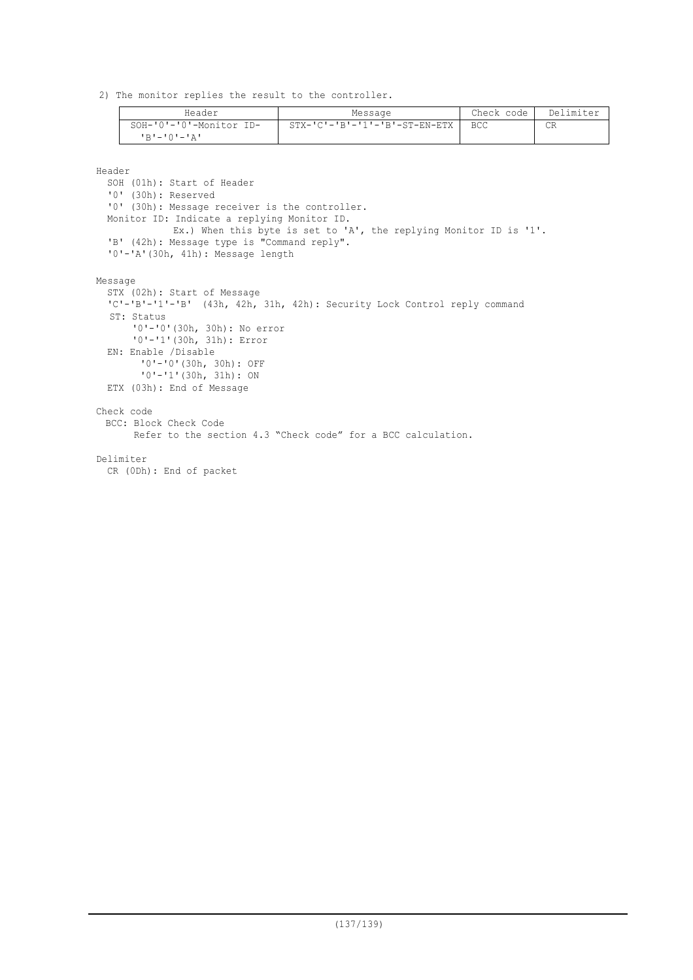2) The monitor replies the result to the controller.

| Header                         | Message                          | Check code | Delimiter |
|--------------------------------|----------------------------------|------------|-----------|
| SOH-'0'-'0'-Monitor ID-        | $STX-ICI-IBI-II-I-BI-ST-END-ETX$ | <b>BCC</b> | СR        |
| $R$ 'r $-$ ' $0$ ' $-$ ' $R$ ' |                                  |            |           |

Header

SOH (01h): Start of Header '0' (30h): Reserved '0' (30h): Message receiver is the controller. Monitor ID: Indicate a replying Monitor ID. Ex.) When this byte is set to 'A', the replying Monitor ID is '1'. 'B' (42h): Message type is "Command reply". '0'-'A'(30h, 41h): Message length Message STX (02h): Start of Message 'C'-'B'-'1'-'B' (43h, 42h, 31h, 42h): Security Lock Control reply command ST: Status '0'-'0'(30h, 30h): No error '0'-'1'(30h, 31h): Error EN: Enable /Disable '0'-'0'(30h, 30h): OFF '0'-'1'(30h, 31h): ON ETX (03h): End of Message Check code BCC: Block Check Code Refer to the section 4.3 "Check code" for a BCC calculation. Delimiter CR (0Dh): End of packet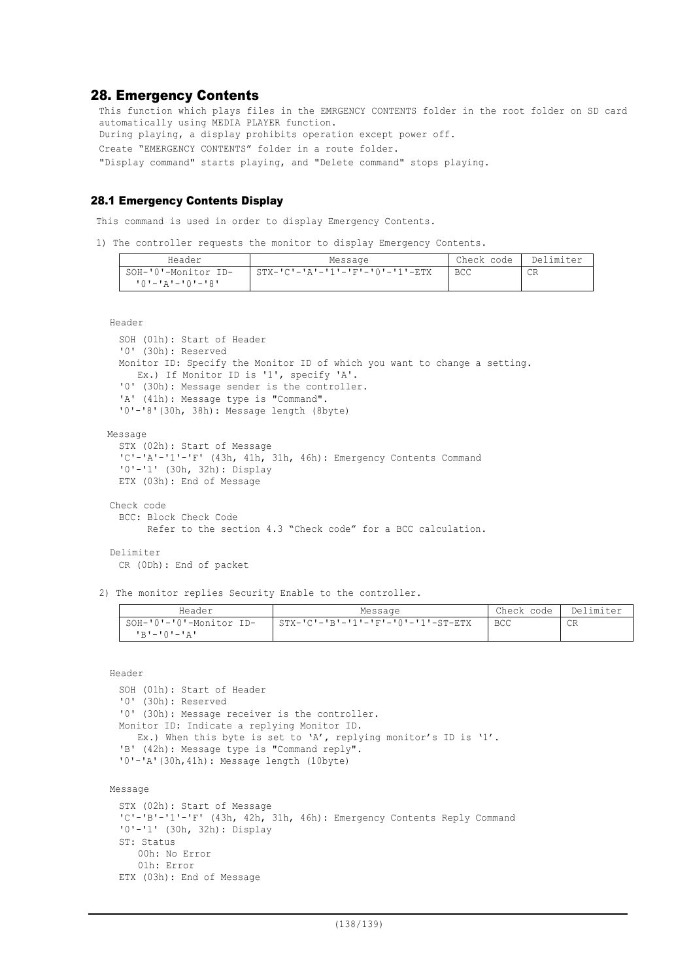## 28. Emergency Contents

This function which plays files in the EMRGENCY CONTENTS folder in the root folder on SD card automatically using MEDIA PLAYER function. During playing, a display prohibits operation except power off. Create "EMERGENCY CONTENTS" folder in a route folder. "Display command" starts playing, and "Delete command" stops playing.

### 28.1 Emergency Contents Display

This command is used in order to display Emergency Contents.

1) The controller requests the monitor to display Emergency Contents.

| Header              | Message                                                                                                                                                                                                                                                                                                                 | Check code | Delimiter |
|---------------------|-------------------------------------------------------------------------------------------------------------------------------------------------------------------------------------------------------------------------------------------------------------------------------------------------------------------------|------------|-----------|
| SOH-'0'-Monitor ID- | $\frac{1}{2}$ STX- $\frac{1}{C}$ $\frac{1}{2}$ $\frac{1}{2}$ $\frac{1}{2}$ $\frac{1}{2}$ $\frac{1}{2}$ $\frac{1}{2}$ $\frac{1}{2}$ $\frac{1}{2}$ $\frac{1}{2}$ $\frac{1}{2}$ $\frac{1}{2}$ $\frac{1}{2}$ $\frac{1}{2}$ $\frac{1}{2}$ $\frac{1}{2}$ $\frac{1}{2}$ $\frac{1}{2}$ $\frac{1}{2}$ $\frac{1}{2}$ $\frac{1}{2$ | <b>BCC</b> | СR        |
| 10'-'A'-'0'-'8'     |                                                                                                                                                                                                                                                                                                                         |            |           |

Header

```
SOH (01h): Start of Header
  '0' (30h): Reserved
 Monitor ID: Specify the Monitor ID of which you want to change a setting.
    Ex.) If Monitor ID is '1', specify 'A'.
  '0' (30h): Message sender is the controller.
  'A' (41h): Message type is "Command".
  '0'-'8'(30h, 38h): Message length (8byte)
Message
 STX (02h): Start of Message
  'C'-'A'-'1'-'F' (43h, 41h, 31h, 46h): Emergency Contents Command
  '0'-'1' (30h, 32h): Display
 ETX (03h): End of Message
Check code
  BCC: Block Check Code
```
Refer to the section 4.3 "Check code" for a BCC calculation.

## Delimiter

CR (0Dh): End of packet

 00h: No Error 01h: Error

ETX (03h): End of Message

2) The monitor replies Security Enable to the controller.

| Header                  | Message                            | Check code | Delimiter |
|-------------------------|------------------------------------|------------|-----------|
| SOH-'0'-'0'-Monitor ID- | STX-'C'-'B'-'1'-'F'-'0'-'1'-ST-ETX | <b>BCC</b> | CR        |
| IR'-'0'-'A'             |                                    |            |           |

Header

```
SOH (01h): Start of Header
 '0' (30h): Reserved
 '0' (30h): Message receiver is the controller.
 Monitor ID: Indicate a replying Monitor ID.
    Ex.) When this byte is set to 'A', replying monitor's ID is '1'.
 'B' (42h): Message type is "Command reply".
 '0'-'A'(30h,41h): Message length (10byte)
Message
 STX (02h): Start of Message
 'C'-'B'-'1'-'F' (43h, 42h, 31h, 46h): Emergency Contents Reply Command
 '0'-'1' (30h, 32h): Display
 ST: Status
```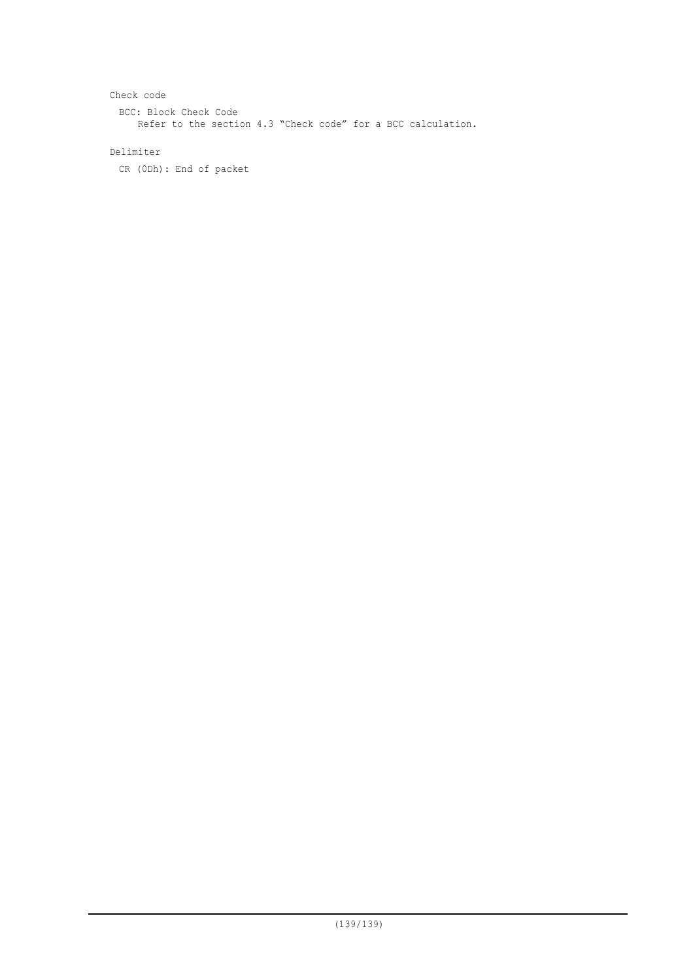```
Check code
 BCC: Block Check Code
    Refer to the section 4.3 "Check code" for a BCC calculation.
```
## Delimiter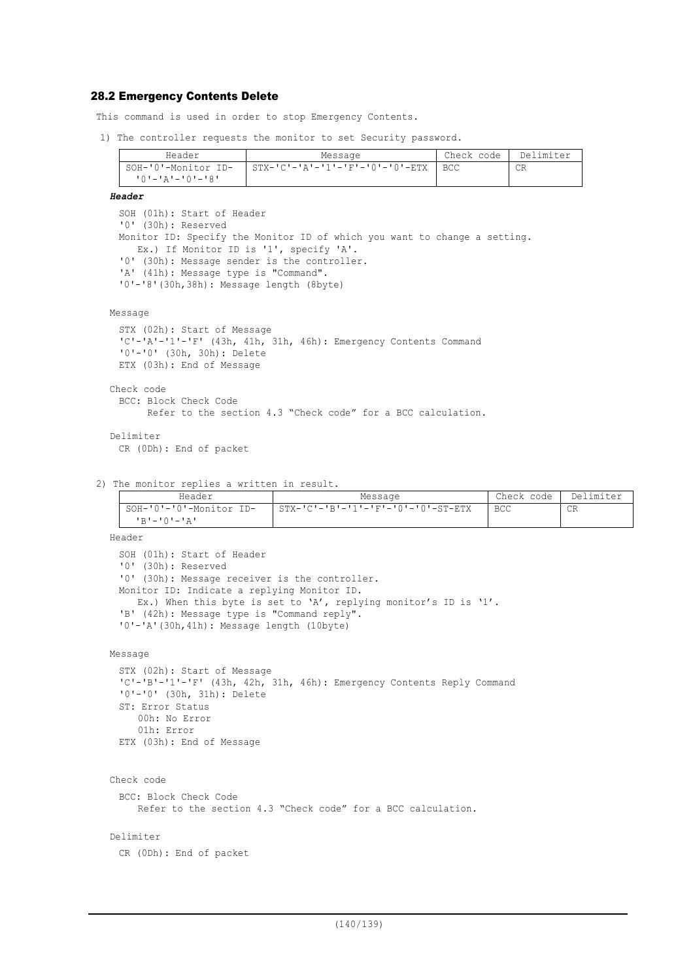### 28.2 Emergency Contents Delete

This command is used in order to stop Emergency Contents.

1) The controller requests the monitor to set Security password.

| Header              | Message                                               | Check code | Delimiter |
|---------------------|-------------------------------------------------------|------------|-----------|
| SOH-'0'-Monitor ID- | $STX - 'C' - 'A' - '1' - 'F' - '0' - '0' - ETX$   BCC |            | СR        |
| י8י−י∩י−יגי−י∩י     |                                                       |            |           |

#### *Header*

SOH (01h): Start of Header '0' (30h): Reserved Monitor ID: Specify the Monitor ID of which you want to change a setting. Ex.) If Monitor ID is '1', specify 'A'. '0' (30h): Message sender is the controller. 'A' (41h): Message type is "Command". '0'-'8'(30h,38h): Message length (8byte)

### Message

```
STX (02h): Start of Message
 'C'-'A'-'1'-'F' (43h, 41h, 31h, 46h): Emergency Contents Command
 '0'-'0' (30h, 30h): Delete
 ETX (03h): End of Message
Check code
 BCC: Block Check Code
```

```
 Refer to the section 4.3 "Check code" for a BCC calculation.
```

```
Delimiter
 CR (0Dh): End of packet
```
2) The monitor replies a written in result.

| Header                  | Message                            | Check code | Delimiter |
|-------------------------|------------------------------------|------------|-----------|
| SOH-'0'-'0'-Monitor ID- | STX-'C'-'B'-'1'-'F'-'0'-'0'-ST-ETX | BCC        | CR        |
| יגי−י∩י−יתי             |                                    |            |           |

Header

```
SOH (01h): Start of Header
'0' (30h): Reserved
'0' (30h): Message receiver is the controller.
Monitor ID: Indicate a replying Monitor ID.
  Ex.) When this byte is set to 'A', replying monitor's ID is '1'.
'B' (42h): Message type is "Command reply".
'0'-'A'(30h,41h): Message length (10byte)
```
Message

```
STX (02h): Start of Message
'C'-'B'-'1'-'F' (43h, 42h, 31h, 46h): Emergency Contents Reply Command
'0'-'0' (30h, 31h): Delete
ST: Error Status
    00h: No Error
    01h: Error
ETX (03h): End of Message
```
Check code BCC: Block Check Code Refer to the section 4.3 "Check code" for a BCC calculation.

### Delimiter

```
CR (0Dh): End of packet
```